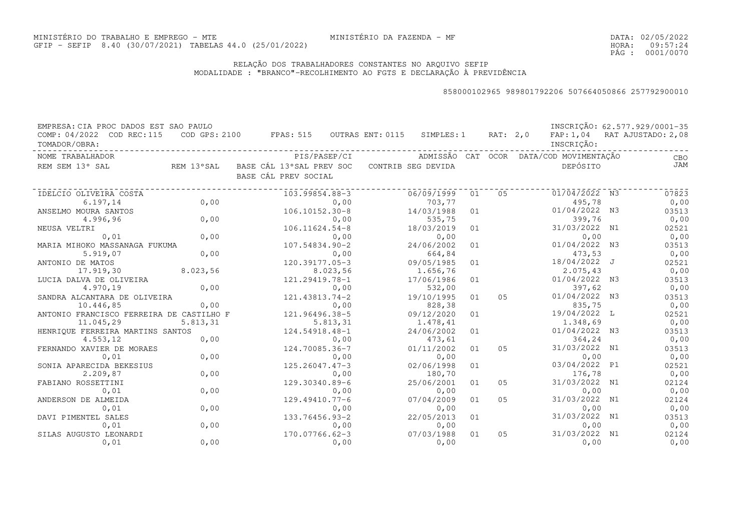DATA:02/05/2022HORA: PÁG : 09:57:24 0001/0070

### RELAÇÃO DOS TRABALHADORES CONSTANTES NO ARQUIVO SEFIPMODALIDADE : "BRANCO"-RECOLHIMENTO AO FGTS E DECLARAÇÃO À PREVIDÊNCIA

| EMPRESA: CIA PROC DADOS EST SAO PAULO      |            |                                                  |              |                  |                    |    |                |                                         | INSCRIÇÃO: 62.577.929/0001-35 |
|--------------------------------------------|------------|--------------------------------------------------|--------------|------------------|--------------------|----|----------------|-----------------------------------------|-------------------------------|
| COMP: 04/2022 COD REC:115<br>TOMADOR/OBRA: |            | COD GPS: 2100 FPAS: 515                          |              | OUTRAS ENT: 0115 | SIMPLES: 1         |    | RAT: 2,0       | INSCRIÇÃO:                              | FAP: 1,04 RAT AJUSTADO: 2,08  |
| NOME TRABALHADOR                           |            |                                                  | PIS/PASEP/CI |                  |                    |    |                | ADMISSÃO CAT OCOR DATA/COD MOVIMENTAÇÃO | CBO                           |
| REM SEM 13° SAL                            | REM 13°SAL | BASE CÁL 13°SAL PREV SOC<br>BASE CÁL PREV SOCIAL |              |                  | CONTRIB SEG DEVIDA |    |                | DEPÓSITO                                | JAM                           |
| IDELCIO OLIVEIRA COSTA                     |            | 103.99854.88-3                                   |              |                  | 06/09/1999         | 01 | 0.5            | 01/04/2022 N3                           | 07823                         |
| 6.197,14                                   | 0,00       |                                                  | 0,00         |                  | 703,77             |    |                | 495,78                                  | 0,00                          |
| ANSELMO MOURA SANTOS                       |            | $106.10152.30 - 8$                               |              |                  | 14/03/1988         | 01 |                | 01/04/2022 N3                           | 03513                         |
| 4.996,96                                   | 0,00       |                                                  | 0,00         |                  | 535,75             |    |                | 399,76                                  | 0,00                          |
| NEUSA VELTRI                               |            | $106.11624.54 - 8$                               |              |                  | 18/03/2019         | 01 |                | 31/03/2022 N1                           | 02521                         |
| 0,01                                       | 0,00       |                                                  | 0,00         |                  | 0,00               |    |                | 0,00                                    | 0,00                          |
| MARIA MIHOKO MASSANAGA FUKUMA              |            | 107.54834.90-2                                   |              |                  | 24/06/2002         | 01 |                | 01/04/2022 N3                           | 03513                         |
| 5.919,07                                   | 0,00       |                                                  | 0,00         |                  | 664,84             |    |                | 473,53                                  | 0,00                          |
| ANTONIO DE MATOS                           |            | 120.39177.05-3                                   |              |                  | 09/05/1985         | 01 |                | 18/04/2022 J                            | 02521                         |
| 17.919,30                                  | 8.023,56   |                                                  | 8.023,56     |                  | 1.656,76           |    |                | 2.075,43                                | 0,00                          |
| LUCIA DALVA DE OLIVEIRA                    |            | 121.29419.78-1                                   |              |                  | 17/06/1986         | 01 |                | 01/04/2022 N3                           | 03513                         |
| 4.970,19                                   | 0,00       |                                                  | 0,00         |                  | 532,00             |    |                | 397,62                                  | 0,00                          |
| SANDRA ALCANTARA DE OLIVEIRA               |            | 121.43813.74-2                                   |              |                  | 19/10/1995         | 01 | 0.5            | 01/04/2022 N3                           | 03513                         |
| 10.446,85                                  | 0,00       |                                                  | 0,00         |                  | 828,38             |    |                | 835,75                                  | 0,00                          |
| ANTONIO FRANCISCO FERREIRA DE CASTILHO F   |            | 121.96496.38-5                                   |              |                  | 09/12/2020         | 01 |                | 19/04/2022 L                            | 02521                         |
| 11.045,29                                  | 5.813,31   |                                                  | 5.813,31     |                  | 1.478,41           |    |                | 1.348,69                                | 0,00                          |
| HENRIQUE FERREIRA MARTINS SANTOS           |            | 124.54918.48-1                                   |              |                  | 24/06/2002         | 01 |                | 01/04/2022 N3                           | 03513                         |
| 4.553,12                                   | 0,00       |                                                  | 0,00         |                  | 473,61             |    |                | 364,24                                  | 0,00                          |
| FERNANDO XAVIER DE MORAES                  |            | 124.70085.36-7                                   |              |                  | 01/11/2002         | 01 | 0 <sub>5</sub> | 31/03/2022 N1                           | 03513                         |
| 0,01                                       | 0,00       |                                                  | 0,00         |                  | 0,00               |    |                | 0,00                                    | 0,00                          |
| SONIA APARECIDA BEKESIUS                   |            | $125.26047.47-3$                                 |              |                  | 02/06/1998         | 01 |                | 03/04/2022 P1                           | 02521                         |
| 2.209,87                                   | 0,00       |                                                  | 0,00         |                  | 180,70             |    |                | 176,78                                  | 0,00                          |
| FABIANO ROSSETTINI                         |            | 129.30340.89-6                                   |              |                  | 25/06/2001         | 01 | 05             | 31/03/2022 N1                           | 02124                         |
| 0,01                                       | 0,00       |                                                  | 0,00         |                  | 0,00               |    |                | 0,00                                    | 0,00                          |
| ANDERSON DE ALMEIDA                        |            | 129.49410.77-6                                   |              |                  | 07/04/2009         | 01 | 05             | 31/03/2022 N1                           | 02124                         |
| 0,01                                       | 0,00       |                                                  | 0,00         |                  | 0,00               |    |                | 0,00                                    | 0,00                          |
| DAVI PIMENTEL SALES                        |            | 133.76456.93-2                                   |              |                  | 22/05/2013         | 01 |                | 31/03/2022 N1                           | 03513                         |
| 0,01                                       | 0,00       |                                                  | 0,00         |                  | 0,00               |    |                | 0,00                                    | 0,00                          |
| SILAS AUGUSTO LEONARDI                     |            | 170.07766.62-3                                   |              |                  | 07/03/1988         | 01 | 0 <sub>5</sub> | 31/03/2022 N1                           | 02124                         |
| 0,01                                       | 0,00       |                                                  | 0,00         |                  | 0,00               |    |                | 0,00                                    | 0,00                          |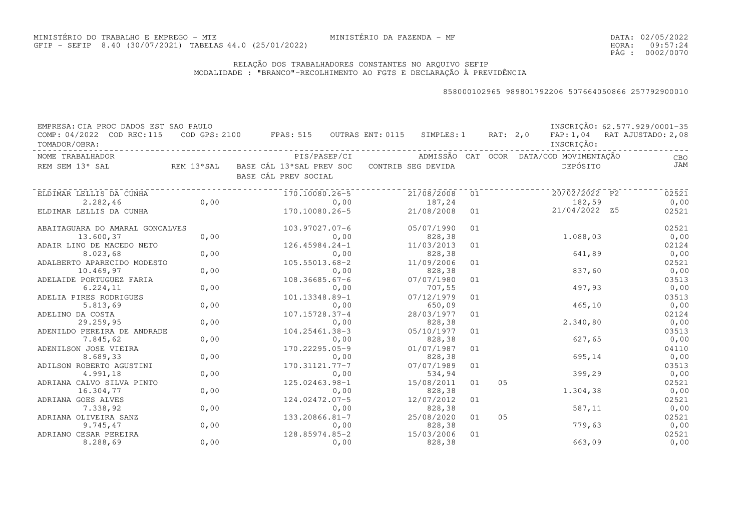DATA:02/05/2022HORA: PÁG : 09:57:24 0002/0070

### RELAÇÃO DOS TRABALHADORES CONSTANTES NO ARQUIVO SEFIPMODALIDADE : "BRANCO"-RECOLHIMENTO AO FGTS E DECLARAÇÃO À PREVIDÊNCIA

| EMPRESA: CIA PROC DADOS EST SAO PAULO      |      |                                                              |              |                    |    |    |                                         | INSCRIÇÃO: 62.577.929/0001-35 |
|--------------------------------------------|------|--------------------------------------------------------------|--------------|--------------------|----|----|-----------------------------------------|-------------------------------|
| COMP: 04/2022 COD REC:115<br>TOMADOR/OBRA: |      | COD GPS: 2100 FPAS: 515 OUTRAS ENT: 0115 SIMPLES: 1 RAT: 2,0 |              |                    |    |    | INSCRIÇÃO:                              | FAP: 1,04 RAT AJUSTADO: 2,08  |
| NOME TRABALHADOR                           |      |                                                              | PIS/PASEP/CI |                    |    |    | ADMISSÃO CAT OCOR DATA/COD MOVIMENTAÇÃO | CBO                           |
| REM SEM 13° SAL                            |      | REM 13°SAL BASE CÁL 13°SAL PREV SOC<br>BASE CÁL PREV SOCIAL  |              | CONTRIB SEG DEVIDA |    |    | DEPÓSITO                                | JAM                           |
| ELDIMAR LELLIS DA CUNHA                    |      | 170.10080.26-5                                               |              | 21/08/2008         | 01 |    | 20/02/2022 P2                           | 02521                         |
| 2.282,46                                   | 0,00 |                                                              | 0,00         | 187,24             |    |    | 182,59                                  | 0,00                          |
| ELDIMAR LELLIS DA CUNHA                    |      | 170.10080.26-5                                               |              | 21/08/2008         | 01 |    | 21/04/2022 Z5                           | 02521                         |
| ABAITAGUARA DO AMARAL GONCALVES            |      | 103.97027.07-6                                               |              | 05/07/1990         | 01 |    |                                         | 02521                         |
| 13.600,37                                  | 0,00 |                                                              | 0,00         | 828,38             |    |    | 1.088,03                                | 0,00                          |
| ADAIR LINO DE MACEDO NETO                  |      | $126.45984.24 - 1$                                           |              | 11/03/2013         | 01 |    |                                         | 02124                         |
| 8.023,68                                   | 0,00 |                                                              | 0,00         | 828,38             |    |    | 641,89                                  | 0,00                          |
| ADALBERTO APARECIDO MODESTO                |      | 105.55013.68-2                                               |              | 11/09/2006         | 01 |    |                                         | 02521                         |
| 10.469,97                                  | 0,00 |                                                              | 0,00         | 828,38             |    |    | 837,60                                  | 0,00                          |
| ADELAIDE PORTUGUEZ FARIA                   |      | $108.36685.67 - 6$                                           |              | 07/07/1980         | 01 |    |                                         | 03513                         |
| 6.224, 11                                  | 0,00 |                                                              | 0,00         | 707,55             |    |    | 497,93                                  | 0,00                          |
| ADELIA PIRES RODRIGUES                     |      | 101.13348.89-1                                               |              | 07/12/1979         | 01 |    |                                         | 03513                         |
| 5.813,69                                   | 0,00 |                                                              | 0,00         | 650,09             |    |    | 465, 10                                 | 0,00                          |
| ADELINO DA COSTA                           |      | 107.15728.37-4                                               |              | 28/03/1977         | 01 |    |                                         | 02124                         |
| 29.259,95                                  | 0,00 |                                                              | 0,00         | 828,38             |    |    | 2.340,80                                | 0,00                          |
| ADENILDO PEREIRA DE ANDRADE                |      | 104.25461.38-3                                               |              | 05/10/1977         | 01 |    |                                         | 03513                         |
| 7.845,62                                   | 0,00 |                                                              | 0,00         | 828,38             |    |    | 627,65                                  | 0,00                          |
| ADENILSON JOSE VIEIRA                      |      | 170.22295.05-9                                               |              | 01/07/1987         | 01 |    |                                         | 04110                         |
| 8.689,33                                   | 0,00 |                                                              | 0,00         | 828,38             |    |    | 695,14                                  | 0,00                          |
| ADILSON ROBERTO AGUSTINI                   |      | 170.31121.77-7                                               |              | 07/07/1989         | 01 |    |                                         | 03513                         |
| 4.991,18                                   | 0,00 |                                                              | 0,00         | 534,94             |    |    | 399,29                                  | 0,00                          |
| ADRIANA CALVO SILVA PINTO                  |      | 125.02463.98-1                                               |              | 15/08/2011         | 01 | 05 |                                         | 02521                         |
| 16.304,77                                  | 0,00 |                                                              | 0,00         | 828,38             |    |    | 1.304,38                                | 0,00                          |
| ADRIANA GOES ALVES                         |      | 124.02472.07-5                                               |              | 12/07/2012         | 01 |    |                                         | 02521                         |
| 7.338,92                                   | 0,00 |                                                              | 0,00         | 828,38             |    |    | 587,11                                  | 0,00                          |
| ADRIANA OLIVEIRA SANZ                      |      | 133.20866.81-7                                               |              | 25/08/2020         | 01 | 05 |                                         | 02521                         |
| 9.745,47                                   | 0,00 |                                                              | 0,00         | 828,38             |    |    | 779,63                                  | 0,00                          |
| ADRIANO CESAR PEREIRA                      |      | 128.85974.85-2                                               |              | 15/03/2006         | 01 |    |                                         | 02521                         |
| 8.288,69                                   | 0,00 |                                                              | 0,00         | 828,38             |    |    | 663,09                                  | 0,00                          |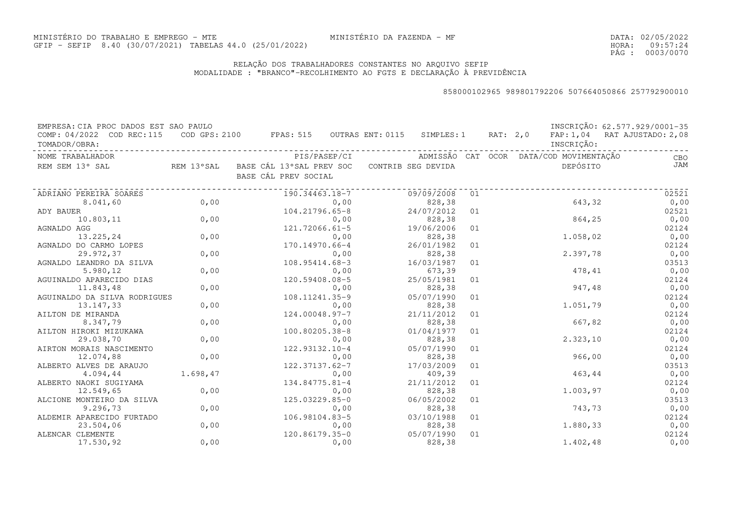DATA:02/05/2022HORA: PÁG : 09:57:24 0003/0070

### RELAÇÃO DOS TRABALHADORES CONSTANTES NO ARQUIVO SEFIPMODALIDADE : "BRANCO"-RECOLHIMENTO AO FGTS E DECLARAÇÃO À PREVIDÊNCIA

| EMPRESA: CIA PROC DADOS EST SAO PAULO      |          |                                                                                |                                                      |    |            | INSCRIÇÃO: 62.577.929/0001-35 |
|--------------------------------------------|----------|--------------------------------------------------------------------------------|------------------------------------------------------|----|------------|-------------------------------|
| COMP: 04/2022 COD REC:115<br>TOMADOR/OBRA: |          | COD GPS: 2100 FPAS: 515 OUTRAS ENT: 0115 SIMPLES: 1 RAT: 2,0                   |                                                      |    | INSCRIÇÃO: | FAP: 1,04 RAT AJUSTADO: 2,08  |
| NOME TRABALHADOR                           |          |                                                                                | PIS/PASEP/CI ADMISSÃO CAT OCOR DATA/COD MOVIMENTAÇÃO |    |            | CBO                           |
| REM SEM 13° SAL                            |          | REM 13°SAL BASE CÁL 13°SAL PREV SOC CONTRIB SEG DEVIDA<br>BASE CÁL PREV SOCIAL |                                                      |    | DEPÓSITO   | JAM                           |
| ADRIANO PEREIRA SOARES                     |          | 190.34463.18-7                                                                 | 09/09/2008                                           | 01 |            | 02521                         |
| 8.041,60                                   | 0,00     | 0,00                                                                           | 828,38                                               |    | 643,32     | 0,00                          |
| ADY BAUER                                  |          | 104.21796.65-8                                                                 | 24/07/2012                                           | 01 |            | 02521                         |
| 10.803,11                                  | 0,00     | 0,00                                                                           | 828,38                                               |    | 864,25     | 0,00                          |
| AGNALDO AGG                                |          | 121.72066.61-5                                                                 | 19/06/2006                                           | 01 |            | 02124                         |
| 13.225,24                                  | 0,00     | 0,00                                                                           | 828,38                                               |    | 1.058,02   | 0,00                          |
| AGNALDO DO CARMO LOPES                     |          | 170.14970.66-4                                                                 | 26/01/1982                                           | 01 |            | 02124                         |
| 29.972,37                                  | 0,00     | 0,00                                                                           | 828,38                                               |    | 2.397,78   | 0,00                          |
| AGNALDO LEANDRO DA SILVA                   |          | 108.95414.68-3                                                                 | 16/03/1987                                           | 01 |            | 03513                         |
| 5.980,12                                   | 0,00     | 0,00                                                                           | 673,39                                               |    | 478,41     | 0,00                          |
| AGUINALDO APARECIDO DIAS                   |          | 120.59408.08-5                                                                 | 25/05/1981                                           | 01 |            | 02124                         |
| 11.843,48                                  | 0,00     | 0,00                                                                           | 828,38                                               |    | 947,48     | 0,00                          |
| AGUINALDO DA SILVA RODRIGUES               |          | 108.11241.35-9                                                                 | 05/07/1990                                           | 01 |            | 02124                         |
| 13.147,33                                  | 0,00     | 0,00                                                                           | 828,38                                               |    | 1.051,79   | 0,00                          |
| AILTON DE MIRANDA                          |          | 124.00048.97-7                                                                 | 21/11/2012                                           | 01 |            | 02124                         |
| 8.347,79                                   | 0,00     | 0,00                                                                           | 828,38                                               |    | 667,82     | 0,00                          |
| AILTON HIROKI MIZUKAWA                     |          | 100.80205.38-8                                                                 | 01/04/1977                                           | 01 |            | 02124                         |
| 29.038,70                                  | 0,00     | 0,00                                                                           | 828,38                                               |    | 2.323,10   | 0,00                          |
| AIRTON MORAIS NASCIMENTO                   |          | 122.93132.10-4                                                                 | 05/07/1990                                           | 01 |            | 02124                         |
| 12.074,88                                  | 0,00     | 0,00                                                                           | 828,38                                               |    | 966,00     | 0,00                          |
| ALBERTO ALVES DE ARAUJO                    |          | 122.37137.62-7                                                                 | 17/03/2009                                           | 01 |            | 03513                         |
| 4.094,44                                   | 1.698,47 | 0,00                                                                           | 409,39                                               |    | 463,44     | 0,00                          |
| ALBERTO NAOKI SUGIYAMA                     |          | 134.84775.81-4                                                                 | 21/11/2012                                           | 01 |            | 02124                         |
| 12.549,65                                  | 0,00     | 0,00                                                                           | 828,38                                               |    | 1.003,97   | 0,00                          |
| ALCIONE MONTEIRO DA SILVA                  |          | 125.03229.85-0                                                                 | 06/05/2002                                           | 01 |            | 03513                         |
| 9.296,73                                   | 0,00     | 0,00                                                                           | 828,38                                               |    | 743,73     | 0,00                          |
| ALDEMIR APARECIDO FURTADO                  |          | 106.98104.83-5                                                                 | 03/10/1988                                           | 01 |            | 02124                         |
| 23.504,06                                  | 0,00     | 0,00                                                                           | 828,38                                               |    | 1.880,33   | 0,00                          |
| ALENCAR CLEMENTE                           |          | 120.86179.35-0                                                                 | 05/07/1990                                           | 01 |            | 02124                         |
| 17.530,92                                  | 0,00     | 0,00                                                                           | 828,38                                               |    | 1.402,48   | 0,00                          |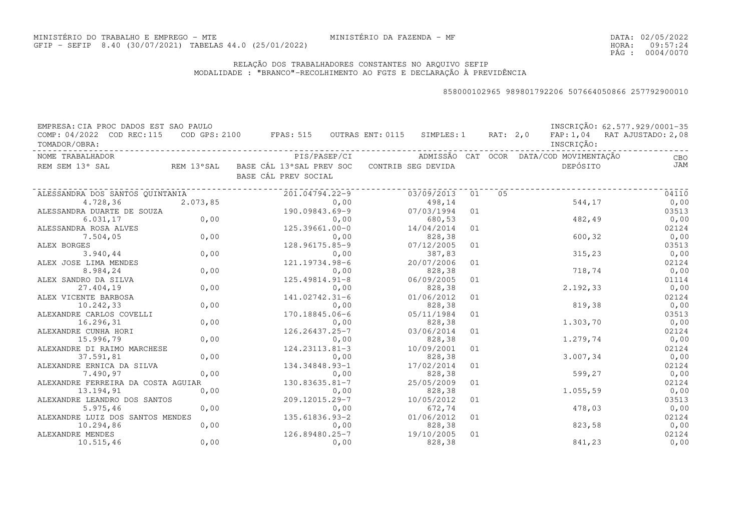### RELAÇÃO DOS TRABALHADORES CONSTANTES NO ARQUIVO SEFIPMODALIDADE : "BRANCO"-RECOLHIMENTO AO FGTS E DECLARAÇÃO À PREVIDÊNCIA

| EMPRESA: CIA PROC DADOS EST SAO PAULO<br>COMP: 04/2022 COD REC:115<br>TOMADOR/OBRA: |                | COD GPS: 2100 FPAS: 515 OUTRAS ENT: 0115 SIMPLES: 1 RAT: 2,0                   |                                                      |    |    | INSCRIÇÃO: | INSCRIÇÃO: 62.577.929/0001-35<br>FAP: 1,04 RAT AJUSTADO: 2,08 |
|-------------------------------------------------------------------------------------|----------------|--------------------------------------------------------------------------------|------------------------------------------------------|----|----|------------|---------------------------------------------------------------|
| NOME TRABALHADOR                                                                    |                |                                                                                | PIS/PASEP/CI ADMISSÃO CAT OCOR DATA/COD MOVIMENTAÇÃO |    |    |            | CBO                                                           |
| REM SEM 13° SAL                                                                     |                | REM 13°SAL BASE CÁL 13°SAL PREV SOC CONTRIB SEG DEVIDA<br>BASE CÁL PREV SOCIAL |                                                      |    |    | DEPÓSITO   | <b>JAM</b>                                                    |
| ALESSANDRA DOS SANTOS QUINTANIA                                                     |                | . _ _ _ _ _ _ _ _ _ _ _ _ _ _ _ _ _<br>201.04794.22-9                          | 03/09/2013                                           | 01 | 05 |            | 04110                                                         |
| 4.728,36                                                                            | 2.073,85       | 0,00                                                                           | 498,14                                               |    |    | 544,17     | 0,00                                                          |
| ALESSANDRA DUARTE DE SOUZA                                                          |                | 190.09843.69-9                                                                 | 07/03/1994                                           | 01 |    |            | 03513                                                         |
| 6.031, 17                                                                           | $SOUZA$ $0,00$ | 0,00                                                                           | 680,53                                               |    |    | 482,49     | 0,00                                                          |
| ALESSANDRA ROSA ALVES                                                               |                | 0,00<br>125.39661.00-0                                                         | 14/04/2014                                           | 01 |    |            | 02124                                                         |
| 7.504,05                                                                            | 0,00           | 0,00                                                                           | 828,38                                               |    |    | 600, 32    | 0,00                                                          |
| ALEX BORGES                                                                         |                | 128.96175.85-9                                                                 | 07/12/2005                                           | 01 |    |            | 03513                                                         |
| 3.940, 44                                                                           | 0,00           | 0,00                                                                           | 387,83                                               |    |    | 315, 23    | 0,00                                                          |
| ALEX JOSE LIMA MENDES                                                               |                | 121.19734.98-6                                                                 | 20/07/2006                                           | 01 |    |            | 02124                                                         |
| 8.984,24                                                                            | 0,00           | 0,00                                                                           | 828,38                                               |    |    | 718,74     | 0,00                                                          |
| ALEX SANDRO DA SILVA                                                                |                | 125.49814.91-8                                                                 | 06/09/2005                                           | 01 |    |            | 01114                                                         |
| 27.404,19                                                                           | 0,00           | 0,00                                                                           | 828,38                                               |    |    | 2.192, 33  | 0,00                                                          |
| ALEX VICENTE BARBOSA                                                                |                | 141.02742.31-6                                                                 | 01/06/2012                                           | 01 |    |            | 02124                                                         |
| 10.242,33                                                                           | 0,00           | 0,00                                                                           | 828,38                                               |    |    | 819,38     | 0,00                                                          |
| ALEXANDRE CARLOS COVELLI                                                            |                | 170.18845.06-6                                                                 | 05/11/1984                                           | 01 |    |            | 03513                                                         |
| 16.296,31                                                                           | 0,00           | 0,00                                                                           | 828,38                                               |    |    | 1.303,70   | 0,00                                                          |
| ALEXANDRE CUNHA HORI                                                                |                | 126.26437.25-7                                                                 | 03/06/2014                                           | 01 |    |            | 02124                                                         |
| 15.996,79                                                                           | 0,00           | 0,00                                                                           | 828,38                                               |    |    | 1.279,74   | 0,00                                                          |
| ALEXANDRE DI RAIMO MARCHESE                                                         |                | 124.23113.81-3                                                                 | 10/09/2001                                           | 01 |    |            | 02124                                                         |
| 37.591,81                                                                           | 0,00           | 0,00                                                                           | 828,38                                               |    |    | 3.007,34   | 0,00                                                          |
| ALEXANDRE ERNICA DA SILVA                                                           |                | 134.34848.93-1                                                                 | 17/02/2014                                           | 01 |    |            | 02124                                                         |
| 7.490,97                                                                            | 0,00           | 0,00                                                                           | 828,38                                               |    |    | 599,27     | 0,00                                                          |
| ALEXANDRE FERREIRA DA COSTA AGUIAR                                                  |                | 130.83635.81-7                                                                 | 25/05/2009                                           | 01 |    |            | 02124                                                         |
| 13.194,91                                                                           | 0,00           | 0,00                                                                           | 828,38                                               |    |    | 1.055,59   | 0,00                                                          |
| ALEXANDRE LEANDRO DOS SANTOS                                                        |                | 209.12015.29-7                                                                 | 10/05/2012                                           | 01 |    |            | 03513                                                         |
| 5.975, 46                                                                           | 0,00           | 0,00                                                                           | 672,74                                               |    |    | 478,03     | 0,00                                                          |
| ALEXANDRE LUIZ DOS SANTOS MENDES<br>10.294,86                                       | 0,00           | 135.61836.93-2<br>0,00                                                         | 01/06/2012<br>828,38                                 | 01 |    | 823,58     | 02124                                                         |
| ALEXANDRE MENDES                                                                    |                | 126.89480.25-7                                                                 | 19/10/2005                                           | 01 |    |            | 0,00<br>02124                                                 |
| 10.515,46                                                                           | 0,00           | 0,00                                                                           | 828,38                                               |    |    | 841,23     | 0,00                                                          |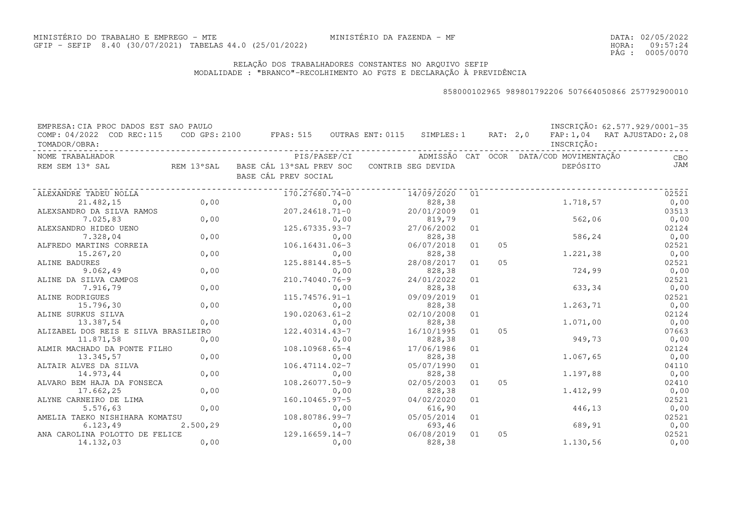DATA:02/05/2022HORA: PÁG : 09:57:24 0005/0070

### RELAÇÃO DOS TRABALHADORES CONSTANTES NO ARQUIVO SEFIPMODALIDADE : "BRANCO"-RECOLHIMENTO AO FGTS E DECLARAÇÃO À PREVIDÊNCIA

| EMPRESA: CIA PROC DADOS EST SAO PAULO |            |                                          |      |                    |    |          |                                         | INSCRIÇÃO: 62.577.929/0001-35 |
|---------------------------------------|------------|------------------------------------------|------|--------------------|----|----------|-----------------------------------------|-------------------------------|
| COMP: 04/2022 COD REC:115             |            | COD GPS: 2100 FPAS: 515 OUTRAS ENT: 0115 |      | SIMPLES: 1         |    | RAT: 2,0 |                                         | FAP: 1,04 RAT AJUSTADO: 2,08  |
| TOMADOR/OBRA:                         |            |                                          |      |                    |    |          | INSCRIÇÃO:                              |                               |
| NOME TRABALHADOR                      |            | PIS/PASEP/CI                             |      |                    |    |          | ADMISSÃO CAT OCOR DATA/COD MOVIMENTAÇÃO | CBO                           |
| REM SEM 13° SAL                       | REM 13°SAL | BASE CÁL 13°SAL PREV SOC                 |      | CONTRIB SEG DEVIDA |    |          | DEPÓSITO                                | JAM                           |
|                                       |            | BASE CÁL PREV SOCIAL                     |      |                    |    |          |                                         |                               |
| ALEXANDRE TADEU NOLLA                 |            | 170.27680.74-0                           |      | 14/09/2020         | 01 |          |                                         | 02521                         |
| 21.482,15                             | 0,00       |                                          | 0,00 | 828,38             |    |          | 1.718,57                                | 0,00                          |
| ALEXSANDRO DA SILVA RAMOS             |            | $207.24618.71 - 0$                       |      | 20/01/2009         | 01 |          |                                         | 03513                         |
| 7.025,83                              | 0,00       |                                          | 0,00 | 819,79             |    |          | 562,06                                  | 0,00                          |
| ALEXSANDRO HIDEO UENO                 |            | 125.67335.93-7                           |      | 27/06/2002         | 01 |          |                                         | 02124                         |
| 7.328,04                              | 0,00       |                                          | 0,00 | 828,38             |    |          | 586,24                                  | 0,00                          |
| ALFREDO MARTINS CORREIA               |            | 106.16431.06-3                           |      | 06/07/2018         | 01 | 05       |                                         | 02521                         |
| 15.267,20                             | 0,00       |                                          | 0,00 | 828,38             |    |          | 1.221,38                                | 0,00                          |
| ALINE BADURES                         |            | 125.88144.85-5                           |      | 28/08/2017         | 01 | 05       |                                         | 02521                         |
| 9.062,49                              | 0,00       |                                          | 0,00 | 828,38             |    |          | 724,99                                  | 0,00                          |
| ALINE DA SILVA CAMPOS                 |            | 210.74040.76-9                           |      | 24/01/2022         | 01 |          |                                         | 02521                         |
| 7.916,79                              | 0,00       |                                          | 0,00 | 828,38             |    |          | 633,34                                  | 0,00                          |
| ALINE RODRIGUES                       |            | $115.74576.91 - 1$                       |      | 09/09/2019         | 01 |          |                                         | 02521                         |
| 15.796,30                             | 0,00       |                                          | 0,00 | 828,38             |    |          | 1.263,71                                | 0,00                          |
| ALINE SURKUS SILVA                    |            | 190.02063.61-2                           |      | 02/10/2008         | 01 |          |                                         | 02124                         |
| 13.387,54                             | 0,00       |                                          | 0,00 | 828,38             |    |          | 1.071,00                                | 0,00                          |
| ALIZABEL DOS REIS E SILVA BRASILEIRO  |            | 122.40314.43-7                           |      | 16/10/1995         | 01 | 05       |                                         | 07663                         |
| 11.871,58                             | 0,00       |                                          | 0,00 | 828,38             |    |          | 949,73                                  | 0,00                          |
| ALMIR MACHADO DA PONTE FILHO          |            | 108.10968.65-4                           |      | 17/06/1986         | 01 |          |                                         | 02124                         |
| 13.345,57                             | 0,00       |                                          | 0,00 | 828,38             |    |          | 1.067,65                                | 0,00                          |
| ALTAIR ALVES DA SILVA                 |            | $106.47114.02 - 7$                       |      | 05/07/1990         | 01 |          |                                         | 04110                         |
| 14.973,44                             | 0,00       |                                          | 0,00 | 828,38             |    |          | 1.197,88                                | 0,00                          |
| ALVARO BEM HAJA DA FONSECA            |            | 108.26077.50-9                           |      | 02/05/2003         | 01 | 05       |                                         | 02410                         |
| 17.662,25                             | 0,00       |                                          | 0,00 | 828,38             |    |          | 1.412,99                                | 0,00                          |
| ALYNE CARNEIRO DE LIMA                |            | 160.10465.97-5                           |      | 04/02/2020         | 01 |          |                                         | 02521                         |
| 5.576, 63                             | 0,00       |                                          | 0,00 | 616,90             |    |          | 446,13                                  | 0,00                          |
| AMELIA TAEKO NISHIHARA KOMATSU        |            | 108.80786.99-7                           |      | 05/05/2014         | 01 |          |                                         | 02521                         |
| 6.123, 49                             | 2.500,29   |                                          | 0,00 | 693,46             |    |          | 689,91                                  | 0,00                          |
| ANA CAROLINA POLOTTO DE FELICE        |            | $129.16659.14-7$                         |      | 06/08/2019         | 01 | 05       |                                         | 02521                         |
| 14.132,03                             | 0,00       |                                          | 0,00 | 828,38             |    |          | 1.130,56                                | 0,00                          |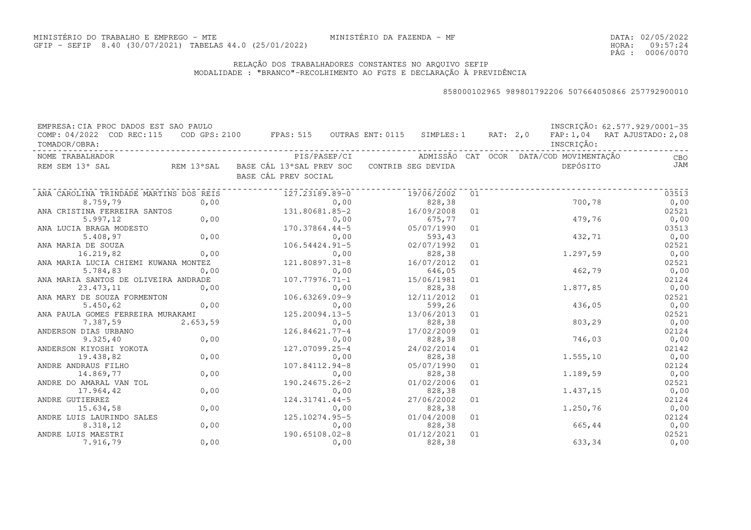DATA:02/05/2022HORA: PÁG : 09:57:24 0006/0070

### RELAÇÃO DOS TRABALHADORES CONSTANTES NO ARQUIVO SEFIPMODALIDADE : "BRANCO"-RECOLHIMENTO AO FGTS E DECLARAÇÃO À PREVIDÊNCIA

| EMPRESA: CIA PROC DADOS EST SAO PAULO        |                                                                                    |                      |    |            | INSCRIÇÃO: 62.577.929/0001-35 |
|----------------------------------------------|------------------------------------------------------------------------------------|----------------------|----|------------|-------------------------------|
| COMP: 04/2022 COD REC:115<br>TOMADOR/OBRA:   | COD GPS: 2100 FPAS: 515 OUTRAS ENT: 0115 SIMPLES: 1 RAT: 2,0                       |                      |    | INSCRIÇÃO: | FAP: 1,04 RAT AJUSTADO: 2,08  |
| NOME TRABALHADOR                             |                                                                                    |                      |    |            | CBO                           |
| REM SEM 13° SAL                              | REM 13°SAL - BASE CÁL 13°SAL PREV SOC - CONTRIB SEG DEVIDA<br>BASE CÁL PREV SOCIAL |                      |    | DEPÓSITO   | <b>JAM</b>                    |
| ANA CAROLINA TRINDADE MARTINS DOS REIS       | 127.23189.89-0                                                                     | 19/06/2002           | 01 |            | 03513                         |
| 0,00<br>8.759,79                             | 0,00                                                                               | 828,38               |    | 700,78     | 0,00                          |
| ANA CRISTINA FERREIRA SANTOS                 | 131.80681.85-2                                                                     | 16/09/2008           | 01 |            | 02521                         |
| 0,00<br>5.997, 12                            | 0,00                                                                               | 675,77               |    | 479,76     | 0,00                          |
| ANA LUCIA BRAGA MODESTO                      | 170.37864.44-5                                                                     | 05/07/1990           | 01 |            | 03513                         |
| 0,00<br>5.408,97                             | 0,00                                                                               | 593,43               |    | 432,71     | 0,00                          |
| ANA MARIA DE SOUZA                           | $106.54424.91 - 5$                                                                 | 02/07/1992           | 01 |            | 02521                         |
| 0,00<br>16.219,82                            | 0,00<br>0,00<br>121.80897.31-8                                                     | 828,38               |    | 1,297,59   | 0,00                          |
| ANA MARIA LUCIA CHIEMI KUWANA MONTEZ         |                                                                                    | 16/07/2012           | 01 |            | 02521                         |
| 5.784,83<br>0,00                             | 0,00                                                                               | 646,05               |    | 462,79     | 0,00                          |
| ANA MARIA SANTOS DE OLIVEIRA ANDRADE         | 107.77976.71-1                                                                     | 15/06/1981           | 01 |            | 02124                         |
| 0,00<br>23.473,11                            | 0,00                                                                               | 828,38               |    | 1.877,85   | 0,00                          |
| ANA MARY DE SOUZA FORMENTON                  | 106.63269.09-9                                                                     | 12/11/2012           | 01 |            | 02521                         |
| 0,00<br>5.450, 62                            | 0,00                                                                               | 599,26               |    | 436,05     | 0,00                          |
| ANA PAULA GOMES FERREIRA MURAKAMI            | 125.20094.13-5                                                                     | 13/06/2013           | 01 |            | 02521                         |
| 7.387,59<br>2.653,59                         | 0,00                                                                               | 828,38               |    | 803,29     | 0,00                          |
| ANDERSON DIAS URBANO                         | $126.84621.77 - 4$                                                                 | 17/02/2009           | 01 |            | 02124                         |
| 0,00<br>9.325, 40                            | 0,00                                                                               | 828,38               |    | 746,03     | 0,00                          |
| ANDERSON KIYOSHI YOKOTA                      | 127.07099.25-4                                                                     | 24/02/2014           | 01 |            | 02142                         |
| 0,00<br>19.438,82                            | 0,00                                                                               | 828,38               |    | 1.555, 10  | 0,00                          |
| ANDRE ANDRAUS FILHO<br>0,00<br>14.869,77     | 107.84112.94-8<br>0,00                                                             | 05/07/1990<br>828,38 | 01 | 1.189,59   | 02124<br>0,00                 |
|                                              |                                                                                    |                      |    |            |                               |
| ANDRE DO AMARAL VAN TOL<br>0,00<br>17.964,42 | 190.24675.26-2<br>0,00                                                             | 01/02/2006<br>828,38 | 01 | 1.437,15   | 02521<br>0,00                 |
| ANDRE GUTIERREZ                              | 124.31741.44-5                                                                     | 27/06/2002           | 01 |            | 02124                         |
| 0,00<br>15.634,58                            | 0,00                                                                               | 828,38               |    | 1.250,76   | 0,00                          |
| ANDRE LUIS LAURINDO SALES                    | 125.10274.95-5                                                                     | 01/04/2008           | 01 |            | 02124                         |
| 0,00<br>8.318,12                             | 0,00                                                                               | 828,38               |    | 665,44     | 0,00                          |
| ANDRE LUIS MAESTRI                           | 190.65108.02-8                                                                     | 01/12/2021           | 01 |            | 02521                         |
| 0,00<br>7.916,79                             | 0,00                                                                               | 828,38               |    | 633,34     | 0,00                          |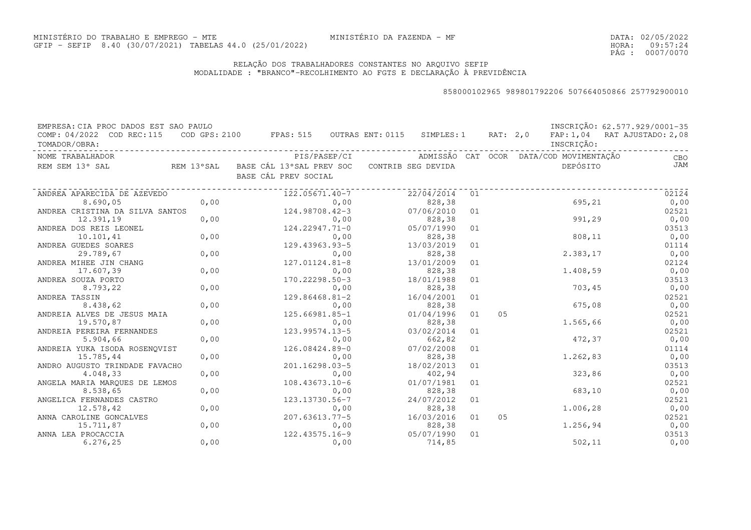DATA:02/05/2022HORA: PÁG : 09:57:24 0007/0070

### RELAÇÃO DOS TRABALHADORES CONSTANTES NO ARQUIVO SEFIPMODALIDADE : "BRANCO"-RECOLHIMENTO AO FGTS E DECLARAÇÃO À PREVIDÊNCIA

| EMPRESA: CIA PROC DADOS EST SAO PAULO<br>COMP: 04/2022 COD REC:115<br>TOMADOR/OBRA: |      | COD GPS: 2100 FPAS: 515 OUTRAS ENT: 0115 SIMPLES: 1 RAT: 2,0 FAP: 1,04 RAT AJUSTADO: 2,08 |                      |    |    | INSCRIÇÃO: | INSCRIÇÃO: 62.577.929/0001-35 |
|-------------------------------------------------------------------------------------|------|-------------------------------------------------------------------------------------------|----------------------|----|----|------------|-------------------------------|
| NOME TRABALHADOR                                                                    |      |                                                                                           |                      |    |    |            | CBO                           |
| REM SEM 13° SAL                                                                     |      | REM 13°SAL BASE CÁL 13°SAL PREV SOC CONTRIB SEG DEVIDA<br>BASE CÁL PREV SOCIAL            |                      |    |    | DEPÓSITO   | JAM                           |
| ANDREA APARECIDA DE AZEVEDO                                                         |      | 122.05671.40-7                                                                            | 22/04/2014           | 01 |    |            | 02124                         |
| 8.690,05                                                                            | 0,00 | 0,00                                                                                      | 828,38               |    |    | 695,21     | 0,00                          |
| ANDREA CRISTINA DA SILVA SANTOS                                                     |      | 124.98708.42-3                                                                            | 07/06/2010           | 01 |    |            | 02521                         |
| 12.391,19                                                                           | 0,00 | 0,00                                                                                      | 828,38               |    |    | 991,29     | 0,00                          |
| ANDREA DOS REIS LEONEL                                                              |      | $124.22947.71 - 0$                                                                        | 05/07/1990           | 01 |    |            | 03513                         |
| 10.101,41                                                                           | 0,00 | 0,00                                                                                      | 828,38               |    |    | 808, 11    | 0,00                          |
| ANDREA GUEDES SOARES                                                                |      | 129.43963.93-5                                                                            | 13/03/2019           | 01 |    |            | 01114                         |
| 29.789,67                                                                           | 0,00 | 0,00                                                                                      | 828,38               |    |    | 2.383,17   | 0,00                          |
| ANDREA MIHEE JIN CHANG                                                              |      | 127.01124.81-8                                                                            | 13/01/2009           | 01 |    |            | 02124                         |
| 17.607,39                                                                           | 0,00 | 0,00                                                                                      | 828,38               |    |    | 1.408,59   | 0,00                          |
| ANDREA SOUZA PORTO                                                                  |      | 170.22298.50-3                                                                            | 18/01/1988           | 01 |    |            | 03513                         |
| 8.793,22                                                                            | 0,00 | 0,00                                                                                      | 828,38               |    |    | 703,45     | 0,00                          |
| ANDREA TASSIN                                                                       |      | 129.86468.81-2                                                                            | 16/04/2001           | 01 |    |            | 02521                         |
| 8.438,62                                                                            | 0,00 | 0,00                                                                                      | 828,38               |    |    | 675,08     | 0,00                          |
| ANDREIA ALVES DE JESUS MAIA                                                         |      | $125.66981.85 - 1$                                                                        | 01/04/1996           | 01 | 05 |            | 02521                         |
| 19.570,87                                                                           | 0,00 | 0,00                                                                                      | 828,38               |    |    | 1.565,66   | 0,00                          |
| ANDREIA PEREIRA FERNANDES                                                           |      | 123.99574.13-5                                                                            | 03/02/2014           | 01 |    |            | 02521                         |
| 5.904,66                                                                            | 0,00 | 0,00                                                                                      | 662,82               |    |    | 472,37     | 0,00                          |
| ANDREIA YUKA ISODA ROSENQVIST                                                       |      | 126.08424.89-0                                                                            | 07/02/2008           | 01 |    |            | 01114                         |
| 15.785,44                                                                           | 0,00 | 0,00                                                                                      | 828,38               |    |    | 1.262,83   | 0,00                          |
| ANDRO AUGUSTO TRINDADE FAVACHO                                                      |      | 201.16298.03-5                                                                            | 18/02/2013           | 01 |    |            | 03513                         |
| 4.048,33                                                                            | 0,00 | 0,00                                                                                      | 402,94               |    |    | 323,86     | 0,00                          |
| ANGELA MARIA MARQUES DE LEMOS                                                       |      | $108.43673.10-6$                                                                          | 01/07/1981           | 01 |    |            | 02521                         |
| 8.538,65                                                                            | 0,00 | 0,00                                                                                      | 828,38               |    |    | 683,10     | 0,00                          |
| ANGELICA FERNANDES CASTRO                                                           |      | 123.13730.56-7                                                                            | 24/07/2012           | 01 |    |            | 02521                         |
| 12.578,42                                                                           | 0,00 | 0,00                                                                                      | 828,38               |    |    | 1.006,28   | 0,00                          |
| ANNA CAROLINE GONCALVES                                                             |      | 207.63613.77-5                                                                            | 16/03/2016           | 01 | 05 |            | 02521                         |
| 15.711,87                                                                           | 0,00 | 0,00                                                                                      | 828,38               |    |    | 1.256,94   | 0,00                          |
| ANNA LEA PROCACCIA<br>6.276, 25                                                     | 0,00 | $122.43575.16 - 9$<br>0,00                                                                | 05/07/1990<br>714,85 | 01 |    | 502, 11    | 03513<br>0,00                 |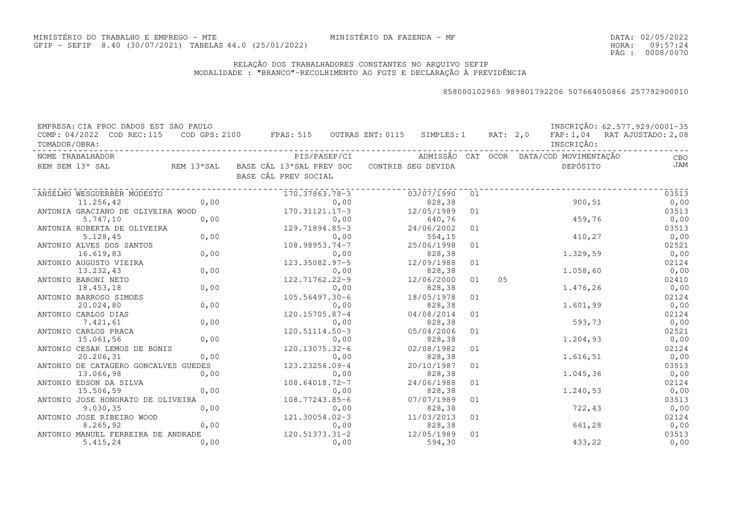DATA:02/05/2022HORA: PÁG : 09:57:24 0008/0070

### RELAÇÃO DOS TRABALHADORES CONSTANTES NO ARQUIVO SEFIPMODALIDADE : "BRANCO"-RECOLHIMENTO AO FGTS E DECLARAÇÃO À PREVIDÊNCIA

| EMPRESA: CIA PROC DADOS EST SAO PAULO      |      |                                                                |      |                    |    |          |                                         | INSCRIÇÃO: 62.577.929/0001-35 |
|--------------------------------------------|------|----------------------------------------------------------------|------|--------------------|----|----------|-----------------------------------------|-------------------------------|
| COMP: 04/2022 COD REC:115<br>TOMADOR/OBRA: |      | $\texttt{COD}$ GPS: 2100 FPAS: 515 OUTRAS ENT: 0115 SIMPLES: 1 |      |                    |    | RAT: 2,0 | INSCRIÇÃO:                              | FAP: 1,04 RAT AJUSTADO: 2,08  |
| NOME TRABALHADOR                           |      | PIS/PASEP/CI                                                   |      |                    |    |          | ADMISSÃO CAT OCOR DATA/COD MOVIMENTAÇÃO | CBO                           |
| REM SEM 13° SAL                            |      | REM 13°SAL BASE CÁL 13°SAL PREV SOC<br>BASE CÁL PREV SOCIAL    |      | CONTRIB SEG DEVIDA |    |          | DEPÓSITO                                | JAM                           |
| ANSELMO WESGUERBER MODESTO                 |      | 170.37863.78-3                                                 |      | 03/07/1990         | 01 |          |                                         | 03513                         |
| 11.256,42                                  | 0,00 |                                                                | 0,00 | 828,38             |    |          | 900, 51                                 | 0,00                          |
| ANTONIA GRACIANO DE OLIVEIRA WOOD          |      | $170.31121.17-3$                                               |      | 12/05/1989         | 01 |          |                                         | 03513                         |
| 5.747,10                                   | 0,00 |                                                                | 0,00 | 640,76             |    |          | 459,76                                  | 0,00                          |
| ANTONIA ROBERTA DE OLIVEIRA                |      | 129.71894.85-3                                                 |      | 24/06/2002         | 01 |          |                                         | 03513                         |
| 5.128, 45                                  | 0,00 |                                                                | 0,00 | 554,15             |    |          | 410, 27                                 | 0,00                          |
| ANTONIO ALVES DOS SANTOS                   |      | 108.98953.74-7                                                 |      | 25/06/1998         | 01 |          |                                         | 02521                         |
| 16.619,83                                  | 0,00 |                                                                | 0,00 | 828,38             |    |          | 1.329,59                                | 0,00                          |
| ANTONIO AUGUSTO VIEIRA                     |      | 123.35082.97-5                                                 |      | 12/09/1988         | 01 |          |                                         | 02124                         |
| 13.232,43                                  | 0,00 |                                                                | 0,00 | 828,38             |    |          | 1.058, 60                               | 0,00                          |
| ANTONIO BARONI NETO                        |      | 122.71762.22-9                                                 |      | 12/06/2000         | 01 | 05       |                                         | 02410                         |
| 18.453,18                                  | 0,00 |                                                                | 0,00 | 828,38             |    |          | 1.476,26                                | 0,00                          |
| ANTONIO BARROSO SIMOES                     |      | 105.56497.30-6                                                 |      | 18/05/1978         | 01 |          |                                         | 02124                         |
| 20.024,80                                  | 0,00 |                                                                | 0,00 | 828,38             |    |          | 1.601,99                                | 0,00                          |
| ANTONIO CARLOS DIAS                        |      | 120.15705.87-4                                                 |      | 04/08/2014         | 01 |          |                                         | 02124                         |
| 7.421,61                                   | 0,00 |                                                                | 0,00 | 828,38             |    |          | 593,73                                  | 0,00                          |
| ANTONIO CARLOS PRACA                       |      | 120.51114.50-3                                                 |      | 05/04/2006         | 01 |          |                                         | 02521                         |
| 15.061,56                                  | 0,00 |                                                                | 0,00 | 828,38             |    |          | 1.204,93                                | 0,00                          |
| ANTONIO CESAR LEMOS DE BONIS               |      | 120.13075.32-6                                                 |      | 02/08/1982         | 01 |          |                                         | 02124                         |
| 20.206,31                                  | 0,00 |                                                                | 0,00 | 828,38             |    |          | 1.616,51                                | 0,00                          |
| ANTONIO DE CATAGERO GONCALVES GUEDES       |      | 123.23256.09-4                                                 |      | 20/10/1987         | 01 |          |                                         | 03513                         |
| 13.066,98                                  | 0,00 |                                                                | 0,00 | 828,38             |    |          | 1.045,36                                | 0,00                          |
| ANTONIO EDSON DA SILVA                     |      | 108.64018.72-7                                                 |      | 24/06/1988         | 01 |          |                                         | 02124                         |
| 15.506,59                                  | 0,00 |                                                                | 0,00 | 828,38             |    |          | 1.240,53                                | 0,00                          |
| ANTONIO JOSE HONORATO DE OLIVEIRA          |      | 108.77243.85-6                                                 |      | 07/07/1989         | 01 |          |                                         | 03513                         |
| 9.030, 35                                  | 0,00 |                                                                | 0,00 | 828,38             |    |          | 722,43                                  | 0,00                          |
| ANTONIO JOSE RIBEIRO WOOD                  |      | 121.30054.02-3                                                 |      | 11/03/2013         | 01 |          |                                         | 02124                         |
| 8.265, 92                                  | 0,00 |                                                                | 0,00 | 828,38             |    |          | 661,28                                  | 0,00                          |
| ANTONIO MANUEL FERREIRA DE ANDRADE         |      | 120.51373.31-2                                                 |      | 12/05/1989         | 01 |          |                                         | 03513                         |
| 5.415,24                                   | 0,00 |                                                                | 0,00 | 594,30             |    |          | 433,22                                  | 0,00                          |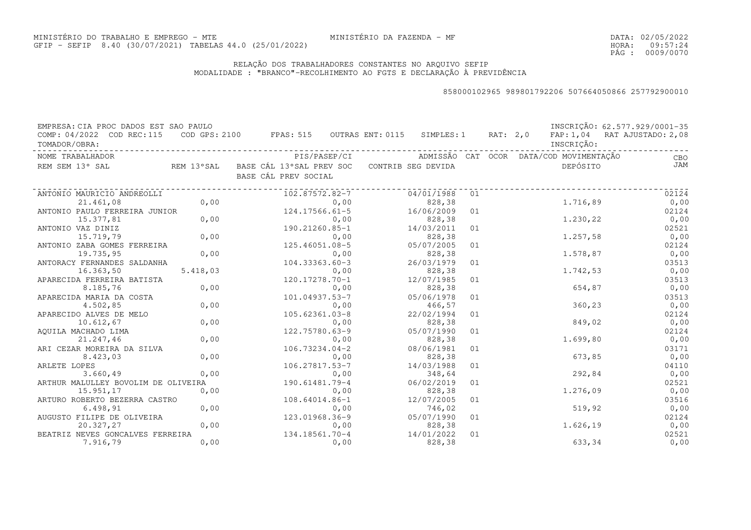DATA:02/05/2022HORA: PÁG : 09:57:24 0009/0070

### RELAÇÃO DOS TRABALHADORES CONSTANTES NO ARQUIVO SEFIPMODALIDADE : "BRANCO"-RECOLHIMENTO AO FGTS E DECLARAÇÃO À PREVIDÊNCIA

| EMPRESA: CIA PROC DADOS EST SAO PAULO      |          |                                                                                      |              |                      |    |  |                                         | INSCRIÇÃO: 62.577.929/0001-35 |
|--------------------------------------------|----------|--------------------------------------------------------------------------------------|--------------|----------------------|----|--|-----------------------------------------|-------------------------------|
| COMP: 04/2022 COD REC:115<br>TOMADOR/OBRA: |          | COD GPS: 2100 FPAS: 515 OUTRAS ENT: 0115 SIMPLES: 1 RAT: 2,0                         |              |                      |    |  | INSCRIÇÃO:                              | FAP: 1,04 RAT AJUSTADO: 2,08  |
| NOME TRABALHADOR                           |          |                                                                                      | PIS/PASEP/CI |                      |    |  | ADMISSÃO CAT OCOR DATA/COD MOVIMENTAÇÃO | CBO                           |
| REM SEM 13° SAL                            |          | REM 13°SAL    BASE CÁL 13°SAL PREV SOC    CONTRIB SEG DEVIDA<br>BASE CÁL PREV SOCIAL |              |                      |    |  | DEPÓSITO                                | JAM                           |
| ANTONIO MAURICIO ANDREOLLI                 |          | 102.87572.82-7                                                                       |              | 04/01/1988           | 01 |  |                                         | 02124                         |
| 21,461,08                                  | 0,00     |                                                                                      | 0,00         | 828,38               |    |  | 1,716,89                                | 0,00                          |
| ANTONIO PAULO FERREIRA JUNIOR              |          | $124.17566.61 - 5$                                                                   |              | 16/06/2009           | 01 |  |                                         | 02124                         |
| 15.377,81                                  | 0,00     |                                                                                      | 0,00         | 828,38               |    |  | 1.230,22                                | 0,00                          |
| ANTONIO VAZ DINIZ                          |          | 190.21260.85-1                                                                       |              | 14/03/2011           | 01 |  |                                         | 02521                         |
| 15.719,79                                  | 0,00     |                                                                                      | 0,00         | 828,38               |    |  | 1.257,58                                | 0,00                          |
| ANTONIO ZABA GOMES FERREIRA                |          | 125.46051.08-5                                                                       |              | 05/07/2005           | 01 |  |                                         | 02124                         |
| 19.735,95                                  | 0,00     |                                                                                      | 0,00         | 828,38               |    |  | 1,578,87                                | 0,00                          |
| ANTORACY FERNANDES SALDANHA                |          | 104.33363.60-3                                                                       |              | 26/03/1979           | 01 |  |                                         | 03513                         |
| 16.363,50                                  | 5.418,03 |                                                                                      | 0,00         | 828,38               |    |  | 1,742,53                                | 0,00                          |
| APARECIDA FERREIRA BATISTA                 |          | 120.17278.70-1                                                                       |              | 12/07/1985           | 01 |  |                                         | 03513                         |
| 8.185,76                                   | 0,00     |                                                                                      | 0,00         | 828,38               |    |  | 654,87                                  | 0,00                          |
| APARECIDA MARIA DA COSTA                   |          | 101.04937.53-7                                                                       |              | 05/06/1978           | 01 |  |                                         | 03513                         |
| 4.502,85                                   | 0,00     |                                                                                      | 0,00         | 466,57               |    |  | 360,23                                  | 0,00                          |
| APARECIDO ALVES DE MELO                    |          | 105.62361.03-8                                                                       |              | 22/02/1994           | 01 |  |                                         | 02124                         |
| 10.612,67                                  | 0,00     |                                                                                      | 0,00         | 828,38               |    |  | 849,02                                  | 0,00                          |
| AQUILA MACHADO LIMA                        |          | 122.75780.63-9                                                                       |              | 05/07/1990           | 01 |  |                                         | 02124                         |
| 21.247,46                                  | 0,00     |                                                                                      | 0,00         | 828,38               |    |  | 1.699,80                                | 0,00                          |
| ARI CEZAR MOREIRA DA SILVA                 |          | $106.73234.04-2$                                                                     |              | 08/06/1981           | 01 |  |                                         | 03171                         |
| 8.423,03                                   | 0,00     |                                                                                      | 0,00         | 828,38               |    |  | 673,85                                  | 0,00                          |
| ARLETE LOPES                               |          | 106.27817.53-7                                                                       |              | 14/03/1988           | 01 |  |                                         | 04110                         |
| 3.660, 49                                  | 0,00     |                                                                                      | 0,00         | 348,64               |    |  | 292,84                                  | 0,00                          |
| ARTHUR MALULLEY BOVOLIM DE OLIVEIRA        |          | 190.61481.79-4                                                                       |              | 06/02/2019           | 01 |  | 1,276,09                                | 02521                         |
| 15.951,17                                  | 0,00     |                                                                                      | 0,00         | 828,38               |    |  |                                         | 0,00                          |
| ARTURO ROBERTO BEZERRA CASTRO              |          | 108.64014.86-1                                                                       |              | 12/07/2005           | 01 |  |                                         | 03516                         |
| 6.498, 91                                  | 0,00     |                                                                                      | 0,00         | 746,02               |    |  | 519,92                                  | 0,00                          |
| AUGUSTO FILIPE DE OLIVEIRA<br>20.327,27    | 0,00     | 123.01968.36-9                                                                       | 0,00         | 05/07/1990<br>828,38 | 01 |  | 1.626,19                                | 02124<br>0,00                 |
| BEATRIZ NEVES GONCALVES FERREIRA           |          | 134.18561.70-4                                                                       |              | 14/01/2022           | 01 |  |                                         | 02521                         |
| 7.916,79                                   | 0,00     |                                                                                      | 0,00         | 828,38               |    |  | 633,34                                  | 0,00                          |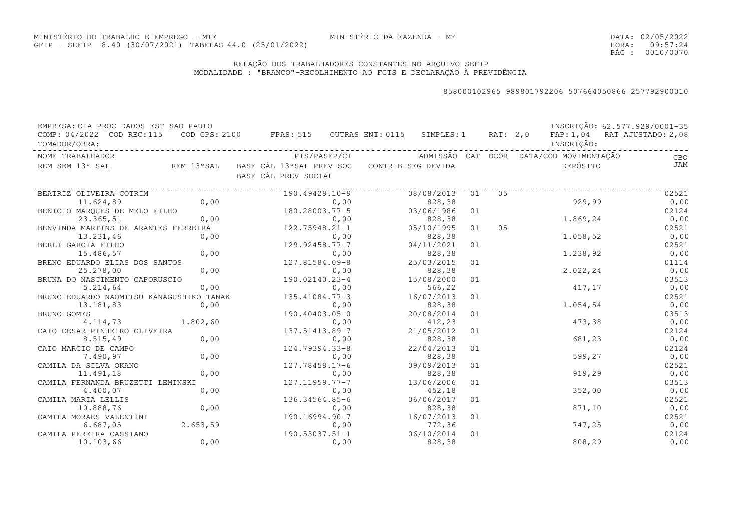DATA:02/05/2022HORA: PÁG : 09:57:24 0010/0070

### RELAÇÃO DOS TRABALHADORES CONSTANTES NO ARQUIVO SEFIPMODALIDADE : "BRANCO"-RECOLHIMENTO AO FGTS E DECLARAÇÃO À PREVIDÊNCIA

| EMPRESA: CIA PROC DADOS EST SAO PAULO                                                                                        |           |                                                                                |            |    |    |            | INSCRIÇÃO: 62.577.929/0001-35 |
|------------------------------------------------------------------------------------------------------------------------------|-----------|--------------------------------------------------------------------------------|------------|----|----|------------|-------------------------------|
| COMP: 04/2022 COD REC:115<br>TOMADOR/OBRA:                                                                                   |           | COD GPS: 2100 FPAS: 515 OUTRAS ENT: 0115 SIMPLES: 1 RAT: 2,0                   |            |    |    | INSCRIÇÃO: | FAP: 1,04 RAT AJUSTADO: 2,08  |
| NOME TRABALHADOR                                                                                                             |           |                                                                                |            |    |    |            | CBO <sub>c</sub>              |
| REM SEM 13° SAL                                                                                                              |           | REM 13°SAL BASE CÁL 13°SAL PREV SOC CONTRIB SEG DEVIDA<br>BASE CÁL PREV SOCIAL |            |    |    | DEPÓSITO   | <b>JAM</b>                    |
| BEATRIZ OLIVEIRA COTRIM                                                                                                      |           | 190.49429.10-9                                                                 | 08/08/2013 | 01 | 05 |            | 02521                         |
| 11.624,89                                                                                                                    | 0,00      | 0,00                                                                           | 828,38     |    |    | 929,99     | 0,00                          |
| BENICIO MARQUES DE MELO FILHO $180.28003.77-5$<br>23.365,51 0,00 0,00<br>BENVINDA MARTINS DE ARANTES FERREIRA 122.75948.21-1 |           |                                                                                | 03/06/1986 | 01 |    |            | 02124                         |
|                                                                                                                              |           |                                                                                | 828, 38    |    |    | 1.869,24   | 0,00                          |
|                                                                                                                              |           |                                                                                | 05/10/1995 | 01 | 05 |            | 02521                         |
| 13.231,46                                                                                                                    | 0,00      | 0,00                                                                           | 828, 38    |    |    | 1.058,52   | 0,00                          |
| BERLI GARCIA FILHO                                                                                                           |           | $0,00$<br>127.81'<br>129.92458.77-7                                            | 04/11/2021 | 01 |    |            | 02521                         |
| 15.486,57                                                                                                                    |           | 0,00                                                                           | 828,38     |    |    | 1.238,92   | 0,00                          |
| BRENO EDUARDO ELIAS DOS SANTOS                                                                                               |           | 127.81584.09-8                                                                 | 25/03/2015 | 01 |    |            | 01114                         |
| 25.278,00                                                                                                                    | 0,00      | 0,00                                                                           | 828,38     |    |    | 2.022,24   | 0,00                          |
| BRUNA DO NASCIMENTO CAPORUSCIO                                                                                               |           | 190.02140.23-4                                                                 | 15/08/2000 | 01 |    |            | 03513                         |
| 5.214,64                                                                                                                     | 0,00      | 0,00                                                                           | 566,22     |    |    | 417,17     | 0,00                          |
| BRUNO EDUARDO NAOMITSU KANAGUSHIKO TANAK                                                                                     |           | 135.41084.77-3                                                                 | 16/07/2013 | 01 |    |            | 02521                         |
| 13.181,83                                                                                                                    | 0,00      | 0,00                                                                           | 828,38     |    |    | 1.054,54   | 0,00                          |
| BRUNO GOMES                                                                                                                  |           | 190.40403.05-0                                                                 | 20/08/2014 | 01 |    |            | 03513                         |
| 4.114,73                                                                                                                     | 1.802, 60 | 0,00                                                                           | 412,23     |    |    | 473,38     | 0,00                          |
| CAIO CESAR PINHEIRO OLIVEIRA                                                                                                 |           | 137.51413.89-7                                                                 | 21/05/2012 | 01 |    |            | 02124                         |
| 8.515,49                                                                                                                     | 0,00      | 0,00                                                                           | 828,38     |    |    | 681,23     | 0,00                          |
| CAIO MARCIO DE CAMPO                                                                                                         |           | 124.79394.33-8                                                                 | 22/04/2013 | 01 |    |            | 02124                         |
| 7.490,97                                                                                                                     | 0,00      | 0,00                                                                           | 828,38     |    |    | 599,27     | 0,00                          |
| CAMILA DA SILVA OKANO                                                                                                        |           | 127.78458.17-6                                                                 | 09/09/2013 | 01 |    |            | 02521                         |
| 11.491,18                                                                                                                    | 0,00      | 0,00                                                                           | 828,38     |    |    | 919,29     | 0,00                          |
| CAMILA FERNANDA BRUZETTI LEMINSKI                                                                                            |           | 127.11959.77-7                                                                 | 13/06/2006 | 01 |    |            | 03513                         |
| 4.400,07                                                                                                                     | 0,00      | 0,00                                                                           | 452,18     |    |    | 352,00     | 0,00                          |
| CAMILA MARIA LELLIS                                                                                                          |           | 136.34564.85-6                                                                 | 06/06/2017 | 01 |    |            | 02521                         |
| 10.888,76                                                                                                                    | 0,00      | 0,00                                                                           | 828,38     |    |    | 871,10     | 0,00                          |
| CAMILA MORAES VALENTINI                                                                                                      |           | 190.16994.90-7                                                                 | 16/07/2013 | 01 |    |            | 02521                         |
| 6.687,05                                                                                                                     | 2.653,59  | 0,00                                                                           | 772,36     |    |    | 747,25     | 0,00                          |
| CAMILA PEREIRA CASSIANO                                                                                                      |           | 190.53037.51-1                                                                 | 06/10/2014 | 01 |    |            | 02124                         |
| 10.103,66                                                                                                                    | 0,00      | 0,00                                                                           | 828, 38    |    |    | 808,29     | 0,00                          |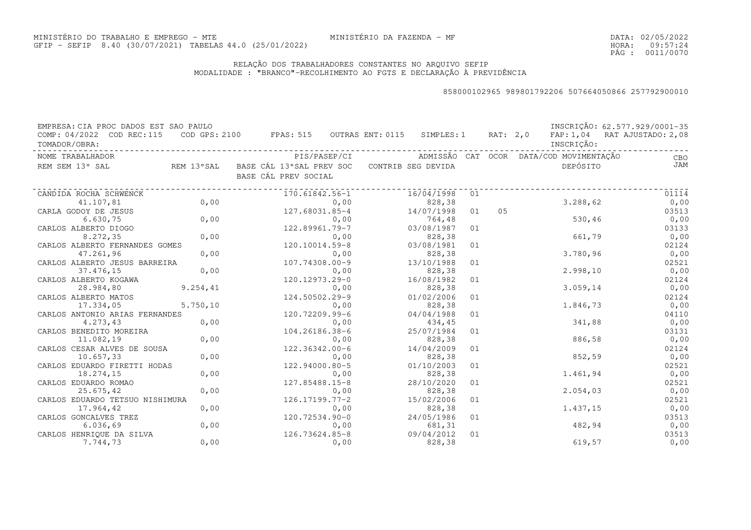### RELAÇÃO DOS TRABALHADORES CONSTANTES NO ARQUIVO SEFIPMODALIDADE : "BRANCO"-RECOLHIMENTO AO FGTS E DECLARAÇÃO À PREVIDÊNCIA

| EMPRESA: CIA PROC DADOS EST SAO PAULO      |           |                                                                                |              |            |    |    |                                         | INSCRIÇÃO: 62.577.929/0001-35 |
|--------------------------------------------|-----------|--------------------------------------------------------------------------------|--------------|------------|----|----|-----------------------------------------|-------------------------------|
| COMP: 04/2022 COD REC:115<br>TOMADOR/OBRA: |           | COD GPS: 2100 FPAS: 515 OUTRAS ENT: 0115 SIMPLES: 1 RAT: 2,0                   |              |            |    |    | INSCRIÇÃO:                              | FAP: 1,04 RAT AJUSTADO: 2,08  |
| NOME TRABALHADOR                           |           |                                                                                | PIS/PASEP/CI |            |    |    | ADMISSÃO CAT OCOR DATA/COD MOVIMENTAÇÃO | <b>CBO</b>                    |
| REM SEM 13° SAL                            |           | REM 13°SAL BASE CÁL 13°SAL PREV SOC CONTRIB SEG DEVIDA<br>BASE CÁL PREV SOCIAL |              |            |    |    | DEPÓSITO                                | <b>JAM</b>                    |
| CANDIDA ROCHA SCHWENCK                     |           | 170.61842.56-1                                                                 |              | 16/04/1998 | 01 |    |                                         | 01114                         |
| 41.107,81                                  | 0,00      |                                                                                | 0,00         | 828,38     |    |    | 3.288,62                                | 0,00                          |
| CARLA GODOY DE JESUS                       |           | 127.68031.85-4                                                                 |              | 14/07/1998 | 01 | 05 |                                         | 03513                         |
| 6.630, 75                                  | 0,00      |                                                                                | 0,00         | 764,48     |    |    | 530,46                                  | 0,00                          |
| CARLOS ALBERTO DIOGO                       |           | 122.89961.79-7                                                                 |              | 03/08/1987 | 01 |    |                                         | 03133                         |
| 8.272,35                                   | 0,00      |                                                                                | 0,00         | 828,38     |    |    | 661,79                                  | 0,00                          |
| CARLOS ALBERTO FERNANDES GOMES             |           | 120.10014.59-8                                                                 |              | 03/08/1981 | 01 |    |                                         | 02124                         |
| 47.261,96                                  | 0,00      |                                                                                | 0,00         | 828,38     |    |    | 3.780,96                                | 0,00                          |
| CARLOS ALBERTO JESUS BARREIRA              |           | 107.74308.00-9                                                                 |              | 13/10/1988 | 01 |    |                                         | 02521                         |
| 37.476,15                                  | 0,00      |                                                                                | 0,00         | 828,38     |    |    | 2.998, 10                               | 0,00                          |
| CARLOS ALBERTO KOGAWA                      |           | 120.12973.29-0                                                                 |              | 16/08/1982 | 01 |    |                                         | 02124                         |
| 28.984,80                                  | 9.254,41  |                                                                                | 0,00         | 828,38     |    |    | 3.059, 14                               | 0,00                          |
| CARLOS ALBERTO MATOS                       |           | 124.50502.29-9                                                                 |              | 01/02/2006 | 01 |    |                                         | 02124                         |
| 17.334,05                                  | 5.750, 10 |                                                                                | 0,00         | 828,38     |    |    | 1.846,73                                | 0,00                          |
| CARLOS ANTONIO ARIAS FERNANDES             |           | 120.72209.99-6                                                                 |              | 04/04/1988 | 01 |    |                                         | 04110                         |
| 4.273,43                                   | 0,00      |                                                                                | 0,00         | 434,45     |    |    | 341,88                                  | 0,00                          |
| CARLOS BENEDITO MOREIRA                    |           | 104.26186.38-6                                                                 |              | 25/07/1984 | 01 |    |                                         | 03131                         |
| 11.082,19                                  | 0,00      |                                                                                | 0,00         | 828,38     |    |    | 886,58                                  | 0,00                          |
| CARLOS CESAR ALVES DE SOUSA                |           | 122.36342.00-6                                                                 |              | 14/04/2009 | 01 |    |                                         | 02124                         |
| 10.657,33                                  | 0,00      |                                                                                | 0,00         | 828,38     |    |    | 852,59                                  | 0,00                          |
| CARLOS EDUARDO FIRETTI HODAS               |           | 122.94000.80-5                                                                 |              | 01/10/2003 | 01 |    |                                         | 02521                         |
| 18.274,15                                  | 0,00      |                                                                                | 0,00         | 828,38     |    |    | 1.461,94                                | 0,00                          |
| CARLOS EDUARDO ROMAO                       |           | 127.85488.15-8                                                                 |              | 28/10/2020 | 01 |    |                                         | 02521                         |
| 25.675,42                                  | 0,00      |                                                                                | 0,00         | 828,38     |    |    | 2.054,03                                | 0,00                          |
| CARLOS EDUARDO TETSUO NISHIMURA            |           | 126.17199.77-2                                                                 |              | 15/02/2006 | 01 |    |                                         | 02521                         |
| 17.964,42                                  | 0,00      |                                                                                | 0,00         | 828,38     |    |    | 1.437,15                                | 0,00                          |
| CARLOS GONCALVES TREZ                      |           | 120.72534.90-0                                                                 |              | 24/05/1986 | 01 |    |                                         | 03513                         |
| 6.036,69                                   | 0,00      |                                                                                | 0,00         | 681,31     |    |    | 482,94                                  | 0,00                          |
| CARLOS HENRIQUE DA SILVA                   |           | 126.73624.85-8                                                                 |              | 09/04/2012 | 01 |    |                                         | 03513                         |
| 7.744,73                                   | 0,00      |                                                                                | 0,00         | 828, 38    |    |    | 619,57                                  | 0,00                          |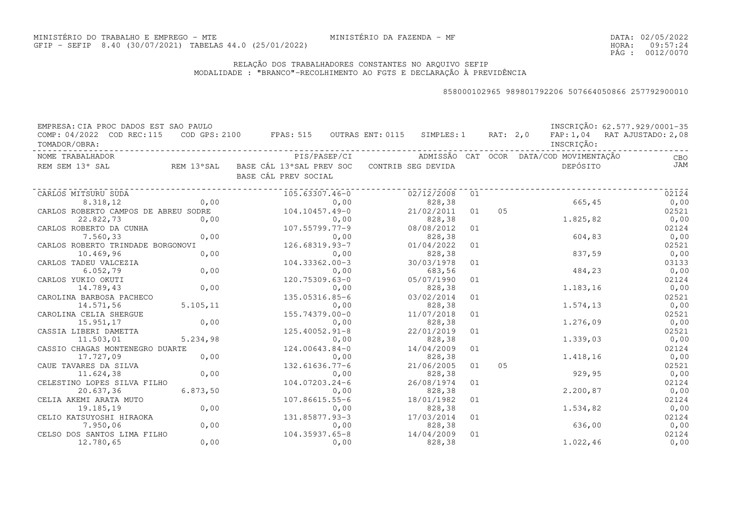DATA:02/05/2022HORA: PÁG : 09:57:24 0012/0070

### RELAÇÃO DOS TRABALHADORES CONSTANTES NO ARQUIVO SEFIPMODALIDADE : "BRANCO"-RECOLHIMENTO AO FGTS E DECLARAÇÃO À PREVIDÊNCIA

| EMPRESA: CIA PROC DADOS EST SAO PAULO<br>COMP: 04/2022 COD REC:115<br>TOMADOR/OBRA: |           | COD GPS: 2100 FPAS: 515 OUTRAS ENT: 0115 SIMPLES: 1 RAT: 2,0 FAP: 1,04 RAT AJUSTADO: 2,08 |                                                      |    |    | INSCRIÇÃO: | INSCRIÇÃO: 62.577.929/0001-35 |
|-------------------------------------------------------------------------------------|-----------|-------------------------------------------------------------------------------------------|------------------------------------------------------|----|----|------------|-------------------------------|
| NOME TRABALHADOR                                                                    |           |                                                                                           | PIS/PASEP/CI ADMISSÃO CAT OCOR DATA/COD MOVIMENTACÃO |    |    |            | CBO                           |
| REM SEM 13° SAL                                                                     |           | REM 13°SAL    BASE CÁL 13°SAL PREV SOC    CONTRIB SEG DEVIDA<br>BASE CÁL PREV SOCIAL      |                                                      |    |    | DEPÓSITO   | JAM                           |
| CARLOS MITSURU SUDA                                                                 |           | 105.63307.46-0                                                                            | 02/12/2008 01                                        |    |    |            | 02124                         |
| 8.318,12                                                                            | 0.00      |                                                                                           | 0,00<br>828,38                                       |    |    | 665,45     | 0,00                          |
| CARLOS ROBERTO CAMPOS DE ABREU SODRE 104.10457.49-0                                 |           |                                                                                           | 21/02/2011                                           | 01 | 05 |            | 02521                         |
| 22.822,73                                                                           |           | $0,00$<br>$0,00$<br>$107.55799.77-9$<br>$0,00$<br>$126.68319.93-7$<br>$0,00$              | 828,38                                               |    |    | 1.825,82   | 0,00                          |
| CARLOS ROBERTO DA CUNHA                                                             |           |                                                                                           | 08/08/2012                                           | 01 |    |            | 02124                         |
| 7.560,33                                                                            |           |                                                                                           | 828,38                                               |    |    | 604,83     | 0,00                          |
| CARLOS ROBERTO TRINDADE BORGONOVI                                                   |           |                                                                                           | 01/04/2022                                           | 01 |    |            | 02521                         |
| 10.469,96                                                                           | 0,00      |                                                                                           | 828,38<br>0,00                                       |    |    | 837,59     | 0,00                          |
| CARLOS TADEU VALCEZIA                                                               |           | $104.33362.00-3$                                                                          | 30/03/1978                                           | 01 |    |            | 03133                         |
| 6.052,79                                                                            | 0,00      |                                                                                           | 0,00<br>683,56                                       |    |    | 484,23     | 0,00                          |
| CARLOS YUKIO OKUTI                                                                  |           | 120.75309.63-0                                                                            | 05/07/1990                                           | 01 |    |            | 02124                         |
| 14.789,43                                                                           | 0,00      |                                                                                           | 0,00<br>828,38                                       |    |    | 1.183,16   | 0,00                          |
| CAROLINA BARBOSA PACHECO                                                            |           | 135.05316.85-6                                                                            | 03/02/2014                                           | 01 |    |            | 02521                         |
| 14.571,56                                                                           | 5.105, 11 |                                                                                           | 0,00<br>828,38                                       |    |    | 1.574, 13  | 0,00                          |
| CAROLINA CELIA SHERGUE                                                              |           | 155.74379.00-0                                                                            | 11/07/2018                                           | 01 |    |            | 02521                         |
| 15.951,17                                                                           | 0,00      |                                                                                           | 0,00<br>828,38                                       |    |    | 1.276,09   | 0,00                          |
| CASSIA LIBERI DAMETTA                                                               |           | 125.40052.91-8                                                                            | 22/01/2019                                           | 01 |    |            | 02521                         |
| 11.503,01                                                                           | 5.234,98  |                                                                                           | 0,00<br>828,38                                       |    |    | 1.339,03   | 0,00                          |
| CASSIO CHAGAS MONTENEGRO DUARTE                                                     |           | 124.00643.84-0                                                                            | 14/04/2009                                           | 01 |    |            | 02124                         |
| 17.727,09                                                                           | 0,00      |                                                                                           | 0,00<br>828,38                                       |    |    | 1.418,16   | 0,00                          |
| CAUE TAVARES DA SILVA                                                               |           | 132.61636.77-6                                                                            | 21/06/2005                                           | 01 | 05 |            | 02521                         |
| 11.624,38                                                                           | 0,00      |                                                                                           | 0,00<br>828,38                                       |    |    | 929,95     | 0,00                          |
| CELESTINO LOPES SILVA FILHO                                                         |           | $104.07203.24 - 6$                                                                        | 26/08/1974                                           | 01 |    |            | 02124                         |
| 20.637,36                                                                           | 6.873,50  |                                                                                           | 0,00<br>828,38                                       |    |    | 2.200, 87  | 0,00                          |
| CELIA AKEMI ARATA MUTO                                                              |           | 107.86615.55-6                                                                            | 18/01/1982                                           | 01 |    |            | 02124                         |
| 19.185,19                                                                           | 0,00      |                                                                                           | 0,00<br>828,38                                       |    |    | 1.534,82   | 0,00                          |
| CELIO KATSUYOSHI HIRAOKA                                                            |           | 131.85877.93-3                                                                            | 17/03/2014                                           | 01 |    |            | 02124                         |
| 7.950,06                                                                            | 0,00      |                                                                                           | 0,00<br>828,38                                       |    |    | 636,00     | 0,00                          |
| CELSO DOS SANTOS LIMA FILHO                                                         |           | 104.35937.65-8                                                                            | 14/04/2009                                           | 01 |    |            | 02124                         |
| 12.780,65                                                                           | 0,00      |                                                                                           | 828,38<br>0,00                                       |    |    | 1.022, 46  | 0,00                          |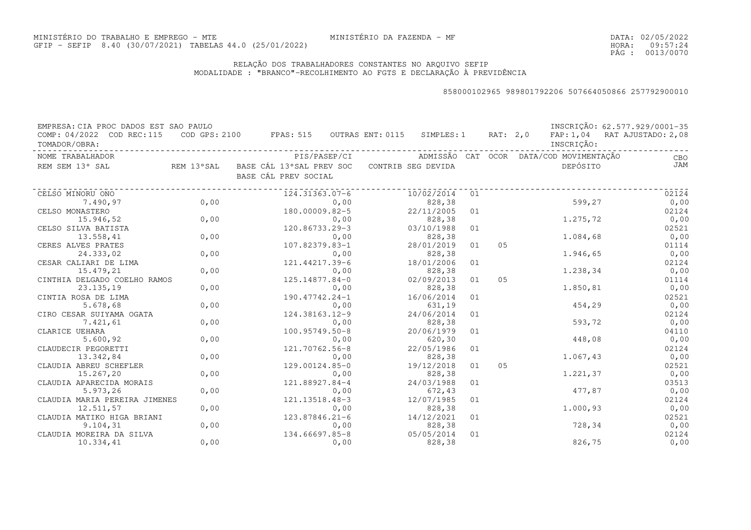DATA:02/05/2022HORA: PÁG : 09:57:24 0013/0070

### RELAÇÃO DOS TRABALHADORES CONSTANTES NO ARQUIVO SEFIPMODALIDADE : "BRANCO"-RECOLHIMENTO AO FGTS E DECLARAÇÃO À PREVIDÊNCIA

| EMPRESA: CIA PROC DADOS EST SAO PAULO |            |                          |              |                  |                    |    |                |                                         | INSCRIÇÃO: 62.577.929/0001-35 |
|---------------------------------------|------------|--------------------------|--------------|------------------|--------------------|----|----------------|-----------------------------------------|-------------------------------|
| COMP: 04/2022 COD REC:115             |            | COD GPS: 2100 FPAS: 515  |              | OUTRAS ENT: 0115 | SIMPLES: 1         |    | RAT: 2,0       |                                         | FAP: 1,04 RAT AJUSTADO: 2,08  |
| TOMADOR/OBRA:                         |            |                          |              |                  |                    |    |                | INSCRIÇÃO:                              |                               |
| NOME TRABALHADOR                      |            |                          | PIS/PASEP/CI |                  |                    |    |                | ADMISSÃO CAT OCOR DATA/COD MOVIMENTAÇÃO | CBO                           |
| REM SEM 13° SAL                       | REM 13°SAL | BASE CÁL 13°SAL PREV SOC |              |                  | CONTRIB SEG DEVIDA |    |                | DEPÓSITO                                | JAM                           |
|                                       |            | BASE CÁL PREV SOCIAL     |              |                  |                    |    |                |                                         |                               |
| CELSO MINORU ONO                      |            | 124.31363.07-6           |              |                  | 10/02/2014         | 01 |                |                                         | 02124                         |
| 7.490,97                              | 0,00       |                          | 0,00         |                  | 828,38             |    |                | 599,27                                  | 0,00                          |
| CELSO MONASTERO                       |            | 180.00009.82-5           |              |                  | 22/11/2005         | 01 |                |                                         | 02124                         |
| 15.946,52                             | 0,00       |                          | 0,00         |                  | 828,38             |    |                | 1.275,72                                | 0,00                          |
| CELSO SILVA BATISTA                   |            | 120.86733.29-3           |              |                  | 03/10/1988         | 01 |                |                                         | 02521                         |
| 13.558,41                             | 0,00       |                          | 0,00         |                  | 828,38             |    |                | 1.084,68                                | 0,00                          |
| CERES ALVES PRATES                    |            | 107.82379.83-1           |              |                  | 28/01/2019         | 01 | 05             |                                         | 01114                         |
| 24.333,02                             | 0,00       |                          | 0,00         |                  | 828,38             |    |                | 1.946,65                                | 0,00                          |
| CESAR CALIARI DE LIMA                 |            | 121.44217.39-6           |              |                  | 18/01/2006         | 01 |                |                                         | 02124                         |
| 15.479,21                             | 0,00       |                          | 0,00         |                  | 828,38             |    |                | 1.238,34                                | 0,00                          |
| CINTHIA DELGADO COELHO RAMOS          |            | 125.14877.84-0           |              |                  | 02/09/2013         | 01 | 0 <sub>5</sub> |                                         | 01114                         |
| 23.135,19                             | 0,00       |                          | 0,00         |                  | 828,38             |    |                | 1.850,81                                | 0,00                          |
| CINTIA ROSA DE LIMA                   |            | 190.47742.24-1           |              |                  | 16/06/2014         | 01 |                |                                         | 02521                         |
| 5.678,68                              | 0,00       |                          | 0,00         |                  | 631,19             |    |                | 454,29                                  | 0,00                          |
| CIRO CESAR SUIYAMA OGATA              |            | 124.38163.12-9           |              |                  | 24/06/2014         | 01 |                |                                         | 02124                         |
| 7.421,61                              | 0,00       |                          | 0,00         |                  | 828,38             |    |                | 593,72                                  | 0,00                          |
| CLARICE UEHARA                        |            | $100.95749.50 - 8$       |              |                  | 20/06/1979         | 01 |                |                                         | 04110                         |
| 5.600,92                              | 0,00       |                          | 0,00         |                  | 620,30             |    |                | 448,08                                  | 0,00                          |
| CLAUDECIR PEGORETTI                   |            | 121.70762.56-8           |              |                  | 22/05/1986         | 01 |                |                                         | 02124                         |
| 13.342,84                             | 0,00       |                          | 0,00         |                  | 828,38             |    |                | 1.067,43                                | 0,00                          |
| CLAUDIA ABREU SCHEFLER                |            | 129.00124.85-0           |              |                  | 19/12/2018         | 01 | 05             |                                         | 02521                         |
| 15.267,20                             | 0,00       |                          | 0,00         |                  | 828,38             |    |                | 1.221,37                                | 0,00                          |
| CLAUDIA APARECIDA MORAIS              |            | 121.88927.84-4           |              |                  | 24/03/1988         | 01 |                |                                         | 03513                         |
| 5.973,26                              | 0,00       |                          | 0,00         |                  | 672,43             |    |                | 477,87                                  | 0,00                          |
| CLAUDIA MARIA PEREIRA JIMENES         |            | 121.13518.48-3           |              |                  | 12/07/1985         | 01 |                |                                         | 02124                         |
| 12.511,57                             | 0,00       |                          | 0,00         |                  | 828,38             |    |                | 1.000,93                                | 0,00                          |
| CLAUDIA MATIKO HIGA BRIANI            |            | 123.87846.21-6           |              |                  | 14/12/2021         | 01 |                |                                         | 02521                         |
| 9.104, 31                             | 0,00       |                          | 0,00         |                  | 828,38             |    |                | 728,34                                  | 0,00                          |
| CLAUDIA MOREIRA DA SILVA              |            | 134.66697.85-8           |              |                  | 05/05/2014         | 01 |                |                                         | 02124                         |
| 10.334,41                             | 0,00       |                          | 0,00         |                  | 828,38             |    |                | 826,75                                  | 0,00                          |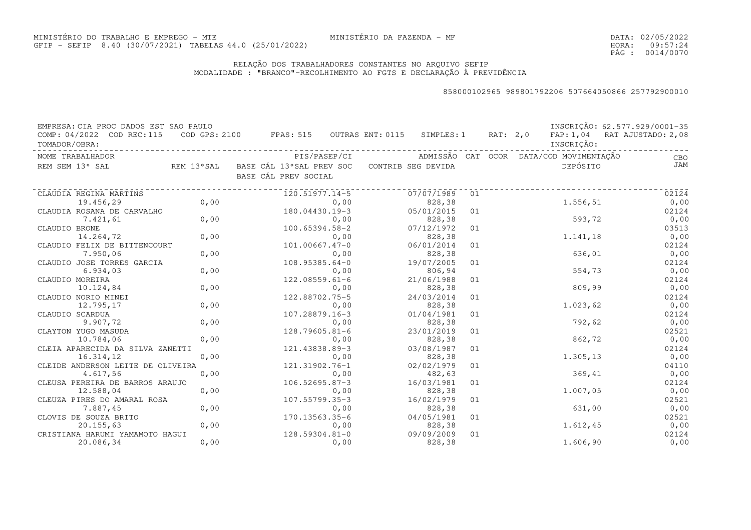DATA:02/05/2022HORA: PÁG : 09:57:24 0014/0070

### RELAÇÃO DOS TRABALHADORES CONSTANTES NO ARQUIVO SEFIPMODALIDADE : "BRANCO"-RECOLHIMENTO AO FGTS E DECLARAÇÃO À PREVIDÊNCIA

| EMPRESA: CIA PROC DADOS EST SAO PAULO |            |                          |                  |                    |    |          |                                         | INSCRIÇÃO: 62.577.929/0001-35 |
|---------------------------------------|------------|--------------------------|------------------|--------------------|----|----------|-----------------------------------------|-------------------------------|
| COMP: 04/2022 COD REC:115             |            | COD GPS: 2100 FPAS: 515  | OUTRAS ENT: 0115 | SIMPLES: 1         |    | RAT: 2,0 |                                         | FAP: 1,04 RAT AJUSTADO: 2,08  |
| TOMADOR/OBRA:                         |            |                          |                  |                    |    |          | INSCRIÇÃO:                              |                               |
| NOME TRABALHADOR                      |            | PIS/PASEP/CI             |                  |                    |    |          | ADMISSÃO CAT OCOR DATA/COD MOVIMENTAÇÃO | CBO                           |
| REM SEM 13° SAL                       | REM 13°SAL | BASE CÁL 13°SAL PREV SOC |                  | CONTRIB SEG DEVIDA |    |          | DEPÓSITO                                | JAM                           |
|                                       |            | BASE CÁL PREV SOCIAL     |                  |                    |    |          |                                         |                               |
|                                       |            |                          |                  |                    |    |          |                                         |                               |
| CLAUDIA REGINA MARTINS                |            | 120.51977.14-5           |                  | 07/07/1989         | 01 |          |                                         | 02124                         |
| 19.456,29                             | 0,00       |                          | 0,00             | 828,38             |    |          | 1.556,51                                | 0,00                          |
| CLAUDIA ROSANA DE CARVALHO            |            | 180.04430.19-3           |                  | 05/01/2015         | 01 |          |                                         | 02124                         |
| 7.421,61                              | 0,00       |                          | 0,00             | 828,38             |    |          | 593,72                                  | 0,00                          |
| CLAUDIO BRONE                         |            | 100.65394.58-2           |                  | 07/12/1972         | 01 |          |                                         | 03513                         |
| 14.264,72                             | 0,00       |                          | 0,00             | 828,38             |    |          | 1.141,18                                | 0,00                          |
| CLAUDIO FELIX DE BITTENCOURT          |            | $101.00667.47 - 0$       |                  | 06/01/2014         | 01 |          |                                         | 02124                         |
| 7.950,06                              | 0,00       |                          | 0,00             | 828,38             |    |          | 636,01                                  | 0,00                          |
| CLAUDIO JOSE TORRES GARCIA            |            | $108.95385.64 - 0$       |                  | 19/07/2005         | 01 |          |                                         | 02124                         |
| 6.934,03                              | 0,00       |                          | 0,00             | 806,94             |    |          | 554,73                                  | 0,00                          |
| CLAUDIO MOREIRA                       |            | $122.08559.61 - 6$       |                  | 21/06/1988         | 01 |          |                                         | 02124                         |
| 10.124,84                             | 0,00       |                          | 0,00             | 828,38             |    |          | 809,99                                  | 0,00                          |
| CLAUDIO NORIO MINEI                   |            | 122.88702.75-5           |                  | 24/03/2014         | 01 |          |                                         | 02124                         |
| 12.795,17                             | 0,00       |                          | 0,00             | 828,38             |    |          | 1.023, 62                               | 0,00                          |
| CLAUDIO SCARDUA                       |            | 107.28879.16-3           |                  | 01/04/1981         | 01 |          |                                         | 02124                         |
| 9.907,72                              | 0,00       |                          | 0,00             | 828,38             |    |          | 792,62                                  | 0,00                          |
| CLAYTON YUGO MASUDA                   |            | 128.79605.81-6           |                  | 23/01/2019         | 01 |          |                                         | 02521                         |
| 10.784,06                             | 0,00       |                          | 0,00             | 828,38             |    |          | 862,72                                  | 0,00                          |
| CLEIA APARECIDA DA SILVA ZANETTI      |            | 121.43838.89-3           |                  | 03/08/1987         | 01 |          |                                         | 02124                         |
| 16.314,12                             | 0,00       |                          | 0,00             | 828,38             |    |          | 1.305,13                                | 0,00                          |
| CLEIDE ANDERSON LEITE DE OLIVEIRA     |            | 121.31902.76-1           |                  | 02/02/1979         | 01 |          |                                         | 04110                         |
| 4.617,56                              | 0,00       |                          | 0,00             | 482,63             |    |          | 369,41                                  | 0,00                          |
| CLEUSA PEREIRA DE BARROS ARAUJO       |            | $106.52695.87-3$         |                  | 16/03/1981         | 01 |          |                                         | 02124                         |
| 12.588,04                             | 0,00       |                          | 0,00             | 828,38             |    |          | 1.007,05                                | 0,00                          |
| CLEUZA PIRES DO AMARAL ROSA           |            | 107.55799.35-3           |                  | 16/02/1979         | 01 |          |                                         | 02521                         |
| 7.887,45                              | 0,00       |                          | 0,00             | 828,38             |    |          | 631,00                                  | 0,00                          |
| CLOVIS DE SOUZA BRITO                 |            | 170.13563.35-6           |                  | 04/05/1981         | 01 |          |                                         | 02521                         |
| 20.155,63                             | 0,00       |                          | 0,00             | 828,38             |    |          | 1.612,45                                | 0,00                          |
| CRISTIANA HARUMI YAMAMOTO HAGUI       |            | 128.59304.81-0           |                  | 09/09/2009         | 01 |          |                                         | 02124                         |
| 20.086,34                             | 0,00       |                          | 0,00             | 828,38             |    |          | 1.606,90                                | 0,00                          |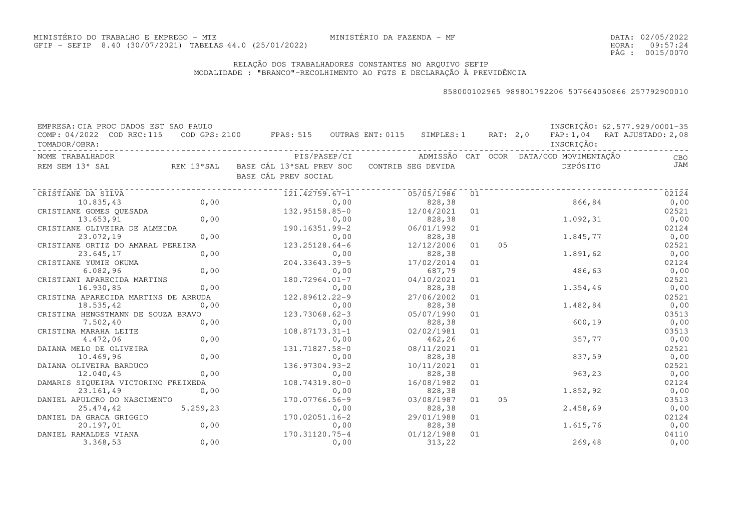### RELAÇÃO DOS TRABALHADORES CONSTANTES NO ARQUIVO SEFIPMODALIDADE : "BRANCO"-RECOLHIMENTO AO FGTS E DECLARAÇÃO À PREVIDÊNCIA

MINISTÉRIO DA FAZENDA - MF

| EMPRESA: CIA PROC DADOS EST SAO PAULO<br>COMP: 04/2022 COD REC:115 COD GPS: 2100 FPAS: 515 OUTRAS ENT: 0115 SIMPLES: 1 RAT: 2,0 FAP: 1,04 RAT AJUSTADO: 2,08<br>TOMADOR/OBRA: |      |                                                                                |            |    |    | INSCRIÇÃO: | INSCRIÇÃO: 62.577.929/0001-35 |
|-------------------------------------------------------------------------------------------------------------------------------------------------------------------------------|------|--------------------------------------------------------------------------------|------------|----|----|------------|-------------------------------|
| NOME TRABALHADOR                                                                                                                                                              |      |                                                                                |            |    |    |            | <b>CBO</b>                    |
| REM SEM 13° SAL                                                                                                                                                               |      | REM 13°SAL BASE CÁL 13°SAL PREV SOC CONTRIB SEG DEVIDA<br>BASE CÁL PREV SOCIAL |            |    |    | DEPÓSITO   | <b>JAM</b>                    |
| CRISTIANE DA SILVA                                                                                                                                                            |      | 121.42759.67-1                                                                 | 05/05/1986 | 01 |    |            | 02124                         |
| 10.835,43                                                                                                                                                                     | 0,00 | 0,00                                                                           | 828,38     |    |    | 866,84     | 0,00                          |
| CRISTIANE GOMES QUESADA                                                                                                                                                       |      | 132.95158.85-0                                                                 | 12/04/2021 | 01 |    |            | 02521                         |
| 13.653,91                                                                                                                                                                     | 0,00 | 0,00                                                                           | 828,38     |    |    | 1.092,31   | 0,00                          |
| CRISTIANE OLIVEIRA DE ALMEIDA                                                                                                                                                 |      | 190.16351.99-2                                                                 | 06/01/1992 | 01 |    |            | 02124                         |
| 23.072,19                                                                                                                                                                     | 0,00 | 0,00                                                                           | 828,38     |    |    | 1.845,77   | 0,00                          |
| CRISTIANE ORTIZ DO AMARAL PEREIRA                                                                                                                                             |      | 123.25128.64-6                                                                 | 12/12/2006 | 01 | 05 |            | 02521                         |
| 23.645,17                                                                                                                                                                     | 0,00 | 0,00                                                                           | 828,38     |    |    | 1.891,62   | 0,00                          |
| CRISTIANE YUMIE OKUMA                                                                                                                                                         |      | 204.33643.39-5                                                                 | 17/02/2014 | 01 |    |            | 02124                         |
| 6.082,96                                                                                                                                                                      | 0,00 | 0,00                                                                           | 687,79     |    |    | 486,63     | 0,00                          |
| CRISTIANI APARECIDA MARTINS                                                                                                                                                   |      | 180.72964.01-7                                                                 | 04/10/2021 | 01 |    |            | 02521                         |
| 16.930,85                                                                                                                                                                     | 0,00 | 0,00                                                                           | 828,38     |    |    | 1.354,46   | 0,00                          |
| CRISTINA APARECIDA MARTINS DE ARRUDA                                                                                                                                          |      | 0,00<br>122.89612.22-9                                                         | 27/06/2002 | 01 |    |            | 02521                         |
| 18.535,42                                                                                                                                                                     | 0,00 | 0,00                                                                           | 828,38     |    |    | 1.482,84   | 0,00                          |
| CRISTINA HENGSTMANN DE SOUZA BRAVO                                                                                                                                            |      | 123.73068.62-3                                                                 | 05/07/1990 | 01 |    |            | 03513                         |
| 7.502,40                                                                                                                                                                      | 0,00 | 0,00                                                                           | 828,38     |    |    | 600,19     | 0,00                          |
| CRISTINA MARAHA LEITE                                                                                                                                                         |      | $108.87173.31 - 1$                                                             | 02/02/1981 | 01 |    |            | 03513                         |
| 4.472,06                                                                                                                                                                      | 0,00 | 0,00                                                                           | 462,26     |    |    | 357,77     | 0,00                          |
| DAIANA MELO DE OLIVEIRA                                                                                                                                                       |      | 131.71827.58-0                                                                 | 08/11/2021 | 01 |    |            | 02521                         |
| 10.469,96                                                                                                                                                                     | 0,00 | 0,00                                                                           | 828,38     |    |    | 837,59     | 0,00                          |
| DAIANA OLIVEIRA BARDUCO                                                                                                                                                       |      | 136.97304.93-2                                                                 | 10/11/2021 | 01 |    |            | 02521                         |
| 12.040,45                                                                                                                                                                     | 0,00 | 0,00                                                                           | 828,38     |    |    | 963,23     | 0,00                          |
| DAMARIS SIQUEIRA VICTORINO FREIXEDA                                                                                                                                           |      | 108.74319.80-0                                                                 | 16/08/1982 | 01 |    |            | 02124                         |
| 23.161,49                                                                                                                                                                     | 0,00 | 0,00                                                                           | 828,38     |    |    | 1.852,92   | 0,00                          |
| DANIEL APULCRO DO NASCIMENTO                                                                                                                                                  |      | 170.07766.56-9                                                                 | 03/08/1987 | 01 | 05 |            | 03513                         |
| 25.474,42 5.259,23                                                                                                                                                            |      | 0,00                                                                           | 828,38     |    |    | 2.458,69   | 0,00                          |
| DANIEL DA GRACA GRIGGIO                                                                                                                                                       |      | 170.02051.16-2                                                                 | 29/01/1988 | 01 |    |            | 02124                         |
| 20.197,01                                                                                                                                                                     | 0,00 | 0,00                                                                           | 828,38     |    |    | 1.615,76   | 0,00                          |
| DANIEL RAMALDES VIANA                                                                                                                                                         |      | 170.31120.75-4                                                                 | 01/12/1988 | 01 |    |            | 04110                         |
| 3.368,53                                                                                                                                                                      | 0,00 | 0,00                                                                           | 313, 22    |    |    | 269,48     | 0,00                          |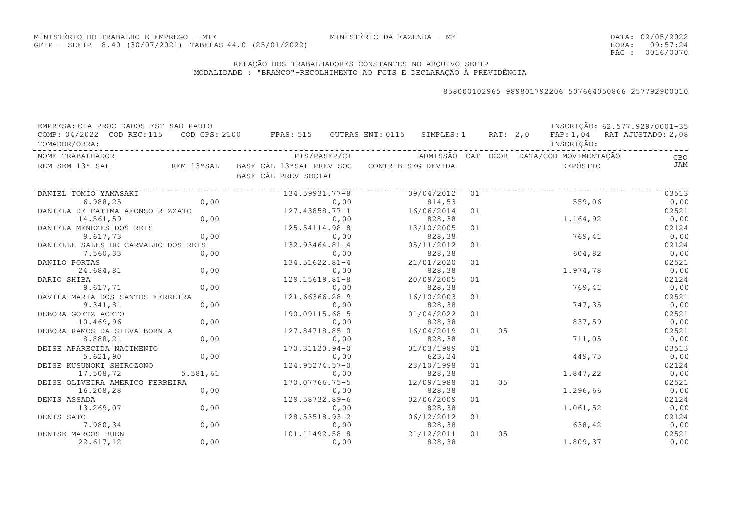DATA:02/05/2022HORA: PÁG : 09:57:24 0016/0070

### RELAÇÃO DOS TRABALHADORES CONSTANTES NO ARQUIVO SEFIPMODALIDADE : "BRANCO"-RECOLHIMENTO AO FGTS E DECLARAÇÃO À PREVIDÊNCIA

| EMPRESA: CIA PROC DADOS EST SAO PAULO |            |                                          |                    |    |          |                                         | INSCRIÇÃO: 62.577.929/0001-35 |
|---------------------------------------|------------|------------------------------------------|--------------------|----|----------|-----------------------------------------|-------------------------------|
| COMP: 04/2022 COD REC: 115            |            | COD GPS: 2100 FPAS: 515 OUTRAS ENT: 0115 | SIMPLES: 1         |    | RAT: 2,0 |                                         | FAP: 1,04 RAT AJUSTADO: 2,08  |
| TOMADOR/OBRA:                         |            |                                          |                    |    |          | INSCRIÇÃO:                              |                               |
| NOME TRABALHADOR                      |            | PIS/PASEP/CI                             |                    |    |          | ADMISSÃO CAT OCOR DATA/COD MOVIMENTAÇÃO | CBO                           |
| REM SEM 13° SAL                       | REM 13°SAL | BASE CÁL 13°SAL PREV SOC                 | CONTRIB SEG DEVIDA |    |          | DEPÓSITO                                | JAM                           |
|                                       |            | BASE CÁL PREV SOCIAL                     |                    |    |          |                                         |                               |
| DANIEL TOMIO YAMASAKI                 |            | 134.59931.77-8                           | 09/04/2012         | 01 |          |                                         | 03513                         |
| 6.988,25                              | 0,00       | 0,00                                     | 814,53             |    |          | 559,06                                  | 0,00                          |
| DANIELA DE FATIMA AFONSO RIZZATO      |            | $127.43858.77 - 1$                       | 16/06/2014         | 01 |          |                                         | 02521                         |
| 14.561,59                             | 0,00       | 0,00                                     | 828,38             |    |          | 1.164,92                                | 0,00                          |
| DANIELA MENEZES DOS REIS              |            | 125.54114.98-8                           | 13/10/2005         | 01 |          |                                         | 02124                         |
| 9.617,73                              | 0,00       | 0,00                                     | 828,38             |    |          | 769,41                                  | 0,00                          |
| DANIELLE SALES DE CARVALHO DOS REIS   |            | 132.93464.81-4                           | 05/11/2012         | 01 |          |                                         | 02124                         |
| 7.560,33                              | 0,00       | 0,00                                     | 828,38             |    |          | 604,82                                  | 0,00                          |
| DANILO PORTAS                         |            | 134.51622.81-4                           | 21/01/2020         | 01 |          |                                         | 02521                         |
| 24.684,81                             | 0,00       | 0,00                                     | 828,38             |    |          | 1.974,78                                | 0,00                          |
| DARIO SHIBA                           |            | $129.15619.81 - 8$                       | 20/09/2005         | 01 |          |                                         | 02124                         |
| 9.617,71                              | 0,00       | 0,00                                     | 828,38             |    |          | 769,41                                  | 0,00                          |
| DAVILA MARIA DOS SANTOS FERREIRA      |            | 121.66366.28-9                           | 16/10/2003         | 01 |          |                                         | 02521                         |
| 9.341,81                              | 0,00       | 0,00                                     | 828,38             |    |          | 747,35                                  | 0,00                          |
| DEBORA GOETZ ACETO                    |            | 190.09115.68-5                           | 01/04/2022         | 01 |          |                                         | 02521                         |
| 10.469,96                             | 0,00       | 0,00                                     | 828,38             |    |          | 837,59                                  | 0,00                          |
| DEBORA RAMOS DA SILVA BORNIA          |            | 127.84718.85-0                           | 16/04/2019         | 01 | 05       |                                         | 02521                         |
| 8.888,21                              | 0,00       | 0,00                                     | 828,38             |    |          | 711,05                                  | 0,00                          |
| DEISE APARECIDA NACIMENTO             |            | 170.31120.94-0                           | 01/03/1989         | 01 |          |                                         | 03513                         |
| 5.621,90                              | 0,00       | 0,00                                     | 623,24             |    |          | 449,75                                  | 0,00                          |
| DEISE KUSUNOKI SHIROZONO              |            | $124.95274.57 - 0$                       | 23/10/1998         | 01 |          |                                         | 02124                         |
| 17.508,72                             | 5.581,61   | 0,00                                     | 828,38             |    |          | 1.847,22                                | 0,00                          |
| DEISE OLIVEIRA AMERICO FERREIRA       |            | 170.07766.75-5                           | 12/09/1988         | 01 | 05       |                                         | 02521                         |
| 16.208,28                             | 0,00       | 0,00                                     | 828,38             |    |          | 1.296,66                                | 0,00                          |
| DENIS ASSADA                          |            | 129.58732.89-6                           | 02/06/2009         | 01 |          |                                         | 02124                         |
| 13.269,07                             | 0,00       | 0,00                                     | 828,38             |    |          | 1.061,52                                | 0,00                          |
| DENIS SATO                            |            | 128.53518.93-2                           | 06/12/2012         | 01 |          |                                         | 02124                         |
| 7.980,34                              | 0,00       | 0,00                                     | 828,38             |    |          | 638,42                                  | 0,00                          |
| DENISE MARCOS BUEN                    |            | 101.11492.58-8                           | 21/12/2011         | 01 | 05       |                                         | 02521                         |
| 22.617,12                             | 0,00       | 0,00                                     | 828,38             |    |          | 1.809,37                                | 0,00                          |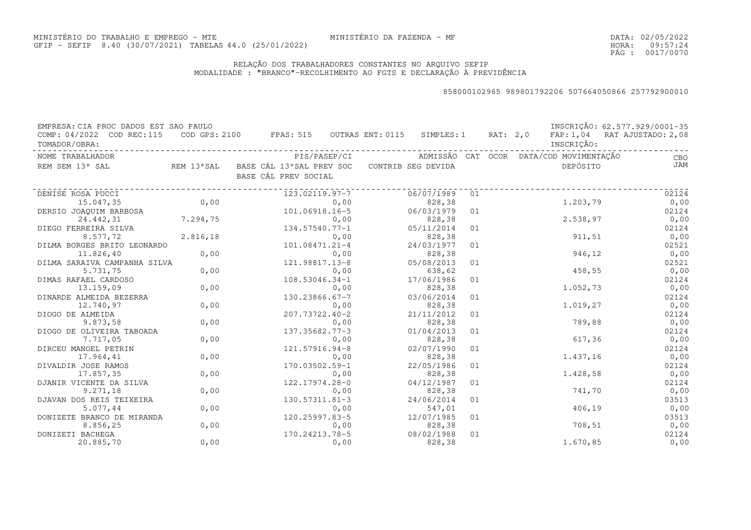DATA:02/05/2022HORA: PÁG : 09:57:24 0017/0070

### RELAÇÃO DOS TRABALHADORES CONSTANTES NO ARQUIVO SEFIPMODALIDADE : "BRANCO"-RECOLHIMENTO AO FGTS E DECLARAÇÃO À PREVIDÊNCIA

| EMPRESA: CIA PROC DADOS EST SAO PAULO |           |                                                              |              |            |    |  |                                         | INSCRIÇÃO: 62.577.929/0001-35 |
|---------------------------------------|-----------|--------------------------------------------------------------|--------------|------------|----|--|-----------------------------------------|-------------------------------|
| COMP: 04/2022 COD REC:115             |           | COD GPS: 2100 FPAS: 515 OUTRAS ENT: 0115 SIMPLES: 1 RAT: 2,0 |              |            |    |  |                                         | FAP: 1,04 RAT AJUSTADO: 2,08  |
| TOMADOR/OBRA:                         |           |                                                              |              |            |    |  | INSCRIÇÃO:                              |                               |
| NOME TRABALHADOR                      |           |                                                              | PIS/PASEP/CI |            |    |  | ADMISSÃO CAT OCOR DATA/COD MOVIMENTAÇÃO | CBO                           |
| REM SEM 13° SAL                       |           | REM 13°SAL BASE CÁL 13°SAL PREV SOC CONTRIB SEG DEVIDA       |              |            |    |  | DEPÓSITO                                | JAM                           |
|                                       |           | BASE CÁL PREV SOCIAL                                         |              |            |    |  |                                         |                               |
|                                       |           |                                                              |              |            |    |  |                                         |                               |
| DENISE ROSA PUCCI                     |           | 123.02119.97-7                                               |              | 06/07/1989 | 01 |  |                                         | 02124                         |
| 15.047,35                             | 0,00      |                                                              | 0,00         | 828,38     |    |  | 1.203,79                                | 0,00                          |
| DERSIO JOAQUIM BARBOSA                |           | 101.06918.16-5                                               |              | 06/03/1979 | 01 |  |                                         | 02124                         |
| 24.442,31                             | 7.294, 75 |                                                              | 0,00         | 828,38     |    |  | 2.538, 97                               | 0,00                          |
| DIEGO FERREIRA SILVA                  |           | 134.57540.77-1                                               |              | 05/11/2014 | 01 |  |                                         | 02124                         |
| 8.577,72                              | 2.816,18  |                                                              | 0,00         | 828,38     |    |  | 911, 51                                 | 0,00                          |
| DILMA BORGES BRITO LEONARDO           |           | 101.08471.21-4                                               |              | 24/03/1977 | 01 |  |                                         | 02521                         |
| 11.826,40                             | 0,00      |                                                              | 0,00         | 828,38     |    |  | 946,12                                  | 0,00                          |
| DILMA SARAIVA CAMPANHA SILVA          |           | 121.98817.13-8                                               |              | 05/08/2013 | 01 |  |                                         | 02521                         |
| 5.731,75                              | 0,00      |                                                              | 0,00         | 638,62     |    |  | 458,55                                  | 0,00                          |
| DIMAS RAFAEL CARDOSO                  |           | 108.53046.34-1                                               |              | 17/06/1986 | 01 |  |                                         | 02124                         |
| 13.159,09                             | 0,00      |                                                              | 0,00         | 828,38     |    |  | 1.052,73                                | 0,00                          |
| DINARDE ALMEIDA BEZERRA               |           | 130.23866.67-7                                               |              | 03/06/2014 | 01 |  |                                         | 02124                         |
| 12.740,97                             | 0,00      |                                                              | 0,00         | 828,38     |    |  | 1,019,27                                | 0,00                          |
| DIOGO DE ALMEIDA                      |           | 207.73722.40-2                                               |              | 21/11/2012 | 01 |  |                                         | 02124                         |
| 9.873,58                              | 0,00      |                                                              | 0,00         | 828,38     |    |  | 789,88                                  | 0,00                          |
| DIOGO DE OLIVEIRA TABOADA             |           | 137.35682.77-3                                               |              | 01/04/2013 | 01 |  |                                         | 02124                         |
| 7.717,05                              | 0,00      |                                                              | 0,00         | 828,38     |    |  | 617,36                                  | 0,00                          |
| DIRCEU MANOEL PETRIN                  |           | 121.57916.94-8                                               |              | 02/07/1990 | 01 |  |                                         | 02124                         |
| 17.964,41                             | 0,00      |                                                              | 0,00         | 828,38     |    |  | 1.437,16                                | 0,00                          |
| DIVALDIR JOSE RAMOS                   |           | 170.03502.59-1                                               |              | 22/05/1986 | 01 |  |                                         | 02124                         |
| 17.857,35                             | 0,00      |                                                              | 0,00         | 828,38     |    |  | 1.428,58                                | 0,00                          |
| DJANIR VICENTE DA SILVA               |           | 122.17974.28-0                                               |              | 04/12/1987 | 01 |  |                                         | 02124                         |
| 9.271,18                              | 0,00      |                                                              | 0,00         | 828,38     |    |  | 741,70                                  | 0,00                          |
| DJAVAN DOS REIS TEIXEIRA              |           | 130.57311.81-3                                               |              | 24/06/2014 | 01 |  |                                         | 03513                         |
| 5.077,44                              | 0,00      |                                                              | 0,00         | 547,01     |    |  | 406,19                                  | 0,00                          |
| DONIZETE BRANCO DE MIRANDA            |           | 120.25997.83-5                                               |              | 12/07/1985 | 01 |  |                                         | 03513                         |
| 8.856,25                              | 0,00      |                                                              | 0,00         | 828,38     |    |  | 708, 51                                 | 0,00                          |
| DONIZETI BACHEGA                      |           | 170.24213.78-5                                               |              | 08/02/1988 | 01 |  |                                         | 02124                         |
| 20.885,70                             | 0,00      |                                                              | 0,00         | 828,38     |    |  | 1.670,85                                | 0,00                          |
|                                       |           |                                                              |              |            |    |  |                                         |                               |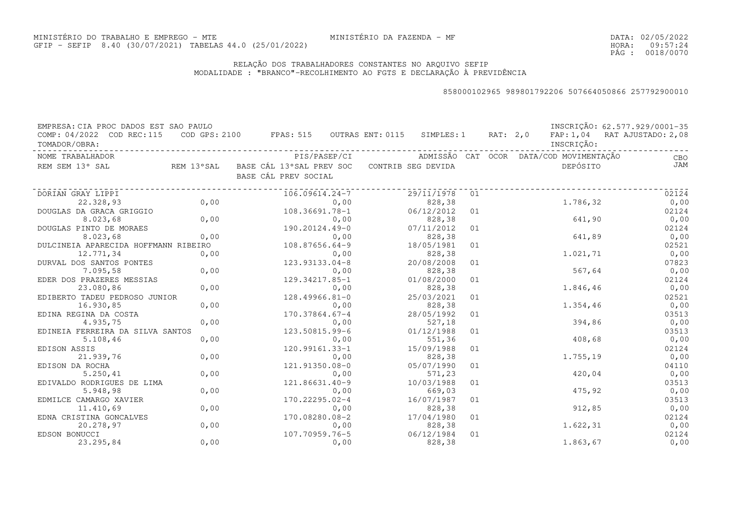DATA:02/05/2022HORA: PÁG : 09:57:24 0018/0070

### RELAÇÃO DOS TRABALHADORES CONSTANTES NO ARQUIVO SEFIPMODALIDADE : "BRANCO"-RECOLHIMENTO AO FGTS E DECLARAÇÃO À PREVIDÊNCIA

| EMPRESA: CIA PROC DADOS EST SAO PAULO<br>COMP: 04/2022 COD REC:115 |      | COD GPS: 2100 FPAS: 515 OUTRAS ENT: 0115 SIMPLES: 1 RAT: 2,0                   |                      |    |                                         | INSCRIÇÃO: 62.577.929/0001-35<br>FAP: 1,04 RAT AJUSTADO: 2,08 |
|--------------------------------------------------------------------|------|--------------------------------------------------------------------------------|----------------------|----|-----------------------------------------|---------------------------------------------------------------|
| TOMADOR/OBRA:                                                      |      |                                                                                |                      |    | INSCRIÇÃO:                              |                                                               |
| NOME TRABALHADOR                                                   |      | PIS/PASEP/CI                                                                   |                      |    | ADMISSÃO CAT OCOR DATA/COD_MOVIMENTAÇÃO | CBO                                                           |
| REM SEM 13° SAL                                                    |      | REM 13°SAL BASE CÁL 13°SAL PREV SOC CONTRIB SEG DEVIDA<br>BASE CÁL PREV SOCIAL |                      |    | DEPÓSITO                                | JAM                                                           |
| DORIAN GRAY LIPPI                                                  |      | 106.09614.24-7                                                                 | 29/11/1978           | 01 |                                         | 02124                                                         |
| 22.328,93                                                          | 0,00 | 0,00                                                                           | 828,38               |    | 1.786,32                                | 0,00                                                          |
| DOUGLAS DA GRACA GRIGGIO                                           |      | 108.36691.78-1                                                                 | 06/12/2012           | 01 |                                         | 02124                                                         |
| 8.023,68                                                           | 0,00 | 0,00                                                                           | 828,38               |    | 641,90                                  | 0,00                                                          |
| DOUGLAS PINTO DE MORAES                                            |      | 190.20124.49-0                                                                 | 07/11/2012           | 01 |                                         | 02124                                                         |
| 8.023,68                                                           | 0,00 | 0,00                                                                           | 828,38               |    | 641,89                                  | 0,00                                                          |
| DULCINEIA APARECIDA HOFFMANN RIBEIRO                               |      | $108.87656.64-9$                                                               | 18/05/1981           | 01 |                                         | 02521                                                         |
| 12.771,34                                                          | 0,00 | 0,00                                                                           | 828,38               |    | 1,021,71                                | 0,00                                                          |
| DURVAL DOS SANTOS PONTES                                           |      | 123.93133.04-8                                                                 | 20/08/2008           | 01 |                                         | 07823                                                         |
| 7.095,58                                                           | 0,00 | 0,00                                                                           | 828,38               |    | 567,64                                  | 0,00                                                          |
| EDER DOS PRAZERES MESSIAS                                          |      | 129.34217.85-1                                                                 | 01/08/2000           | 01 |                                         | 02124                                                         |
| 23.080,86                                                          | 0,00 | 0,00                                                                           | 828,38               |    | 1.846,46                                | 0,00                                                          |
| EDIBERTO TADEU PEDROSO JUNIOR                                      |      | 128.49966.81-0                                                                 | 25/03/2021           | 01 |                                         | 02521                                                         |
| 16.930,85                                                          | 0,00 | 0,00                                                                           | 828,38               |    | 1.354,46                                | 0,00                                                          |
| EDINA REGINA DA COSTA                                              |      | 170.37864.67-4                                                                 | 28/05/1992           | 01 |                                         | 03513                                                         |
| 4.935,75                                                           | 0,00 | 0,00                                                                           | 527,18               |    | 394,86                                  | 0,00                                                          |
| EDINEIA FERREIRA DA SILVA SANTOS                                   |      | 123.50815.99-6                                                                 | 01/12/1988           | 01 |                                         | 03513                                                         |
| 5.108, 46                                                          | 0,00 | 0,00                                                                           | 551,36               |    | 408,68                                  | 0,00                                                          |
| EDISON ASSIS                                                       |      | 120.99161.33-1                                                                 | 15/09/1988           | 01 |                                         | 02124                                                         |
| 21.939,76                                                          | 0,00 | 0,00                                                                           | 828,38               |    | 1.755,19                                | 0,00                                                          |
| EDISON DA ROCHA                                                    |      | 121.91350.08-0                                                                 | 05/07/1990           | 01 |                                         | 04110                                                         |
| 5.250, 41                                                          | 0,00 | 0,00                                                                           | 571,23               |    | 420,04                                  | 0,00                                                          |
| EDIVALDO RODRIGUES DE LIMA                                         |      | 121.86631.40-9                                                                 | 10/03/1988           | 01 |                                         | 03513                                                         |
| 5.948,98                                                           | 0,00 | 0,00                                                                           | 669,03               |    | 475,92                                  | 0,00                                                          |
| EDMILCE CAMARGO XAVIER                                             |      | 170.22295.02-4                                                                 | 16/07/1987           | 01 |                                         | 03513                                                         |
| 11.410,69                                                          | 0,00 | 0,00                                                                           | 828,38               |    | 912,85                                  | 0,00                                                          |
| EDNA CRISTINA GONCALVES                                            |      | 170.08280.08-2                                                                 | 17/04/1980           | 01 |                                         | 02124                                                         |
| 20.278,97                                                          | 0,00 | 0,00                                                                           | 828,38               |    | 1.622,31                                | 0,00                                                          |
| EDSON BONUCCI                                                      |      | 107.70959.76-5                                                                 | 06/12/1984<br>828,38 | 01 | 1.863,67                                | 02124                                                         |
| 23.295,84                                                          | 0,00 | 0,00                                                                           |                      |    |                                         | 0,00                                                          |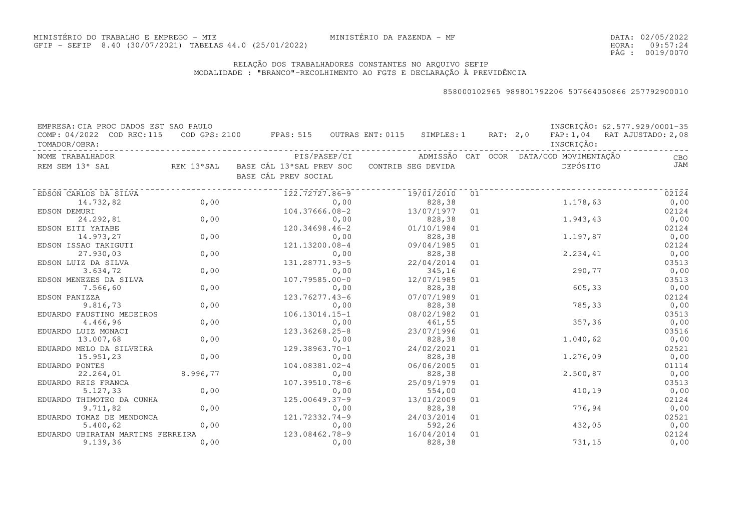DATA:02/05/2022HORA: PÁG : 09:57:24 0019/0070

### RELAÇÃO DOS TRABALHADORES CONSTANTES NO ARQUIVO SEFIPMODALIDADE : "BRANCO"-RECOLHIMENTO AO FGTS E DECLARAÇÃO À PREVIDÊNCIA

| EMPRESA: CIA PROC DADOS EST SAO PAULO         |      |                                                                                    |                                                      |    |            | INSCRIÇÃO: 62.577.929/0001-35 |
|-----------------------------------------------|------|------------------------------------------------------------------------------------|------------------------------------------------------|----|------------|-------------------------------|
| COMP: 04/2022 COD REC:115<br>TOMADOR/OBRA:    |      | COD GPS: 2100 FPAS: 515 OUTRAS ENT: 0115 SIMPLES: 1 RAT: 2,0                       |                                                      |    | INSCRIÇÃO: | FAP: 1,04 RAT AJUSTADO: 2,08  |
| NOME TRABALHADOR                              |      |                                                                                    | PIS/PASEP/CI ADMISSÃO CAT OCOR DATA/COD MOVIMENTAÇÃO |    |            | CBO                           |
| REM SEM 13° SAL                               |      | REM 13°SAL - BASE CÁL 13°SAL PREV SOC - CONTRIB SEG DEVIDA<br>BASE CÁL PREV SOCIAL |                                                      |    | DEPÓSITO   | <b>JAM</b>                    |
| EDSON CARLOS DA SILVA                         |      | 122.72727.86-9                                                                     | 19/01/2010 01                                        |    |            | 02124                         |
| 14.732,82                                     | 0,00 | 0,00                                                                               | 828, 38                                              |    | 1.178,63   | 0,00                          |
| EDSON DEMURI                                  |      | 104.37666.08-2                                                                     | 13/07/1977                                           | 01 |            | 02124                         |
| 24.292,81                                     | 0,00 | 0,00                                                                               | 828, 38                                              |    | 1.943,43   | 0,00                          |
| EDSON EITI YATABE                             |      | 120.34698.46-2                                                                     | 01/10/1984                                           | 01 |            | 02124                         |
| 14.973,27                                     | 0,00 | 0,00                                                                               | 828, 38                                              |    | 1.197,87   | 0,00                          |
| EDSON ISSAO TAKIGUTI                          |      | 121.13200.08-4                                                                     | 09/04/1985                                           | 01 |            | 02124                         |
| 27.930,03                                     | 0,00 | 0,00                                                                               | 828,38                                               |    | 2.234,41   | 0,00                          |
| EDSON LUIZ DA SILVA                           |      | 131.28771.93-5                                                                     | 22/04/2014                                           | 01 |            | 03513                         |
| 3.634,72                                      | 0,00 | 0,00                                                                               | 345, 16                                              |    | 290,77     | 0,00                          |
| EDSON MENEZES DA SILVA                        |      | $107.79585.00 - 0$                                                                 | 12/07/1985                                           | 01 |            | 03513                         |
| 7.566,60                                      | 0,00 | 0,00                                                                               | 828,38                                               |    | 605, 33    | 0,00                          |
| EDSON PANIZZA                                 |      | 123.76277.43-6                                                                     | 07/07/1989                                           | 01 |            | 02124                         |
| 9.816,73                                      | 0,00 | 0,00                                                                               | 828,38                                               |    | 785,33     | 0,00                          |
| EDUARDO FAUSTINO MEDEIROS                     |      | $106.13014.15 - 1$                                                                 | 08/02/1982                                           | 01 |            | 03513                         |
| 4.466,96                                      | 0,00 | 0,00                                                                               | 461,55                                               |    | 357,36     | 0,00                          |
| EDUARDO LUIZ MONACI                           |      | 123.36268.25-8                                                                     | 23/07/1996                                           | 01 |            | 03516                         |
| 13.007,68                                     | 0,00 | 0,00                                                                               | 828,38                                               |    | 1.040,62   | 0,00                          |
| EDUARDO MELO DA SILVEIRA                      |      | 129.38963.70-1                                                                     | 24/02/2021                                           | 01 |            | 02521                         |
| 15.951,23                                     | 0,00 | 0,00                                                                               | 828,38                                               |    | 1.276,09   | 0,00                          |
| EDUARDO PONTES                                |      | 104.08381.02-4                                                                     | 06/06/2005                                           | 01 |            | 01114                         |
| 22.264,01 8.996,77                            |      | 0,00                                                                               | 828,38                                               |    | 2.500,87   | 0,00                          |
| EDUARDO REIS FRANCA                           |      | 107.39510.78-6                                                                     | 25/09/1979                                           | 01 |            | 03513                         |
| 5.127, 33                                     | 0,00 | 0,00                                                                               | 554,00                                               |    | 410,19     | 0,00                          |
| EDUARDO THIMOTEO DA CUNHA                     |      | 125.00649.37-9                                                                     | 13/01/2009                                           | 01 |            | 02124                         |
| 9.711,82                                      | 0,00 | 0,00                                                                               | 828,38                                               |    | 776,94     | 0,00                          |
| EDUARDO TOMAZ DE MENDONCA                     |      | 121.72332.74-9                                                                     | 24/03/2014                                           | 01 |            | 02521                         |
| 5.400, 62                                     | 0,00 | 0,00                                                                               | 592,26                                               |    | 432,05     | 0,00                          |
| EDUARDO UBIRATAN MARTINS FERREIRA<br>9.139,36 | 0,00 | 123.08462.78-9<br>0,00                                                             | 16/04/2014<br>828,38                                 | 01 | 731,15     | 02124<br>0,00                 |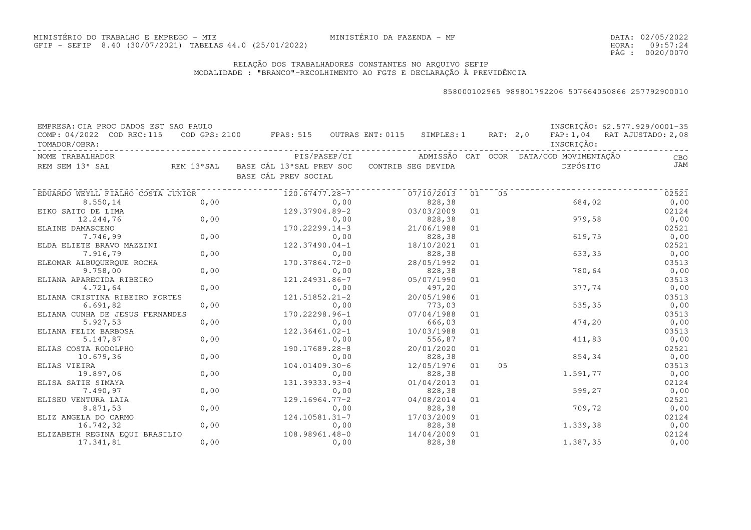DATA:02/05/2022HORA: PÁG : 09:57:24 0020/0070

### RELAÇÃO DOS TRABALHADORES CONSTANTES NO ARQUIVO SEFIPMODALIDADE : "BRANCO"-RECOLHIMENTO AO FGTS E DECLARAÇÃO À PREVIDÊNCIA

| EMPRESA: CIA PROC DADOS EST SAO PAULO      |      |                                                                                |      |            |    |    |                                         | INSCRIÇÃO: 62.577.929/0001-35 |
|--------------------------------------------|------|--------------------------------------------------------------------------------|------|------------|----|----|-----------------------------------------|-------------------------------|
| COMP: 04/2022 COD REC:115<br>TOMADOR/OBRA: |      | COD GPS: 2100 FPAS: 515 OUTRAS ENT: 0115 SIMPLES: 1 RAT: 2,0                   |      |            |    |    | INSCRIÇÃO:                              | FAP: 1,04 RAT AJUSTADO: 2,08  |
| NOME TRABALHADOR                           |      | PIS/PASEP/CI                                                                   |      |            |    |    | ADMISSÃO CAT OCOR DATA/COD MOVIMENTAÇÃO |                               |
|                                            |      |                                                                                |      |            |    |    |                                         | CBO<br>JAM                    |
| REM SEM 13° SAL                            |      | REM 13°SAL BASE CÁL 13°SAL PREV SOC CONTRIB SEG DEVIDA<br>BASE CÁL PREV SOCIAL |      |            |    |    | DEPÓSITO                                |                               |
|                                            |      |                                                                                |      |            |    |    |                                         |                               |
| EDUARDO WEYLL FIALHO COSTA JUNIOR          |      | 120.67477.28-7                                                                 |      | 07/10/2013 | 01 | 05 |                                         | 02521                         |
| 8.550,14                                   | 0,00 |                                                                                | 0,00 | 828,38     |    |    | 684,02                                  | 0,00                          |
| EIKO SAITO DE LIMA                         |      | 129.37904.89-2                                                                 |      | 03/03/2009 | 01 |    |                                         | 02124                         |
| 12.244,76                                  | 0,00 |                                                                                | 0,00 | 828,38     |    |    | 979,58                                  | 0,00                          |
| ELAINE DAMASCENO                           |      | 170.22299.14-3                                                                 |      | 21/06/1988 | 01 |    |                                         | 02521                         |
| 7.746,99                                   | 0,00 |                                                                                | 0,00 | 828,38     |    |    | 619,75                                  | 0,00                          |
| ELDA ELIETE BRAVO MAZZINI                  |      | 122.37490.04-1                                                                 |      | 18/10/2021 | 01 |    |                                         | 02521                         |
| 7.916,79                                   | 0,00 |                                                                                | 0,00 | 828,38     |    |    | 633,35                                  | 0,00                          |
| ELEOMAR ALBUQUERQUE ROCHA                  |      | 170.37864.72-0                                                                 |      | 28/05/1992 | 01 |    |                                         | 03513                         |
| 9.758,00                                   | 0,00 |                                                                                | 0,00 | 828,38     |    |    | 780,64                                  | 0,00                          |
| ELIANA APARECIDA RIBEIRO                   |      | 121.24931.86-7                                                                 |      | 05/07/1990 | 01 |    |                                         | 03513                         |
| 4.721,64                                   | 0,00 |                                                                                | 0,00 | 497,20     |    |    | 377,74                                  | 0,00                          |
| ELIANA CRISTINA RIBEIRO FORTES             |      | 121.51852.21-2                                                                 |      | 20/05/1986 | 01 |    |                                         | 03513                         |
| 6.691, 82                                  | 0,00 |                                                                                | 0,00 | 773,03     |    |    | 535,35                                  | 0,00                          |
| ELIANA CUNHA DE JESUS FERNANDES            |      | 170.22298.96-1                                                                 |      | 07/04/1988 | 01 |    |                                         | 03513                         |
| 5.927,53                                   | 0,00 |                                                                                | 0,00 | 666,03     |    |    | 474,20                                  | 0,00                          |
| ELIANA FELIX BARBOSA                       |      | 122.36461.02-1                                                                 |      | 10/03/1988 | 01 |    |                                         | 03513                         |
| 5.147,87                                   | 0,00 |                                                                                | 0,00 | 556,87     |    |    | 411,83                                  | 0,00                          |
| ELIAS COSTA RODOLPHO                       |      | 190.17689.28-8                                                                 |      | 20/01/2020 | 01 |    |                                         | 02521                         |
| 10.679,36                                  | 0,00 |                                                                                | 0,00 | 828,38     |    |    | 854,34                                  | 0,00                          |
| ELIAS VIEIRA                               |      | 104.01409.30-6                                                                 |      | 12/05/1976 | 01 | 05 |                                         | 03513                         |
| 19.897,06                                  | 0,00 |                                                                                | 0,00 | 828,38     |    |    | 1.591,77                                | 0,00                          |
| ELISA SATIE SIMAYA                         |      | 131.39333.93-4                                                                 |      | 01/04/2013 | 01 |    |                                         | 02124                         |
| 7.490,97                                   | 0,00 |                                                                                | 0,00 | 828,38     |    |    | 599,27                                  | 0,00                          |
| ELISEU VENTURA LAIA                        |      | 129.16964.77-2                                                                 |      | 04/08/2014 | 01 |    |                                         | 02521                         |
| 8.871,53                                   | 0,00 |                                                                                | 0,00 | 828,38     |    |    | 709,72                                  | 0,00                          |
| ELIZ ANGELA DO CARMO                       |      | 124.10581.31-7                                                                 |      | 17/03/2009 | 01 |    |                                         | 02124                         |
| 16.742,32                                  | 0,00 |                                                                                | 0,00 | 828,38     |    |    | 1.339,38                                | 0,00                          |
| ELIZABETH REGINA EQUI BRASILIO             |      | 108.98961.48-0                                                                 |      | 14/04/2009 | 01 |    |                                         | 02124                         |
| 17.341,81                                  | 0,00 |                                                                                | 0,00 | 828,38     |    |    | 1.387,35                                | 0,00                          |
|                                            |      |                                                                                |      |            |    |    |                                         |                               |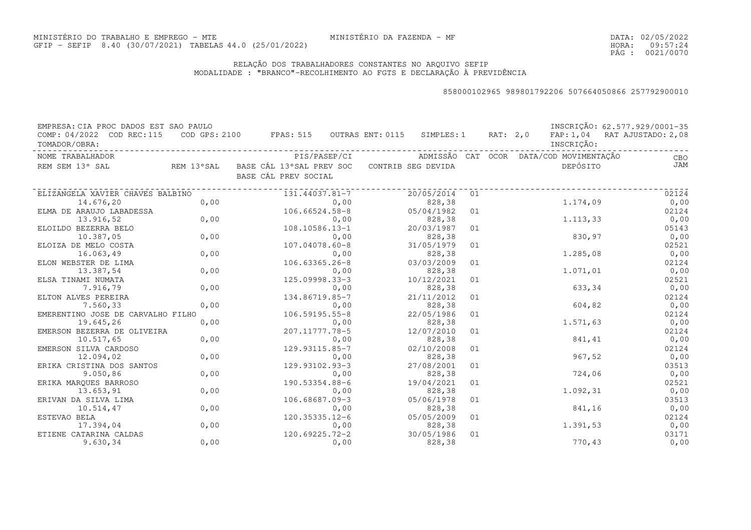DATA:02/05/2022HORA: PÁG : 09:57:24 0021/0070

### RELAÇÃO DOS TRABALHADORES CONSTANTES NO ARQUIVO SEFIPMODALIDADE : "BRANCO"-RECOLHIMENTO AO FGTS E DECLARAÇÃO À PREVIDÊNCIA

| EMPRESA: CIA PROC DADOS EST SAO PAULO |            |                                          |      |                    |    |          |                                         | INSCRIÇÃO: 62.577.929/0001-35 |
|---------------------------------------|------------|------------------------------------------|------|--------------------|----|----------|-----------------------------------------|-------------------------------|
| COMP: 04/2022 COD REC: 115            |            | COD GPS: 2100 FPAS: 515 OUTRAS ENT: 0115 |      | SIMPLES: 1         |    | RAT: 2,0 |                                         | FAP: 1,04 RAT AJUSTADO: 2,08  |
| TOMADOR/OBRA:                         |            |                                          |      |                    |    |          | INSCRIÇÃO:                              |                               |
| NOME TRABALHADOR                      |            | PIS/PASEP/CI                             |      |                    |    |          | ADMISSÃO CAT OCOR DATA/COD MOVIMENTAÇÃO | CBO                           |
| REM SEM 13° SAL                       | REM 13°SAL | BASE CÁL 13°SAL PREV SOC                 |      | CONTRIB SEG DEVIDA |    |          | DEPÓSITO                                | JAM                           |
|                                       |            | BASE CÁL PREV SOCIAL                     |      |                    |    |          |                                         |                               |
|                                       |            |                                          |      |                    |    |          |                                         |                               |
| ELIZANGELA XAVIER CHAVES BALBINO      |            | 131.44037.81-7                           |      | 20/05/2014         | 01 |          |                                         | 02124                         |
| 14.676,20                             | 0,00       |                                          | 0,00 | 828,38             |    |          | 1.174,09                                | 0,00                          |
| ELMA DE ARAUJO LABADESSA              |            | 106.66524.58-8                           |      | 05/04/1982         | 01 |          |                                         | 02124                         |
| 13.916,52                             | 0,00       |                                          | 0,00 | 828,38             |    |          | 1.113,33                                | 0,00                          |
| ELOILDO BEZERRA BELO                  |            | 108.10586.13-1                           |      | 20/03/1987         | 01 |          |                                         | 05143                         |
| 10.387,05                             | 0,00       |                                          | 0,00 | 828,38             |    |          | 830,97                                  | 0,00                          |
| ELOIZA DE MELO COSTA                  |            | 107.04078.60-8                           |      | 31/05/1979         | 01 |          |                                         | 02521                         |
| 16.063,49                             | 0,00       |                                          | 0,00 | 828,38             |    |          | 1.285,08                                | 0,00                          |
| ELON WEBSTER DE LIMA                  |            | $106.63365.26 - 8$                       |      | 03/03/2009         | 01 |          |                                         | 02124                         |
| 13.387,54                             | 0,00       |                                          | 0,00 | 828,38             |    |          | 1.071,01                                | 0,00                          |
| ELSA TINAMI NUMATA                    |            | 125.09998.33-3                           |      | 10/12/2021         | 01 |          |                                         | 02521                         |
| 7.916,79                              | 0,00       |                                          | 0,00 | 828,38             |    |          | 633,34                                  | 0,00                          |
| ELTON ALVES PEREIRA                   |            | 134.86719.85-7                           |      | 21/11/2012         | 01 |          |                                         | 02124                         |
| 7.560,33                              | 0,00       |                                          | 0,00 | 828,38             |    |          | 604,82                                  | 0,00                          |
| EMERENTINO JOSE DE CARVALHO FILHO     |            | $106.59195.55 - 8$                       |      | 22/05/1986         | 01 |          |                                         | 02124                         |
| 19.645,26                             | 0,00       |                                          | 0,00 | 828,38             |    |          | 1.571,63                                | 0,00                          |
| EMERSON BEZERRA DE OLIVEIRA           |            | 207.11777.78-5                           |      | 12/07/2010         | 01 |          |                                         | 02124                         |
| 10.517,65                             | 0,00       |                                          | 0,00 | 828,38             |    |          | 841,41                                  | 0,00                          |
| EMERSON SILVA CARDOSO                 |            | 129.93115.85-7                           |      | 02/10/2008         | 01 |          |                                         | 02124                         |
| 12.094,02                             | 0,00       |                                          | 0,00 | 828,38             |    |          | 967,52                                  | 0,00                          |
| ERIKA CRISTINA DOS SANTOS             |            | 129.93102.93-3                           |      | 27/08/2001         | 01 |          |                                         | 03513                         |
| 9.050,86                              | 0,00       |                                          | 0,00 | 828,38             |    |          | 724,06                                  | 0,00                          |
| ERIKA MARQUES BARROSO                 |            | 190.53354.88-6                           |      | 19/04/2021         | 01 |          |                                         | 02521                         |
| 13.653,91                             | 0,00       |                                          | 0,00 | 828,38             |    |          | 1.092,31                                | 0,00                          |
| ERIVAN DA SILVA LIMA                  |            | $106.68687.09 - 3$                       |      | 05/06/1978         | 01 |          |                                         | 03513                         |
| 10.514,47                             | 0,00       |                                          | 0,00 | 828,38             |    |          | 841,16                                  | 0,00                          |
| ESTEVAO BELA                          |            | $120.35335.12-6$                         |      | 05/05/2009         | 01 |          |                                         | 02124                         |
| 17.394,04                             | 0,00       |                                          | 0,00 | 828,38             |    |          | 1.391,53                                | 0,00                          |
| ETIENE CATARINA CALDAS                |            | 120.69225.72-2                           |      | 30/05/1986         | 01 |          |                                         | 03171                         |
| 9.630,34                              | 0,00       |                                          | 0,00 | 828,38             |    |          | 770,43                                  | 0,00                          |
|                                       |            |                                          |      |                    |    |          |                                         |                               |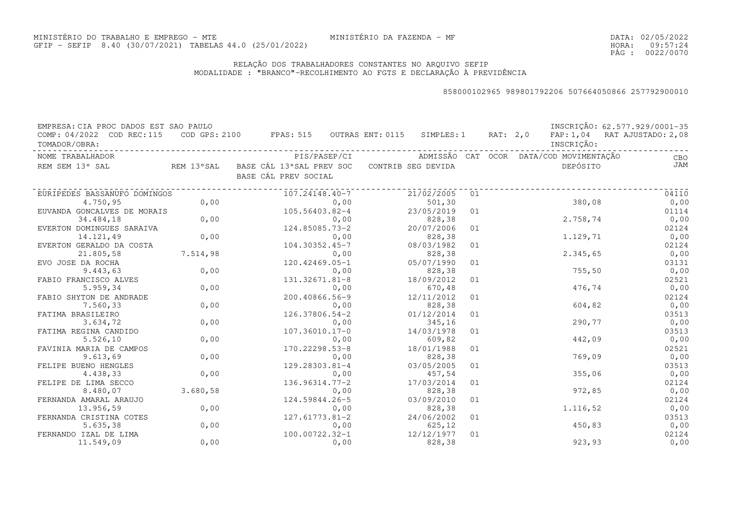### RELAÇÃO DOS TRABALHADORES CONSTANTES NO ARQUIVO SEFIPMODALIDADE : "BRANCO"-RECOLHIMENTO AO FGTS E DECLARAÇÃO À PREVIDÊNCIA

| EMPRESA: CIA PROC DADOS EST SAO PAULO<br>COMP: 04/2022 COD REC:115<br>TOMADOR/OBRA: |          | COD GPS: 2100 FPAS: 515 OUTRAS ENT: 0115 SIMPLES: 1 RAT: 2,0 FAP: 1,04 RAT AJUSTADO: 2,08 |                                                      |    | INSCRIÇÃO: | INSCRIÇÃO: 62.577.929/0001-35 |
|-------------------------------------------------------------------------------------|----------|-------------------------------------------------------------------------------------------|------------------------------------------------------|----|------------|-------------------------------|
| NOME TRABALHADOR                                                                    |          |                                                                                           | PIS/PASEP/CI ADMISSÃO CAT OCOR DATA/COD MOVIMENTAÇÃO |    |            | CBO                           |
| REM SEM 13° SAL                                                                     |          | REM 13°SAL BASE CÁL 13°SAL PREV SOC CONTRIB SEG DEVIDA<br>BASE CÁL PREV SOCIAL            |                                                      |    | DEPÓSITO   | <b>JAM</b>                    |
| EURIPEDES BASSANUFO DOMINGOS                                                        |          | 107.24148.40-7                                                                            | 21/02/2005                                           | 01 |            | 04110                         |
| 4.750,95                                                                            | 0,00     | 0,00                                                                                      | 501,30                                               |    | 380,08     | 0,00                          |
| EUVANDA GONCALVES DE MORAIS                                                         |          | 105.56403.82-4                                                                            | 23/05/2019                                           | 01 |            | 01114                         |
| 34.484,18                                                                           | 0,00     | 0,00                                                                                      | 828, 38                                              |    | 2.758,74   | 0,00                          |
| EVERTON DOMINGUES SARAIVA                                                           |          | 124.85085.73-2                                                                            | 20/07/2006                                           | 01 |            | 02124                         |
| 14.121,49                                                                           | 0,00     | 0,00                                                                                      | 828, 38                                              |    | 1.129,71   | 0,00                          |
| EVERTON GERALDO DA COSTA                                                            |          | 104.30352.45-7                                                                            | 08/03/1982                                           | 01 |            | 02124                         |
| 21.805,58                                                                           | 7.514,98 | 0,00                                                                                      | 828,38                                               |    | 2.345,65   | 0,00                          |
| EVO JOSE DA ROCHA                                                                   |          | 120.42469.05-1                                                                            | 05/07/1990                                           | 01 |            | 03131                         |
| 9.443,63                                                                            | 0,00     | 0,00                                                                                      | 828,38                                               |    | 755, 50    | 0,00                          |
| FABIO FRANCISCO ALVES                                                               |          | 131.32671.81-8                                                                            | 18/09/2012                                           | 01 |            | 02521                         |
| 5.959,34                                                                            | 0,00     | 0,00                                                                                      | 670,48                                               |    | 476,74     | 0,00                          |
| FABIO SHYTON DE ANDRADE                                                             |          | 200.40866.56-9                                                                            | 12/11/2012                                           | 01 |            | 02124                         |
| 7.560,33                                                                            | 0,00     | 0,00                                                                                      | 828,38                                               |    | 604,82     | 0,00                          |
| FATIMA BRASILEIRO                                                                   |          | 126.37806.54-2                                                                            | 01/12/2014                                           | 01 |            | 03513                         |
| 3.634,72                                                                            | 0,00     | 0,00                                                                                      | 345,16                                               |    | 290,77     | 0,00                          |
| FATIMA REGINA CANDIDO                                                               |          | 107.36010.17-0                                                                            | 14/03/1978                                           | 01 |            | 03513                         |
| 5.526,10                                                                            | 0,00     | 0,00                                                                                      | 609,82                                               |    | 442,09     | 0,00                          |
| FAVINIA MARIA DE CAMPOS                                                             |          | 170.22298.53-8                                                                            | 18/01/1988                                           | 01 |            | 02521                         |
| 9.613,69                                                                            | 0,00     | 0,00                                                                                      | 828,38                                               |    | 769,09     | 0,00                          |
| FELIPE BUENO HENGLES                                                                |          | 129.28303.81-4                                                                            | 03/05/2005                                           | 01 |            | 03513                         |
| 4.438,33                                                                            | 0,00     | 0,00                                                                                      | 457,54                                               |    | 355,06     | 0,00                          |
| FELIPE DE LIMA SECCO                                                                |          | $136.96314.77 - 2$                                                                        | 17/03/2014                                           | 01 |            | 02124                         |
| 8.480,07                                                                            | 3.680,58 | 0,00                                                                                      | 828,38                                               |    | 972,85     | 0,00                          |
| FERNANDA AMARAL ARAUJO                                                              |          | 124.59844.26-5                                                                            | 03/09/2010                                           | 01 |            | 02124                         |
| 13.956,59                                                                           | 0,00     | 0,00                                                                                      | 828,38                                               |    | 1.116,52   | 0,00                          |
| FERNANDA CRISTINA COTES                                                             |          | 127.61773.81-2                                                                            | 24/06/2002                                           | 01 |            | 03513                         |
| 5.635, 38                                                                           | 0,00     | 0,00                                                                                      | 625, 12                                              |    | 450,83     | 0,00                          |
| FERNANDO IZAL DE LIMA                                                               |          | 100.00722.32-1                                                                            | 12/12/1977                                           | 01 |            | 02124                         |
| 11.549,09                                                                           | 0,00     | 0,00                                                                                      | 828,38                                               |    | 923, 93    | 0,00                          |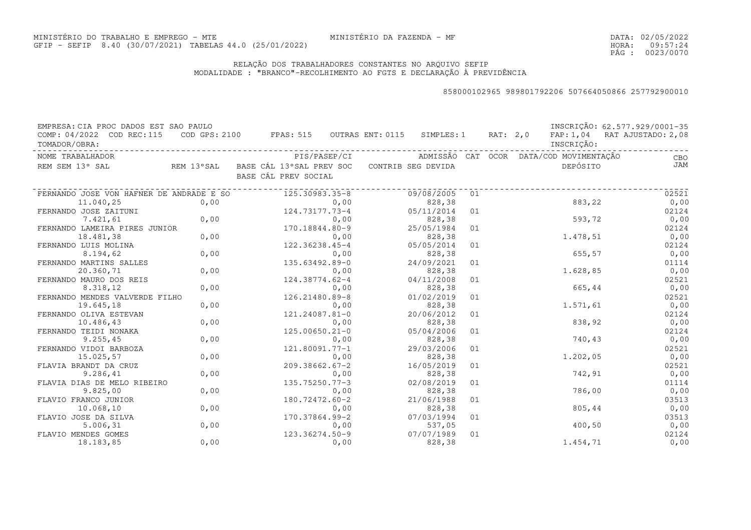DATA:02/05/2022HORA: PÁG : 09:57:24 0023/0070

### RELAÇÃO DOS TRABALHADORES CONSTANTES NO ARQUIVO SEFIPMODALIDADE : "BRANCO"-RECOLHIMENTO AO FGTS E DECLARAÇÃO À PREVIDÊNCIA

| EMPRESA: CIA PROC DADOS EST SAO PAULO      |      |                                                                                      |            |    |                                         | INSCRIÇÃO: 62.577.929/0001-35 |
|--------------------------------------------|------|--------------------------------------------------------------------------------------|------------|----|-----------------------------------------|-------------------------------|
| COMP: 04/2022 COD REC:115<br>TOMADOR/OBRA: |      | COD GPS: 2100 FPAS: 515 OUTRAS ENT: 0115 SIMPLES: 1 RAT: 2,0                         |            |    | INSCRIÇÃO:                              | FAP: 1,04 RAT AJUSTADO: 2,08  |
| NOME TRABALHADOR                           |      | PIS/PASEP/CI                                                                         |            |    | ADMISSÃO CAT OCOR DATA/COD MOVIMENTAÇÃO | CBO                           |
| REM SEM 13° SAL                            |      | REM 13°SAL    BASE CÁL 13°SAL PREV SOC    CONTRIB SEG DEVIDA<br>BASE CÁL PREV SOCIAL |            |    | DEPÓSITO                                | JAM                           |
| FERNANDO JOSE VON HAFNER DE ANDRADE E SO   |      | 125.30983.35-8                                                                       | 09/08/2005 | 01 |                                         | 02521                         |
| 11.040,25                                  | 0,00 | 0,00                                                                                 | 828,38     |    | 883,22                                  | 0,00                          |
| FERNANDO JOSE ZAITUNI                      |      | 124.73177.73-4                                                                       | 05/11/2014 | 01 |                                         | 02124                         |
| 7.421,61                                   | 0,00 | 0,00                                                                                 | 828,38     |    | 593,72                                  | 0,00                          |
| FERNANDO LAMEIRA PIRES JUNIOR              |      | 170.18844.80-9                                                                       | 25/05/1984 | 01 |                                         | 02124                         |
| 18.481,38                                  | 0,00 | 0,00                                                                                 | 828,38     |    | 1.478,51                                | 0,00                          |
| FERNANDO LUIS MOLINA                       |      | 122.36238.45-4                                                                       | 05/05/2014 | 01 |                                         | 02124                         |
| 8.194,62                                   | 0,00 | 0,00                                                                                 | 828,38     |    | 655, 57                                 | 0,00                          |
| FERNANDO MARTINS SALLES                    |      | 135.63492.89-0                                                                       | 24/09/2021 | 01 |                                         | 01114                         |
| 20.360,71                                  | 0,00 | 0,00                                                                                 | 828,38     |    | 1.628,85                                | 0,00                          |
| FERNANDO MAURO DOS REIS                    |      | 124.38774.62-4                                                                       | 04/11/2008 | 01 |                                         | 02521                         |
| 8.318,12                                   | 0,00 | 0,00                                                                                 | 828,38     |    | 665,44                                  | 0,00                          |
| FERNANDO MENDES VALVERDE FILHO             |      | 126.21480.89-8                                                                       | 01/02/2019 | 01 |                                         | 02521                         |
| 19.645,18                                  | 0,00 | 0,00                                                                                 | 828,38     |    | 1.571,61                                | 0,00                          |
| FERNANDO OLIVA ESTEVAN                     |      | 121.24087.81-0                                                                       | 20/06/2012 | 01 |                                         | 02124                         |
| 10.486,43                                  | 0,00 | 0,00                                                                                 | 828,38     |    | 838,92                                  | 0,00                          |
| FERNANDO TEIDI NONAKA                      |      | $125.00650.21 - 0$                                                                   | 05/04/2006 | 01 |                                         | 02124                         |
| 9.255, 45                                  | 0,00 | 0,00                                                                                 | 828,38     |    | 740,43                                  | 0,00                          |
| FERNANDO VIDOI BARBOZA                     |      | 121.80091.77-1                                                                       | 29/03/2006 | 01 |                                         | 02521                         |
| 15.025,57                                  | 0,00 | 0,00                                                                                 | 828,38     |    | 1.202,05                                | 0,00                          |
| FLAVIA BRANDT DA CRUZ                      |      | $209.38662.67 - 2$                                                                   | 16/05/2019 | 01 |                                         | 02521                         |
| 9.286,41                                   | 0,00 | 0,00                                                                                 | 828,38     |    | 742,91                                  | 0,00                          |
| FLAVIA DIAS DE MELO RIBEIRO                |      | 135.75250.77-3                                                                       | 02/08/2019 | 01 |                                         | 01114                         |
| 9.825,00                                   | 0,00 | 0,00                                                                                 | 828,38     |    | 786,00                                  | 0,00                          |
| FLAVIO FRANCO JUNIOR                       |      | 180.72472.60-2                                                                       | 21/06/1988 | 01 |                                         | 03513                         |
| 10.068,10                                  | 0,00 | 0,00                                                                                 | 828,38     |    | 805,44                                  | 0,00                          |
| FLAVIO JOSE DA SILVA                       |      | 170.37864.99-2                                                                       | 07/03/1994 | 01 |                                         | 03513                         |
| 5.006, 31                                  | 0,00 | 0,00                                                                                 | 537,05     |    | 400, 50                                 | 0,00                          |
| FLAVIO MENDES GOMES                        |      | 123.36274.50-9                                                                       | 07/07/1989 | 01 |                                         | 02124                         |
| 18.183,85                                  | 0,00 | 0,00                                                                                 | 828,38     |    | 1.454,71                                | 0,00                          |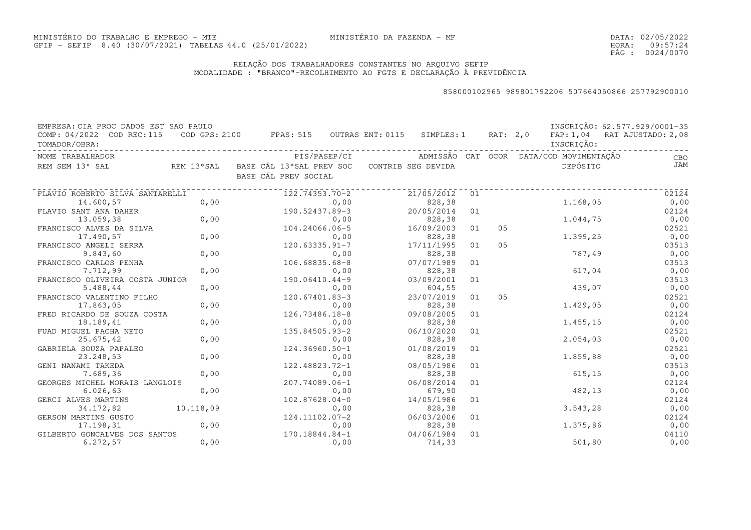DATA:02/05/2022HORA: PÁG : 09:57:24 0024/0070

### RELAÇÃO DOS TRABALHADORES CONSTANTES NO ARQUIVO SEFIPMODALIDADE : "BRANCO"-RECOLHIMENTO AO FGTS E DECLARAÇÃO À PREVIDÊNCIA

| EMPRESA: CIA PROC DADOS EST SAO PAULO      |           |                                                                                      |                      |    |    |                                         | INSCRIÇÃO: 62.577.929/0001-35 |
|--------------------------------------------|-----------|--------------------------------------------------------------------------------------|----------------------|----|----|-----------------------------------------|-------------------------------|
| COMP: 04/2022 COD REC:115<br>TOMADOR/OBRA: |           | COD GPS: 2100 FPAS: 515 OUTRAS ENT: 0115 SIMPLES: 1 RAT: 2,0                         |                      |    |    | INSCRIÇÃO:                              | FAP: 1,04 RAT AJUSTADO: 2,08  |
| NOME TRABALHADOR                           |           | PIS/PASEP/CI                                                                         |                      |    |    | ADMISSÃO CAT OCOR DATA/COD MOVIMENTAÇÃO | CBO                           |
| REM SEM 13° SAL                            |           | REM 13°SAL    BASE CÁL 13°SAL PREV SOC    CONTRIB SEG DEVIDA<br>BASE CÁL PREV SOCIAL |                      |    |    | DEPÓSITO                                | JAM                           |
| FLAVIO ROBERTO SILVA SANTARELLI            |           | 122.74353.70-2                                                                       | 21/05/2012           | 01 |    |                                         | 02124                         |
| 14.600,57                                  | 0,00      | 0,00                                                                                 | 828,38               |    |    | 1.168,05                                | 0,00                          |
| FLAVIO SANT ANA DAHER                      |           | 190.52437.89-3                                                                       | 20/05/2014           | 01 |    |                                         | 02124                         |
| 13.059,38                                  | 0,00      | 0,00                                                                                 | 828,38               |    |    | 1.044,75                                | 0,00                          |
| FRANCISCO ALVES DA SILVA                   |           | 104.24066.06-5                                                                       | 16/09/2003           | 01 | 05 |                                         | 02521                         |
| 17.490,57                                  | 0,00      | 0,00                                                                                 | 828,38               |    |    | 1.399,25                                | 0,00                          |
| FRANCISCO ANGELI SERRA                     |           | $120.63335.91 - 7$                                                                   | 17/11/1995           | 01 | 05 |                                         | 03513                         |
| 9.843,60                                   | 0,00      | 0,00                                                                                 | 828,38               |    |    | 787,49                                  | 0,00                          |
| FRANCISCO CARLOS PENHA                     |           | 106.68835.68-8                                                                       | 07/07/1989           | 01 |    |                                         | 03513                         |
| 7.712,99                                   | 0,00      | 0,00                                                                                 | 828,38               |    |    | 617,04                                  | 0,00                          |
| FRANCISCO OLIVEIRA COSTA JUNIOR            |           | $190.06410.44 - 9$                                                                   | 03/09/2001           | 01 |    |                                         | 03513                         |
| 5.488,44                                   | 0,00      | 0,00                                                                                 | 604,55               |    |    | 439,07                                  | 0,00                          |
| FRANCISCO VALENTINO FILHO                  |           | 120.67401.83-3                                                                       | 23/07/2019           | 01 | 05 |                                         | 02521                         |
| 17.863,05                                  | 0,00      | 0,00                                                                                 | 828,38               |    |    | 1.429,05                                | 0,00                          |
| FRED RICARDO DE SOUZA COSTA                |           | 126.73486.18-8                                                                       | 09/08/2005           | 01 |    |                                         | 02124                         |
| 18.189,41                                  | 0,00      | 0,00                                                                                 | 828,38               |    |    | 1.455,15                                | 0,00                          |
| FUAD MIGUEL PACHA NETO                     |           | 135.84505.93-2                                                                       | 06/10/2020           | 01 |    |                                         | 02521                         |
| 25.675,42                                  | 0,00      | 0,00                                                                                 | 828,38               |    |    | 2.054,03                                | 0,00                          |
| GABRIELA SOUZA PAPALEO                     |           | 124.36960.50-1                                                                       | 01/08/2019           | 01 |    |                                         | 02521                         |
| 23.248,53                                  | 0,00      | 0,00                                                                                 | 828,38               |    |    | 1.859,88                                | 0,00                          |
| GENI NANAMI TAKEDA                         |           | 122.48823.72-1                                                                       | 08/05/1986           | 01 |    |                                         | 03513                         |
| 7.689,36                                   | 0,00      | 0,00                                                                                 | 828,38               |    |    | 615, 15                                 | 0,00                          |
| GEORGES MICHEL MORAIS LANGLOIS             |           | 207.74089.06-1                                                                       | 06/08/2014           | 01 |    |                                         | 02124                         |
| 6.026, 63                                  | 0,00      | 0,00                                                                                 | 679,90               |    |    | 482,13                                  | 0,00                          |
| GERCI ALVES MARTINS                        | 10.118,09 | $102.87628.04-0$                                                                     | 14/05/1986           | 01 |    |                                         | 02124                         |
| 34.172,82                                  |           | 0,00                                                                                 | 828,38               |    |    | 3.543,28                                | 0,00                          |
| GERSON MARTINS GUSTO<br>17.198,31          | 0,00      | 124.11102.07-2                                                                       | 06/03/2006           | 01 |    | 1.375,86                                | 02124                         |
|                                            |           | 0,00<br>170.18844.84-1                                                               | 828,38<br>04/06/1984 | 01 |    |                                         | 0,00                          |
| GILBERTO GONCALVES DOS SANTOS<br>6.272, 57 | 0,00      | 0,00                                                                                 | 714,33               |    |    | 501,80                                  | 04110<br>0,00                 |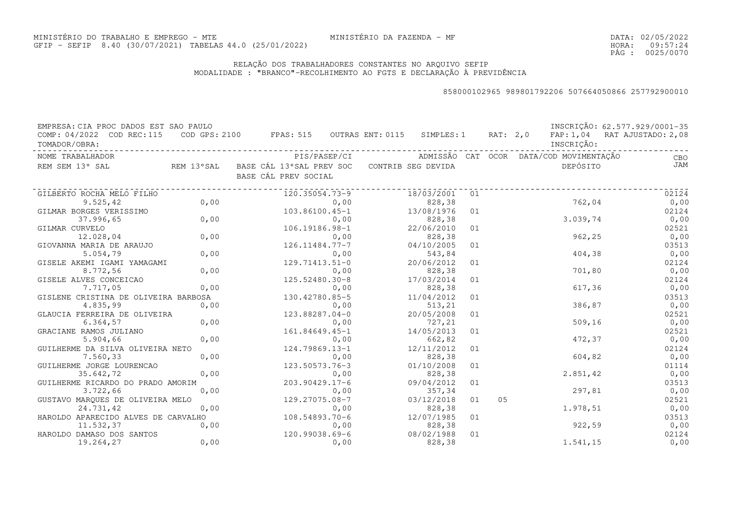### RELAÇÃO DOS TRABALHADORES CONSTANTES NO ARQUIVO SEFIPMODALIDADE : "BRANCO"-RECOLHIMENTO AO FGTS E DECLARAÇÃO À PREVIDÊNCIA

| EMPRESA: CIA PROC DADOS EST SAO PAULO<br>COMP: 04/2022 COD REC:115 COD GPS: 2100 FPAS: 515 OUTRAS ENT: 0115 SIMPLES: 1 RAT: 2,0 FAP: 1,04 RAT AJUSTADO: 2,08<br>TOMADOR/OBRA: |            |                                                                                |      |                       |    |    | INSCRIÇÃO: | INSCRIÇÃO: 62.577.929/0001-35                                    |
|-------------------------------------------------------------------------------------------------------------------------------------------------------------------------------|------------|--------------------------------------------------------------------------------|------|-----------------------|----|----|------------|------------------------------------------------------------------|
| NOME TRABALHADOR                                                                                                                                                              |            |                                                                                |      |                       |    |    |            | PIS/PASEP/CI     ADMISSÃO CAT OCOR DATA/COD MOVIMENTAÇÃO     CBO |
| REM SEM 13° SAL                                                                                                                                                               |            | REM 13°SAL BASE CÁL 13°SAL PREV SOC CONTRIB SEG DEVIDA<br>BASE CÁL PREV SOCIAL |      |                       |    |    | DEPÓSITO   | <b>JAM</b>                                                       |
| GILBERTO ROCHA MELO FILHO                                                                                                                                                     |            | 120.35054.73-9                                                                 |      | 18/03/2001            | 01 |    |            | 02124                                                            |
| 9.525,42                                                                                                                                                                      | 0,00       |                                                                                | 0,00 | 828,38                |    |    | 762,04     | 0,00                                                             |
| GILMAR BORGES VERISSIMO                                                                                                                                                       |            | 103.86100.45-1                                                                 |      | 13/08/1976            | 01 |    |            | 02124                                                            |
| 37.996,65                                                                                                                                                                     | $OMO$ 0,00 |                                                                                | 0,00 | 828, 38               |    |    | 3.039,74   | 0,00                                                             |
| GILMAR CURVELO                                                                                                                                                                |            | 106.19186.98-1                                                                 |      | 22/06/2010            | 01 |    |            | 02521                                                            |
| 12.028,04                                                                                                                                                                     | 0,00       |                                                                                | 0,00 | 828, 38               |    |    | 962,25     | 0,00                                                             |
| GIOVANNA MARIA DE ARAUJO                                                                                                                                                      |            | 126.11484.77-7                                                                 |      | 04/10/2005            | 01 |    |            | 03513                                                            |
| 5.054,79                                                                                                                                                                      | 0,00       |                                                                                | 0,00 | 543,84                |    |    | 404,38     | 0,00                                                             |
| GISELE AKEMI IGAMI YAMAGAMI                                                                                                                                                   |            | $129.71413.51 - 0$                                                             |      | 20/06/2012            | 01 |    |            | 02124                                                            |
| 8.772,56                                                                                                                                                                      | 0,00       |                                                                                | 0,00 | 828,38                |    |    | 701,80     | 0,00                                                             |
| GISELE ALVES CONCEICAO                                                                                                                                                        |            | 125.52480.30-8                                                                 |      | 17/03/2014            | 01 |    |            | 02124                                                            |
| 7.717,05                                                                                                                                                                      | 0,00       |                                                                                | 0,00 | 828,38                |    |    | 617,36     | 0,00                                                             |
| GISLENE CRISTINA DE OLIVEIRA BARBOSA                                                                                                                                          |            | 130.42780.85-5                                                                 |      | 11/04/2012            | 01 |    |            | 03513                                                            |
| 4.835,99                                                                                                                                                                      | 0,00       |                                                                                | 0,00 | 513,21                |    |    | 386,87     | 0,00                                                             |
| GLAUCIA FERREIRA DE OLIVEIRA                                                                                                                                                  |            | 123.88287.04-0                                                                 |      | 20/05/2008            | 01 |    |            | 02521                                                            |
| 6.364, 57                                                                                                                                                                     | 0,00       |                                                                                | 0,00 | 727,21                |    |    | 509, 16    | 0,00                                                             |
| GRACIANE RAMOS JULIANO                                                                                                                                                        |            | 161.84649.45-1                                                                 |      | 14/05/2013            | 01 |    |            | 02521                                                            |
| 5.904,66                                                                                                                                                                      | 0,00       |                                                                                | 0,00 | 662,82                |    |    | 472,37     | 0,00                                                             |
| GUILHERME DA SILVA OLIVEIRA NETO                                                                                                                                              |            | 124.79869.13-1                                                                 |      | 12/11/2012            | 01 |    |            | 02124                                                            |
| 7.560,33                                                                                                                                                                      | 0,00       |                                                                                | 0,00 | 828,38                |    |    | 604,82     | 0,00                                                             |
| GUILHERME JORGE LOURENCAO                                                                                                                                                     |            | 123.50573.76-3                                                                 |      | 01/10/2008            | 01 |    |            | 01114                                                            |
| 35.642,72                                                                                                                                                                     | 0,00       |                                                                                | 0,00 | 828,38                |    |    | 2.851,42   | 0,00                                                             |
| GUILHERME RICARDO DO PRADO AMORIM                                                                                                                                             |            | $203.90429.17 - 6$                                                             |      | 09/04/2012            | 01 |    |            | 03513                                                            |
| 3.722,66                                                                                                                                                                      | 0,00       |                                                                                | 0,00 | 357,34                |    |    | 297,81     | 0,00                                                             |
| GUSTAVO MARQUES DE OLIVEIRA MELO                                                                                                                                              |            | 129.27075.08-7                                                                 |      | 03/12/2018            | 01 | 05 |            | 02521                                                            |
| 24.731,42                                                                                                                                                                     | 0,00       | $0,00$<br>108.54893.70-6                                                       | 0,00 | 828,38                |    |    | 1.978,51   | 0,00                                                             |
| HAROLDO APARECIDO ALVES DE CARVALHO                                                                                                                                           |            |                                                                                |      | 12/07/1985            | 01 |    |            | 03513                                                            |
| 11.532,37                                                                                                                                                                     | 0,00       | 0,00<br>120.99038.69-6                                                         | 0,00 | 828,38                |    |    | 922,59     | 0,00                                                             |
| HAROLDO DAMASO DOS SANTOS<br>19.264,27                                                                                                                                        | 0,00       |                                                                                | 0,00 | 08/02/1988<br>828, 38 | 01 |    | 1.541,15   | 02124<br>0,00                                                    |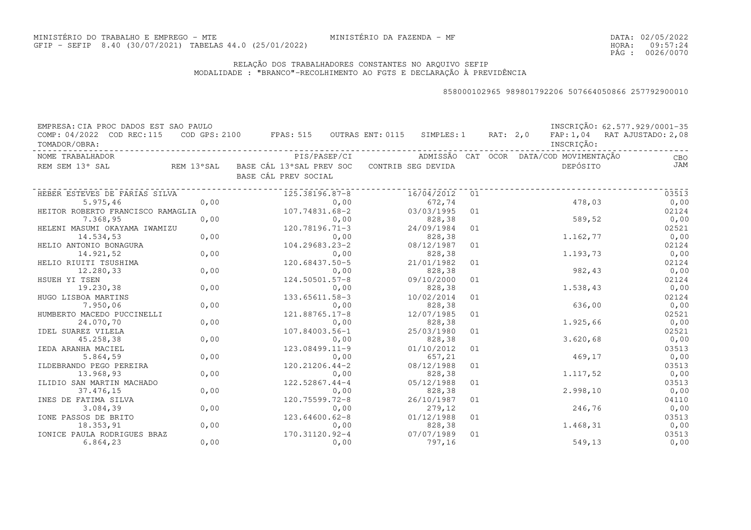DATA:02/05/2022HORA: PÁG : 09:57:24 0026/0070

### RELAÇÃO DOS TRABALHADORES CONSTANTES NO ARQUIVO SEFIPMODALIDADE : "BRANCO"-RECOLHIMENTO AO FGTS E DECLARAÇÃO À PREVIDÊNCIA

| EMPRESA: CIA PROC DADOS EST SAO PAULO      |      |                                                                                |                                         |    |            | INSCRIÇÃO: 62.577.929/0001-35 |
|--------------------------------------------|------|--------------------------------------------------------------------------------|-----------------------------------------|----|------------|-------------------------------|
| COMP: 04/2022 COD REC:115<br>TOMADOR/OBRA: |      | COD GPS: 2100 FPAS: 515 OUTRAS ENT: 0115 SIMPLES: 1 RAT: 2,0                   |                                         |    | INSCRIÇÃO: | FAP: 1,04 RAT AJUSTADO: 2,08  |
| NOME TRABALHADOR                           |      | PIS/PASEP/CI                                                                   | ADMISSÃO CAT OCOR DATA/COD_MOVIMENTACÃO |    |            | CBO                           |
| REM SEM 13° SAL                            |      | REM 13°SAL BASE CÁL 13°SAL PREV SOC CONTRIB SEG DEVIDA<br>BASE CÁL PREV SOCIAL |                                         |    | DEPÓSITO   | JAM                           |
| HEBER ESTEVES DE FARIAS SILVA              |      | 125.38196.87-8                                                                 | 16/04/2012                              | 01 |            | 03513                         |
| 5.975,46                                   | 0,00 | 0,00                                                                           | 672,74                                  |    | 478,03     | 0,00                          |
| HEITOR ROBERTO FRANCISCO RAMAGLIA          |      | 107.74831.68-2                                                                 | 03/03/1995                              | 01 |            | 02124                         |
| 7.368,95                                   | 0,00 | 0,00                                                                           | 828,38                                  |    | 589,52     | 0,00                          |
| HELENI MASUMI OKAYAMA IWAMIZU              |      | 120.78196.71-3                                                                 | 24/09/1984                              | 01 |            | 02521                         |
| 14.534,53                                  | 0,00 | 0,00                                                                           | 828,38                                  |    | 1.162,77   | 0,00                          |
| HELIO ANTONIO BONAGURA                     |      | 104.29683.23-2                                                                 | 08/12/1987                              | 01 |            | 02124                         |
| 14.921,52                                  | 0,00 | 0,00                                                                           | 828,38                                  |    | 1.193,73   | 0,00                          |
| HELIO RIUITI TSUSHIMA                      |      | 120.68437.50-5                                                                 | 21/01/1982                              | 01 |            | 02124                         |
| 12.280,33                                  | 0,00 | 0,00                                                                           | 828,38                                  |    | 982,43     | 0,00                          |
| HSUEH YI TSEN                              |      | 124.50501.57-8                                                                 | 09/10/2000                              | 01 |            | 02124                         |
| 19.230,38                                  | 0,00 | 0,00                                                                           | 828,38                                  |    | 1.538,43   | 0,00                          |
| HUGO LISBOA MARTINS                        |      | 133.65611.58-3                                                                 | 10/02/2014                              | 01 |            | 02124                         |
| 7.950,06                                   | 0,00 | 0,00                                                                           | 828,38                                  |    | 636,00     | 0,00                          |
| HUMBERTO MACEDO PUCCINELLI                 |      | 121.88765.17-8                                                                 | 12/07/1985                              | 01 |            | 02521                         |
| 24.070,70                                  | 0,00 | 0,00                                                                           | 828,38                                  |    | 1.925,66   | 0,00                          |
| IDEL SUAREZ VILELA                         |      | 107.84003.56-1                                                                 | 25/03/1980                              | 01 |            | 02521                         |
| 45.258,38                                  | 0,00 | 0,00                                                                           | 828,38                                  |    | 3.620,68   | 0,00                          |
| IEDA ARANHA MACIEL                         |      | $123.08499.11 - 9$                                                             | 01/10/2012                              | 01 |            | 03513                         |
| 5.864,59                                   | 0,00 | 0,00                                                                           | 657,21                                  |    | 469,17     | 0,00                          |
| ILDEBRANDO PEGO PEREIRA                    |      | 120.21206.44-2                                                                 | 08/12/1988                              | 01 |            | 03513                         |
| 13.968,93                                  | 0,00 | 0,00                                                                           | 828,38                                  |    | 1,117,52   | 0,00                          |
| ILIDIO SAN MARTIN MACHADO                  |      | 122.52867.44-4                                                                 | 05/12/1988                              | 01 |            | 03513                         |
| 37.476,15                                  | 0,00 | 0,00                                                                           | 828,38                                  |    | 2.998,10   | 0,00                          |
| INES DE FATIMA SILVA                       |      | 120.75599.72-8                                                                 | 26/10/1987                              | 01 |            | 04110                         |
| 3.084,39                                   | 0,00 | 0,00                                                                           | 279,12                                  |    | 246,76     | 0,00                          |
| IONE PASSOS DE BRITO                       |      | 123.64600.62-8                                                                 | 01/12/1988                              | 01 |            | 03513                         |
| 18.353,91                                  | 0,00 | 0,00                                                                           | 828,38                                  |    | 1.468,31   | 0,00                          |
| IONICE PAULA RODRIGUES BRAZ                |      | 170.31120.92-4                                                                 | 07/07/1989                              | 01 |            | 03513                         |
| 6.864,23                                   | 0,00 | 0,00                                                                           | 797,16                                  |    | 549,13     | 0,00                          |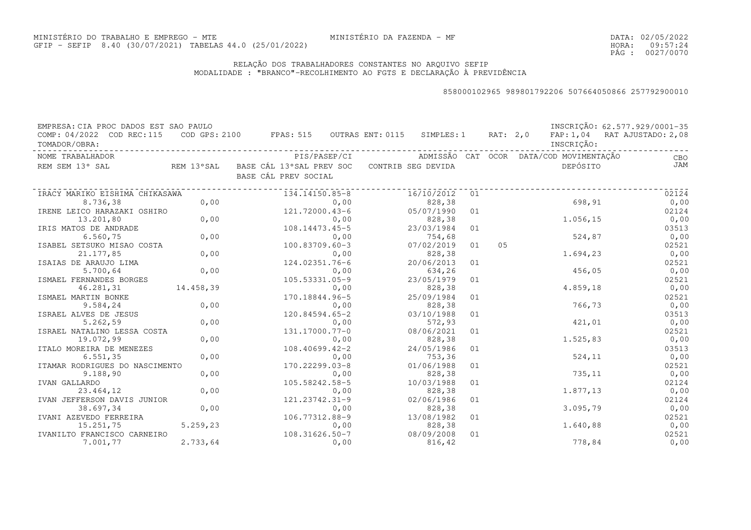DATA:02/05/2022HORA: PÁG : 09:57:24 0027/0070

### RELAÇÃO DOS TRABALHADORES CONSTANTES NO ARQUIVO SEFIPMODALIDADE : "BRANCO"-RECOLHIMENTO AO FGTS E DECLARAÇÃO À PREVIDÊNCIA

| EMPRESA: CIA PROC DADOS EST SAO PAULO |            |                                          |      |                    |    |          |                                         | INSCRIÇÃO: 62.577.929/0001-35 |
|---------------------------------------|------------|------------------------------------------|------|--------------------|----|----------|-----------------------------------------|-------------------------------|
| COMP: 04/2022 COD REC:115             |            | COD GPS: 2100 FPAS: 515 OUTRAS ENT: 0115 |      | SIMPLES: 1         |    | RAT: 2,0 |                                         | FAP: 1,04 RAT AJUSTADO: 2,08  |
| TOMADOR/OBRA:                         |            |                                          |      |                    |    |          | INSCRIÇÃO:                              |                               |
| NOME TRABALHADOR                      |            | PIS/PASEP/CI                             |      |                    |    |          | ADMISSÃO CAT OCOR DATA/COD MOVIMENTAÇÃO | CBO                           |
| REM SEM 13° SAL                       | REM 13°SAL | BASE CÁL 13°SAL PREV SOC                 |      | CONTRIB SEG DEVIDA |    |          | DEPÓSITO                                | JAM                           |
|                                       |            | BASE CÁL PREV SOCIAL                     |      |                    |    |          |                                         |                               |
| IRACY MARIKO EISHIMA CHIKASAWA        |            | 134.14150.85-8                           |      | 16/10/2012         | 01 |          |                                         | 02124                         |
| 8.736,38                              | 0,00       |                                          | 0,00 | 828,38             |    |          | 698,91                                  | 0,00                          |
| IRENE LEICO HARAZAKI OSHIRO           |            | 121.72000.43-6                           |      | 05/07/1990         | 01 |          |                                         | 02124                         |
| 13.201,80                             | 0,00       |                                          | 0,00 | 828,38             |    |          | 1.056,15                                | 0,00                          |
| IRIS MATOS DE ANDRADE                 |            | 108.14473.45-5                           |      | 23/03/1984         | 01 |          |                                         | 03513                         |
| 6.560,75                              | 0,00       |                                          | 0,00 | 754,68             |    |          | 524,87                                  | 0,00                          |
| ISABEL SETSUKO MISAO COSTA            |            | 100.83709.60-3                           |      | 07/02/2019         | 01 | 05       |                                         | 02521                         |
| 21.177,85                             | 0,00       |                                          | 0,00 | 828,38             |    |          | 1.694,23                                | 0,00                          |
| ISAIAS DE ARAUJO LIMA                 |            | 124.02351.76-6                           |      | 20/06/2013         | 01 |          |                                         | 02521                         |
| 5.700, 64                             | 0,00       |                                          | 0,00 | 634,26             |    |          | 456,05                                  | 0,00                          |
| ISMAEL FERNANDES BORGES               |            | 105.53331.05-9                           |      | 23/05/1979         | 01 |          |                                         | 02521                         |
| 46.281,31                             | 14.458,39  |                                          | 0,00 | 828,38             |    |          | 4.859,18                                | 0,00                          |
| ISMAEL MARTIN BONKE                   |            | 170.18844.96-5                           |      | 25/09/1984         | 01 |          |                                         | 02521                         |
| 9.584,24                              | 0,00       |                                          | 0,00 | 828,38             |    |          | 766,73                                  | 0,00                          |
| ISRAEL ALVES DE JESUS                 |            | 120.84594.65-2                           |      | 03/10/1988         | 01 |          |                                         | 03513                         |
| 5.262,59                              | 0,00       |                                          | 0,00 | 572,93             |    |          | 421,01                                  | 0,00                          |
| ISRAEL NATALINO LESSA COSTA           |            | 131.17000.77-0                           |      | 08/06/2021         | 01 |          |                                         | 02521                         |
| 19.072,99                             | 0,00       |                                          | 0,00 | 828,38             |    |          | 1.525,83                                | 0,00                          |
| ITALO MOREIRA DE MENEZES              |            | 108.40699.42-2                           |      | 24/05/1986         | 01 |          |                                         | 03513                         |
| 6.551, 35                             | 0,00       |                                          | 0,00 | 753,36             |    |          | 524, 11                                 | 0,00                          |
| ITAMAR RODRIGUES DO NASCIMENTO        |            | 170.22299.03-8                           |      | 01/06/1988         | 01 |          |                                         | 02521                         |
| 9.188,90                              | 0,00       |                                          | 0,00 | 828,38             |    |          | 735,11                                  | 0,00                          |
| IVAN GALLARDO                         |            | 105.58242.58-5                           |      | 10/03/1988         | 01 |          |                                         | 02124                         |
| 23.464,12                             | 0,00       |                                          | 0,00 | 828,38             |    |          | 1.877,13                                | 0,00                          |
| IVAN JEFFERSON DAVIS JUNIOR           |            | 121.23742.31-9                           |      | 02/06/1986         | 01 |          |                                         | 02124                         |
| 38.697,34                             | 0,00       |                                          | 0,00 | 828,38             |    |          | 3.095,79                                | 0,00                          |
| IVANI AZEVEDO FERREIRA                |            | 106.77312.88-9                           |      | 13/08/1982         | 01 |          |                                         | 02521                         |
| 15.251,75                             | 5.259,23   |                                          | 0,00 | 828,38             |    |          | 1.640,88                                | 0,00                          |
| IVANILTO FRANCISCO CARNEIRO           |            | 108.31626.50-7                           |      | 08/09/2008         | 01 |          |                                         | 02521                         |
| 7.001,77                              | 2.733,64   |                                          | 0,00 | 816,42             |    |          | 778,84                                  | 0,00                          |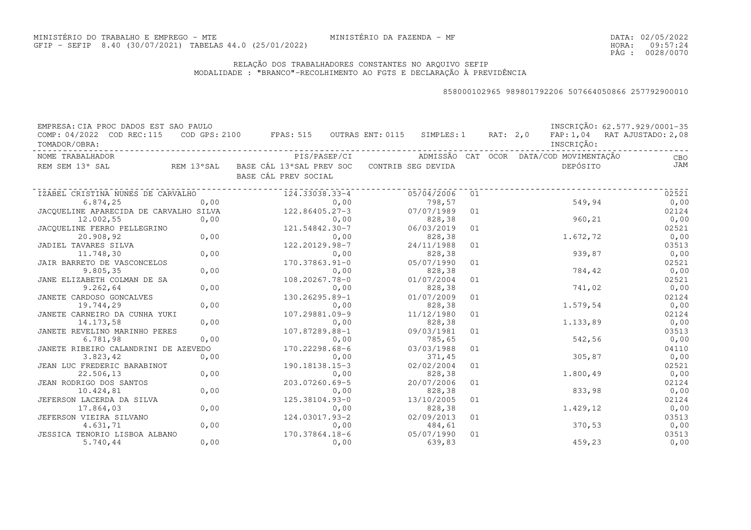DATA:02/05/2022HORA: PÁG : 09:57:24 0028/0070

### RELAÇÃO DOS TRABALHADORES CONSTANTES NO ARQUIVO SEFIPMODALIDADE : "BRANCO"-RECOLHIMENTO AO FGTS E DECLARAÇÃO À PREVIDÊNCIA

| EMPRESA: CIA PROC DADOS EST SAO PAULO                   |      |                                                                                |      |                      |    |  |                                         | INSCRIÇÃO: 62.577.929/0001-35 |
|---------------------------------------------------------|------|--------------------------------------------------------------------------------|------|----------------------|----|--|-----------------------------------------|-------------------------------|
| COMP: 04/2022 COD REC:115<br>TOMADOR/OBRA:              |      | COD GPS: 2100 FPAS: 515 OUTRAS ENT: 0115 SIMPLES: 1 RAT: 2,0                   |      |                      |    |  | INSCRIÇÃO:                              | FAP: 1,04 RAT AJUSTADO: 2,08  |
| NOME TRABALHADOR                                        |      | PIS/PASEP/CI                                                                   |      |                      |    |  | ADMISSÃO CAT OCOR DATA/COD MOVIMENTAÇÃO | CBO                           |
| REM SEM 13° SAL                                         |      | REM 13°SAL BASE CÁL 13°SAL PREV SOC CONTRIB SEG DEVIDA<br>BASE CÁL PREV SOCIAL |      |                      |    |  | DEPÓSITO                                | JAM                           |
| IZABEL CRISTINA NUNES DE CARVALHO                       |      | 124.33038.33-4                                                                 |      | 05/04/2006           | 01 |  |                                         | 02521                         |
| 6.874,25                                                | 0,00 |                                                                                | 0,00 | 798,57               |    |  | 549,94                                  | 0,00                          |
| JACOUELINE APARECIDA DE CARVALHO SILVA $122.86405.27-3$ |      |                                                                                |      | 07/07/1989           | 01 |  |                                         | 02124                         |
| 12.002,55                                               | 0,00 | $0,00$<br>121.54842.30-7                                                       |      | 828,38               |    |  | 960, 21                                 | 0,00                          |
| JACQUELINE FERRO PELLEGRINO                             | 0,00 |                                                                                |      | 06/03/2019           | 01 |  |                                         | 02521                         |
| 20.908,92                                               |      |                                                                                | 0,00 | 828,38               |    |  | 1.672,72                                | 0,00                          |
| JADIEL TAVARES SILVA                                    |      | 122.20129.98-7                                                                 |      | 24/11/1988           | 01 |  |                                         | 03513                         |
| 11.748,30                                               | 0,00 |                                                                                | 0,00 | 828,38               |    |  | 939,87                                  | 0,00                          |
| JAIR BARRETO DE VASCONCELOS                             |      | 170.37863.91-0                                                                 |      | 05/07/1990           | 01 |  |                                         | 02521                         |
| 9.805, 35                                               | 0,00 |                                                                                | 0,00 | 828,38               |    |  | 784,42                                  | 0,00                          |
| JANE ELIZABETH COLMAN DE SA                             |      | 108.20267.78-0                                                                 |      | 01/07/2004           | 01 |  |                                         | 02521                         |
| 9.262,64                                                | 0,00 |                                                                                | 0,00 | 828,38               |    |  | 741,02                                  | 0,00                          |
| JANETE CARDOSO GONCALVES                                |      | 130.26295.89-1                                                                 |      | 01/07/2009           | 01 |  |                                         | 02124                         |
| 19.744,29                                               | 0,00 |                                                                                | 0,00 | 828,38               |    |  | 1.579,54                                | 0,00                          |
| JANETE CARNEIRO DA CUNHA YUKI                           |      | 107.29881.09-9                                                                 |      | 11/12/1980           | 01 |  |                                         | 02124                         |
| 14.173,58                                               | 0,00 |                                                                                | 0,00 | 828,38               |    |  | 1.133,89                                | 0,00                          |
| JANETE REVELINO MARINHO PERES                           |      | 107.87289.88-1                                                                 |      | 09/03/1981           | 01 |  |                                         | 03513                         |
| 6.781,98                                                | 0,00 |                                                                                | 0,00 | 785,65               |    |  | 542,56                                  | 0,00                          |
| JANETE RIBEIRO CALANDRINI DE AZEVEDO                    |      | 170.22298.68-6                                                                 |      | 03/03/1988           | 01 |  |                                         | 04110                         |
| 3.823, 42                                               | 0,00 |                                                                                | 0,00 | 371,45               |    |  | 305,87                                  | 0,00                          |
| JEAN LUC FREDERIC BARABINOT                             |      | 190.18138.15-3                                                                 |      | 02/02/2004           | 01 |  |                                         | 02521                         |
| 22.506,13                                               | 0,00 |                                                                                | 0,00 | 828,38               |    |  | 1.800,49                                | 0,00                          |
| JEAN RODRIGO DOS SANTOS                                 |      | 203.07260.69-5                                                                 |      | 20/07/2006           | 01 |  |                                         | 02124                         |
| 10.424,81                                               | 0,00 | 125.38104.93-0                                                                 | 0,00 | 828,38<br>13/10/2005 |    |  | 833,98                                  | 0,00<br>02124                 |
| JEFERSON LACERDA DA SILVA                               | 0,00 |                                                                                |      |                      | 01 |  | 1.429,12                                |                               |
| 17.864,03<br>JEFERSON VIEIRA SILVANO                    |      | 124.03017.93-2                                                                 | 0,00 | 828,38<br>02/09/2013 | 01 |  |                                         | 0,00<br>03513                 |
| 4.631,71                                                | 0,00 |                                                                                | 0,00 | 484,61               |    |  | 370,53                                  | 0,00                          |
| JESSICA TENORIO LISBOA ALBANO                           |      | 170.37864.18-6                                                                 |      | 05/07/1990           | 01 |  |                                         | 03513                         |
| 5.740,44                                                | 0,00 |                                                                                | 0,00 | 639,83               |    |  | 459,23                                  | 0,00                          |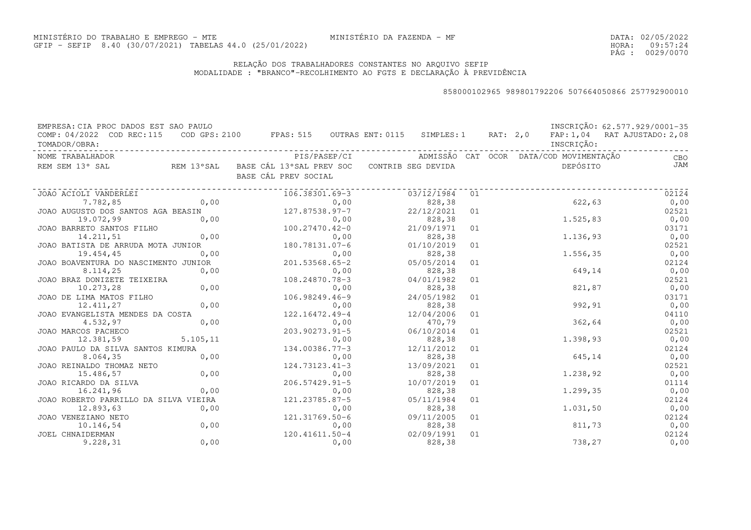DATA:02/05/2022HORA: PÁG : 09:57:24 0029/0070

### RELAÇÃO DOS TRABALHADORES CONSTANTES NO ARQUIVO SEFIPMODALIDADE : "BRANCO"-RECOLHIMENTO AO FGTS E DECLARAÇÃO À PREVIDÊNCIA

| TOMADOR/OBRA: | EMPRESA: CIA PROC DADOS EST SAO PAULO<br>COMP: 04/2022 COD REC:115                                                                                          |           | COD GPS: 2100 FPAS: 515 OUTRAS ENT: 0115 SIMPLES: 1 RAT: 2,0 FAP: 1,04 RAT AJUSTADO: 2,08 |      |                           |    |  | INSCRIÇÃO: | INSCRIÇÃO: 62.577.929/0001-35                                    |
|---------------|-------------------------------------------------------------------------------------------------------------------------------------------------------------|-----------|-------------------------------------------------------------------------------------------|------|---------------------------|----|--|------------|------------------------------------------------------------------|
|               | NOME TRABALHADOR                                                                                                                                            |           |                                                                                           |      |                           |    |  |            | PIS/PASEP/CI     ADMISSÃO CAT OCOR DATA/COD MOVIMENTAÇÃO     CBO |
|               | REM SEM 13° SAL REM 13° SAL BASE CÁL 13° SAL PREV SOC CONTRIB SEG DEVIDA                                                                                    |           | BASE CÁL PREV SOCIAL                                                                      |      |                           |    |  | DEPÓSITO   | <b>JAM</b>                                                       |
|               | JOAO ACIOLI VANDERLEI                                                                                                                                       |           |                                                                                           |      | 106.38301.69-3 03/12/1984 | 01 |  |            | 02124                                                            |
|               | 7.782,85                                                                                                                                                    |           | 0,00                                                                                      | 0,00 | 828, 38                   |    |  | 622,63     | 0,00                                                             |
|               |                                                                                                                                                             |           |                                                                                           |      | 22/12/2021                | 01 |  |            | 02521                                                            |
|               | JOAO AUGUSTO DOS SANTOS AGA BEASIN<br>19.072,99 0,00<br>JOAO BARRETO SANTOS FILHO<br>14.211,51 0,00<br>JOAO BATISTA DE ARRUDA MOTA JUNIOR<br>180.78131.07-6 |           |                                                                                           |      | 828, 38                   |    |  | 1.525,83   | 0,00                                                             |
|               |                                                                                                                                                             |           |                                                                                           |      | 21/09/1971                | 01 |  |            | 03171                                                            |
|               |                                                                                                                                                             |           |                                                                                           |      | 828, 38                   |    |  | 1.136,93   | 0,00                                                             |
|               |                                                                                                                                                             |           |                                                                                           |      | 01/10/2019                | 01 |  |            | 02521                                                            |
|               | 19.454,45                                                                                                                                                   | 0,00      | $0,00$<br>201.53568.65-2                                                                  |      | 828, 38                   |    |  | 1.556, 35  | 0,00                                                             |
|               | JOAO BOAVENTURA DO NASCIMENTO JUNIOR                                                                                                                        |           |                                                                                           |      | 05/05/2014                | 01 |  |            | 02124                                                            |
|               | 8.114,25                                                                                                                                                    | 0,00      |                                                                                           | 0,00 | 828, 38                   |    |  | 649,14     | 0,00                                                             |
|               | JOAO BRAZ DONIZETE TEIXEIRA                                                                                                                                 |           | 108.24870.78-3                                                                            |      | 04/01/1982                | 01 |  |            | 02521                                                            |
|               | 10.273,28                                                                                                                                                   | 0,00      |                                                                                           | 0,00 | 828,38                    |    |  | 821,87     | 0,00                                                             |
|               | JOAO DE LIMA MATOS FILHO                                                                                                                                    |           | 106.98249.46-9                                                                            |      | 24/05/1982                | 01 |  |            | 03171                                                            |
|               | 12.411,27                                                                                                                                                   | 0,00      |                                                                                           | 0,00 | 828,38                    |    |  | 992,91     | 0,00                                                             |
|               | JOAO EVANGELISTA MENDES DA COSTA                                                                                                                            |           | 122.16472.49-4                                                                            |      | 12/04/2006                | 01 |  |            | 04110                                                            |
|               | 4.532,97                                                                                                                                                    | 0,00      |                                                                                           | 0,00 | 470,79                    |    |  | 362,64     | 0,00                                                             |
|               | JOAO MARCOS PACHECO                                                                                                                                         |           | 203.90273.91-5                                                                            |      | 06/10/2014                | 01 |  |            | 02521                                                            |
|               | 12.381,59                                                                                                                                                   | 5.105, 11 |                                                                                           | 0,00 | 828,38                    |    |  | 1.398,93   | 0,00                                                             |
|               | JOAO PAULO DA SILVA SANTOS KIMURA                                                                                                                           |           | 134.00386.77-3                                                                            |      | 12/11/2012                | 01 |  |            | 02124                                                            |
|               | 8.064,35                                                                                                                                                    | 0,00      |                                                                                           | 0,00 | 828,38                    |    |  | 645,14     | 0,00                                                             |
|               | JOAO REINALDO THOMAZ NETO                                                                                                                                   |           | 124.73123.41-3                                                                            |      | 13/09/2021                | 01 |  |            | 02521                                                            |
|               | 15.486,57                                                                                                                                                   | 0,00      |                                                                                           | 0,00 | 828,38                    |    |  | 1.238,92   | 0,00                                                             |
|               | JOAO RICARDO DA SILVA                                                                                                                                       |           | $206.57429.91 - 5$                                                                        |      | 10/07/2019                | 01 |  |            | 01114                                                            |
|               | 16.241,96                                                                                                                                                   | 0,00      |                                                                                           | 0,00 | 828,38                    |    |  | 1.299,35   | 0,00                                                             |
|               | JOAO ROBERTO PARRILLO DA SILVA VIEIRA                                                                                                                       |           | 121.23785.87-5                                                                            |      | 05/11/1984                | 01 |  |            | 02124                                                            |
|               | 12.893,63                                                                                                                                                   | 0,00      |                                                                                           | 0,00 | 828,38                    |    |  | 1.031, 50  | 0,00                                                             |
|               | JOAO VENEZIANO NETO                                                                                                                                         |           | 121.31769.50-6                                                                            |      | 09/11/2005                | 01 |  |            | 02124                                                            |
|               | 10.146,54                                                                                                                                                   | 0,00      |                                                                                           | 0,00 | 828, 38                   |    |  | 811,73     | 0,00                                                             |
|               | JOEL CHNAIDERMAN                                                                                                                                            |           | 120.41611.50-4                                                                            |      | 02/09/1991                | 01 |  |            | 02124                                                            |
|               | 9.228, 31                                                                                                                                                   | 0,00      |                                                                                           | 0,00 | 828, 38                   |    |  | 738,27     | 0,00                                                             |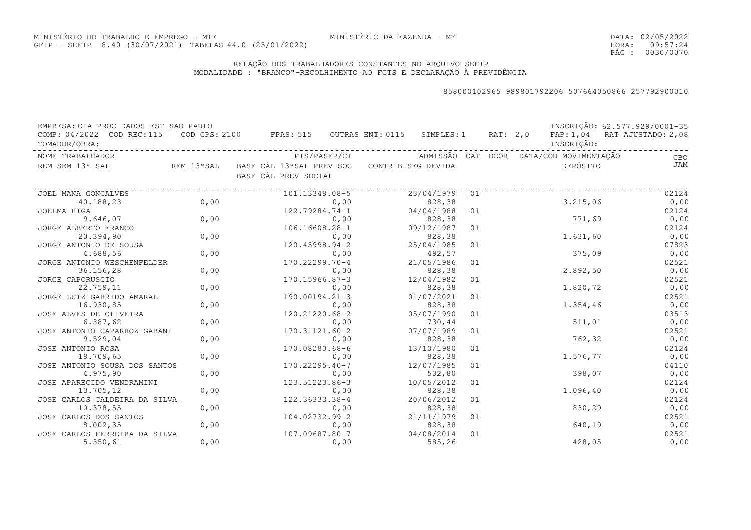DATA:02/05/2022HORA: PÁG : 09:57:24 0030/0070

### RELAÇÃO DOS TRABALHADORES CONSTANTES NO ARQUIVO SEFIPMODALIDADE : "BRANCO"-RECOLHIMENTO AO FGTS E DECLARAÇÃO À PREVIDÊNCIA

| EMPRESA: CIA PROC DADOS EST SAO PAULO |            |                                                     |                    |    |          |                                         | INSCRIÇÃO: 62.577.929/0001-35 |
|---------------------------------------|------------|-----------------------------------------------------|--------------------|----|----------|-----------------------------------------|-------------------------------|
| COMP: 04/2022 COD REC:115             |            | $\texttt{COD}$ GPS: 2100 FPAS: 515 OUTRAS ENT: 0115 | SIMPLES: 1         |    | RAT: 2,0 |                                         | FAP: 1,04 RAT AJUSTADO: 2,08  |
| TOMADOR/OBRA:                         |            |                                                     |                    |    |          | INSCRIÇÃO:                              |                               |
| NOME TRABALHADOR                      |            | PIS/PASEP/CI                                        |                    |    |          | ADMISSÃO CAT OCOR DATA/COD MOVIMENTAÇÃO | CBO                           |
| REM SEM 13° SAL                       | REM 13°SAL | BASE CÁL 13°SAL PREV SOC                            | CONTRIB SEG DEVIDA |    |          | DEPÓSITO                                | JAM                           |
|                                       |            | BASE CÁL PREV SOCIAL                                |                    |    |          |                                         |                               |
| JOEL MANA GONCALVES                   |            | 101.13348.08-5                                      | 23/04/1979         | 01 |          |                                         | 02124                         |
| 40.188,23                             | 0,00       | 0,00                                                | 828,38             |    |          | 3.215,06                                | 0,00                          |
| JOELMA HIGA                           |            | 122.79284.74-1                                      | 04/04/1988         | 01 |          |                                         | 02124                         |
| 9.646,07                              | 0,00       | 0,00                                                | 828,38             |    |          | 771,69                                  | 0,00                          |
| JORGE ALBERTO FRANCO                  |            | 106.16608.28-1                                      | 09/12/1987         | 01 |          |                                         | 02124                         |
| 20.394,90                             | 0,00       | 0,00                                                | 828,38             |    |          | 1.631,60                                | 0,00                          |
| JORGE ANTONIO DE SOUSA                |            | 120.45998.94-2                                      | 25/04/1985         | 01 |          |                                         | 07823                         |
| 4.688,56                              | 0,00       | 0,00                                                | 492,57             |    |          | 375,09                                  | 0,00                          |
| JORGE ANTONIO WESCHENFELDER           |            | 170.22299.70-4                                      | 21/05/1986         | 01 |          |                                         | 02521                         |
| 36.156,28                             | 0,00       | 0,00                                                | 828,38             |    |          | 2.892,50                                | 0,00                          |
| JORGE CAPORUSCIO                      |            | $170.15966.87 - 3$                                  | 12/04/1982         | 01 |          |                                         | 02521                         |
| 22.759,11                             | 0,00       | 0,00                                                | 828,38             |    |          | 1.820,72                                | 0,00                          |
| JORGE LUIZ GARRIDO AMARAL             |            | 190.00194.21-3                                      | 01/07/2021         | 01 |          |                                         | 02521                         |
| 16.930,85                             | 0,00       | 0,00                                                | 828,38             |    |          | 1.354,46                                | 0,00                          |
| JOSE ALVES DE OLIVEIRA                |            | 120.21220.68-2                                      | 05/07/1990         | 01 |          |                                         | 03513                         |
| 6.387, 62                             | 0,00       | 0,00                                                | 730,44             |    |          | 511,01                                  | 0,00                          |
| JOSE ANTONIO CAPARROZ GABANI          |            | 170.31121.60-2                                      | 07/07/1989         | 01 |          |                                         | 02521                         |
| 9.529,04                              | 0,00       | 0,00                                                | 828,38             |    |          | 762,32                                  | 0,00                          |
| JOSE ANTONIO ROSA                     |            | 170.08280.68-6                                      | 13/10/1980         | 01 |          |                                         | 02124                         |
| 19.709,65                             | 0,00       | 0,00                                                | 828,38             |    |          | 1.576,77                                | 0,00                          |
| JOSE ANTONIO SOUSA DOS SANTOS         |            | $170.22295.40 - 7$                                  | 12/07/1985         | 01 |          |                                         | 04110                         |
| 4.975,90                              | 0,00       | 0,00                                                | 532,80             |    |          | 398,07                                  | 0,00                          |
| JOSE APARECIDO VENDRAMINI             |            | 123.51223.86-3                                      | 10/05/2012         | 01 |          |                                         | 02124                         |
| 13.705,12                             | 0,00       | 0,00                                                | 828,38             |    |          | 1.096,40                                | 0,00                          |
| JOSE CARLOS CALDEIRA DA SILVA         |            | 122.36333.38-4                                      | 20/06/2012         | 01 |          |                                         | 02124                         |
| 10.378,55                             | 0,00       | 0,00                                                | 828,38             |    |          | 830,29                                  | 0,00                          |
| JOSE CARLOS DOS SANTOS                |            | 104.02732.99-2                                      | 21/11/1979         | 01 |          |                                         | 02521                         |
| 8.002, 35                             | 0,00       | 0,00                                                | 828,38             |    |          | 640,19                                  | 0,00                          |
| JOSE CARLOS FERREIRA DA SILVA         |            | 107.09687.80-7                                      | 04/08/2014         | 01 |          |                                         | 02521                         |
| 5.350, 61                             | 0,00       | 0,00                                                | 585,26             |    |          | 428,05                                  | 0,00                          |
|                                       |            |                                                     |                    |    |          |                                         |                               |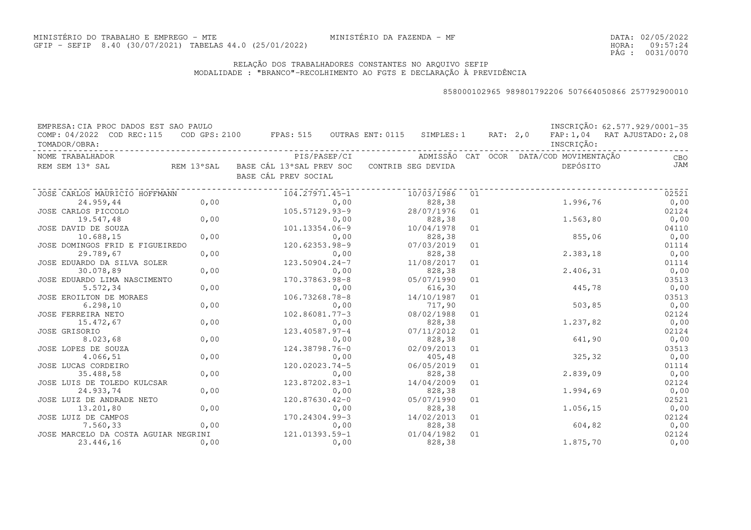DATA:02/05/2022HORA: PÁG : 09:57:24 0031/0070

### RELAÇÃO DOS TRABALHADORES CONSTANTES NO ARQUIVO SEFIPMODALIDADE : "BRANCO"-RECOLHIMENTO AO FGTS E DECLARAÇÃO À PREVIDÊNCIA

| EMPRESA: CIA PROC DADOS EST SAO PAULO<br>COMP: 04/2022 COD REC:115 |      | COD GPS: 2100 FPAS: 515 OUTRAS ENT: 0115 SIMPLES: 1 RAT: 2,0 |                      |    |                                         | INSCRIÇÃO: 62.577.929/0001-35<br>FAP: 1,04 RAT AJUSTADO: 2,08 |
|--------------------------------------------------------------------|------|--------------------------------------------------------------|----------------------|----|-----------------------------------------|---------------------------------------------------------------|
| TOMADOR/OBRA:                                                      |      |                                                              |                      |    | INSCRIÇÃO:                              |                                                               |
| NOME TRABALHADOR                                                   |      | PIS/PASEP/CI                                                 |                      |    | ADMISSÃO CAT OCOR DATA/COD MOVIMENTAÇÃO | CBO                                                           |
| REM SEM 13° SAL                                                    |      | REM 13°SAL BASE CÁL 13°SAL PREV SOC<br>BASE CÁL PREV SOCIAL  | CONTRIB SEG DEVIDA   |    | DEPÓSITO                                | JAM                                                           |
| JOSE CARLOS MAURICIO HOFFMANN                                      |      | 104.27971.45-1                                               | 10/03/1986           | 01 |                                         | 02521                                                         |
| 24.959,44                                                          | 0,00 | 0,00                                                         | 828,38               |    | 1.996,76                                | 0,00                                                          |
| JOSE CARLOS PICCOLO                                                |      | 105.57129.93-9                                               | 28/07/1976           | 01 |                                         | 02124                                                         |
| 19.547,48                                                          | 0,00 | 0,00                                                         | 828,38               |    | 1.563,80                                | 0,00                                                          |
| JOSE DAVID DE SOUZA                                                |      | 101.13354.06-9                                               | 10/04/1978           | 01 |                                         | 04110                                                         |
| 10.688,15                                                          | 0,00 | 0,00                                                         | 828,38               |    | 855,06                                  | 0,00                                                          |
| JOSE DOMINGOS FRID E FIGUEIREDO                                    |      | 120.62353.98-9                                               | 07/03/2019           | 01 |                                         | 01114                                                         |
| 29.789,67                                                          | 0,00 | 0,00                                                         | 828,38               |    | 2.383,18                                | 0,00                                                          |
| JOSE EDUARDO DA SILVA SOLER                                        |      | 123.50904.24-7                                               | 11/08/2017           | 01 |                                         | 01114                                                         |
| 30.078,89                                                          | 0,00 | 0,00                                                         | 828,38               |    | 2.406,31                                | 0,00                                                          |
| JOSE EDUARDO LIMA NASCIMENTO                                       |      | 170.37863.98-8                                               | 05/07/1990           | 01 |                                         | 03513                                                         |
| 5.572,34                                                           | 0,00 | 0,00                                                         | 616,30               |    | 445,78                                  | 0,00                                                          |
| JOSE EROILTON DE MORAES                                            |      | 106.73268.78-8                                               | 14/10/1987           | 01 |                                         | 03513                                                         |
| 6.298, 10                                                          | 0,00 | 0,00                                                         | 717,90               |    | 503,85                                  | 0,00                                                          |
| JOSE FERREIRA NETO                                                 |      | 102.86081.77-3                                               | 08/02/1988           | 01 |                                         | 02124                                                         |
| 15.472,67                                                          | 0,00 | 0,00                                                         | 828,38               |    | 1.237,82                                | 0,00                                                          |
| JOSE GRISORIO                                                      |      | 123.40587.97-4                                               | 07/11/2012           | 01 |                                         | 02124                                                         |
| 8.023,68                                                           | 0,00 | 0,00                                                         | 828,38               |    | 641,90                                  | 0,00                                                          |
| JOSE LOPES DE SOUZA                                                |      | 124.38798.76-0                                               | 02/09/2013           | 01 |                                         | 03513                                                         |
| 4.066,51                                                           | 0,00 | 0,00                                                         | 405,48               |    | 325, 32                                 | 0,00                                                          |
| JOSE LUCAS CORDEIRO                                                |      | 120.02023.74-5                                               | 06/05/2019           | 01 |                                         | 01114                                                         |
| 35.488,58                                                          | 0,00 | 0,00                                                         | 828,38               |    | 2.839,09                                | 0,00                                                          |
| JOSE LUIS DE TOLEDO KULCSAR<br>24.933,74                           | 0,00 | 123.87202.83-1                                               | 14/04/2009<br>828,38 | 01 | 1.994,69                                | 02124                                                         |
|                                                                    |      | 0,00<br>120.87630.42-0                                       | 05/07/1990           |    |                                         | 0,00<br>02521                                                 |
| JOSE LUIZ DE ANDRADE NETO                                          | 0,00 |                                                              | 828,38               | 01 | 1.056,15                                |                                                               |
| 13.201,80                                                          |      | 0,00<br>170.24304.99-3                                       | 14/02/2013           | 01 |                                         | 0,00<br>02124                                                 |
| JOSE LUIZ DE CAMPOS<br>7.560,33                                    | 0,00 | 0,00                                                         | 828,38               |    | 604,82                                  | 0,00                                                          |
| JOSE MARCELO DA COSTA AGUIAR NEGRINI                               |      | 121.01393.59-1                                               | 01/04/1982           | 01 |                                         | 02124                                                         |
| 23.446,16                                                          | 0,00 | 0,00                                                         | 828,38               |    | 1.875,70                                | 0,00                                                          |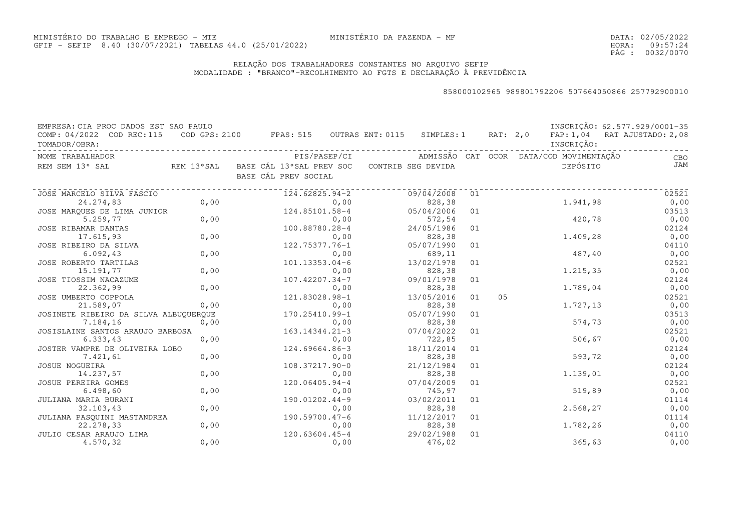DATA:02/05/2022HORA: PÁG : 09:57:24 0032/0070

### RELAÇÃO DOS TRABALHADORES CONSTANTES NO ARQUIVO SEFIPMODALIDADE : "BRANCO"-RECOLHIMENTO AO FGTS E DECLARAÇÃO À PREVIDÊNCIA

| EMPRESA: CIA PROC DADOS EST SAO PAULO |            |                                          |      |                    |    |          |                                         | INSCRIÇÃO: 62.577.929/0001-35 |
|---------------------------------------|------------|------------------------------------------|------|--------------------|----|----------|-----------------------------------------|-------------------------------|
| COMP: 04/2022 COD REC: 115            |            | COD GPS: 2100 FPAS: 515 OUTRAS ENT: 0115 |      | SIMPLES: 1         |    | RAT: 2,0 |                                         | FAP: 1,04 RAT AJUSTADO: 2,08  |
| TOMADOR/OBRA:                         |            |                                          |      |                    |    |          | INSCRIÇÃO:                              |                               |
| NOME TRABALHADOR                      |            | PIS/PASEP/CI                             |      |                    |    |          | ADMISSÃO CAT OCOR DATA/COD MOVIMENTAÇÃO | CBO                           |
| REM SEM 13° SAL                       | REM 13°SAL | BASE CÁL 13°SAL PREV SOC                 |      | CONTRIB SEG DEVIDA |    |          | DEPÓSITO                                | JAM                           |
|                                       |            | BASE CÁL PREV SOCIAL                     |      |                    |    |          |                                         |                               |
| JOSE MARCELO SILVA FASCIO             |            | 124.62825.94-2                           |      | 09/04/2008         | 01 |          |                                         | 02521                         |
| 24.274,83                             | 0,00       |                                          | 0,00 | 828,38             |    |          | 1.941,98                                | 0,00                          |
| JOSE MARQUES DE LIMA JUNIOR           |            | 124.85101.58-4                           |      | 05/04/2006         | 01 |          |                                         | 03513                         |
| 5.259,77                              | 0,00       |                                          | 0,00 | 572,54             |    |          | 420,78                                  | 0,00                          |
| JOSE RIBAMAR DANTAS                   |            | 100.88780.28-4                           |      | 24/05/1986         | 01 |          |                                         | 02124                         |
| 17.615,93                             | 0,00       |                                          | 0,00 | 828,38             |    |          | 1.409,28                                | 0,00                          |
| JOSE RIBEIRO DA SILVA                 |            | 122.75377.76-1                           |      | 05/07/1990         | 01 |          |                                         | 04110                         |
| 6.092, 43                             | 0,00       |                                          | 0,00 | 689,11             |    |          | 487,40                                  | 0,00                          |
| JOSE ROBERTO TARTILAS                 |            | $101.13353.04-6$                         |      | 13/02/1978         | 01 |          |                                         | 02521                         |
| 15.191,77                             | 0,00       |                                          | 0,00 | 828,38             |    |          | 1.215,35                                | 0,00                          |
| JOSE TIOSSIM NACAZUME                 |            | 107.42207.34-7                           |      | 09/01/1978         | 01 |          |                                         | 02124                         |
| 22.362,99                             | 0,00       |                                          | 0,00 | 828,38             |    |          | 1.789,04                                | 0,00                          |
| JOSE UMBERTO COPPOLA                  |            | 121.83028.98-1                           |      | 13/05/2016         | 01 | 05       |                                         | 02521                         |
| 21.589,07                             | 0,00       |                                          | 0,00 | 828,38             |    |          | 1.727,13                                | 0,00                          |
| JOSINETE RIBEIRO DA SILVA ALBUQUERQUE |            | 170.25410.99-1                           |      | 05/07/1990         | 01 |          |                                         | 03513                         |
| 7.184,16                              | 0,00       |                                          | 0,00 | 828,38             |    |          | 574,73                                  | 0,00                          |
| JOSISLAINE SANTOS ARAUJO BARBOSA      |            | 163.14344.21-3                           |      | 07/04/2022         | 01 |          |                                         | 02521                         |
| 6.333,43                              | 0,00       |                                          | 0,00 | 722,85             |    |          | 506,67                                  | 0,00                          |
| JOSTER VAMPRE DE OLIVEIRA LOBO        |            | 124.69664.86-3                           |      | 18/11/2014         | 01 |          |                                         | 02124                         |
| 7.421,61                              | 0,00       |                                          | 0,00 | 828,38             |    |          | 593,72                                  | 0,00                          |
| JOSUE NOGUEIRA                        |            | 108.37217.90-0                           |      | 21/12/1984         | 01 |          |                                         | 02124                         |
| 14.237,57                             | 0,00       |                                          | 0,00 | 828,38             |    |          | 1.139,01                                | 0,00                          |
| JOSUE PEREIRA GOMES                   |            | 120.06405.94-4                           |      | 07/04/2009         | 01 |          |                                         | 02521                         |
| 6.498, 60                             | 0,00       |                                          | 0,00 | 745,97             |    |          | 519,89                                  | 0,00                          |
| JULIANA MARIA BURANI                  |            | 190.01202.44-9                           |      | 03/02/2011         | 01 |          |                                         | 01114                         |
| 32.103,43                             | 0,00       |                                          | 0,00 | 828,38             |    |          | 2.568,27                                | 0,00                          |
| JULIANA PASOUINI MASTANDREA           |            | $190.59700.47 - 6$                       |      | 11/12/2017         | 01 |          |                                         | 01114                         |
| 22.278,33                             | 0,00       |                                          | 0,00 | 828,38             |    |          | 1.782,26                                | 0,00                          |
| JULIO CESAR ARAUJO LIMA               |            | 120.63604.45-4                           |      | 29/02/1988         | 01 |          |                                         | 04110                         |
| 4.570,32                              | 0,00       |                                          | 0,00 | 476,02             |    |          | 365,63                                  | 0,00                          |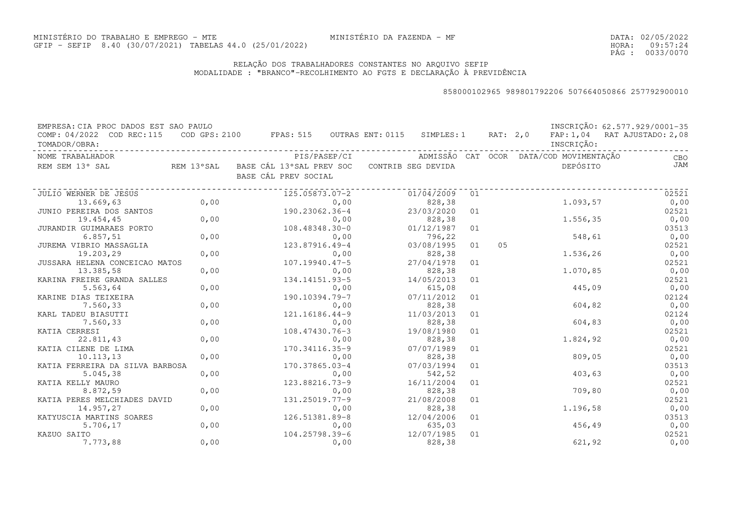DATA:02/05/2022HORA: PÁG : 09:57:24 0033/0070

### RELAÇÃO DOS TRABALHADORES CONSTANTES NO ARQUIVO SEFIPMODALIDADE : "BRANCO"-RECOLHIMENTO AO FGTS E DECLARAÇÃO À PREVIDÊNCIA

| EMPRESA: CIA PROC DADOS EST SAO PAULO |            |                                                                |      |                    |    |          |                                         | INSCRIÇÃO: 62.577.929/0001-35 |
|---------------------------------------|------------|----------------------------------------------------------------|------|--------------------|----|----------|-----------------------------------------|-------------------------------|
| COMP: 04/2022 COD REC: 115            |            | $\texttt{COD}$ GPS: 2100 FPAS: 515 OUTRAS ENT: 0115 SIMPLES: 1 |      |                    |    | RAT: 2,0 |                                         | FAP: 1,04 RAT AJUSTADO: 2,08  |
| TOMADOR/OBRA:                         |            |                                                                |      |                    |    |          | INSCRIÇÃO:                              |                               |
| NOME TRABALHADOR                      |            | PIS/PASEP/CI                                                   |      |                    |    |          | ADMISSÃO CAT OCOR DATA/COD MOVIMENTAÇÃO | CBO                           |
| REM SEM 13° SAL                       | REM 13°SAL | BASE CÁL 13°SAL PREV SOC                                       |      | CONTRIB SEG DEVIDA |    |          | DEPÓSITO                                | JAM                           |
|                                       |            | BASE CÁL PREV SOCIAL                                           |      |                    |    |          |                                         |                               |
| JULIO WERNER DE JESUS                 |            | 125.05873.07-2                                                 |      | 01/04/2009         | 01 |          |                                         | 02521                         |
| 13.669,63                             | 0,00       |                                                                | 0,00 | 828,38             |    |          | 1,093,57                                | 0,00                          |
| JUNIO PEREIRA DOS SANTOS              |            | 190.23062.36-4                                                 |      | 23/03/2020         | 01 |          |                                         | 02521                         |
| 19.454,45                             | 0,00       |                                                                | 0,00 | 828,38             |    |          | 1.556,35                                | 0,00                          |
| JURANDIR GUIMARAES PORTO              |            | 108.48348.30-0                                                 |      | 01/12/1987         | 01 |          |                                         | 03513                         |
| 6.857,51                              | 0,00       |                                                                | 0,00 | 796,22             |    |          | 548,61                                  | 0,00                          |
| JUREMA VIBRIO MASSAGLIA               |            | 123.87916.49-4                                                 |      | 03/08/1995         | 01 | 05       |                                         | 02521                         |
| 19.203,29                             | 0,00       |                                                                | 0,00 | 828,38             |    |          | 1.536,26                                | 0,00                          |
| JUSSARA HELENA CONCEICAO MATOS        |            | $107.19940.47 - 5$                                             |      | 27/04/1978         | 01 |          |                                         | 02521                         |
| 13.385,58                             | 0,00       |                                                                | 0,00 | 828,38             |    |          | 1.070,85                                | 0,00                          |
| KARINA FREIRE GRANDA SALLES           |            | 134.14151.93-5                                                 |      | 14/05/2013         | 01 |          |                                         | 02521                         |
| 5.563,64                              | 0,00       |                                                                | 0,00 | 615,08             |    |          | 445,09                                  | 0,00                          |
| KARINE DIAS TEIXEIRA                  |            | 190.10394.79-7                                                 |      | 07/11/2012         | 01 |          |                                         | 02124                         |
| 7.560,33                              | 0,00       |                                                                | 0,00 | 828,38             |    |          | 604,82                                  | 0,00                          |
| KARL TADEU BIASUTTI                   |            | 121.16186.44-9                                                 |      | 11/03/2013         | 01 |          |                                         | 02124                         |
| 7.560,33                              | 0,00       |                                                                | 0,00 | 828,38             |    |          | 604,83                                  | 0,00                          |
| KATIA CERRESI                         |            | 108.47430.76-3                                                 |      | 19/08/1980         | 01 |          |                                         | 02521                         |
| 22.811,43                             | 0,00       |                                                                | 0,00 | 828,38             |    |          | 1.824,92                                | 0,00                          |
| KATIA CILENE DE LIMA                  |            | 170.34116.35-9                                                 |      | 07/07/1989         | 01 |          |                                         | 02521                         |
| 10.113, 13                            | 0,00       |                                                                | 0,00 | 828,38             |    |          | 809,05                                  | 0,00                          |
| KATIA FERREIRA DA SILVA BARBOSA       |            | 170.37865.03-4                                                 |      | 07/03/1994         | 01 |          |                                         | 03513                         |
| 5.045,38                              | 0,00       |                                                                | 0,00 | 542,52             |    |          | 403,63                                  | 0,00                          |
| KATIA KELLY MAURO                     |            | 123.88216.73-9                                                 |      | 16/11/2004         | 01 |          |                                         | 02521                         |
| 8.872,59                              | 0,00       |                                                                | 0,00 | 828,38             |    |          | 709,80                                  | 0,00                          |
| KATIA PERES MELCHIADES DAVID          |            | 131.25019.77-9                                                 |      | 21/08/2008         | 01 |          |                                         | 02521                         |
| 14.957,27                             | 0,00       |                                                                | 0,00 | 828,38             |    |          | 1.196,58                                | 0,00                          |
| KATYUSCIA MARTINS SOARES              |            | 126.51381.89-8                                                 |      | 12/04/2006         | 01 |          |                                         | 03513                         |
| 5.706,17                              | 0,00       |                                                                | 0,00 | 635,03             |    |          | 456,49                                  | 0,00                          |
| KAZUO SAITO                           |            | 104.25798.39-6                                                 |      | 12/07/1985         | 01 |          |                                         | 02521                         |
| 7.773,88                              | 0,00       |                                                                | 0,00 | 828,38             |    |          | 621,92                                  | 0,00                          |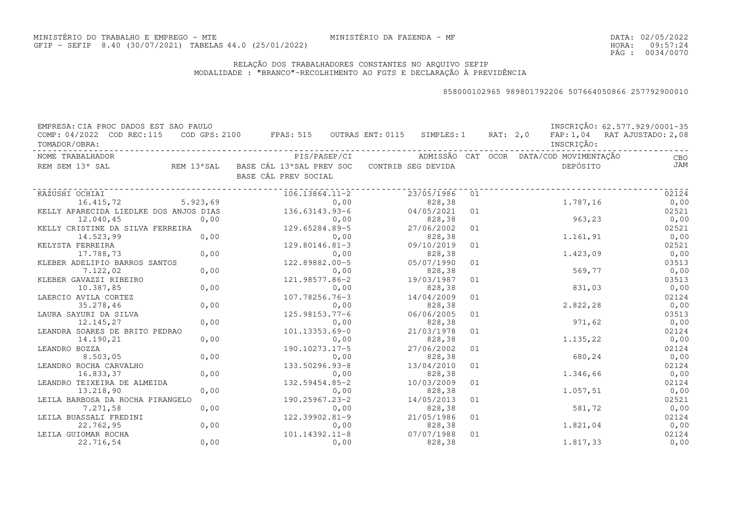DATA:02/05/2022HORA: PÁG : 09:57:24 0034/0070

### RELAÇÃO DOS TRABALHADORES CONSTANTES NO ARQUIVO SEFIPMODALIDADE : "BRANCO"-RECOLHIMENTO AO FGTS E DECLARAÇÃO À PREVIDÊNCIA

| EMPRESA: CIA PROC DADOS EST SAO PAULO      |      |                                                                                |              |                      |    |  |                                         | INSCRIÇÃO: 62.577.929/0001-35 |
|--------------------------------------------|------|--------------------------------------------------------------------------------|--------------|----------------------|----|--|-----------------------------------------|-------------------------------|
| COMP: 04/2022 COD REC:115<br>TOMADOR/OBRA: |      | COD GPS: 2100 FPAS: 515 OUTRAS ENT: 0115 SIMPLES: 1 RAT: 2,0                   |              |                      |    |  | INSCRIÇÃO:                              | FAP: 1,04 RAT AJUSTADO: 2,08  |
| NOME TRABALHADOR                           |      |                                                                                | PIS/PASEP/CI |                      |    |  | ADMISSÃO CAT OCOR DATA/COD MOVIMENTAÇÃO | CBO                           |
| REM SEM 13° SAL                            |      | REM 13°SAL BASE CÁL 13°SAL PREV SOC CONTRIB SEG DEVIDA<br>BASE CÁL PREV SOCIAL |              |                      |    |  | DEPÓSITO                                | JAM                           |
| KAZUSHI OCHIAI                             |      | $106.13864.11 - 2$                                                             |              | 23/05/1986           | 01 |  |                                         | 02124                         |
| 16.415,72 5.923,69                         |      |                                                                                | 0,00         | 828,38               |    |  | 1.787,16                                | 0,00                          |
| KELLY APARECIDA LIEDLKE DOS ANJOS DIAS     |      | 136.63143.93-6                                                                 |              | 04/05/2021           | 01 |  |                                         | 02521                         |
| 12.040,45                                  | 0,00 | 0,00<br>129.65284.89-5                                                         |              | 828,38               |    |  | 963,23                                  | 0,00                          |
| KELLY CRISTINE DA SILVA FERREIRA           |      |                                                                                |              | 27/06/2002           | 01 |  |                                         | 02521                         |
| 14.523,99                                  | 0,00 |                                                                                | 0,00         | 828,38               |    |  | 1.161,91                                | 0,00                          |
| KELYSTA FERREIRA                           |      | 129.80146.81-3                                                                 |              | 09/10/2019           | 01 |  |                                         | 02521                         |
| 17.788,73                                  | 0,00 |                                                                                | 0,00         | 828,38               |    |  | 1,423,09                                | 0,00                          |
| KLEBER ADELIPIO BARROS SANTOS              |      | 122.89882.00-5                                                                 |              | 05/07/1990           | 01 |  |                                         | 03513                         |
| 7.122,02                                   | 0,00 |                                                                                | 0,00         | 828,38               |    |  | 569,77                                  | 0,00                          |
| KLEBER GAVAZZI RIBEIRO                     |      | 121.98577.86-2                                                                 |              | 19/03/1987           | 01 |  |                                         | 03513                         |
| 10.387,85                                  | 0,00 |                                                                                | 0,00         | 828,38               |    |  | 831,03                                  | 0,00                          |
| LAERCIO AVILA CORTEZ                       |      | 107.78256.76-3                                                                 |              | 14/04/2009           | 01 |  |                                         | 02124                         |
| 35.278,46                                  | 0,00 |                                                                                | 0,00         | 828,38               |    |  | 2.822,28                                | 0,00                          |
| LAURA SAYURI DA SILVA                      |      | 125.98153.77-6                                                                 |              | 06/06/2005           | 01 |  |                                         | 03513                         |
| 12.145,27                                  | 0,00 |                                                                                | 0,00         | 828,38               |    |  | 971,62                                  | 0,00                          |
| LEANDRA SOARES DE BRITO PEDRAO             |      | 101.13353.69-0                                                                 |              | 21/03/1978           | 01 |  |                                         | 02124                         |
| 14.190,21                                  | 0,00 |                                                                                | 0,00         | 828,38               |    |  | 1.135,22                                | 0,00                          |
| LEANDRO BOZZA                              |      | 190.10273.17-5                                                                 |              | 27/06/2002           | 01 |  |                                         | 02124                         |
| 8.503,05                                   | 0,00 |                                                                                | 0,00         | 828,38               | 01 |  | 680,24                                  | 0,00                          |
| LEANDRO ROCHA CARVALHO<br>16.833,37        | 0,00 | 133.50296.93-8                                                                 | 0,00         | 13/04/2010<br>828,38 |    |  | 1.346,66                                | 02124<br>0,00                 |
| LEANDRO TEIXEIRA DE ALMEIDA                |      | 132.59454.85-2                                                                 |              | 10/03/2009           | 01 |  |                                         | 02124                         |
| 13.218,90                                  | 0,00 |                                                                                | 0,00         | 828,38               |    |  | 1.057,51                                | 0,00                          |
| LEILA BARBOSA DA ROCHA PIRANGELO           |      | 190.25967.23-2                                                                 |              | 14/05/2013           | 01 |  |                                         | 02521                         |
| 7.271,58                                   | 0,00 |                                                                                | 0,00         | 828,38               |    |  | 581,72                                  | 0,00                          |
| LEILA BUASSALI FREDINI                     |      | 122.39902.81-9                                                                 |              | 21/05/1986           | 01 |  |                                         | 02124                         |
| 22.762,95                                  | 0,00 |                                                                                | 0,00         | 828,38               |    |  | 1.821,04                                | 0,00                          |
| LEILA GUIOMAR ROCHA                        |      | 101.14392.11-8                                                                 |              | 07/07/1988           | 01 |  |                                         | 02124                         |
| 22.716,54                                  | 0,00 |                                                                                | 0,00         | 828,38               |    |  | 1,817,33                                | 0,00                          |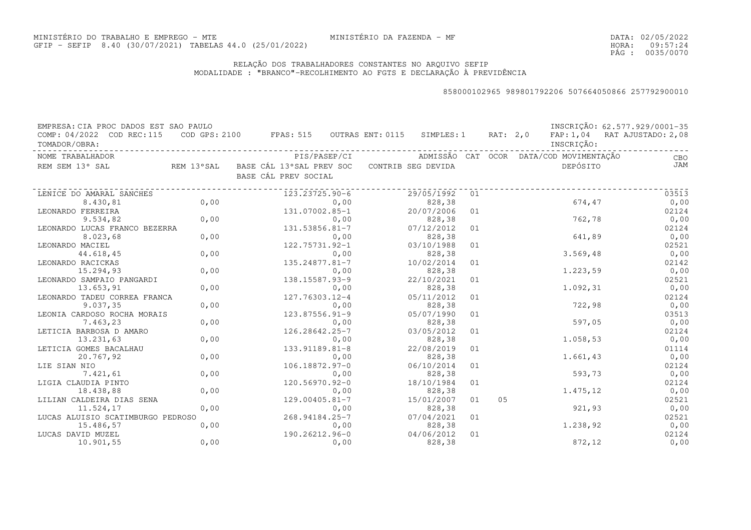DATA:02/05/2022HORA: PÁG : 09:57:24 0035/0070

### RELAÇÃO DOS TRABALHADORES CONSTANTES NO ARQUIVO SEFIPMODALIDADE : "BRANCO"-RECOLHIMENTO AO FGTS E DECLARAÇÃO À PREVIDÊNCIA

| EMPRESA: CIA PROC DADOS EST SAO PAULO |      |                                          |              |                    |    |          |                                         | INSCRIÇÃO: 62.577.929/0001-35 |
|---------------------------------------|------|------------------------------------------|--------------|--------------------|----|----------|-----------------------------------------|-------------------------------|
| COMP: 04/2022 COD REC: 115            |      | COD GPS: 2100 FPAS: 515 OUTRAS ENT: 0115 |              | SIMPLES: 1         |    | RAT: 2,0 |                                         | FAP: 1,04 RAT AJUSTADO: 2,08  |
| TOMADOR/OBRA:                         |      |                                          |              |                    |    |          | INSCRIÇÃO:                              |                               |
| NOME TRABALHADOR                      |      |                                          | PIS/PASEP/CI |                    |    |          | ADMISSÃO CAT OCOR DATA/COD MOVIMENTAÇÃO | CBO                           |
| REM SEM 13° SAL<br>REM 13°SAL         |      | BASE CÁL 13°SAL PREV SOC                 |              | CONTRIB SEG DEVIDA |    |          | DEPÓSITO                                | JAM                           |
|                                       |      | BASE CÁL PREV SOCIAL                     |              |                    |    |          |                                         |                               |
| LENICE DO AMARAL SANCHES              |      | 123.23725.90-6                           |              | 29/05/1992         | 01 |          |                                         | 03513                         |
| 8.430,81                              | 0,00 |                                          | 0,00         | 828,38             |    |          | 674,47                                  | 0,00                          |
| LEONARDO FERREIRA                     |      | 131.07002.85-1                           |              | 20/07/2006         | 01 |          |                                         | 02124                         |
| 9.534,82                              | 0,00 |                                          | 0,00         | 828,38             |    |          | 762,78                                  | 0,00                          |
| LEONARDO LUCAS FRANCO BEZERRA         |      | 131.53856.81-7                           |              | 07/12/2012         | 01 |          |                                         | 02124                         |
| 8.023,68                              | 0,00 |                                          | 0,00         | 828,38             |    |          | 641,89                                  | 0,00                          |
| LEONARDO MACIEL                       |      | 122.75731.92-1                           |              | 03/10/1988         | 01 |          |                                         | 02521                         |
| 44.618,45                             | 0,00 |                                          | 0,00         | 828,38             |    |          | 3.569,48                                | 0,00                          |
| LEONARDO RACICKAS                     |      | 135.24877.81-7                           |              | 10/02/2014         | 01 |          |                                         | 02142                         |
| 15.294,93                             | 0,00 |                                          | 0,00         | 828,38             |    |          | 1.223,59                                | 0,00                          |
| LEONARDO SAMPAIO PANGARDI             |      | 138.15587.93-9                           |              | 22/10/2021         | 01 |          |                                         | 02521                         |
| 13.653,91                             | 0,00 |                                          | 0,00         | 828,38             |    |          | 1.092,31                                | 0,00                          |
| LEONARDO TADEU CORREA FRANCA          |      | 127.76303.12-4                           |              | 05/11/2012         | 01 |          |                                         | 02124                         |
| 9.037, 35                             | 0,00 |                                          | 0,00         | 828,38             |    |          | 722,98                                  | 0,00                          |
| LEONIA CARDOSO ROCHA MORAIS           |      | $123.87556.91 - 9$                       |              | 05/07/1990         | 01 |          |                                         | 03513                         |
| 7.463,23                              | 0,00 |                                          | 0,00         | 828,38             |    |          | 597,05                                  | 0,00                          |
| LETICIA BARBOSA D AMARO               |      | 126.28642.25-7                           |              | 03/05/2012         | 01 |          |                                         | 02124                         |
| 13.231,63                             | 0,00 |                                          | 0,00         | 828,38             |    |          | 1.058,53                                | 0,00                          |
| LETICIA GOMES BACALHAU                |      | 133.91189.81-8                           |              | 22/08/2019         | 01 |          |                                         | 01114                         |
| 20.767,92                             | 0,00 |                                          | 0,00         | 828,38             |    |          | 1.661,43                                | 0,00                          |
| LIE SIAN NIO                          |      | 106.18872.97-0                           |              | 06/10/2014         | 01 |          |                                         | 02124                         |
| 7.421,61                              | 0,00 |                                          | 0,00         | 828,38             |    |          | 593,73                                  | 0,00                          |
| LIGIA CLAUDIA PINTO                   |      | 120.56970.92-0                           |              | 18/10/1984         | 01 |          |                                         | 02124                         |
| 18.438,88                             | 0,00 |                                          | 0,00         | 828,38             |    |          | 1.475,12                                | 0,00                          |
| LILIAN CALDEIRA DIAS SENA             |      | 129.00405.81-7                           |              | 15/01/2007         | 01 | 05       |                                         | 02521                         |
| 11.524,17                             | 0,00 |                                          | 0,00         | 828,38             |    |          | 921,93                                  | 0,00                          |
| LUCAS ALUISIO SCATIMBURGO PEDROSO     |      | 268.94184.25-7                           |              | 07/04/2021         | 01 |          |                                         | 02521                         |
| 15.486,57                             | 0,00 |                                          | 0,00         | 828,38             |    |          | 1.238,92                                | 0,00                          |
| LUCAS DAVID MUZEL                     |      | 190.26212.96-0                           |              | 04/06/2012         | 01 |          |                                         | 02124                         |
| 10.901,55                             | 0,00 |                                          | 0,00         | 828,38             |    |          | 872,12                                  | 0,00                          |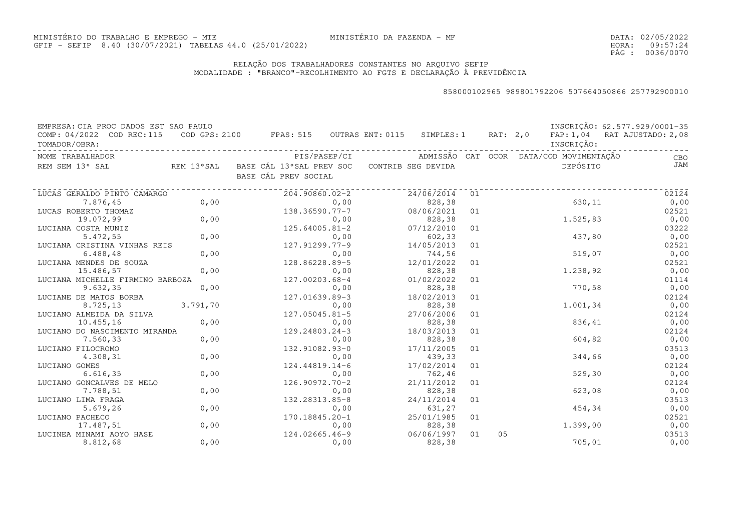### RELAÇÃO DOS TRABALHADORES CONSTANTES NO ARQUIVO SEFIPMODALIDADE : "BRANCO"-RECOLHIMENTO AO FGTS E DECLARAÇÃO À PREVIDÊNCIA

| ADMISSÃO CAT OCOR DATA/COD MOVIMENTAÇÃO<br>NOME TRABALHADOR<br>PIS/PASEP/CI<br>DEPÓSITO<br>REM 13°SAL BASE CÁL 13°SAL PREV SOC CONTRIB SEG DEVIDA<br>REM SEM 13° SAL<br>BASE CÁL PREV SOCIAL<br>24/06/2014<br>204.90860.02-2<br>01<br>LUCAS GERALDO PINTO CAMARGO<br>0,00<br>630,11<br>7.876,45<br>828,38<br>0,00<br>138.36590.77-7<br>08/06/2021<br>LUCAS ROBERTO THOMAZ<br>01<br>0,00<br>1.525,83<br>19.072,99<br>0,00<br>828,38<br>$125.64005.81 - 2$<br>LUCIANA COSTA MUNIZ<br>07/12/2010<br>01<br>0,00<br>437,80<br>5.472,55<br>602,33<br>0,00<br>LUCIANA CRISTINA VINHAS REIS<br>127.91299.77-9<br>14/05/2013<br>01<br>0,00<br>519,07<br>6.488,48<br>744,56<br>0,00 | INSCRIÇÃO: 62.577.929/0001-35<br>COD GPS: 2100 FPAS: 515 OUTRAS ENT: 0115 SIMPLES: 1 RAT: 2,0 FAP: 1,04 RAT AJUSTADO: 2,08 |
|---------------------------------------------------------------------------------------------------------------------------------------------------------------------------------------------------------------------------------------------------------------------------------------------------------------------------------------------------------------------------------------------------------------------------------------------------------------------------------------------------------------------------------------------------------------------------------------------------------------------------------------------------------------------------|----------------------------------------------------------------------------------------------------------------------------|
|                                                                                                                                                                                                                                                                                                                                                                                                                                                                                                                                                                                                                                                                           | CBO                                                                                                                        |
|                                                                                                                                                                                                                                                                                                                                                                                                                                                                                                                                                                                                                                                                           | JAM                                                                                                                        |
|                                                                                                                                                                                                                                                                                                                                                                                                                                                                                                                                                                                                                                                                           | 02124                                                                                                                      |
|                                                                                                                                                                                                                                                                                                                                                                                                                                                                                                                                                                                                                                                                           | 0,00                                                                                                                       |
|                                                                                                                                                                                                                                                                                                                                                                                                                                                                                                                                                                                                                                                                           | 02521                                                                                                                      |
|                                                                                                                                                                                                                                                                                                                                                                                                                                                                                                                                                                                                                                                                           | 0,00                                                                                                                       |
|                                                                                                                                                                                                                                                                                                                                                                                                                                                                                                                                                                                                                                                                           | 03222                                                                                                                      |
|                                                                                                                                                                                                                                                                                                                                                                                                                                                                                                                                                                                                                                                                           | 0,00                                                                                                                       |
|                                                                                                                                                                                                                                                                                                                                                                                                                                                                                                                                                                                                                                                                           | 02521                                                                                                                      |
|                                                                                                                                                                                                                                                                                                                                                                                                                                                                                                                                                                                                                                                                           | 0,00                                                                                                                       |
| 128.86228.89-5<br>LUCIANA MENDES DE SOUZA<br>12/01/2022<br>01                                                                                                                                                                                                                                                                                                                                                                                                                                                                                                                                                                                                             | 02521                                                                                                                      |
| 0,00<br>1.238,92<br>15.486,57<br>828,38<br>0,00                                                                                                                                                                                                                                                                                                                                                                                                                                                                                                                                                                                                                           | 0,00                                                                                                                       |
| 127.00203.68-4<br>01/02/2022<br>LUCIANA MICHELLE FIRMINO BARBOZA<br>01                                                                                                                                                                                                                                                                                                                                                                                                                                                                                                                                                                                                    | 01114                                                                                                                      |
| 0,00<br>770,58<br>9.632, 35<br>0,00<br>828,38                                                                                                                                                                                                                                                                                                                                                                                                                                                                                                                                                                                                                             | 0,00                                                                                                                       |
| 127.01639.89-3<br>18/02/2013<br>LUCIANE DE MATOS BORBA<br>01                                                                                                                                                                                                                                                                                                                                                                                                                                                                                                                                                                                                              | 02124                                                                                                                      |
| 3.791,70<br>1.001, 34<br>828,38<br>8.725,13<br>0,00                                                                                                                                                                                                                                                                                                                                                                                                                                                                                                                                                                                                                       | 0,00                                                                                                                       |
| 127.05045.81-5<br>27/06/2006<br>LUCIANO ALMEIDA DA SILVA<br>01                                                                                                                                                                                                                                                                                                                                                                                                                                                                                                                                                                                                            | 02124                                                                                                                      |
| 0,00<br>836,41<br>10.455,16<br>0,00<br>828,38                                                                                                                                                                                                                                                                                                                                                                                                                                                                                                                                                                                                                             | 0,00                                                                                                                       |
| 18/03/2013<br>LUCIANO DO NASCIMENTO MIRANDA<br>129.24803.24-3<br>01                                                                                                                                                                                                                                                                                                                                                                                                                                                                                                                                                                                                       | 02124                                                                                                                      |
| 0,00<br>604,82<br>7.560,33<br>828,38<br>0,00                                                                                                                                                                                                                                                                                                                                                                                                                                                                                                                                                                                                                              | 0,00                                                                                                                       |
| 132.91082.93-0<br>17/11/2005<br>LUCIANO FILOCROMO<br>01                                                                                                                                                                                                                                                                                                                                                                                                                                                                                                                                                                                                                   | 03513                                                                                                                      |
| 0,00<br>4.308,31<br>439,33<br>344,66<br>0,00                                                                                                                                                                                                                                                                                                                                                                                                                                                                                                                                                                                                                              | 0,00                                                                                                                       |
| 17/02/2014<br>LUCIANO GOMES<br>124.44819.14-6<br>01                                                                                                                                                                                                                                                                                                                                                                                                                                                                                                                                                                                                                       | 02124                                                                                                                      |
| 0,00<br>762,46<br>529, 30<br>6.616, 35<br>0,00                                                                                                                                                                                                                                                                                                                                                                                                                                                                                                                                                                                                                            | 0,00                                                                                                                       |
| $126.90972.70 - 2$<br>21/11/2012<br>LUCIANO GONCALVES DE MELO<br>01                                                                                                                                                                                                                                                                                                                                                                                                                                                                                                                                                                                                       | 02124                                                                                                                      |
| 0,00<br>7.788,51<br>828,38<br>623,08<br>0,00                                                                                                                                                                                                                                                                                                                                                                                                                                                                                                                                                                                                                              | 0,00                                                                                                                       |
| 132.28313.85-8<br>24/11/2014<br>LUCIANO LIMA FRAGA<br>01                                                                                                                                                                                                                                                                                                                                                                                                                                                                                                                                                                                                                  | 03513                                                                                                                      |
| 0,00<br>454,34<br>5.679,26<br>0,00<br>631,27                                                                                                                                                                                                                                                                                                                                                                                                                                                                                                                                                                                                                              | 0,00                                                                                                                       |
| 170.18845.20-1<br>25/01/1985<br>LUCIANO PACHECO<br>01                                                                                                                                                                                                                                                                                                                                                                                                                                                                                                                                                                                                                     | 02521                                                                                                                      |
| 0,00<br>1,399,00<br>17.487,51<br>0,00<br>828,38                                                                                                                                                                                                                                                                                                                                                                                                                                                                                                                                                                                                                           | 0,00                                                                                                                       |
| 124.02665.46-9<br>06/06/1997<br>05<br>LUCINEA MINAMI AOYO HASE<br>01<br>0,00<br>705,01<br>8.812,68<br>0,00<br>828,38                                                                                                                                                                                                                                                                                                                                                                                                                                                                                                                                                      | 03513<br>0,00                                                                                                              |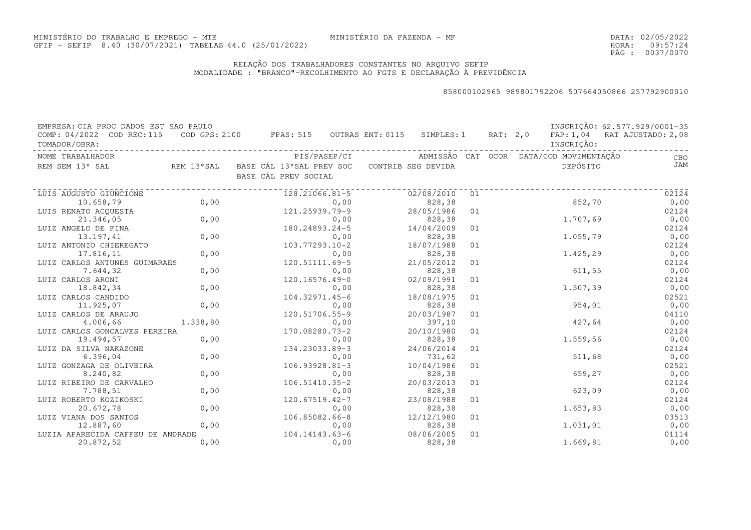### RELAÇÃO DOS TRABALHADORES CONSTANTES NO ARQUIVO SEFIPMODALIDADE : "BRANCO"-RECOLHIMENTO AO FGTS E DECLARAÇÃO À PREVIDÊNCIA

| EMPRESA: CIA PROC DADOS EST SAO PAULO<br>COMP: 04/2022 COD REC:115<br>TOMADOR/OBRA: |          | COD GPS: 2100 FPAS: 515 OUTRAS ENT: 0115 SIMPLES: 1 RAT: 2,0                   |      |                       |    |  | INSCRIÇÃO: | INSCRIÇÃO: 62.577.929/0001-35<br>FAP: 1,04 RAT AJUSTADO: 2,08 |
|-------------------------------------------------------------------------------------|----------|--------------------------------------------------------------------------------|------|-----------------------|----|--|------------|---------------------------------------------------------------|
| NOME TRABALHADOR                                                                    |          |                                                                                |      |                       |    |  |            | CBO                                                           |
| REM SEM 13° SAL                                                                     |          | REM 13°SAL BASE CÁL 13°SAL PREV SOC CONTRIB SEG DEVIDA<br>BASE CÁL PREV SOCIAL |      |                       |    |  | DEPÓSITO   | <b>JAM</b>                                                    |
| LUIS AUGUSTO GIUNCIONE                                                              |          | 128.21066.81-5                                                                 |      | 02/08/2010            | 01 |  |            | 02124                                                         |
| 10.658,79                                                                           | 0,00     |                                                                                | 0,00 | 828,38                |    |  | 852,70     | 0,00                                                          |
| LUIS RENATO ACOUESTA                                                                |          | 121.25939.79-9                                                                 |      | 28/05/1986            | 01 |  |            | 02124                                                         |
| 21.346,05                                                                           | 0,00     |                                                                                | 0,00 | 828,38                |    |  | 1.707,69   | 0,00                                                          |
| LUIZ ANGELO DE FINA                                                                 |          | 180.24893.24-5                                                                 |      | 14/04/2009            | 01 |  |            | 02124                                                         |
| 13.197,41                                                                           | 0,00     |                                                                                | 0,00 | 828,38                |    |  | 1.055,79   | 0,00                                                          |
| LUIZ ANTONIO CHIEREGATO                                                             |          | 103.77293.10-2                                                                 |      | 18/07/1988            | 01 |  |            | 02124                                                         |
| 17.816,11                                                                           | 0,00     |                                                                                | 0,00 | 828,38                |    |  | 1.425,29   | 0,00                                                          |
| LUIZ CARLOS ANTUNES GUIMARAES                                                       |          | 120.51111.69-5                                                                 |      | 21/05/2012            | 01 |  |            | 02124                                                         |
| 7.644,32                                                                            | 0,00     |                                                                                | 0,00 | 828,38                |    |  | 611,55     | 0,00                                                          |
| LUIZ CARLOS ARONI                                                                   |          | 120.16576.49-0                                                                 |      | 02/09/1991            | 01 |  |            | 02124                                                         |
| 18.842,34                                                                           | 0,00     |                                                                                | 0,00 | 828,38                |    |  | 1.507,39   | 0,00                                                          |
| LUIZ CARLOS CANDIDO                                                                 |          | 104.32971.45-6                                                                 |      | 18/08/1975            | 01 |  |            | 02521                                                         |
| 11.925,07                                                                           | 0,00     |                                                                                | 0,00 | 828,38                |    |  | 954,01     | 0,00                                                          |
| LUIZ CARLOS DE ARAUJO                                                               |          | 120.51706.55-9                                                                 |      | 20/03/1987            | 01 |  |            | 04110                                                         |
| 4.006,66                                                                            | 1.338,80 |                                                                                | 0,00 | 397,10                |    |  | 427,64     | 0,00                                                          |
| LUIZ CARLOS GONCALVES PEREIRA                                                       |          | 170.08280.73-2                                                                 |      | 20/10/1980            | 01 |  |            | 02124                                                         |
| 19.494,57                                                                           | 0,00     |                                                                                | 0,00 | 828,38                |    |  | 1.559,56   | 0,00                                                          |
| LUIZ DA SILVA NAKAZONE                                                              |          | 134.23033.89-3                                                                 |      | 24/06/2014            | 01 |  |            | 02124                                                         |
| 6.396,04                                                                            | 0,00     |                                                                                | 0,00 | 731,62                |    |  | 511,68     | 0,00                                                          |
| LUIZ GONZAGA DE OLIVEIRA                                                            |          | 106.93928.81-3                                                                 |      | 10/04/1986            | 01 |  |            | 02521                                                         |
| 8.240,82                                                                            | 0,00     |                                                                                | 0,00 | 828,38                |    |  | 659,27     | 0,00                                                          |
| LUIZ RIBEIRO DE CARVALHO                                                            |          | 106.51410.35-2                                                                 |      | 20/03/2013            | 01 |  |            | 02124                                                         |
| 7.788,51                                                                            | 0,00     |                                                                                | 0,00 | 828,38                |    |  | 623,09     | 0,00                                                          |
| LUIZ ROBERTO KOZIKOSKI                                                              |          | 120.67519.42-7                                                                 |      | 23/08/1988            | 01 |  |            | 02124                                                         |
| 20.672,78                                                                           | 0,00     |                                                                                | 0,00 | 828,38                |    |  | 1.653,83   | 0,00                                                          |
| LUIZ VIANA DOS SANTOS                                                               |          | 106.85082.66-8                                                                 |      | 12/12/1980            | 01 |  |            | 03513                                                         |
| 12.887,60                                                                           | 0,00     | $104.14143.63-6$                                                               | 0,00 | 828,38                |    |  | 1,031,01   | 0,00                                                          |
| LUZIA APARECIDA CAFFEU DE ANDRADE<br>20.872,52                                      | 0,00     |                                                                                | 0,00 | 08/06/2005<br>828, 38 | 01 |  | 1.669,81   | 01114<br>0,00                                                 |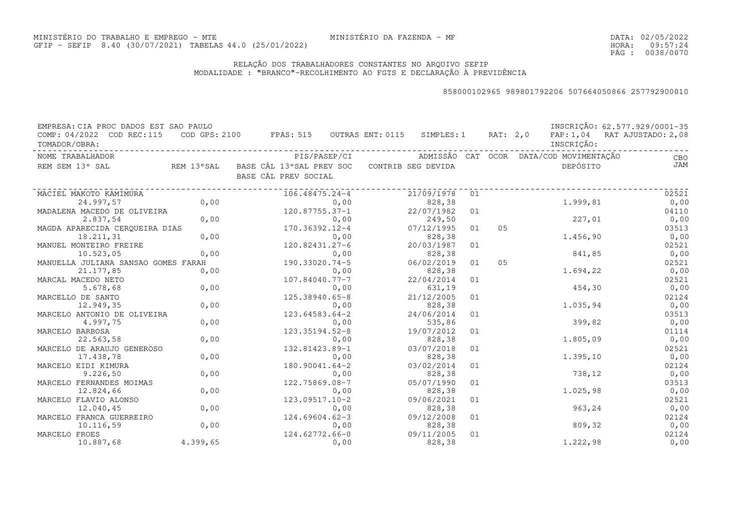DATA:02/05/2022HORA: PÁG : 09:57:24 0038/0070

### RELAÇÃO DOS TRABALHADORES CONSTANTES NO ARQUIVO SEFIPMODALIDADE : "BRANCO"-RECOLHIMENTO AO FGTS E DECLARAÇÃO À PREVIDÊNCIA

| EMPRESA: CIA PROC DADOS EST SAO PAULO      |          |                                                                                      |            |    |    |                                         | INSCRIÇÃO: 62.577.929/0001-35 |
|--------------------------------------------|----------|--------------------------------------------------------------------------------------|------------|----|----|-----------------------------------------|-------------------------------|
| COMP: 04/2022 COD REC:115<br>TOMADOR/OBRA: |          | COD GPS: 2100 FPAS: 515 OUTRAS ENT: 0115 SIMPLES: 1 RAT: 2,0                         |            |    |    | INSCRIÇÃO:                              | FAP: 1,04 RAT AJUSTADO: 2,08  |
| NOME TRABALHADOR                           |          | PIS/PASEP/CI                                                                         |            |    |    | ADMISSÃO CAT OCOR DATA/COD MOVIMENTAÇÃO | CBO                           |
| REM SEM 13° SAL                            |          | REM 13°SAL    BASE CÁL 13°SAL PREV SOC    CONTRIB SEG DEVIDA<br>BASE CÁL PREV SOCIAL |            |    |    | DEPÓSITO                                | JAM                           |
| MACIEL MAKOTO KAMIMURA                     |          | 106.48475.24-4                                                                       | 21/09/1978 | 01 |    |                                         | 02521                         |
| 24.997,57                                  | 0,00     | 0,00                                                                                 | 828,38     |    |    | 1.999,81                                | 0,00                          |
| MADALENA MACEDO DE OLIVEIRA                |          | 120.87755.37-1                                                                       | 22/07/1982 | 01 |    |                                         | 04110                         |
| 2.837,54                                   | 0,00     | 0,00                                                                                 | 249,50     |    |    | 227,01                                  | 0,00                          |
| MAGDA APARECIDA CERQUEIRA DIAS             |          | 170.36392.12-4                                                                       | 07/12/1995 | 01 | 05 |                                         | 03513                         |
| 18.211,31                                  | 0,00     | 0,00                                                                                 | 828,38     |    |    | 1.456,90                                | 0,00                          |
| MANUEL MONTEIRO FREIRE                     |          | 120.82431.27-6                                                                       | 20/03/1987 | 01 |    |                                         | 02521                         |
| 10.523,05                                  | 0,00     | 0,00                                                                                 | 828,38     |    |    | 841,85                                  | 0,00                          |
| MANUELLA JULIANA SANSAO GOMES FARAH        |          | 190.33020.74-5                                                                       | 06/02/2019 | 01 | 05 |                                         | 02521                         |
| 21.177,85                                  | 0,00     | 0,00                                                                                 | 828,38     |    |    | 1,694,22                                | 0,00                          |
| MARCAL MACEDO NETO                         |          | 107.84040.77-7                                                                       | 22/04/2014 | 01 |    |                                         | 02521                         |
| 5.678,68                                   | 0,00     | 0,00                                                                                 | 631,19     |    |    | 454,30                                  | 0,00                          |
| MARCELLO DE SANTO                          |          | 125.38940.65-8                                                                       | 21/12/2005 | 01 |    |                                         | 02124                         |
| 12.949,35                                  | 0,00     | 0,00                                                                                 | 828,38     |    |    | 1.035,94                                | 0,00                          |
| MARCELO ANTONIO DE OLIVEIRA                |          | 123.64583.64-2                                                                       | 24/06/2014 | 01 |    |                                         | 03513                         |
| 4.997,75                                   | 0,00     | 0,00                                                                                 | 535,86     |    |    | 399,82                                  | 0,00                          |
| MARCELO BARBOSA                            |          | 123.35194.52-8                                                                       | 19/07/2012 | 01 |    |                                         | 01114                         |
| 22.563,58                                  | 0,00     | 0,00                                                                                 | 828,38     |    |    | 1.805,09                                | 0,00                          |
| MARCELO DE ARAUJO GENEROSO                 |          | 132.81423.89-1                                                                       | 03/07/2018 | 01 |    |                                         | 02521                         |
| 17.438,78                                  | 0,00     | 0,00                                                                                 | 828,38     |    |    | 1.395,10                                | 0,00                          |
| MARCELO EIDI KIMURA                        |          | $180.90041.64 - 2$                                                                   | 03/02/2014 | 01 |    |                                         | 02124                         |
| 9.226, 50                                  | 0,00     | 0,00                                                                                 | 828,38     |    |    | 738,12                                  | 0,00                          |
| MARCELO FERNANDES MOIMAS                   |          | 122.75869.08-7                                                                       | 05/07/1990 | 01 |    |                                         | 03513                         |
| 12.824,66                                  | 0,00     | 0,00                                                                                 | 828,38     |    |    | 1.025,98                                | 0,00                          |
| MARCELO FLAVIO ALONSO                      |          | $123.09517.10-2$                                                                     | 09/06/2021 | 01 |    |                                         | 02521                         |
| 12.040,45                                  | 0,00     | 0,00                                                                                 | 828,38     |    |    | 963,24                                  | 0,00                          |
| MARCELO FRANCA GUERREIRO                   |          | $124.69604.62-3$                                                                     | 09/12/2008 | 01 |    |                                         | 02124                         |
| 10.116,59                                  | 0,00     | 0,00                                                                                 | 828,38     |    |    | 809,32                                  | 0,00                          |
| MARCELO FROES                              |          | 124.62772.66-0                                                                       | 09/11/2005 | 01 |    |                                         | 02124                         |
| 10.887,68                                  | 4.399,65 | 0,00                                                                                 | 828,38     |    |    | 1.222,98                                | 0,00                          |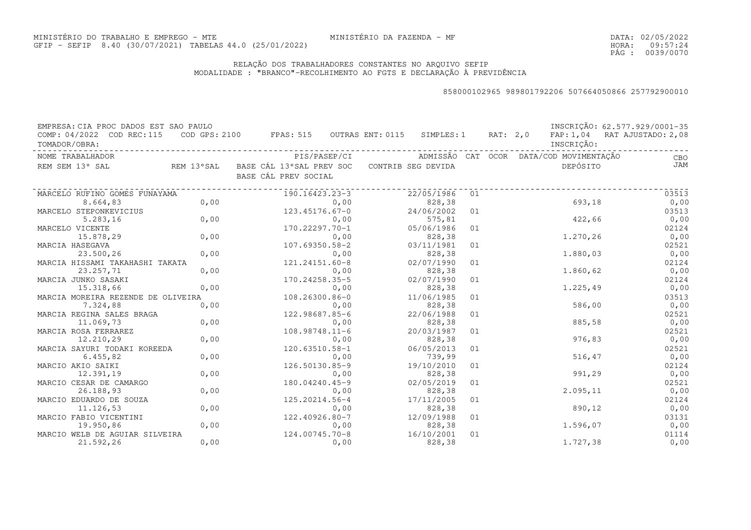DATA:02/05/2022HORA: PÁG : 09:57:24 0039/0070

### RELAÇÃO DOS TRABALHADORES CONSTANTES NO ARQUIVO SEFIPMODALIDADE : "BRANCO"-RECOLHIMENTO AO FGTS E DECLARAÇÃO À PREVIDÊNCIA

| EMPRESA: CIA PROC DADOS EST SAO PAULO      |                                    |                                                                                           |                      |    |            | INSCRIÇÃO: 62.577.929/0001-35 |
|--------------------------------------------|------------------------------------|-------------------------------------------------------------------------------------------|----------------------|----|------------|-------------------------------|
| COMP: 04/2022 COD REC:115<br>TOMADOR/OBRA: |                                    | COD GPS: 2100 FPAS: 515 OUTRAS ENT: 0115 SIMPLES: 1 RAT: 2,0 FAP: 1,04 RAT AJUSTADO: 2,08 |                      |    | INSCRIÇÃO: |                               |
| NOME TRABALHADOR                           |                                    |                                                                                           |                      |    |            | <b>CBO</b>                    |
| REM SEM 13° SAL                            |                                    | REM 13°SAL BASE CÁL 13°SAL PREV SOC CONTRIB SEG DEVIDA<br>BASE CÁL PREV SOCIAL            |                      |    | DEPÓSITO   | JAM                           |
| MARCELO RUFINO GOMES FUNAYAMA              |                                    | ----------------<br>190.16423.23-3                                                        | 22/05/1986           | 01 |            | 03513                         |
| 8.664,83                                   | 0,00                               | 0,00                                                                                      | 828,38               |    | 693,18     | 0,00                          |
| MARCELO STEPONKEVICIUS                     |                                    | $123.45176.67 - 0$                                                                        | 24/06/2002           | 01 |            | 03513                         |
| 5.283, 16                                  | $\begin{matrix} 0,00 \end{matrix}$ | 0,00                                                                                      | 575,81               |    | 422,66     | 0,00                          |
| MARCELO VICENTE                            |                                    | 170.22297.70-1                                                                            | 05/06/1986           | 01 |            | 02124                         |
| 15.878,29                                  | 0,00                               | 0,00                                                                                      | 828, 38              |    | 1.270,26   | 0,00                          |
| MARCIA HASEGAVA                            |                                    | 107.69350.58-2                                                                            | 03/11/1981           | 01 |            | 02521                         |
| 23.500,26                                  | 0,00                               | 0,00                                                                                      | 828,38               |    | 1.880,03   | 0,00                          |
| MARCIA HISSAMI TAKAHASHI TAKATA            |                                    | 121.24151.60-8                                                                            | 02/07/1990           | 01 |            | 02124                         |
| 23.257,71                                  | 0,00                               | 0,00                                                                                      | 828,38               |    | 1.860,62   | 0,00                          |
| MARCIA JUNKO SASAKI                        |                                    | 170.24258.35-5                                                                            | 02/07/1990           | 01 |            | 02124                         |
| 15.318,66                                  | 0,00                               | 0,00                                                                                      | 828,38               |    | 1.225,49   | 0,00                          |
| MARCIA MOREIRA REZENDE DE OLIVEIRA         |                                    | 108.26300.86-0                                                                            | 11/06/1985           | 01 |            | 03513                         |
| 7.324,88                                   | 0,00                               | 0,00                                                                                      | 828,38               |    | 586,00     | 0,00                          |
| MARCIA REGINA SALES BRAGA                  |                                    | 122.98687.85-6                                                                            | 22/06/1988           | 01 |            | 02521                         |
| 11.069,73                                  | 0,00                               | 0,00                                                                                      | 828,38               |    | 885,58     | 0,00                          |
| MARCIA ROSA FERRAREZ                       |                                    | $108.98748.11 - 6$                                                                        | 20/03/1987           | 01 |            | 02521                         |
| 12.210,29                                  | 0,00                               | 0,00                                                                                      | 828,38               |    | 976,83     | 0,00                          |
| MARCIA SAYURI TODAKI KOREEDA               |                                    | 120.63510.58-1                                                                            | 06/05/2013           | 01 |            | 02521                         |
| 6.455,82                                   | 0,00                               | 0,00                                                                                      | 739,99               |    | 516, 47    | 0,00                          |
| MARCIO AKIO SAIKI                          |                                    | 126.50130.85-9                                                                            | 19/10/2010           | 01 |            | 02124                         |
| 12.391,19                                  | 0,00                               | 0,00                                                                                      | 828,38               |    | 991,29     | 0,00                          |
| MARCIO CESAR DE CAMARGO<br>26.188,93       | 0,00                               | 180.04240.45-9<br>0,00                                                                    | 02/05/2019<br>828,38 | 01 | 2.095,11   | 02521                         |
| MARCIO EDUARDO DE SOUZA                    |                                    | 125.20214.56-4                                                                            | 17/11/2005           |    |            | 0,00<br>02124                 |
| 11.126,53                                  | 0,00                               |                                                                                           | 828,38               | 01 | 890,12     |                               |
| MARCIO FABIO VICENTINI                     |                                    | 0,00<br>122.40926.80-7                                                                    | 12/09/1988           | 01 |            | 0,00<br>03131                 |
| 19.950,86                                  | 0,00                               | 0,00                                                                                      | 828,38               |    | 1.596,07   | 0,00                          |
| MARCIO WELB DE AGUIAR SILVEIRA             |                                    | 124.00745.70-8                                                                            | 16/10/2001           | 01 |            | 01114                         |
| 21.592,26                                  | 0,00                               | 0,00                                                                                      | 828,38               |    | 1.727,38   | 0,00                          |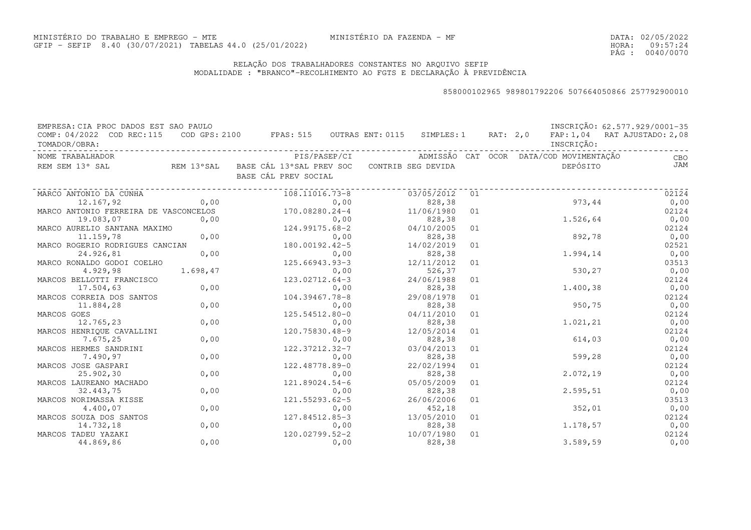DATA:02/05/2022HORA: PÁG : 09:57:24 0040/0070

### RELAÇÃO DOS TRABALHADORES CONSTANTES NO ARQUIVO SEFIPMODALIDADE : "BRANCO"-RECOLHIMENTO AO FGTS E DECLARAÇÃO À PREVIDÊNCIA

| EMPRESA: CIA PROC DADOS EST SAO PAULO<br>COMP: 04/2022 COD REC:115 |          | COD GPS: 2100 FPAS: 515 OUTRAS ENT: 0115 SIMPLES: 1 RAT: 2,0                   |      |                      |    |  |            | INSCRIÇÃO: 62.577.929/0001-35<br>FAP: 1,04 RAT AJUSTADO: 2,08 |
|--------------------------------------------------------------------|----------|--------------------------------------------------------------------------------|------|----------------------|----|--|------------|---------------------------------------------------------------|
| TOMADOR/OBRA:                                                      |          |                                                                                |      |                      |    |  | INSCRIÇÃO: |                                                               |
| NOME TRABALHADOR                                                   |          |                                                                                |      |                      |    |  |            | <b>CBO</b>                                                    |
| REM SEM 13° SAL                                                    |          | REM 13°SAL BASE CÁL 13°SAL PREV SOC CONTRIB SEG DEVIDA<br>BASE CÁL PREV SOCIAL |      |                      |    |  | DEPÓSITO   | <b>JAM</b>                                                    |
| MARCO ANTONIO DA CUNHA                                             |          | 108.11016.73-8                                                                 |      | 03/05/2012           | 01 |  |            | 02124                                                         |
| 12.167,92                                                          | 0,00     |                                                                                | 0,00 | 828,38               |    |  | 973,44     | 0,00                                                          |
| MARCO ANTONIO FERREIRA DE VASCONCELOS                              |          | 170.08280.24-4                                                                 |      | 11/06/1980           | 01 |  |            | 02124                                                         |
| 19.083,07                                                          | 0,00     |                                                                                | 0,00 | 828,38               |    |  | 1.526,64   | 0,00                                                          |
| MARCO AURELIO SANTANA MAXIMO                                       |          | 124.99175.68-2                                                                 |      | 04/10/2005           | 01 |  |            | 02124                                                         |
| 11.159,78                                                          | 0,00     |                                                                                | 0,00 | 828,38               |    |  | 892,78     | 0,00                                                          |
| MARCO ROGERIO RODRIGUES CANCIAN                                    |          | 0,00<br>180.00192.42-5                                                         |      | 14/02/2019           | 01 |  |            | 02521                                                         |
| 24.926,81                                                          | 0,00     |                                                                                | 0,00 | 828,38               |    |  | 1.994,14   | 0,00                                                          |
| MARCO RONALDO GODOI COELHO                                         |          | 125.66943.93-3                                                                 |      | 12/11/2012           | 01 |  |            | 03513                                                         |
| 4.929,98                                                           | 1,698,47 |                                                                                | 0,00 | 526,37               |    |  | 530,27     | 0,00                                                          |
| MARCOS BELLOTTI FRANCISCO                                          |          | 123.02712.64-3                                                                 |      | 24/06/1988           | 01 |  |            | 02124                                                         |
| 17.504,63                                                          | 0,00     |                                                                                | 0,00 | 828,38               |    |  | 1.400,38   | 0,00                                                          |
| MARCOS CORREIA DOS SANTOS                                          |          | 104.39467.78-8                                                                 |      | 29/08/1978           | 01 |  |            | 02124                                                         |
| 11.884,28                                                          | 0,00     |                                                                                | 0,00 | 828,38               |    |  | 950,75     | 0,00                                                          |
| MARCOS GOES                                                        |          | 125.54512.80-0                                                                 |      | 04/11/2010           | 01 |  |            | 02124                                                         |
| 12.765,23                                                          | 0,00     |                                                                                | 0,00 | 828,38               |    |  | 1.021,21   | 0,00                                                          |
| MARCOS HENRIQUE CAVALLINI                                          |          | 120.75830.48-9                                                                 |      | 12/05/2014           | 01 |  |            | 02124                                                         |
| 7.675,25                                                           | 0,00     |                                                                                | 0,00 | 828,38               |    |  | 614,03     | 0,00                                                          |
| MARCOS HERMES SANDRINI                                             |          | 122.37212.32-7                                                                 |      | 03/04/2013           | 01 |  |            | 02124                                                         |
| 7.490,97                                                           | 0,00     |                                                                                | 0,00 | 828,38               |    |  | 599,28     | 0,00                                                          |
| MARCOS JOSE GASPARI                                                |          | 122.48778.89-0                                                                 |      | 22/02/1994           | 01 |  |            | 02124                                                         |
| 25.902,30                                                          | 0,00     |                                                                                | 0,00 | 828,38               |    |  | 2.072,19   | 0,00                                                          |
| MARCOS LAUREANO MACHADO                                            |          | 121.89024.54-6                                                                 |      | 05/05/2009           | 01 |  |            | 02124                                                         |
| 32.443,75                                                          | 0,00     |                                                                                | 0,00 | 828,38               |    |  | 2.595,51   | 0,00                                                          |
| MARCOS NORIMASSA KISSE                                             |          | 121.55293.62-5                                                                 |      | 26/06/2006           | 01 |  |            | 03513                                                         |
| 4.400,07                                                           | 0,00     |                                                                                | 0,00 | 452,18               |    |  | 352,01     | 0,00                                                          |
| MARCOS SOUZA DOS SANTOS                                            |          | 127.84512.85-3                                                                 |      | 13/05/2010           | 01 |  |            | 02124                                                         |
| 14.732,18                                                          | 0,00     |                                                                                | 0,00 | 828,38               |    |  | 1.178,57   | 0,00                                                          |
| MARCOS TADEU YAZAKI<br>44.869,86                                   | 0,00     | 120.02799.52-2                                                                 | 0,00 | 10/07/1980<br>828,38 | 01 |  | 3.589,59   | 02124<br>0,00                                                 |
|                                                                    |          |                                                                                |      |                      |    |  |            |                                                               |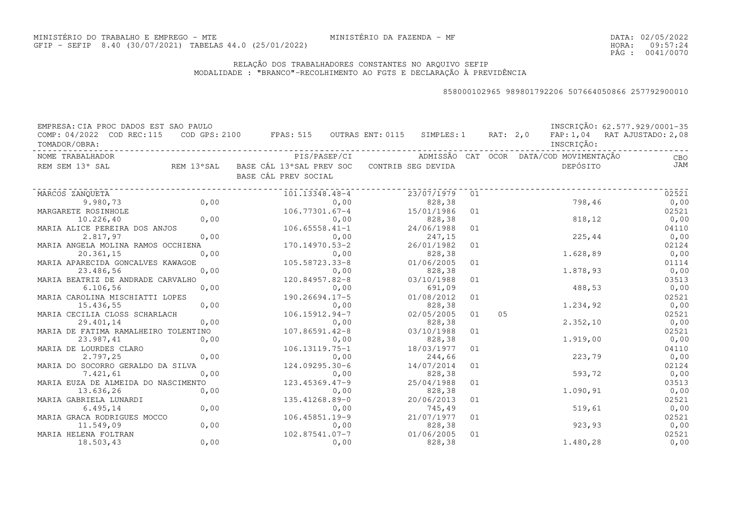DATA:02/05/2022HORA: PÁG : 09:57:24 0041/0070

### RELAÇÃO DOS TRABALHADORES CONSTANTES NO ARQUIVO SEFIPMODALIDADE : "BRANCO"-RECOLHIMENTO AO FGTS E DECLARAÇÃO À PREVIDÊNCIA

| EMPRESA: CIA PROC DADOS EST SAO PAULO<br>COMP: 04/2022 COD REC:115 |      | COD GPS: 2100 FPAS: 515 OUTRAS ENT: 0115 SIMPLES: 1 RAT: 2,0                   |      |                                         |    |    |            | INSCRIÇÃO: 62.577.929/0001-35<br>FAP: 1,04 RAT AJUSTADO: 2,08 |
|--------------------------------------------------------------------|------|--------------------------------------------------------------------------------|------|-----------------------------------------|----|----|------------|---------------------------------------------------------------|
| TOMADOR/OBRA:                                                      |      |                                                                                |      |                                         |    |    | INSCRIÇÃO: |                                                               |
| NOME TRABALHADOR                                                   |      | PIS/PASEP/CI                                                                   |      | ADMISSÃO CAT OCOR DATA/COD-MOVIMENTACÃO |    |    |            | CBO                                                           |
| REM SEM 13° SAL                                                    |      | REM 13°SAL BASE CÁL 13°SAL PREV SOC CONTRIB SEG DEVIDA<br>BASE CÁL PREV SOCIAL |      |                                         |    |    | DEPÓSITO   | <b>JAM</b>                                                    |
| MARCOS ZANOUETA                                                    |      | 101.13348.48-4                                                                 |      | 23/07/1979                              | 01 |    |            | 02521                                                         |
| 9.980,73                                                           | 0,00 |                                                                                | 0,00 | 828,38                                  |    |    | 798,46     | 0,00                                                          |
| MARGARETE ROSINHOLE                                                |      | $106.77301.67 - 4$                                                             |      | 15/01/1986                              | 01 |    |            | 02521                                                         |
| 10.226, 40                                                         | 0,00 |                                                                                | 0,00 | 828,38                                  |    |    | 818, 12    | 0,00                                                          |
| MARIA ALICE PEREIRA DOS ANJOS                                      |      | $106.65558.41 - 1$                                                             |      | 24/06/1988                              | 01 |    |            | 04110                                                         |
| 2.817,97                                                           | 0,00 |                                                                                | 0,00 | 247,15                                  |    |    | 225, 44    | 0,00                                                          |
| MARIA ANGELA MOLINA RAMOS OCCHIENA                                 |      | 170.14970.53-2                                                                 |      | 26/01/1982                              | 01 |    |            | 02124                                                         |
| 20.361,15                                                          | 0,00 |                                                                                | 0,00 | 828,38                                  |    |    | 1,628,89   | 0,00                                                          |
| MARIA APARECIDA GONCALVES KAWAGOE                                  |      | 105.58723.33-8                                                                 |      | 01/06/2005                              | 01 |    |            | 01114                                                         |
| 23.486,56                                                          | 0,00 |                                                                                | 0,00 | 828,38                                  |    |    | 1,878,93   | 0,00                                                          |
| MARIA BEATRIZ DE ANDRADE CARVALHO                                  |      | 120.84957.82-8                                                                 |      | 03/10/1988                              | 01 |    |            | 03513                                                         |
| 6.106, 56                                                          | 0,00 |                                                                                | 0,00 | 691,09                                  |    |    | 488,53     | 0,00                                                          |
| MARIA CAROLINA MISCHIATTI LOPES                                    |      | $190.26694.17 - 5$                                                             |      | 01/08/2012                              | 01 |    |            | 02521                                                         |
| 15.436,55                                                          | 0,00 |                                                                                | 0,00 | 828,38                                  |    |    | 1.234,92   | 0,00                                                          |
| MARIA CECILIA CLOSS SCHARLACH                                      |      | 106.15912.94-7                                                                 |      | 02/05/2005                              | 01 | 05 |            | 02521                                                         |
| 29.401,14                                                          | 0,00 |                                                                                | 0,00 | 828,38                                  |    |    | 2.352, 10  | 0,00                                                          |
| MARIA DE FATIMA RAMALHEIRO TOLENTINO                               |      | $107.86591.42 - 8$                                                             |      | 03/10/1988                              | 01 |    |            | 02521                                                         |
| 23.987,41                                                          | 0,00 |                                                                                | 0,00 | 828,38                                  |    |    | 1.919,00   | 0,00                                                          |
| MARIA DE LOURDES CLARO                                             |      | 106.13119.75-1                                                                 |      | 18/03/1977                              | 01 |    |            | 04110                                                         |
| 2.797,25                                                           | 0,00 |                                                                                | 0,00 | 244,66                                  |    |    | 223,79     | 0,00                                                          |
| MARIA DO SOCORRO GERALDO DA SILVA                                  |      | 124.09295.30-6                                                                 |      | 14/07/2014                              | 01 |    |            | 02124                                                         |
| 7.421,61                                                           | 0,00 |                                                                                | 0,00 | 828,38                                  |    |    | 593,72     | 0,00                                                          |
| MARIA EUZA DE ALMEIDA DO NASCIMENTO                                |      | 123.45369.47-9                                                                 |      | 25/04/1988                              | 01 |    |            | 03513                                                         |
| 13.636,26                                                          | 0,00 |                                                                                | 0,00 | 828,38                                  |    |    | 1.090,91   | 0,00                                                          |
| MARIA GABRIELA LUNARDI                                             |      | 135.41268.89-0                                                                 |      | 20/06/2013                              | 01 |    |            | 02521                                                         |
| 6.495, 14                                                          | 0,00 |                                                                                | 0,00 | 745,49                                  |    |    | 519,61     | 0,00                                                          |
| MARIA GRACA RODRIGUES MOCCO<br>11.549,09                           | 0,00 | 106.45851.19-9                                                                 | 0,00 | 21/07/1977<br>828,38                    | 01 |    | 923, 93    | 02521<br>0,00                                                 |
| MARIA HELENA FOLTRAN                                               |      | 102.87541.07-7                                                                 |      | 01/06/2005                              | 01 |    |            | 02521                                                         |
| 18.503,43                                                          | 0,00 |                                                                                | 0,00 | 828,38                                  |    |    | 1.480,28   | 0,00                                                          |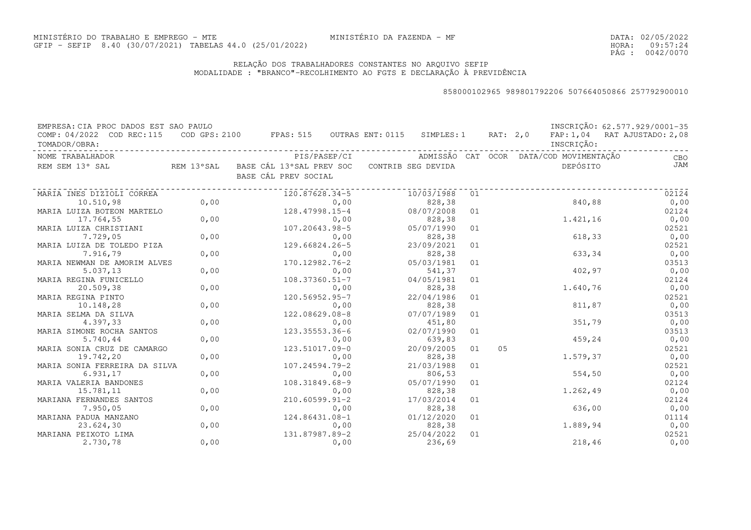DATA:02/05/2022HORA: PÁG : 09:57:24 0042/0070

### RELAÇÃO DOS TRABALHADORES CONSTANTES NO ARQUIVO SEFIPMODALIDADE : "BRANCO"-RECOLHIMENTO AO FGTS E DECLARAÇÃO À PREVIDÊNCIA

| EMPRESA: CIA PROC DADOS EST SAO PAULO |            |                                          |              |                    |    |          |                                         | INSCRIÇÃO: 62.577.929/0001-35 |
|---------------------------------------|------------|------------------------------------------|--------------|--------------------|----|----------|-----------------------------------------|-------------------------------|
| COMP: 04/2022 COD REC: 115            |            | COD GPS: 2100 FPAS: 515 OUTRAS ENT: 0115 |              | SIMPLES: 1         |    | RAT: 2,0 |                                         | FAP: 1,04 RAT AJUSTADO: 2,08  |
| TOMADOR/OBRA:                         |            |                                          |              |                    |    |          | INSCRIÇÃO:                              |                               |
| NOME TRABALHADOR                      |            |                                          | PIS/PASEP/CI |                    |    |          | ADMISSÃO CAT OCOR DATA/COD MOVIMENTAÇÃO | CBO                           |
| REM SEM 13° SAL                       | REM 13°SAL | BASE CÁL 13°SAL PREV SOC                 |              | CONTRIB SEG DEVIDA |    |          | DEPÓSITO                                | JAM                           |
|                                       |            | BASE CÁL PREV SOCIAL                     |              |                    |    |          |                                         |                               |
| MARIA INES DIZIOLI CORREA             |            | 120.87628.34-5                           |              | 10/03/1988         | 01 |          |                                         | 02124                         |
| 10.510,98                             | 0,00       |                                          | 0,00         | 828,38             |    |          | 840,88                                  | 0,00                          |
| MARIA LUIZA BOTEON MARTELO            |            | 128.47998.15-4                           |              | 08/07/2008         | 01 |          |                                         | 02124                         |
| 17.764,55                             | 0,00       |                                          | 0,00         | 828,38             |    |          | 1.421,16                                | 0,00                          |
| MARIA LUIZA CHRISTIANI                |            | 107.20643.98-5                           |              | 05/07/1990         | 01 |          |                                         | 02521                         |
| 7.729,05                              | 0,00       |                                          | 0,00         | 828,38             |    |          | 618,33                                  | 0,00                          |
| MARIA LUIZA DE TOLEDO PIZA            |            | 129.66824.26-5                           |              | 23/09/2021         | 01 |          |                                         | 02521                         |
| 7.916,79                              | 0,00       |                                          | 0,00         | 828,38             |    |          | 633,34                                  | 0,00                          |
| MARIA NEWMAN DE AMORIM ALVES          |            | 170.12982.76-2                           |              | 05/03/1981         | 01 |          |                                         | 03513                         |
| 5.037, 13                             | 0,00       |                                          | 0,00         | 541,37             |    |          | 402,97                                  | 0,00                          |
| MARIA REGINA FUNICELLO                |            | $108.37360.51 - 7$                       |              | 04/05/1981         | 01 |          |                                         | 02124                         |
| 20.509,38                             | 0,00       |                                          | 0,00         | 828,38             |    |          | 1.640,76                                | 0,00                          |
| MARIA REGINA PINTO                    |            | 120.56952.95-7                           |              | 22/04/1986         | 01 |          |                                         | 02521                         |
| 10.148,28                             | 0,00       |                                          | 0,00         | 828,38             |    |          | 811,87                                  | 0,00                          |
| MARIA SELMA DA SILVA                  |            | 122.08629.08-8                           |              | 07/07/1989         | 01 |          |                                         | 03513                         |
| 4.397,33                              | 0,00       |                                          | 0,00         | 451,80             |    |          | 351,79                                  | 0,00                          |
| MARIA SIMONE ROCHA SANTOS             |            | 123.35553.36-6                           |              | 02/07/1990         | 01 |          |                                         | 03513                         |
| 5.740,44                              | 0,00       |                                          | 0,00         | 639,83             |    |          | 459,24                                  | 0,00                          |
| MARIA SONIA CRUZ DE CAMARGO           |            | 123.51017.09-0                           |              | 20/09/2005         | 01 | 05       |                                         | 02521                         |
| 19.742,20                             | 0,00       |                                          | 0,00         | 828,38             |    |          | 1.579,37                                | 0,00                          |
| MARIA SONIA FERREIRA DA SILVA         |            | 107.24594.79-2                           |              | 21/03/1988         | 01 |          |                                         | 02521                         |
| 6.931, 17                             | 0,00       |                                          | 0,00         | 806,53             |    |          | 554, 50                                 | 0,00                          |
| MARIA VALERIA BANDONES                |            | 108.31849.68-9                           |              | 05/07/1990         | 01 |          |                                         | 02124                         |
| 15.781,11                             | 0,00       |                                          | 0,00         | 828,38             |    |          | 1.262,49                                | 0,00                          |
| MARIANA FERNANDES SANTOS              |            | $210.60599.91 - 2$                       |              | 17/03/2014         | 01 |          |                                         | 02124                         |
| 7.950,05                              | 0,00       |                                          | 0,00         | 828,38             |    |          | 636,00                                  | 0,00                          |
| MARIANA PADUA MANZANO                 |            | 124.86431.08-1                           |              | 01/12/2020         | 01 |          |                                         | 01114                         |
| 23.624,30                             | 0,00       |                                          | 0,00         | 828,38             |    |          | 1.889,94                                | 0,00                          |
| MARIANA PEIXOTO LIMA                  |            | 131.87987.89-2                           |              | 25/04/2022         | 01 |          |                                         | 02521                         |
| 2.730,78                              | 0,00       |                                          | 0,00         | 236,69             |    |          | 218,46                                  | 0,00                          |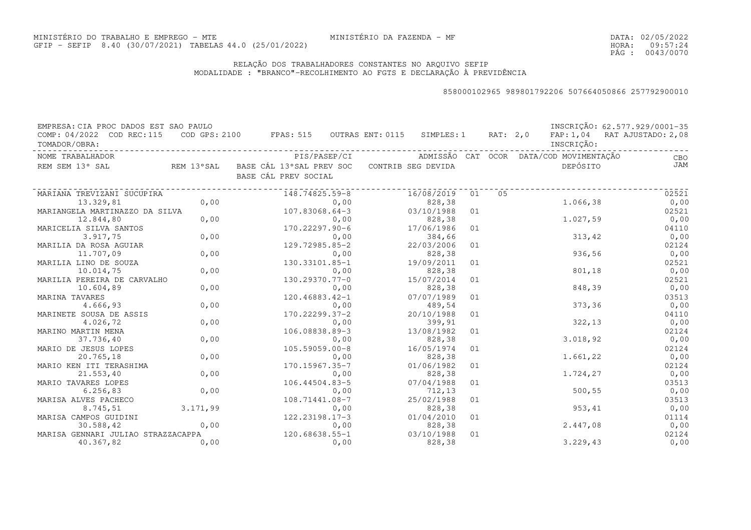DATA:02/05/2022HORA: PÁG : 09:57:24 0043/0070

### RELAÇÃO DOS TRABALHADORES CONSTANTES NO ARQUIVO SEFIPMODALIDADE : "BRANCO"-RECOLHIMENTO AO FGTS E DECLARAÇÃO À PREVIDÊNCIA

| EMPRESA: CIA PROC DADOS EST SAO PAULO |          |                                                        |              |            |    |          |                                         | INSCRIÇÃO: 62.577.929/0001-35 |
|---------------------------------------|----------|--------------------------------------------------------|--------------|------------|----|----------|-----------------------------------------|-------------------------------|
| COMP: 04/2022 COD REC:115             |          | COD GPS: 2100 FPAS: 515 OUTRAS ENT: 0115 SIMPLES: 1    |              |            |    | RAT: 2,0 |                                         | FAP: 1,04 RAT AJUSTADO: 2,08  |
| TOMADOR/OBRA:                         |          |                                                        |              |            |    |          | INSCRIÇÃO:                              |                               |
| NOME TRABALHADOR                      |          |                                                        | PIS/PASEP/CI |            |    |          | ADMISSÃO CAT OCOR DATA/COD MOVIMENTAÇÃO | CBO                           |
| REM SEM 13° SAL                       |          | REM 13°SAL BASE CÁL 13°SAL PREV SOC CONTRIB SEG DEVIDA |              |            |    |          | DEPÓSITO                                | JAM                           |
|                                       |          | BASE CÁL PREV SOCIAL                                   |              |            |    |          |                                         |                               |
| MARIANA TREVIZANI SUCUPIRA            |          | 148.74825.59-8                                         |              | 16/08/2019 | 01 | 05       |                                         | 02521                         |
| 13.329,81                             | 0,00     |                                                        | 0,00         | 828,38     |    |          | 1.066,38                                | 0,00                          |
| MARIANGELA MARTINAZZO DA SILVA        |          | 107.83068.64-3                                         |              | 03/10/1988 | 01 |          |                                         | 02521                         |
| 12.844,80                             | 0,00     |                                                        | 0,00         | 828,38     |    |          | 1.027,59                                | 0,00                          |
| MARICELIA SILVA SANTOS                |          | 170.22297.90-6                                         |              | 17/06/1986 | 01 |          |                                         | 04110                         |
| 3.917,75                              | 0,00     |                                                        | 0,00         | 384,66     |    |          | 313, 42                                 | 0,00                          |
| MARILIA DA ROSA AGUIAR                |          | 129.72985.85-2                                         |              | 22/03/2006 | 01 |          |                                         | 02124                         |
| 11.707,09                             | 0,00     |                                                        | 0,00         | 828,38     |    |          | 936,56                                  | 0,00                          |
| MARILIA LINO DE SOUZA                 |          | 130.33101.85-1                                         |              | 19/09/2011 | 01 |          |                                         | 02521                         |
| 10.014,75                             | 0,00     |                                                        | 0,00         | 828,38     |    |          | 801,18                                  | 0,00                          |
| MARILIA PEREIRA DE CARVALHO           |          | 130.29370.77-0                                         |              | 15/07/2014 | 01 |          |                                         | 02521                         |
| 10.604,89                             | 0,00     |                                                        | 0,00         | 828,38     |    |          | 848,39                                  | 0,00                          |
| MARINA TAVARES                        |          | 120.46883.42-1                                         |              | 07/07/1989 | 01 |          |                                         | 03513                         |
| 4.666,93                              | 0,00     |                                                        | 0,00         | 489,54     |    |          | 373,36                                  | 0,00                          |
| MARINETE SOUSA DE ASSIS               |          | 170.22299.37-2                                         |              | 20/10/1988 | 01 |          |                                         | 04110                         |
| 4.026,72                              | 0,00     |                                                        | 0,00         | 399,91     |    |          | 322, 13                                 | 0,00                          |
| MARINO MARTIN MENA                    |          | 106.08838.89-3                                         |              | 13/08/1982 | 01 |          |                                         | 02124                         |
| 37.736,40                             | 0,00     |                                                        | 0,00         | 828,38     |    |          | 3.018, 92                               | 0,00                          |
| MARIO DE JESUS LOPES                  |          | 105.59059.00-8                                         |              | 16/05/1974 | 01 |          |                                         | 02124                         |
| 20.765,18                             | 0,00     |                                                        | 0,00         | 828,38     |    |          | 1.661,22                                | 0,00                          |
| MARIO KEN ITI TERASHIMA               |          | 170.15967.35-7                                         |              | 01/06/1982 | 01 |          |                                         | 02124                         |
| 21.553,40                             | 0,00     |                                                        | 0,00         | 828,38     |    |          | 1,724,27                                | 0,00                          |
| MARIO TAVARES LOPES                   |          | 106.44504.83-5                                         |              | 07/04/1988 | 01 |          |                                         | 03513                         |
| 6.256, 83                             | 0,00     |                                                        | 0,00         | 712,13     |    |          | 500, 55                                 | 0,00                          |
| MARISA ALVES PACHECO                  |          | 108.71441.08-7                                         |              | 25/02/1988 | 01 |          |                                         | 03513                         |
| 8.745,51                              | 3.171,99 |                                                        | 0,00         | 828,38     |    |          | 953,41                                  | 0,00                          |
| MARISA CAMPOS GUIDINI                 |          | $122.23198.17 - 3$                                     |              | 01/04/2010 | 01 |          |                                         | 01114                         |
| 30.588,42                             | 0,00     |                                                        | 0,00         | 828,38     |    |          | 2.447,08                                | 0,00                          |
| MARISA GENNARI JULIAO STRAZZACAPPA    |          | 120.68638.55-1                                         |              | 03/10/1988 | 01 |          |                                         | 02124                         |
| 40.367,82                             | 0,00     |                                                        | 0,00         | 828,38     |    |          | 3.229,43                                | 0,00                          |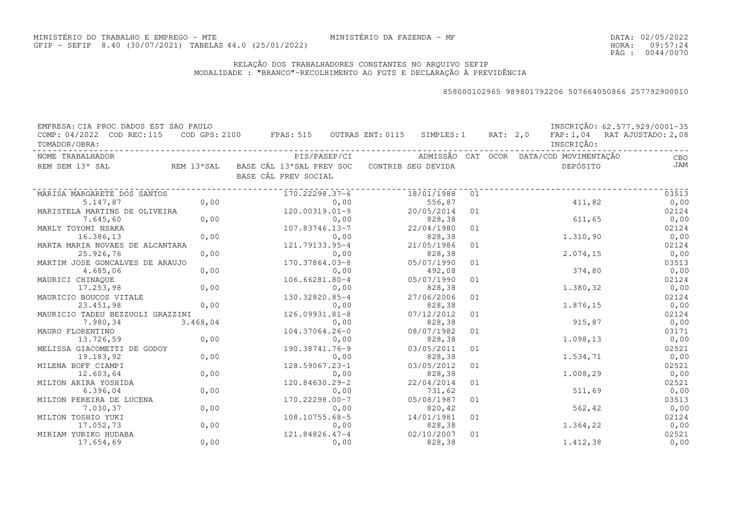DATA:02/05/2022HORA: PÁG : 09:57:24 0044/0070

### RELAÇÃO DOS TRABALHADORES CONSTANTES NO ARQUIVO SEFIPMODALIDADE : "BRANCO"-RECOLHIMENTO AO FGTS E DECLARAÇÃO À PREVIDÊNCIA

| EMPRESA: CIA PROC DADOS EST SAO PAULO |          |                                                     |                    |                  |          |                                         | INSCRIÇÃO: 62.577.929/0001-35 |
|---------------------------------------|----------|-----------------------------------------------------|--------------------|------------------|----------|-----------------------------------------|-------------------------------|
| COMP: 04/2022 COD REC:115             |          | $\texttt{COD}$ GPS: 2100 FPAS: 515 OUTRAS ENT: 0115 |                    | SIMPLES: 1       | RAT: 2,0 |                                         | FAP: 1,04 RAT AJUSTADO: 2,08  |
| TOMADOR/OBRA:                         |          |                                                     |                    |                  |          | INSCRIÇÃO:                              |                               |
| NOME TRABALHADOR                      |          | PIS/PASEP/CI                                        |                    |                  |          | ADMISSÃO CAT OCOR DATA/COD MOVIMENTAÇÃO | CBO                           |
| REM SEM 13° SAL                       |          | REM 13°SAL BASE CÁL 13°SAL PREV SOC                 | CONTRIB SEG DEVIDA |                  |          | DEPÓSITO                                | JAM                           |
|                                       |          | BASE CÁL PREV SOCIAL                                |                    |                  |          |                                         |                               |
|                                       |          |                                                     |                    |                  |          |                                         |                               |
| MARISA MARGARETE DOS SANTOS           |          | 170.22298.37-6                                      | 18/01/1988         | 01               |          |                                         | 03513                         |
| 5.147,87                              | 0,00     |                                                     | 0,00               | 556,87           |          | 411,82                                  | 0,00                          |
| MARISTELA MARTINS DE OLIVEIRA         |          | $120.00319.01 - 9$                                  |                    | 20/05/2014<br>01 |          |                                         | 02124                         |
| 7.645,60                              | 0,00     |                                                     | 0,00               | 828,38           |          | 611,65                                  | 0,00                          |
| MARLY TOYOMI NSAKA                    |          | 107.83746.13-7                                      |                    | 22/04/1980<br>01 |          |                                         | 02124                         |
| 16.386,13                             | 0,00     |                                                     | 0,00               | 828,38           |          | 1.310,90                                | 0,00                          |
| MARTA MARIA NOVAES DE ALCANTARA       |          | 121.79133.95-4                                      |                    | 21/05/1986<br>01 |          |                                         | 02124                         |
| 25.926,76                             | 0,00     |                                                     | 0,00               | 828,38           |          | 2.074, 15                               | 0,00                          |
| MARTIM JOSE GONCALVES DE ARAUJO       |          | 170.37864.03-8                                      |                    | 05/07/1990<br>01 |          |                                         | 03513                         |
| 4.685,06                              | 0,00     |                                                     | 0,00               | 492,08           |          | 374,80                                  | 0,00                          |
| MAURICI CHINAQUE                      |          | $106.66281.80 - 4$                                  |                    | 05/07/1990<br>01 |          |                                         | 02124                         |
| 17.253,98                             | 0,00     |                                                     | 0,00               | 828,38           |          | 1.380,32                                | 0,00                          |
| MAURICIO BOUCOS VITALE                |          | 130.32820.85-4                                      |                    | 27/06/2006<br>01 |          |                                         | 02124                         |
| 23.451,98                             | 0,00     |                                                     | 0,00               | 828,38           |          | 1.876,15                                | 0,00                          |
| MAURICIO TADEU BEZZUOLI GRAZZINI      |          | $126.09931.81 - 8$                                  |                    | 07/12/2012<br>01 |          |                                         | 02124                         |
| 7.980,34                              | 3.468,04 |                                                     | 0,00               | 828,38           |          | 915,87                                  | 0,00                          |
| MAURO FLORENTINO                      |          | 104.37064.26-0                                      |                    | 08/07/1982<br>01 |          |                                         | 03171                         |
| 13.726,59                             | 0,00     |                                                     | 0,00               | 828,38           |          | 1.098,13                                | 0,00                          |
| MELISSA GIACOMETTI DE GODOY           |          | 190.38741.76-9                                      |                    | 03/05/2011<br>01 |          |                                         | 02521                         |
| 19.183,92                             | 0,00     |                                                     | 0,00               | 828,38           |          | 1.534,71                                | 0,00                          |
| MILENA BOFF CIAMPI                    |          | 128.59067.23-1                                      |                    | 03/05/2012<br>01 |          |                                         | 02521                         |
| 12.603,64                             | 0,00     |                                                     | 0,00               | 828,38           |          | 1.008,29                                | 0,00                          |
| MILTON AKIRA YOSHIDA                  |          | 120.84630.29-2                                      |                    | 22/04/2014<br>01 |          |                                         | 02521                         |
| 6.396,04                              | 0,00     |                                                     | 0,00               | 731,62           |          | 511,69                                  | 0,00                          |
| MILTON PEREIRA DE LUCENA              |          | 170.22298.00-7                                      |                    | 05/08/1987<br>01 |          |                                         | 03513                         |
| 7.030,37                              | 0,00     |                                                     | 0,00               | 820,42           |          | 562,42                                  | 0,00                          |
| MILTON TOSHIO YUKI                    |          | 108.10755.68-5                                      |                    | 14/01/1981<br>01 |          |                                         | 02124                         |
| 17.052,73                             | 0,00     |                                                     | 0,00               | 828,38           |          | 1.364,22                                | 0,00                          |
| MIRIAM YURIKO HUDABA                  |          | 121.84826.47-4                                      |                    | 02/10/2007<br>01 |          |                                         | 02521                         |
| 17.654,69                             | 0,00     |                                                     | 0,00               | 828,38           |          | 1.412,38                                | 0,00                          |
|                                       |          |                                                     |                    |                  |          |                                         |                               |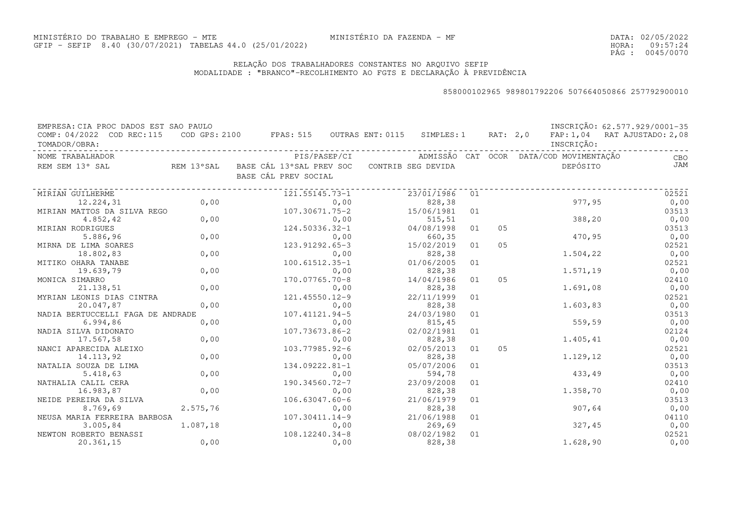DATA:02/05/2022HORA: PÁG : 09:57:24 0045/0070

### RELAÇÃO DOS TRABALHADORES CONSTANTES NO ARQUIVO SEFIPMODALIDADE : "BRANCO"-RECOLHIMENTO AO FGTS E DECLARAÇÃO À PREVIDÊNCIA

| EMPRESA: CIA PROC DADOS EST SAO PAULO |            |                                                              |              |            |    |    |                                         | INSCRICÃO: 62.577.929/0001-35 |
|---------------------------------------|------------|--------------------------------------------------------------|--------------|------------|----|----|-----------------------------------------|-------------------------------|
| COMP: 04/2022 COD REC:115             |            | COD GPS: 2100 FPAS: 515 OUTRAS ENT: 0115 SIMPLES: 1 RAT: 2,0 |              |            |    |    |                                         | FAP: 1,04 RAT AJUSTADO: 2,08  |
| TOMADOR/OBRA:                         |            |                                                              |              |            |    |    | INSCRIÇÃO:                              |                               |
| NOME TRABALHADOR                      |            |                                                              | PIS/PASEP/CI |            |    |    | ADMISSÃO CAT OCOR DATA/COD MOVIMENTAÇÃO | CBO                           |
| REM SEM 13° SAL                       | REM 13°SAL | BASE CÁL 13°SAL PREV SOC CONTRIB SEG DEVIDA                  |              |            |    |    | DEPÓSITO                                | JAM                           |
|                                       |            | BASE CÁL PREV SOCIAL                                         |              |            |    |    |                                         |                               |
| MIRIAN GUILHERME                      |            | 121.55145.73-1                                               |              | 23/01/1986 | 01 |    |                                         | 02521                         |
| 12.224,31                             | 0,00       |                                                              | 0,00         | 828,38     |    |    | 977,95                                  | 0,00                          |
| MIRIAN MATTOS DA SILVA REGO           |            | 107.30671.75-2                                               |              | 15/06/1981 | 01 |    |                                         | 03513                         |
| 4.852,42                              | 0,00       |                                                              | 0,00         | 515, 51    |    |    | 388,20                                  | 0,00                          |
| MIRIAN RODRIGUES                      |            | 124.50336.32-1                                               |              | 04/08/1998 | 01 | 05 |                                         | 03513                         |
| 5.886,96                              | 0,00       |                                                              | 0,00         | 660,35     |    |    | 470,95                                  | 0,00                          |
| MIRNA DE LIMA SOARES                  |            | 123.91292.65-3                                               |              | 15/02/2019 | 01 | 05 |                                         | 02521                         |
| 18.802,83                             | 0,00       |                                                              | 0,00         | 828,38     |    |    | 1.504,22                                | 0,00                          |
| MITIKO OHARA TANABE                   |            | 100.61512.35-1                                               |              | 01/06/2005 | 01 |    |                                         | 02521                         |
| 19.639,79                             | 0,00       |                                                              | 0,00         | 828,38     |    |    | 1.571,19                                | 0,00                          |
| MONICA SIMARRO                        |            | 170.07765.70-8                                               |              | 14/04/1986 | 01 | 05 |                                         | 02410                         |
| 21.138,51                             | 0,00       |                                                              | 0,00         | 828,38     |    |    | 1.691,08                                | 0,00                          |
| MYRIAN LEONIS DIAS CINTRA             |            | 121.45550.12-9                                               |              | 22/11/1999 | 01 |    |                                         | 02521                         |
| 20.047,87                             | 0,00       |                                                              | 0,00         | 828,38     |    |    | 1.603,83                                | 0,00                          |
| NADIA BERTUCCELLI FAGA DE ANDRADE     |            | 107.41121.94-5                                               |              | 24/03/1980 | 01 |    |                                         | 03513                         |
| 6.994,86                              | 0,00       |                                                              | 0,00         | 815,45     |    |    | 559,59                                  | 0,00                          |
| NADIA SILVA DIDONATO                  |            | 107.73673.86-2                                               |              | 02/02/1981 | 01 |    |                                         | 02124                         |
| 17.567,58                             | 0,00       |                                                              | 0,00         | 828,38     |    |    | 1.405,41                                | 0,00                          |
| NANCI APARECIDA ALEIXO                |            | 103.77985.92-6                                               |              | 02/05/2013 | 01 | 05 |                                         | 02521                         |
| 14.113,92                             | 0,00       |                                                              | 0,00         | 828,38     |    |    | 1.129,12                                | 0,00                          |
| NATALIA SOUZA DE LIMA                 |            | 134.09222.81-1                                               |              | 05/07/2006 | 01 |    |                                         | 03513                         |
| 5.418,63                              | 0,00       |                                                              | 0,00         | 594,78     |    |    | 433,49                                  | 0,00                          |
| NATHALIA CALIL CERA                   |            | 190.34560.72-7                                               |              | 23/09/2008 | 01 |    |                                         | 02410                         |
| 16.983,87                             | 0,00       |                                                              | 0,00         | 828,38     |    |    | 1.358,70                                | 0,00                          |
| NEIDE PEREIRA DA SILVA                |            | $106.63047.60 - 6$                                           |              | 21/06/1979 | 01 |    |                                         | 03513                         |
| 8.769,69                              | 2.575,76   |                                                              | 0,00         | 828,38     |    |    | 907,64                                  | 0,00                          |
| NEUSA MARIA FERREIRA BARBOSA          |            | $107.30411.14-9$                                             |              | 21/06/1988 | 01 |    |                                         | 04110                         |
| 3.005,84                              | 1.087,18   |                                                              | 0,00         | 269,69     |    |    | 327,45                                  | 0,00                          |
| NEWTON ROBERTO BENASSI                |            | 108.12240.34-8                                               |              | 08/02/1982 | 01 |    |                                         | 02521                         |
| 20.361,15                             | 0,00       |                                                              | 0,00         | 828,38     |    |    | 1.628,90                                | 0,00                          |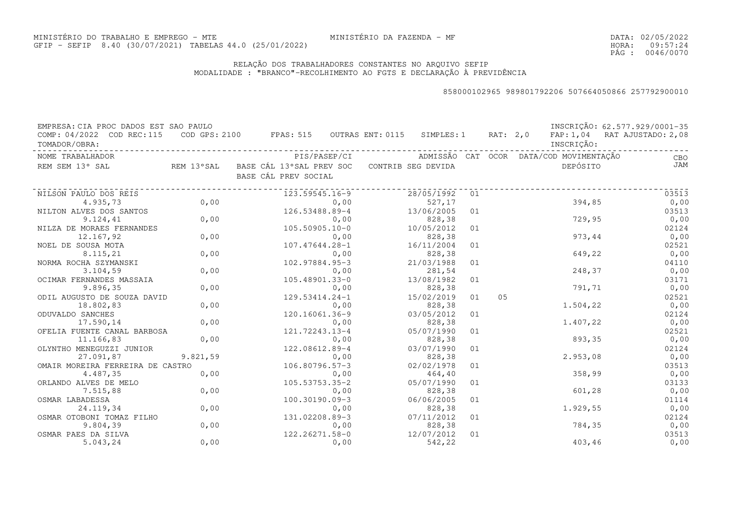DATA:02/05/2022HORA: PÁG : 09:57:24 0046/0070

### RELAÇÃO DOS TRABALHADORES CONSTANTES NO ARQUIVO SEFIPMODALIDADE : "BRANCO"-RECOLHIMENTO AO FGTS E DECLARAÇÃO À PREVIDÊNCIA

| EMPRESA: CIA PROC DADOS EST SAO PAULO      |          |                                                                                |                       |    |                |            | INSCRIÇÃO: 62.577.929/0001-35 |
|--------------------------------------------|----------|--------------------------------------------------------------------------------|-----------------------|----|----------------|------------|-------------------------------|
| COMP: 04/2022 COD REC:115<br>TOMADOR/OBRA: |          | COD GPS: 2100 FPAS: 515 OUTRAS ENT: 0115 SIMPLES: 1 RAT: 2,0                   |                       |    |                | INSCRIÇÃO: | FAP: 1,04 RAT AJUSTADO: 2,08  |
| NOME TRABALHADOR                           |          |                                                                                |                       |    |                |            | CBO                           |
| REM SEM 13° SAL                            |          | REM 13°SAL BASE CÁL 13°SAL PREV SOC CONTRIB SEG DEVIDA<br>BASE CÁL PREV SOCIAL |                       |    |                | DEPÓSITO   | <b>JAM</b>                    |
| NILSON PAULO DOS REIS                      |          | 123.59545.16-9                                                                 | 28/05/1992 01         |    |                |            | 03513                         |
| 4.935,73                                   | 0,00     | 0,00                                                                           | 527,17                |    |                | 394,85     | 0,00                          |
| NILTON ALVES DOS SANTOS                    |          | 126.53488.89-4                                                                 | 13/06/2005            | 01 |                |            | 03513                         |
| 9.124, 41                                  | 0,00     | 0,00                                                                           | 828, 38               |    |                | 729,95     | 0,00                          |
| NILZA DE MORAES FERNANDES                  |          | $105.50905.10 - 0$                                                             | 10/05/2012            | 01 |                |            | 02124                         |
| 12.167,92                                  | 0,00     | 0,00                                                                           | 828, 38               |    |                | 973,44     | 0,00                          |
| NOEL DE SOUSA MOTA                         |          | 107.47644.28-1                                                                 | 16/11/2004            | 01 |                |            | 02521                         |
| 8.115,21                                   | 0,00     | 0,00                                                                           | 828,38                |    |                | 649,22     | 0,00                          |
| NORMA ROCHA SZYMANSKI                      |          | 102.97884.95-3                                                                 | 21/03/1988            | 01 |                |            | 04110                         |
| 3.104,59                                   | 0,00     | 0,00                                                                           | 281,54                |    |                | 248,37     | 0,00                          |
| OCIMAR FERNANDES MASSAIA                   |          | 105.48901.33-0                                                                 | 13/08/1982            | 01 |                |            | 03171                         |
| 9.896,35                                   | 0,00     | 0,00                                                                           | 828,38                |    |                | 791,71     | 0,00                          |
| ODIL AUGUSTO DE SOUZA DAVID                |          | 129.53414.24-1                                                                 | 15/02/2019            | 01 | 0 <sub>5</sub> |            | 02521                         |
| 18.802,83                                  | 0,00     | 0,00                                                                           | 828,38                |    |                | 1.504,22   | 0,00                          |
| ODUVALDO SANCHES                           |          | 120.16061.36-9                                                                 | 03/05/2012            | 01 |                |            | 02124                         |
| 17.590,14                                  | 0,00     | 0,00                                                                           | 828,38                |    |                | 1.407,22   | 0,00                          |
| OFELIA FUENTE CANAL BARBOSA                |          | 121.72243.13-4                                                                 | 05/07/1990            | 01 |                |            | 02521                         |
| 11.166,83                                  | 0,00     | 0,00                                                                           | 828,38                |    |                | 893,35     | 0,00                          |
| OLYNTHO MENEGUZZI JUNIOR                   |          | 122.08612.89-4                                                                 | 03/07/1990            | 01 |                |            | 02124                         |
| 27.091,87                                  | 9.821,59 | 0,00                                                                           | 828,38                |    |                | 2.953,08   | 0,00                          |
| OMAIR MOREIRA FERREIRA DE CASTRO           |          | 106.80796.57-3                                                                 | 02/02/1978            | 01 |                |            | 03513                         |
| 4.487,35                                   | 0,00     | 0,00                                                                           | 464,40                |    |                | 358,99     | 0,00                          |
| ORLANDO ALVES DE MELO                      |          | 105.53753.35-2                                                                 | 05/07/1990            | 01 |                |            | 03133                         |
| 7.515,88                                   | 0,00     | 0,00                                                                           | 828,38                |    |                | 601,28     | 0,00                          |
| OSMAR LABADESSA                            |          | 100.30190.09-3                                                                 | 06/06/2005            | 01 |                |            | 01114                         |
| 24.119,34                                  | 0,00     | 0,00                                                                           | 828,38                |    |                | 1.929,55   | 0,00                          |
| OSMAR OTOBONI TOMAZ FILHO                  |          | 131.02208.89-3                                                                 | 07/11/2012            | 01 |                |            | 02124                         |
| 9.804,39                                   | 0,00     | 0,00                                                                           | 828,38                |    |                | 784,35     | 0,00                          |
| OSMAR PAES DA SILVA<br>5.043,24            | 0,00     | 122.26271.58-0<br>0,00                                                         | 12/07/2012<br>542, 22 | 01 |                | 403,46     | 03513<br>0,00                 |
|                                            |          |                                                                                |                       |    |                |            |                               |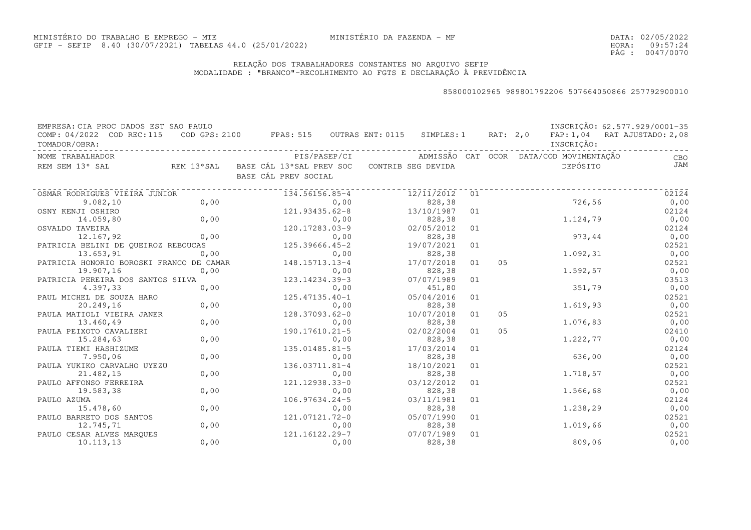DATA:02/05/2022HORA: PÁG : 09:57:24 0047/0070

### RELAÇÃO DOS TRABALHADORES CONSTANTES NO ARQUIVO SEFIPMODALIDADE : "BRANCO"-RECOLHIMENTO AO FGTS E DECLARAÇÃO À PREVIDÊNCIA

| EMPRESA: CIA PROC DADOS EST SAO PAULO         |            |                                                     |              |                      |    |                |                                         | INSCRIÇÃO: 62.577.929/0001-35 |
|-----------------------------------------------|------------|-----------------------------------------------------|--------------|----------------------|----|----------------|-----------------------------------------|-------------------------------|
| COMP: 04/2022 COD REC: 115                    |            | $\texttt{COD}$ GPS: 2100 FPAS: 515 OUTRAS ENT: 0115 |              | SIMPLES: 1           |    | RAT: 2,0       |                                         | FAP: 1,04 RAT AJUSTADO: 2,08  |
| TOMADOR/OBRA:                                 |            |                                                     |              |                      |    |                | INSCRIÇÃO:                              |                               |
| NOME TRABALHADOR                              |            |                                                     | PIS/PASEP/CI |                      |    |                | ADMISSÃO CAT OCOR DATA/COD MOVIMENTAÇÃO | CBO                           |
| REM SEM 13° SAL                               | REM 13°SAL | BASE CÁL 13°SAL PREV SOC                            |              | CONTRIB SEG DEVIDA   |    |                | DEPÓSITO                                | JAM                           |
|                                               |            | BASE CÁL PREV SOCIAL                                |              |                      |    |                |                                         |                               |
|                                               |            |                                                     |              |                      |    |                |                                         |                               |
| OSMAR RODRIGUES VIEIRA JUNIOR                 |            | 134.56156.85-4                                      |              | 12/11/2012           | 01 |                |                                         | 02124                         |
| 9.082, 10                                     | 0,00       |                                                     | 0,00         | 828,38               |    |                | 726,56                                  | 0,00                          |
| OSNY KENJI OSHIRO                             |            | $121.93435.62 - 8$                                  |              | 13/10/1987           | 01 |                |                                         | 02124                         |
| 14.059,80                                     | 0,00       |                                                     | 0,00         | 828,38               |    |                | 1.124,79                                | 0,00                          |
| OSVALDO TAVEIRA                               |            | 120.17283.03-9                                      |              | 02/05/2012           | 01 |                |                                         | 02124                         |
| 12.167,92                                     | 0,00       |                                                     | 0,00         | 828,38               |    |                | 973,44                                  | 0,00                          |
| PATRICIA BELINI DE QUEIROZ REBOUCAS           |            | 125.39666.45-2                                      |              | 19/07/2021           | 01 |                |                                         | 02521                         |
| 13.653,91                                     | 0,00       |                                                     | 0,00         | 828,38               |    |                | 1.092,31                                | 0,00                          |
| PATRICIA HONORIO BOROSKI FRANCO DE CAMAR      | 0,00       | 148.15713.13-4                                      |              | 17/07/2018           | 01 | 05             | 1.592,57                                | 02521<br>0,00                 |
| 19.907,16                                     |            | 123.14234.39-3                                      | 0,00         | 828,38<br>07/07/1989 | 01 |                |                                         | 03513                         |
| PATRICIA PEREIRA DOS SANTOS SILVA<br>4.397,33 | 0,00       |                                                     | 0,00         | 451,80               |    |                | 351,79                                  | 0,00                          |
| PAUL MICHEL DE SOUZA HARO                     |            | $125.47135.40 - 1$                                  |              | 05/04/2016           | 01 |                |                                         | 02521                         |
| 20.249,16                                     | 0,00       |                                                     | 0,00         | 828,38               |    |                | 1.619,93                                | 0,00                          |
| PAULA MATIOLI VIEIRA JANER                    |            | 128.37093.62-0                                      |              | 10/07/2018           | 01 | 05             |                                         | 02521                         |
| 13.460,49                                     | 0,00       |                                                     | 0,00         | 828,38               |    |                | 1.076,83                                | 0,00                          |
| PAULA PEIXOTO CAVALIERI                       |            | 190.17610.21-5                                      |              | 02/02/2004           | 01 | 0 <sub>5</sub> |                                         | 02410                         |
| 15.284,63                                     | 0,00       |                                                     | 0,00         | 828,38               |    |                | 1.222,77                                | 0,00                          |
| PAULA TIEMI HASHIZUME                         |            | 135.01485.81-5                                      |              | 17/03/2014           | 01 |                |                                         | 02124                         |
| 7.950,06                                      | 0,00       |                                                     | 0,00         | 828,38               |    |                | 636,00                                  | 0,00                          |
| PAULA YUKIKO CARVALHO UYEZU                   |            | 136.03711.81-4                                      |              | 18/10/2021           | 01 |                |                                         | 02521                         |
| 21.482,15                                     | 0,00       |                                                     | 0,00         | 828,38               |    |                | 1.718,57                                | 0,00                          |
| PAULO AFFONSO FERREIRA                        |            | 121.12938.33-0                                      |              | 03/12/2012           | 01 |                |                                         | 02521                         |
| 19.583,38                                     | 0,00       |                                                     | 0,00         | 828,38               |    |                | 1.566,68                                | 0,00                          |
| PAULO AZUMA                                   |            | $106.97634.24 - 5$                                  |              | 03/11/1981           | 01 |                |                                         | 02124                         |
| 15.478,60                                     | 0,00       |                                                     | 0,00         | 828,38               |    |                | 1.238,29                                | 0,00                          |
| PAULO BARRETO DOS SANTOS                      |            | 121.07121.72-0                                      |              | 05/07/1990           | 01 |                |                                         | 02521                         |
| 12.745,71                                     | 0,00       |                                                     | 0,00         | 828,38               |    |                | 1.019,66                                | 0,00                          |
| PAULO CESAR ALVES MARQUES                     |            | 121.16122.29-7                                      |              | 07/07/1989           | 01 |                |                                         | 02521                         |
| 10.113, 13                                    | 0,00       |                                                     | 0,00         | 828,38               |    |                | 809,06                                  | 0,00                          |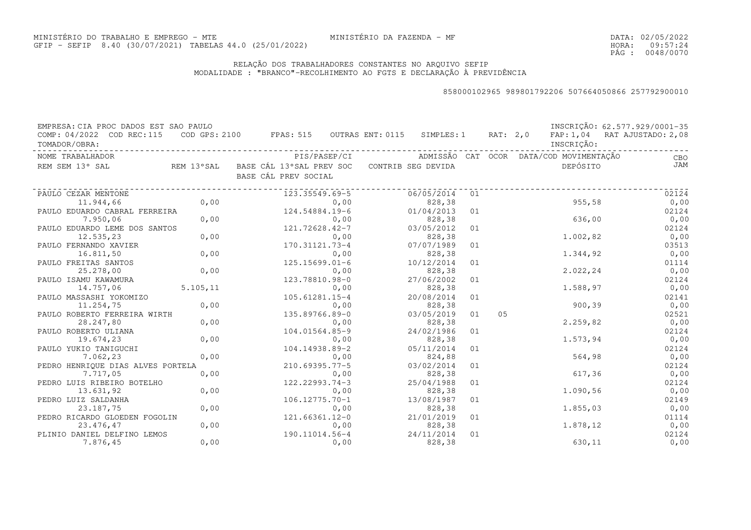DATA:02/05/2022HORA: PÁG : 09:57:24 0048/0070

### RELAÇÃO DOS TRABALHADORES CONSTANTES NO ARQUIVO SEFIPMODALIDADE : "BRANCO"-RECOLHIMENTO AO FGTS E DECLARAÇÃO À PREVIDÊNCIA

| EMPRESA: CIA PROC DADOS EST SAO PAULO      |           |                                                              |      |                      |    |    |                                         | INSCRIÇÃO: 62.577.929/0001-35 |
|--------------------------------------------|-----------|--------------------------------------------------------------|------|----------------------|----|----|-----------------------------------------|-------------------------------|
| COMP: 04/2022 COD REC:115<br>TOMADOR/OBRA: |           | COD GPS: 2100 FPAS: 515 OUTRAS ENT: 0115 SIMPLES: 1 RAT: 2,0 |      |                      |    |    | INSCRIÇÃO:                              | FAP: 1,04 RAT AJUSTADO: 2,08  |
| NOME TRABALHADOR                           |           | PIS/PASEP/CI                                                 |      |                      |    |    | ADMISSÃO CAT OCOR DATA/COD MOVIMENTAÇÃO | CBO                           |
| REM SEM 13° SAL                            |           | REM 13°SAL BASE CÁL 13°SAL PREV SOC<br>BASE CÁL PREV SOCIAL  |      | CONTRIB SEG DEVIDA   |    |    | DEPÓSITO                                | JAM                           |
| PAULO CEZAR MENTONE                        |           | 123.35549.69-5                                               |      | 06/05/2014           | 01 |    |                                         | 02124                         |
| 11.944,66                                  | 0,00      |                                                              | 0,00 | 828,38               |    |    | 955, 58                                 | 0,00                          |
| PAULO EDUARDO CABRAL FERREIRA              |           | 124.54884.19-6                                               |      | 01/04/2013           | 01 |    |                                         | 02124                         |
| 7.950,06                                   | 0,00      |                                                              | 0,00 | 828,38               |    |    | 636,00                                  | 0,00                          |
| PAULO EDUARDO LEME DOS SANTOS              |           | 121.72628.42-7                                               |      | 03/05/2012           | 01 |    |                                         | 02124                         |
| 12.535,23                                  | 0,00      |                                                              | 0,00 | 828,38               |    |    | 1.002,82                                | 0,00                          |
| PAULO FERNANDO XAVIER                      |           | 170.31121.73-4                                               |      | 07/07/1989           | 01 |    |                                         | 03513                         |
| 16.811,50                                  | 0,00      |                                                              | 0,00 | 828,38               |    |    | 1.344,92                                | 0,00                          |
| PAULO FREITAS SANTOS                       |           | $125.15699.01 - 6$                                           |      | 10/12/2014           | 01 |    |                                         | 01114                         |
| 25.278,00                                  | 0,00      |                                                              | 0,00 | 828,38               |    |    | 2.022, 24                               | 0,00                          |
| PAULO ISAMU KAWAMURA                       |           | 123.78810.98-0                                               |      | 27/06/2002           | 01 |    |                                         | 02124                         |
| 14.757,06                                  | 5.105, 11 |                                                              | 0,00 | 828,38               |    |    | 1.588,97                                | 0,00                          |
| PAULO MASSASHI YOKOMIZO                    |           | 105.61281.15-4                                               |      | 20/08/2014           | 01 |    |                                         | 02141                         |
| 11.254,75                                  | 0,00      |                                                              | 0,00 | 828,38               |    |    | 900, 39                                 | 0,00                          |
| PAULO ROBERTO FERREIRA WIRTH               |           | 135.89766.89-0                                               |      | 03/05/2019           | 01 | 05 |                                         | 02521                         |
| 28.247,80                                  | 0,00      |                                                              | 0,00 | 828,38               |    |    | 2.259, 82                               | 0,00                          |
| PAULO ROBERTO ULIANA                       |           | 104.01564.85-9                                               |      | 24/02/1986           | 01 |    |                                         | 02124                         |
| 19.674,23                                  | 0,00      |                                                              | 0,00 | 828,38               |    |    | 1.573,94                                | 0,00                          |
| PAULO YUKIO TANIGUCHI                      |           | 104.14938.89-2                                               |      | 05/11/2014           | 01 |    |                                         | 02124                         |
| 7.062,23                                   | 0,00      |                                                              | 0,00 | 824,88               |    |    | 564,98                                  | 0,00                          |
| PEDRO HENRIQUE DIAS ALVES PORTELA          |           | $210.69395.77 - 5$                                           |      | 03/02/2014           | 01 |    |                                         | 02124                         |
| 7.717,05                                   | 0,00      |                                                              | 0,00 | 828,38               |    |    | 617,36                                  | 0,00                          |
| PEDRO LUIS RIBEIRO BOTELHO                 |           | 122.22993.74-3                                               |      | 25/04/1988           | 01 |    |                                         | 02124                         |
| 13.631,92                                  | 0,00      |                                                              | 0,00 | 828,38               |    |    | 1.090,56                                | 0,00                          |
| PEDRO LUIZ SALDANHA                        |           | $106.12775.70 - 1$                                           |      | 13/08/1987           | 01 |    |                                         | 02149                         |
| 23.187,75                                  | 0,00      |                                                              | 0,00 | 828,38               |    |    | 1.855,03                                | 0,00                          |
| PEDRO RICARDO GLOEDEN FOGOLIN              |           | $121.66361.12 - 0$                                           |      | 21/01/2019           | 01 |    |                                         | 01114                         |
| 23.476,47                                  | 0,00      |                                                              | 0,00 | 828,38               |    |    | 1.878,12                                | 0,00                          |
| PLINIO DANIEL DELFINO LEMOS<br>7.876,45    | 0,00      | 190.11014.56-4                                               | 0,00 | 24/11/2014<br>828,38 | 01 |    | 630,11                                  | 02124<br>0,00                 |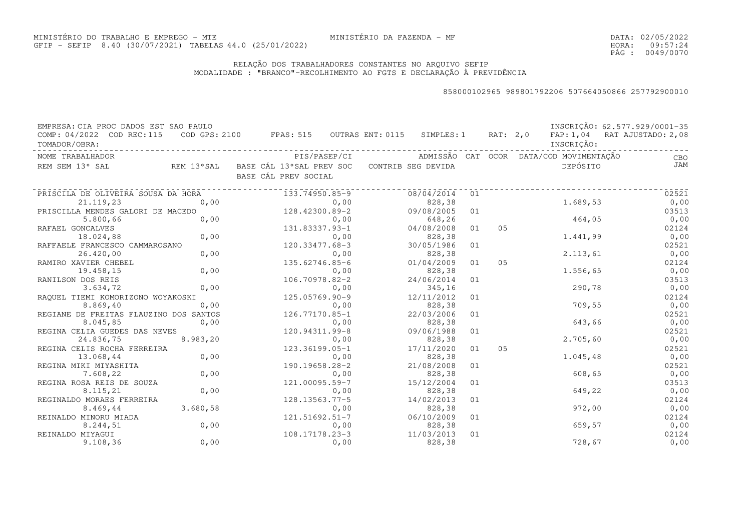DATA:02/05/2022HORA: PÁG : 09:57:24 0049/0070

### RELAÇÃO DOS TRABALHADORES CONSTANTES NO ARQUIVO SEFIPMODALIDADE : "BRANCO"-RECOLHIMENTO AO FGTS E DECLARAÇÃO À PREVIDÊNCIA

| EMPRESA: CIA PROC DADOS EST SAO PAULO      |           |                                                              |              |                    |    |    |                                         | INSCRIÇÃO: 62.577.929/0001-35 |
|--------------------------------------------|-----------|--------------------------------------------------------------|--------------|--------------------|----|----|-----------------------------------------|-------------------------------|
| COMP: 04/2022 COD REC:115<br>TOMADOR/OBRA: |           | COD GPS: 2100 FPAS: 515 OUTRAS ENT: 0115 SIMPLES: 1 RAT: 2,0 |              |                    |    |    | INSCRIÇÃO:                              | FAP: 1,04 RAT AJUSTADO: 2,08  |
| NOME TRABALHADOR                           |           |                                                              | PIS/PASEP/CI |                    |    |    | ADMISSÃO CAT OCOR DATA/COD MOVIMENTAÇÃO | <b>CBO</b>                    |
| REM SEM 13° SAL                            |           | REM 13°SAL BASE CÁL 13°SAL PREV SOC<br>BASE CÁL PREV SOCIAL  |              | CONTRIB SEG DEVIDA |    |    | DEPÓSITO                                | <b>JAM</b>                    |
| PRISCILA DE OLIVEIRA SOUSA DA HORA         |           | 133.74950.85-9                                               |              | 08/04/2014         | 01 |    |                                         | 02521                         |
| 21.119,23                                  | 0,00      |                                                              | 0,00         | 828,38             |    |    | 1.689,53                                | 0,00                          |
| PRISCILLA MENDES GALORI DE MACEDO          |           | 128.42300.89-2                                               |              | 09/08/2005         | 01 |    |                                         | 03513                         |
| 5.800,66                                   | 0,00      |                                                              | 0,00         | 648,26             |    |    | 464,05                                  | 0,00                          |
| RAFAEL GONCALVES                           |           | 131.83337.93-1                                               |              | 04/08/2008         | 01 | 05 |                                         | 02124                         |
| 18.024,88                                  | 0,00      |                                                              | 0,00         | 828,38             |    |    | 1.441,99                                | 0,00                          |
| RAFFAELE FRANCESCO CAMMAROSANO             |           | 120.33477.68-3                                               |              | 30/05/1986         | 01 |    |                                         | 02521                         |
| 26.420,00                                  | 0,00      |                                                              | 0,00         | 828,38             |    |    | 2.113,61                                | 0,00                          |
| RAMIRO XAVIER CHEBEL                       |           | 135.62746.85-6                                               |              | 01/04/2009         | 01 | 05 |                                         | 02124                         |
| 19.458,15                                  | 0,00      |                                                              | 0,00         | 828,38             |    |    | 1.556,65                                | 0,00                          |
| RANILSON DOS REIS                          |           | 106.70978.82-2                                               |              | 24/06/2014         | 01 |    |                                         | 03513                         |
| 3.634,72                                   | 0,00      |                                                              | 0,00         | 345,16             |    |    | 290,78                                  | 0,00                          |
| RAQUEL TIEMI KOMORIZONO WOYAKOSKI          |           | 125.05769.90-9                                               |              | 12/11/2012         | 01 |    |                                         | 02124                         |
| 8.869,40                                   | 0,00      |                                                              | 0,00         | 828,38             |    |    | 709,55                                  | 0,00                          |
| REGIANE DE FREITAS FLAUZINO DOS SANTOS     |           | 126.77170.85-1                                               |              | 22/03/2006         | 01 |    |                                         | 02521                         |
| 8.045,85                                   | 0,00      |                                                              | 0,00         | 828,38             |    |    | 643,66                                  | 0,00                          |
| REGINA CELIA GUEDES DAS NEVES              |           | 120.94311.99-8                                               |              | 09/06/1988         | 01 |    |                                         | 02521                         |
| 24.836,75                                  | 8.983, 20 |                                                              | 0,00         | 828,38             |    |    | 2.705,60                                | 0,00                          |
| REGINA CELIS ROCHA FERREIRA                |           | 123.36199.05-1                                               |              | 17/11/2020         | 01 | 05 |                                         | 02521                         |
| 13.068,44                                  | 0,00      |                                                              | 0,00         | 828,38             |    |    | 1.045,48                                | 0,00                          |
| REGINA MIKI MIYASHITA                      |           | 190.19658.28-2                                               |              | 21/08/2008         | 01 |    |                                         | 02521                         |
| 7.608,22                                   | 0,00      |                                                              | 0,00         | 828,38             |    |    | 608,65                                  | 0,00                          |
| REGINA ROSA REIS DE SOUZA                  |           | 121.00095.59-7                                               |              | 15/12/2004         | 01 |    |                                         | 03513                         |
| 8.115,21                                   | 0,00      |                                                              | 0,00         | 828,38             |    |    | 649,22                                  | 0,00                          |
| REGINALDO MORAES FERREIRA                  |           | $128.13563.77 - 5$                                           |              | 14/02/2013         | 01 |    |                                         | 02124                         |
| 8.469, 44                                  | 3.680,58  |                                                              | 0,00         | 828,38             |    |    | 972,00                                  | 0,00                          |
| REINALDO MINORU MIADA                      |           | 121.51692.51-7                                               |              | 06/10/2009         | 01 |    |                                         | 02124                         |
| 8.244,51                                   | 0,00      |                                                              | 0,00         | 828,38             |    |    | 659,57                                  | 0,00                          |
| REINALDO MIYAGUI                           |           | 108.17178.23-3                                               |              | 11/03/2013         | 01 |    |                                         | 02124                         |
| 9.108, 36                                  | 0,00      |                                                              | 0,00         | 828,38             |    |    | 728,67                                  | 0,00                          |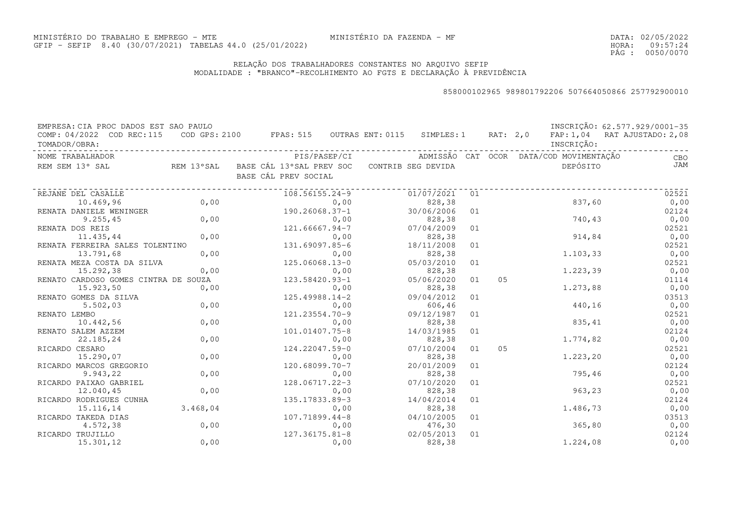### RELAÇÃO DOS TRABALHADORES CONSTANTES NO ARQUIVO SEFIPMODALIDADE : "BRANCO"-RECOLHIMENTO AO FGTS E DECLARAÇÃO À PREVIDÊNCIA

| EMPRESA: CIA PROC DADOS EST SAO PAULO<br>COMP: 04/2022 COD REC:115<br>TOMADOR/OBRA: |          | COD GPS: 2100 FPAS: 515 OUTRAS ENT: 0115 SIMPLES: 1 RAT: 2,0 |                    |    |                | INSCRIÇÃO:                              | INSCRIÇÃO: 62.577.929/0001-35<br>FAP: 1,04 RAT AJUSTADO: 2,08 |
|-------------------------------------------------------------------------------------|----------|--------------------------------------------------------------|--------------------|----|----------------|-----------------------------------------|---------------------------------------------------------------|
| NOME TRABALHADOR                                                                    |          | PIS/PASEP/CI                                                 |                    |    |                | ADMISSÃO CAT OCOR DATA/COD MOVIMENTAÇÃO | CBO                                                           |
| REM SEM 13° SAL                                                                     |          | REM 13°SAL BASE CÁL 13°SAL PREV SOC<br>BASE CÁL PREV SOCIAL  | CONTRIB SEG DEVIDA |    |                | DEPÓSITO                                | JAM                                                           |
| REJANE DEL CASALLE                                                                  |          | $108.56155.24 - 9$                                           | 01/07/2021         | 01 |                |                                         | 02521                                                         |
| 10.469,96                                                                           | 0,00     | 0,00                                                         | 828,38             |    |                | 837,60                                  | 0,00                                                          |
| RENATA DANIELE WENINGER                                                             |          | 190.26068.37-1                                               | 30/06/2006         | 01 |                |                                         | 02124                                                         |
| 9.255, 45                                                                           | 0,00     | 0,00                                                         | 828,38             |    |                | 740,43                                  | 0,00                                                          |
| RENATA DOS REIS                                                                     |          | 121.66667.94-7                                               | 07/04/2009         | 01 |                |                                         | 02521                                                         |
| 11.435,44                                                                           | 0,00     | 0,00                                                         | 828,38             |    |                | 914,84                                  | 0,00                                                          |
| RENATA FERREIRA SALES TOLENTINO                                                     |          | 131.69097.85-6                                               | 18/11/2008         | 01 |                |                                         | 02521                                                         |
| 13.791,68                                                                           | 0,00     | 0,00                                                         | 828,38             |    |                | 1.103,33                                | 0,00                                                          |
| RENATA MEZA COSTA DA SILVA                                                          |          | 125.06068.13-0                                               | 05/03/2010         | 01 |                |                                         | 02521                                                         |
| 15.292,38                                                                           | 0,00     | 0,00                                                         | 828,38             |    |                | 1.223,39                                | 0,00                                                          |
| RENATO CARDOSO GOMES CINTRA DE SOUZA                                                |          | 123.58420.93-1                                               | 05/06/2020         | 01 | 0 <sub>5</sub> |                                         | 01114                                                         |
| 15.923,50                                                                           | 0,00     | 0,00                                                         | 828,38             |    |                | 1.273,88                                | 0,00                                                          |
| RENATO GOMES DA SILVA                                                               |          | $125.49988.14-2$                                             | 09/04/2012         | 01 |                |                                         | 03513                                                         |
| 5.502,03                                                                            | 0,00     | 0,00                                                         | 606,46             |    |                | 440,16                                  | 0,00                                                          |
| RENATO LEMBO                                                                        |          | 121.23554.70-9                                               | 09/12/1987         | 01 |                |                                         | 02521                                                         |
| 10.442,56                                                                           | 0,00     | 0,00                                                         | 828,38             |    |                | 835,41                                  | 0,00                                                          |
| RENATO SALEM AZZEM                                                                  |          | 101.01407.75-8                                               | 14/03/1985         | 01 |                |                                         | 02124                                                         |
| 22.185,24                                                                           | 0,00     | 0,00                                                         | 828,38             |    |                | 1.774,82                                | 0,00                                                          |
| RICARDO CESARO                                                                      |          | 124.22047.59-0                                               | 07/10/2004         | 01 | 05             |                                         | 02521                                                         |
| 15.290,07                                                                           | 0,00     | 0,00                                                         | 828,38             |    |                | 1.223, 20                               | 0,00                                                          |
| RICARDO MARCOS GREGORIO                                                             |          | $120.68099.70 - 7$                                           | 20/01/2009         | 01 |                |                                         | 02124                                                         |
| 9.943,22                                                                            | 0,00     | 0,00                                                         | 828,38             |    |                | 795,46                                  | 0,00                                                          |
| RICARDO PAIXAO GABRIEL                                                              |          | 128.06717.22-3                                               | 07/10/2020         | 01 |                |                                         | 02521                                                         |
| 12.040,45                                                                           | 0,00     | 0,00                                                         | 828,38             |    |                | 963,23                                  | 0,00                                                          |
| RICARDO RODRIGUES CUNHA                                                             |          | 135.17833.89-3                                               | 14/04/2014         | 01 |                |                                         | 02124                                                         |
| 15.116,14                                                                           | 3.468,04 | 0,00                                                         | 828,38             |    |                | 1.486,73                                | 0,00                                                          |
| RICARDO TAKEDA DIAS                                                                 |          | 107.71899.44-8                                               | 04/10/2005         | 01 |                |                                         | 03513                                                         |
| 4.572,38                                                                            | 0,00     | 0,00                                                         | 476,30             |    |                | 365,80                                  | 0,00                                                          |
| RICARDO TRUJILLO                                                                    |          | 127.36175.81-8                                               | 02/05/2013         | 01 |                |                                         | 02124                                                         |
| 15.301,12                                                                           | 0,00     | 0,00                                                         | 828,38             |    |                | 1,224,08                                | 0,00                                                          |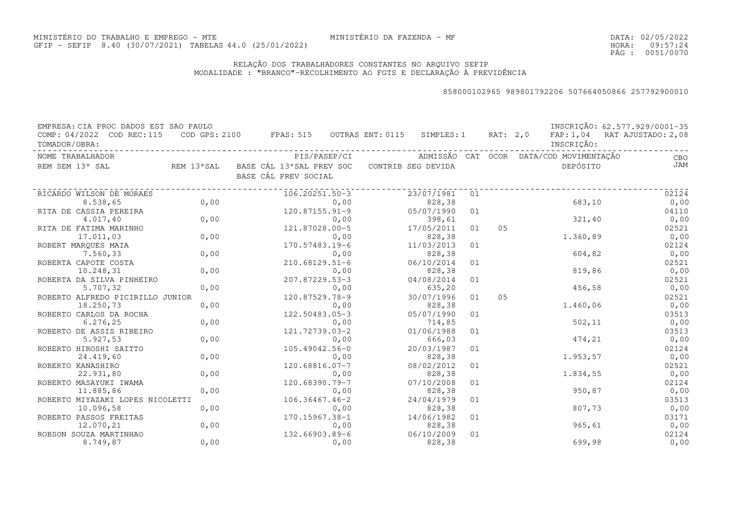DATA:02/05/2022HORA: PÁG : 09:57:24 0051/0070

### RELAÇÃO DOS TRABALHADORES CONSTANTES NO ARQUIVO SEFIPMODALIDADE : "BRANCO"-RECOLHIMENTO AO FGTS E DECLARAÇÃO À PREVIDÊNCIA

| EMPRESA: CIA PROC DADOS EST SAO PAULO      |      |                                                                |              |                    |    |          |                                         | INSCRIÇÃO: 62.577.929/0001-35 |
|--------------------------------------------|------|----------------------------------------------------------------|--------------|--------------------|----|----------|-----------------------------------------|-------------------------------|
| COMP: 04/2022 COD REC:115<br>TOMADOR/OBRA: |      | $\texttt{COD}$ GPS: 2100 FPAS: 515 OUTRAS ENT: 0115 SIMPLES: 1 |              |                    |    | RAT: 2,0 | INSCRIÇÃO:                              | FAP: 1,04 RAT AJUSTADO: 2,08  |
| NOME TRABALHADOR                           |      |                                                                | PIS/PASEP/CI |                    |    |          | ADMISSÃO CAT OCOR DATA/COD MOVIMENTAÇÃO | CBO                           |
| REM SEM 13° SAL                            |      | REM 13°SAL   BASE CÁL 13°SAL PREV SOC<br>BASE CÁL PREV SOCIAL  |              | CONTRIB SEG DEVIDA |    |          | DEPÓSITO                                | JAM                           |
| RICARDO WILSON DE MORAES                   |      | 106.20251.50-3                                                 |              | 23/07/1981         | 01 |          |                                         | 02124                         |
| 8.538,65                                   | 0,00 |                                                                | 0,00         | 828,38             |    |          | 683,10                                  | 0,00                          |
| RITA DE CASSIA PEREIRA                     |      | $120.87155.91 - 9$                                             |              | 05/07/1990         | 01 |          |                                         | 04110                         |
| 4.017,40                                   | 0,00 |                                                                | 0,00         | 398,61             |    |          | 321,40                                  | 0,00                          |
| RITA DE FATIMA MARINHO                     |      | 121.87028.00-5                                                 |              | 17/05/2011         | 01 | 05       |                                         | 02521                         |
| 17.011,03                                  | 0,00 |                                                                | 0,00         | 828,38             |    |          | 1.360,89                                | 0,00                          |
| ROBERT MARQUES MAIA                        |      | 170.57483.19-6                                                 |              | 11/03/2013         | 01 |          |                                         | 02124                         |
| 7.560,33                                   | 0,00 |                                                                | 0,00         | 828,38             |    |          | 604,82                                  | 0,00                          |
| ROBERTA CAPOTE COSTA                       |      | $210.68129.51-6$                                               |              | 06/10/2014         | 01 |          |                                         | 02521                         |
| 10.248,31                                  | 0,00 |                                                                | 0,00         | 828,38             |    |          | 819,86                                  | 0,00                          |
| ROBERTA DA SILVA PINHEIRO                  |      | 207.87229.53-3                                                 |              | 04/08/2014         | 01 |          |                                         | 02521                         |
| 5.707,32                                   | 0,00 |                                                                | 0,00         | 635,20             |    |          | 456,58                                  | 0,00                          |
| ROBERTO ALFREDO PICIRILLO JUNIOR           |      | 120.87529.78-9                                                 |              | 30/07/1996         | 01 | 05       |                                         | 02521                         |
| 18.250,73                                  | 0,00 |                                                                | 0,00         | 828,38             |    |          | 1.460,06                                | 0,00                          |
| ROBERTO CARLOS DA ROCHA                    |      | 122.50483.05-3                                                 |              | 05/07/1990         | 01 |          |                                         | 03513                         |
| 6.276, 25                                  | 0,00 |                                                                | 0,00         | 714,85             |    |          | 502, 11                                 | 0,00                          |
| ROBERTO DE ASSIS RIBEIRO                   |      | 121.72739.03-2                                                 |              | 01/06/1988         | 01 |          |                                         | 03513                         |
| 5.927,53                                   | 0,00 |                                                                | 0,00         | 666,03             |    |          | 474,21                                  | 0,00                          |
| ROBERTO HIROSHI SAITTO                     |      | 105.49042.56-0                                                 |              | 20/03/1987         | 01 |          |                                         | 02124                         |
| 24.419,60                                  | 0,00 |                                                                | 0,00         | 828,38             |    |          | 1.953,57                                | 0,00                          |
| ROBERTO KANASHIRO                          |      | 120.68816.07-7                                                 |              | 08/02/2012         | 01 |          |                                         | 02521                         |
| 22.931,80                                  | 0,00 |                                                                | 0,00         | 828,38             |    |          | 1.834,55                                | 0,00                          |
| ROBERTO MASAYUKI IWAMA                     |      | 120.68390.79-7                                                 |              | 07/10/2008         | 01 |          |                                         | 02124                         |
| 11.885,86                                  | 0,00 |                                                                | 0,00         | 828,38             |    |          | 950,87                                  | 0,00                          |
| ROBERTO MIYAZAKI LOPES NICOLETTI           |      | $106.36467.46 - 2$                                             |              | 24/04/1979         | 01 |          |                                         | 03513                         |
| 10.096,58                                  | 0,00 |                                                                | 0,00         | 828,38             |    |          | 807,73                                  | 0,00                          |
| ROBERTO PASSOS FREITAS                     |      | 170.15967.38-1                                                 |              | 14/06/1982         | 01 |          |                                         | 03171                         |
| 12.070,21                                  | 0,00 |                                                                | 0,00         | 828,38             |    |          | 965, 61                                 | 0,00                          |
| ROBSON SOUZA MARTINHAO                     |      | 132.66903.89-6                                                 |              | 06/10/2009         | 01 |          |                                         | 02124                         |
| 8.749,87                                   | 0,00 |                                                                | 0,00         | 828,38             |    |          | 699,98                                  | 0,00                          |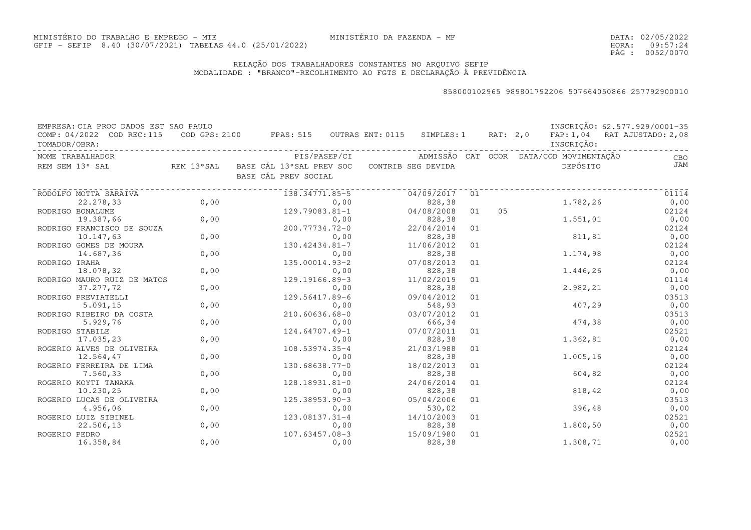DATA:02/05/2022HORA: PÁG : 09:57:24 0052/0070

### RELAÇÃO DOS TRABALHADORES CONSTANTES NO ARQUIVO SEFIPMODALIDADE : "BRANCO"-RECOLHIMENTO AO FGTS E DECLARAÇÃO À PREVIDÊNCIA

| EMPRESA: CIA PROC DADOS EST SAO PAULO<br>COMP: 04/2022 COD REC:115 |      | COD GPS: 2100 FPAS: 515 OUTRAS ENT: 0115                                       | SIMPLES: 1 |    | RAT: 2,0 |                                         | INSCRIÇÃO: 62.577.929/0001-35<br>FAP: 1,04 RAT AJUSTADO: 2,08 |
|--------------------------------------------------------------------|------|--------------------------------------------------------------------------------|------------|----|----------|-----------------------------------------|---------------------------------------------------------------|
| TOMADOR/OBRA:                                                      |      |                                                                                |            |    |          | INSCRIÇÃO:                              |                                                               |
| NOME TRABALHADOR                                                   |      | PIS/PASEP/CI                                                                   |            |    |          | ADMISSÃO CAT OCOR DATA/COD MOVIMENTAÇÃO | CBO                                                           |
| REM SEM 13° SAL                                                    |      | REM 13°SAL BASE CÁL 13°SAL PREV SOC CONTRIB SEG DEVIDA<br>BASE CÁL PREV SOCIAL |            |    |          | DEPÓSITO                                | JAM                                                           |
| RODOLFO MOTTA SARAIVA                                              |      | 138.34771.85-5                                                                 | 04/09/2017 | 01 |          |                                         | 01114                                                         |
| 22.278,33                                                          | 0,00 | 0,00                                                                           | 828,38     |    |          | 1.782,26                                | 0,00                                                          |
| RODRIGO BONALUME                                                   |      | 129.79083.81-1                                                                 | 04/08/2008 | 01 | 0.5      |                                         | 02124                                                         |
| 19.387,66                                                          | 0,00 | 0,00                                                                           | 828,38     |    |          | 1.551,01                                | 0,00                                                          |
| RODRIGO FRANCISCO DE SOUZA                                         |      | 200.77734.72-0                                                                 | 22/04/2014 | 01 |          |                                         | 02124                                                         |
| 10.147,63                                                          | 0,00 | 0,00                                                                           | 828,38     |    |          | 811,81                                  | 0,00                                                          |
| RODRIGO GOMES DE MOURA                                             |      | 130.42434.81-7                                                                 | 11/06/2012 | 01 |          |                                         | 02124                                                         |
| 14.687,36                                                          | 0,00 | 0,00                                                                           | 828,38     |    |          | 1.174,98                                | 0,00                                                          |
| RODRIGO IRAHA                                                      |      | 135.00014.93-2                                                                 | 07/08/2013 | 01 |          |                                         | 02124                                                         |
| 18.078,32                                                          | 0,00 | 0,00                                                                           | 828,38     |    |          | 1.446,26                                | 0,00                                                          |
| RODRIGO MAURO RUIZ DE MATOS                                        |      | 129.19166.89-3                                                                 | 11/02/2019 | 01 |          |                                         | 01114                                                         |
| 37.277,72                                                          | 0,00 | 0,00                                                                           | 828,38     |    |          | 2.982,21                                | 0,00                                                          |
| RODRIGO PREVIATELLI                                                |      | 129.56417.89-6                                                                 | 09/04/2012 | 01 |          |                                         | 03513                                                         |
| 5.091, 15                                                          | 0,00 | 0,00                                                                           | 548,93     |    |          | 407,29                                  | 0,00                                                          |
| RODRIGO RIBEIRO DA COSTA                                           |      | 210.60636.68-0                                                                 | 03/07/2012 | 01 |          |                                         | 03513                                                         |
| 5.929,76                                                           | 0,00 | 0,00                                                                           | 666,34     |    |          | 474,38                                  | 0,00                                                          |
| RODRIGO STABILE                                                    |      | 124.64707.49-1                                                                 | 07/07/2011 | 01 |          |                                         | 02521                                                         |
| 17.035,23                                                          | 0,00 | 0,00                                                                           | 828,38     |    |          | 1.362,81                                | 0,00                                                          |
| ROGERIO ALVES DE OLIVEIRA                                          |      | 108.53974.35-4                                                                 | 21/03/1988 | 01 |          |                                         | 02124                                                         |
| 12.564,47                                                          | 0,00 | 0,00                                                                           | 828,38     |    |          | 1.005,16                                | 0,00                                                          |
| ROGERIO FERREIRA DE LIMA                                           |      | 130.68638.77-0                                                                 | 18/02/2013 | 01 |          |                                         | 02124                                                         |
| 7.560,33                                                           | 0,00 | 0,00                                                                           | 828,38     |    |          | 604,82                                  | 0,00                                                          |
| ROGERIO KOYTI TANAKA                                               |      | 128.18931.81-0                                                                 | 24/06/2014 | 01 |          |                                         | 02124                                                         |
| 10.230, 25                                                         | 0,00 | 0,00                                                                           | 828,38     |    |          | 818,42                                  | 0,00                                                          |
| ROGERIO LUCAS DE OLIVEIRA                                          |      | 125.38953.90-3                                                                 | 05/04/2006 | 01 |          |                                         | 03513                                                         |
| 4.956,06                                                           | 0,00 | 0,00                                                                           | 530,02     |    |          | 396,48                                  | 0,00                                                          |
| ROGERIO LUIZ SIBINEL                                               |      | 123.08137.31-4                                                                 | 14/10/2003 | 01 |          |                                         | 02521                                                         |
| 22.506,13                                                          | 0,00 | 0,00                                                                           | 828,38     |    |          | 1.800,50                                | 0,00                                                          |
| ROGERIO PEDRO                                                      |      | $107.63457.08-3$                                                               | 15/09/1980 | 01 |          |                                         | 02521                                                         |
| 16.358,84                                                          | 0,00 | 0,00                                                                           | 828,38     |    |          | 1.308,71                                | 0,00                                                          |
|                                                                    |      |                                                                                |            |    |          |                                         |                                                               |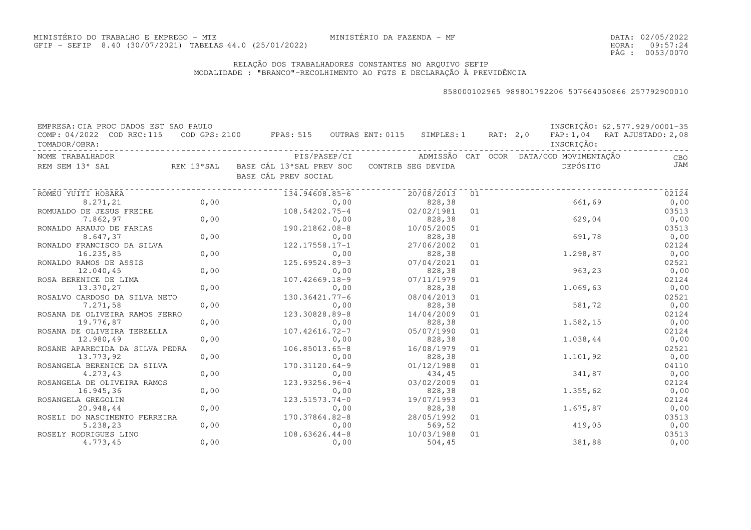DATA:02/05/2022HORA: PÁG : 09:57:24 0053/0070

### RELAÇÃO DOS TRABALHADORES CONSTANTES NO ARQUIVO SEFIPMODALIDADE : "BRANCO"-RECOLHIMENTO AO FGTS E DECLARAÇÃO À PREVIDÊNCIA

| EMPRESA: CIA PROC DADOS EST SAO PAULO |      |                                          |                    |    |          |                                         | INSCRIÇÃO: 62.577.929/0001-35 |
|---------------------------------------|------|------------------------------------------|--------------------|----|----------|-----------------------------------------|-------------------------------|
| COMP: 04/2022 COD REC:115             |      | COD GPS: 2100 FPAS: 515 OUTRAS ENT: 0115 | SIMPLES: 1         |    | RAT: 2,0 |                                         | FAP: 1,04 RAT AJUSTADO: 2,08  |
| TOMADOR/OBRA:                         |      |                                          |                    |    |          | INSCRIÇÃO:                              |                               |
| NOME TRABALHADOR                      |      | PIS/PASEP/CI                             |                    |    |          | ADMISSÃO CAT OCOR DATA/COD MOVIMENTAÇÃO | CBO                           |
| REM SEM 13° SAL<br>REM 13°SAL         |      | BASE CÁL 13°SAL PREV SOC                 | CONTRIB SEG DEVIDA |    |          | DEPÓSITO                                | JAM                           |
|                                       |      | BASE CÁL PREV SOCIAL                     |                    |    |          |                                         |                               |
|                                       |      |                                          |                    |    |          |                                         |                               |
| ROMEU YUITI HOSAKA                    |      | 134.94608.85-6                           | 20/08/2013         | 01 |          |                                         | 02124                         |
| 8.271,21                              | 0,00 | 0,00                                     | 828,38             |    |          | 661,69                                  | 0,00                          |
| ROMUALDO DE JESUS FREIRE              |      | 108.54202.75-4                           | 02/02/1981         | 01 |          |                                         | 03513                         |
| 7.862,97                              | 0,00 | 0,00                                     | 828,38             |    |          | 629,04                                  | 0,00                          |
| RONALDO ARAUJO DE FARIAS              |      | 190.21862.08-8                           | 10/05/2005         | 01 |          |                                         | 03513                         |
| 8.647,37                              | 0,00 | 0,00                                     | 828,38             |    |          | 691,78                                  | 0,00                          |
| RONALDO FRANCISCO DA SILVA            |      | $122.17558.17 - 1$                       | 27/06/2002         | 01 |          |                                         | 02124                         |
| 16.235,85                             | 0,00 | 0,00                                     | 828,38             |    |          | 1.298,87                                | 0,00                          |
| RONALDO RAMOS DE ASSIS                |      | 125.69524.89-3                           | 07/04/2021         | 01 |          |                                         | 02521                         |
| 12.040,45                             | 0,00 | 0,00                                     | 828,38             |    |          | 963,23                                  | 0,00                          |
| ROSA BERENICE DE LIMA                 |      | 107.42669.18-9                           | 07/11/1979         | 01 |          |                                         | 02124                         |
| 13.370,27                             | 0,00 | 0,00                                     | 828,38             |    |          | 1.069,63                                | 0,00                          |
| ROSALVO CARDOSO DA SILVA NETO         |      | 130.36421.77-6                           | 08/04/2013         | 01 |          |                                         | 02521                         |
| 7.271,58                              | 0,00 | 0,00                                     | 828,38             |    |          | 581,72                                  | 0,00                          |
| ROSANA DE OLIVEIRA RAMOS FERRO        |      | 123.30828.89-8                           | 14/04/2009         | 01 |          |                                         | 02124                         |
| 19.776,87                             | 0,00 | 0,00                                     | 828,38             |    |          | 1.582,15                                | 0,00                          |
| ROSANA DE OLIVEIRA TERZELLA           |      | 107.42616.72-7                           | 05/07/1990         | 01 |          |                                         | 02124                         |
| 12.980,49                             | 0,00 | 0,00                                     | 828,38             |    |          | 1.038,44                                | 0,00                          |
| ROSANE APARECIDA DA SILVA PEDRA       |      | 106.85013.65-8                           | 16/08/1979         | 01 |          |                                         | 02521                         |
| 13.773,92                             | 0,00 | 0,00                                     | 828,38             |    |          | 1.101,92                                | 0,00                          |
| ROSANGELA BERENICE DA SILVA           |      | 170.31120.64-9                           | 01/12/1988         | 01 |          |                                         | 04110                         |
| 4.273,43                              | 0,00 | 0,00                                     | 434,45             |    |          | 341,87                                  | 0,00                          |
| ROSANGELA DE OLIVEIRA RAMOS           |      | 123.93256.96-4                           | 03/02/2009         | 01 |          |                                         | 02124                         |
| 16.945,36                             | 0,00 | 0,00                                     | 828,38             |    |          | 1.355,62                                | 0,00                          |
| ROSANGELA GREGOLIN                    |      | 123.51573.74-0                           | 19/07/1993         | 01 |          |                                         | 02124                         |
| 20.948,44                             | 0,00 | 0,00                                     | 828,38             |    |          | 1.675,87                                | 0,00                          |
| ROSELI DO NASCIMENTO FERREIRA         |      | 170.37864.82-8                           | 28/05/1992         | 01 |          |                                         | 03513                         |
| 5.238,23                              | 0,00 | 0,00                                     | 569,52             |    |          | 419,05                                  | 0,00                          |
| ROSELY RODRIGUES LINO                 |      | $108.63626.44-8$                         | 10/03/1988         | 01 |          |                                         | 03513                         |
| 4.773,45                              | 0,00 | 0,00                                     | 504, 45            |    |          | 381,88                                  | 0,00                          |
|                                       |      |                                          |                    |    |          |                                         |                               |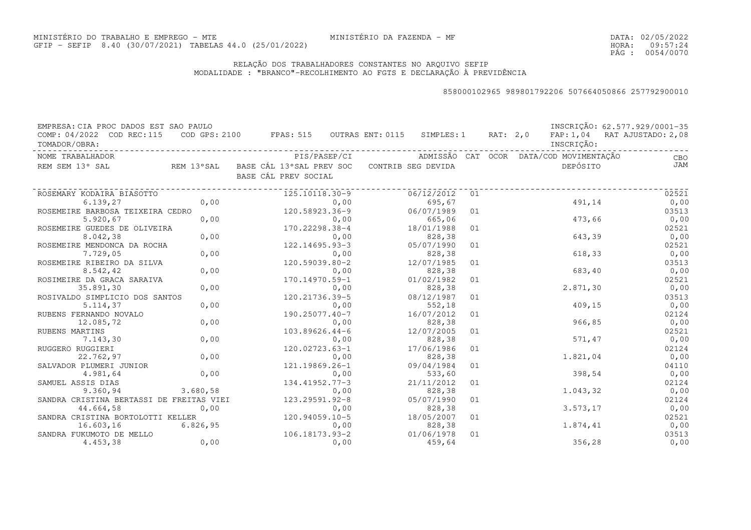DATA:02/05/2022HORA: PÁG : 09:57:24 0054/0070

### RELAÇÃO DOS TRABALHADORES CONSTANTES NO ARQUIVO SEFIPMODALIDADE : "BRANCO"-RECOLHIMENTO AO FGTS E DECLARAÇÃO À PREVIDÊNCIA

| EMPRESA: CIA PROC DADOS EST SAO PAULO      |          |                                                                                |            |    |                                         | INSCRIÇÃO: 62.577.929/0001-35 |
|--------------------------------------------|----------|--------------------------------------------------------------------------------|------------|----|-----------------------------------------|-------------------------------|
| COMP: 04/2022 COD REC:115<br>TOMADOR/OBRA: |          | COD GPS: 2100 FPAS: 515 OUTRAS ENT: 0115 SIMPLES: 1 RAT: 2,0                   |            |    | INSCRIÇÃO:                              | FAP: 1,04 RAT AJUSTADO: 2,08  |
| NOME TRABALHADOR                           |          | PIS/PASEP/CI                                                                   |            |    | ADMISSÃO CAT OCOR DATA/COD-MOVIMENTAÇÃO | CBO                           |
| REM SEM 13° SAL                            |          | REM 13°SAL BASE CÁL 13°SAL PREV SOC CONTRIB SEG DEVIDA<br>BASE CÁL PREV SOCIAL |            |    | DEPÓSITO                                | <b>JAM</b>                    |
| ROSEMARY KODAIRA BIASOTTO                  |          | 125.10118.30-9                                                                 | 06/12/2012 | 01 |                                         | 02521                         |
| 6.139,27                                   | 0,00     | 0,00                                                                           | 695,67     |    | 491,14                                  | 0,00                          |
| ROSEMEIRE BARBOSA TEIXEIRA CEDRO           |          | 120.58923.36-9                                                                 | 06/07/1989 | 01 |                                         | 03513                         |
| 5.920, 67                                  | 0,00     | 0,00                                                                           | 665,06     |    | 473,66                                  | 0,00                          |
| ROSEMEIRE GUEDES DE OLIVEIRA               |          | 170.22298.38-4                                                                 | 18/01/1988 | 01 |                                         | 02521                         |
| 8.042,38                                   | 0,00     | 0,00                                                                           | 828,38     |    | 643,39                                  | 0,00                          |
| ROSEMEIRE MENDONCA DA ROCHA                |          | 122.14695.93-3                                                                 | 05/07/1990 | 01 |                                         | 02521                         |
| 7.729,05                                   | 0,00     | 0,00                                                                           | 828,38     |    | 618,33                                  | 0,00                          |
| ROSEMEIRE RIBEIRO DA SILVA                 |          | 120.59039.80-2                                                                 | 12/07/1985 | 01 |                                         | 03513                         |
| 8.542,42                                   | 0,00     | 0,00                                                                           | 828,38     |    | 683,40                                  | 0,00                          |
| ROSIMEIRE DA GRACA SARAIVA                 |          | 170.14970.59-1                                                                 | 01/02/1982 | 01 |                                         | 02521                         |
| 35.891,30                                  | 0,00     | 0,00                                                                           | 828,38     |    | 2.871, 30                               | 0,00                          |
| ROSIVALDO SIMPLICIO DOS SANTOS             |          | 120.21736.39-5                                                                 | 08/12/1987 | 01 |                                         | 03513                         |
| 5.114, 37                                  | 0,00     | 0,00                                                                           | 552,18     |    | 409,15                                  | 0,00                          |
| RUBENS FERNANDO NOVALO                     |          | 190.25077.40-7                                                                 | 16/07/2012 | 01 |                                         | 02124                         |
| 12.085,72                                  | 0,00     | 0,00                                                                           | 828,38     |    | 966,85                                  | 0,00                          |
| RUBENS MARTINS                             |          | $103.89626.44 - 6$                                                             | 12/07/2005 | 01 |                                         | 02521                         |
| 7.143,30                                   | 0,00     | 0,00                                                                           | 828,38     |    | 571,47                                  | 0,00                          |
| RUGGERO RUGGIERI                           |          | 120.02723.63-1                                                                 | 17/06/1986 | 01 |                                         | 02124                         |
| 22.762,97                                  | 0,00     | 0,00                                                                           | 828,38     |    | 1.821,04                                | 0,00                          |
| SALVADOR PLUMERI JUNIOR                    |          | 121.19869.26-1                                                                 | 09/04/1984 | 01 |                                         | 04110                         |
| 4.981,64                                   | 0,00     | 0,00                                                                           | 533,60     |    | 398,54                                  | 0,00                          |
| SAMUEL ASSIS DIAS                          |          | 134.41952.77-3                                                                 | 21/11/2012 | 01 |                                         | 02124                         |
| 9.360,94                                   | 3.680,58 | 0,00                                                                           | 828,38     |    | 1.043,32                                | 0,00                          |
| SANDRA CRISTINA BERTASSI DE FREITAS VIEI   |          | 123.29591.92-8                                                                 | 05/07/1990 | 01 |                                         | 02124                         |
| 44.664,58                                  | 0,00     | 0,00                                                                           | 828,38     |    | 3.573, 17                               | 0,00                          |
| SANDRA CRISTINA BORTOLOTTI KELLER          |          | 120.94059.10-5                                                                 | 18/05/2007 | 01 |                                         | 02521                         |
| 16.603,16                                  | 6.826,95 | 0,00                                                                           | 828,38     |    | 1.874,41                                | 0,00                          |
| SANDRA FUKUMOTO DE MELLO                   |          | 106.18173.93-2                                                                 | 01/06/1978 | 01 |                                         | 03513                         |
| 4.453,38                                   | 0,00     | 0,00                                                                           | 459,64     |    | 356,28                                  | 0,00                          |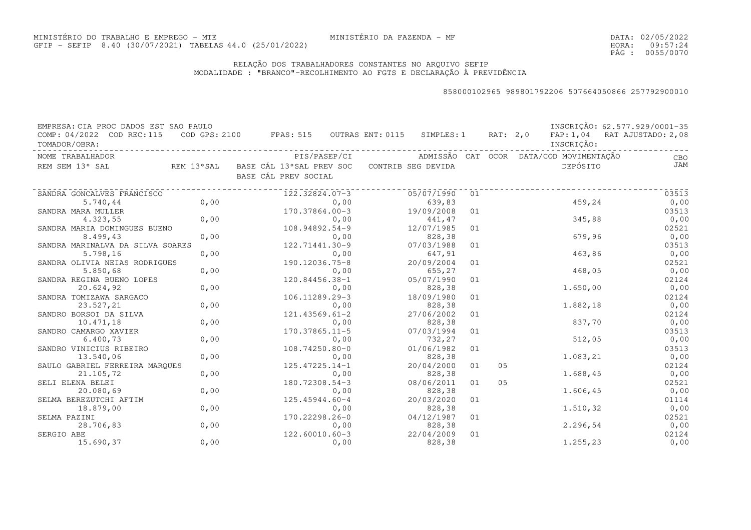DATA:02/05/2022HORA: PÁG : 09:57:24 0055/0070

### RELAÇÃO DOS TRABALHADORES CONSTANTES NO ARQUIVO SEFIPMODALIDADE : "BRANCO"-RECOLHIMENTO AO FGTS E DECLARAÇÃO À PREVIDÊNCIA

| EMPRESA: CIA PROC DADOS EST SAO PAULO      |      |                                                                |      |                      |    |          |                                         | INSCRIÇÃO: 62.577.929/0001-35 |
|--------------------------------------------|------|----------------------------------------------------------------|------|----------------------|----|----------|-----------------------------------------|-------------------------------|
| COMP: 04/2022 COD REC:115<br>TOMADOR/OBRA: |      | $\texttt{COD}$ GPS: 2100 FPAS: 515 OUTRAS ENT: 0115 SIMPLES: 1 |      |                      |    | RAT: 2,0 | INSCRIÇÃO:                              | FAP: 1,04 RAT AJUSTADO: 2,08  |
| NOME TRABALHADOR                           |      | PIS/PASEP/CI                                                   |      |                      |    |          | ADMISSÃO CAT OCOR DATA/COD MOVIMENTAÇÃO | CBO                           |
| REM SEM 13° SAL                            |      | REM 13°SAL BASE CÁL 13°SAL PREV SOC<br>BASE CÁL PREV SOCIAL    |      | CONTRIB SEG DEVIDA   |    |          | DEPÓSITO                                | JAM                           |
| SANDRA GONCALVES FRANCISCO                 |      | 122.32824.07-3                                                 |      | 05/07/1990           | 01 |          |                                         | 03513                         |
| 5.740,44                                   | 0,00 |                                                                | 0,00 | 639,83               |    |          | 459,24                                  | 0,00                          |
| SANDRA MARA MULLER                         |      | 170.37864.00-3                                                 |      | 19/09/2008           | 01 |          |                                         | 03513                         |
| 4.323,55                                   | 0,00 |                                                                | 0,00 | 441,47               |    |          | 345,88                                  | 0,00                          |
| SANDRA MARIA DOMINGUES BUENO               |      | 108.94892.54-9                                                 |      | 12/07/1985           | 01 |          |                                         | 02521                         |
| 8.499,43                                   | 0,00 |                                                                | 0,00 | 828,38               |    |          | 679,96                                  | 0,00                          |
| SANDRA MARINALVA DA SILVA SOARES           |      | 122.71441.30-9                                                 |      | 07/03/1988           | 01 |          |                                         | 03513                         |
| 5.798,16                                   | 0,00 |                                                                | 0,00 | 647,91               |    |          | 463,86                                  | 0,00                          |
| SANDRA OLIVIA NEIAS RODRIGUES              |      | 190.12036.75-8                                                 |      | 20/09/2004           | 01 |          |                                         | 02521                         |
| 5.850,68                                   | 0,00 |                                                                | 0,00 | 655,27               |    |          | 468,05                                  | 0,00                          |
| SANDRA REGINA BUENO LOPES                  |      | 120.84456.38-1                                                 |      | 05/07/1990           | 01 |          |                                         | 02124                         |
| 20.624,92                                  | 0,00 |                                                                | 0,00 | 828,38               |    |          | 1.650,00                                | 0,00                          |
| SANDRA TOMIZAWA SARGACO                    |      | 106.11289.29-3                                                 |      | 18/09/1980           | 01 |          |                                         | 02124                         |
| 23.527,21                                  | 0,00 |                                                                | 0,00 | 828,38               |    |          | 1.882,18                                | 0,00                          |
| SANDRO BORSOI DA SILVA                     |      | 121.43569.61-2                                                 |      | 27/06/2002           | 01 |          |                                         | 02124                         |
| 10.471,18                                  | 0,00 |                                                                | 0,00 | 828,38               |    |          | 837,70                                  | 0,00                          |
| SANDRO CAMARGO XAVIER                      |      | $170.37865.11 - 5$                                             |      | 07/03/1994           | 01 |          |                                         | 03513                         |
| 6.400, 73                                  | 0,00 |                                                                | 0,00 | 732,27               |    |          | 512,05                                  | 0,00                          |
| SANDRO VINICIUS RIBEIRO                    |      | 108.74250.80-0                                                 |      | 01/06/1982           | 01 |          |                                         | 03513                         |
| 13.540,06                                  | 0,00 |                                                                | 0,00 | 828,38               |    |          | 1.083,21                                | 0,00                          |
| SAULO GABRIEL FERREIRA MARQUES             |      | $125.47225.14-1$                                               |      | 20/04/2000           | 01 | 05       |                                         | 02124                         |
| 21.105,72                                  | 0,00 |                                                                | 0,00 | 828,38               |    |          | 1.688,45                                | 0,00                          |
| SELI ELENA BELEI                           |      | 180.72308.54-3                                                 |      | 08/06/2011           | 01 | 05       |                                         | 02521                         |
| 20.080,69                                  | 0,00 |                                                                | 0,00 | 828,38               |    |          | 1.606,45                                | 0,00                          |
| SELMA BEREZUTCHI AFTIM                     |      | 125.45944.60-4                                                 |      | 20/03/2020           | 01 |          |                                         | 01114                         |
| 18.879,00                                  | 0,00 |                                                                | 0,00 | 828,38               |    |          | 1.510,32                                | 0,00                          |
| SELMA PAZINI                               |      | 170.22298.26-0                                                 |      | 04/12/1987           | 01 |          |                                         | 02521                         |
| 28.706,83                                  | 0,00 |                                                                | 0,00 | 828,38               |    |          | 2.296,54                                | 0,00                          |
| SERGIO ABE<br>15.690,37                    | 0,00 | 122.60010.60-3                                                 | 0,00 | 22/04/2009<br>828,38 | 01 |          | 1.255,23                                | 02124<br>0,00                 |
|                                            |      |                                                                |      |                      |    |          |                                         |                               |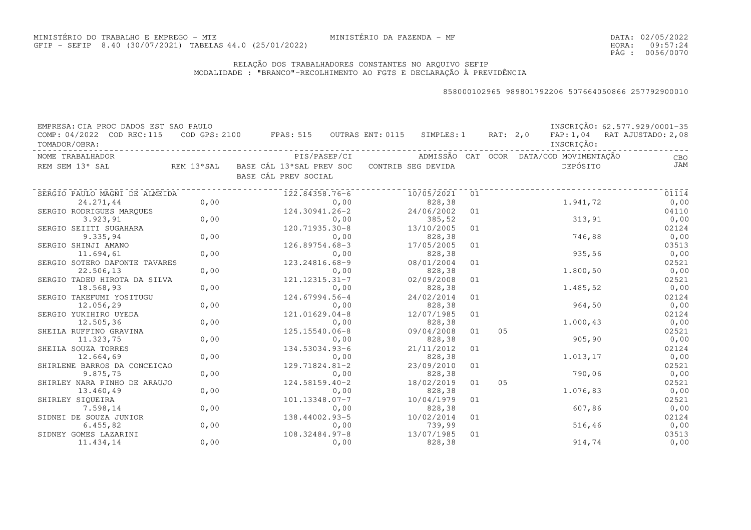DATA:02/05/2022HORA: PÁG : 09:57:24 0056/0070

### RELAÇÃO DOS TRABALHADORES CONSTANTES NO ARQUIVO SEFIPMODALIDADE : "BRANCO"-RECOLHIMENTO AO FGTS E DECLARAÇÃO À PREVIDÊNCIA

| EMPRESA: CIA PROC DADOS EST SAO PAULO      |      |                                                             |                    |    |          |                                         | INSCRIÇÃO: 62.577.929/0001-35 |
|--------------------------------------------|------|-------------------------------------------------------------|--------------------|----|----------|-----------------------------------------|-------------------------------|
| COMP: 04/2022 COD REC:115<br>TOMADOR/OBRA: |      | COD GPS: 2100 FPAS: 515 OUTRAS ENT: 0115 SIMPLES: 1         |                    |    | RAT: 2,0 | INSCRIÇÃO:                              | FAP: 1,04 RAT AJUSTADO: 2,08  |
| NOME TRABALHADOR                           |      | PIS/PASEP/CI                                                |                    |    |          | ADMISSÃO CAT OCOR DATA/COD MOVIMENTAÇÃO | CBO                           |
| REM SEM 13° SAL                            |      | REM 13°SAL BASE CÁL 13°SAL PREV SOC<br>BASE CÁL PREV SOCIAL | CONTRIB SEG DEVIDA |    |          | DEPÓSITO                                | JAM                           |
| SERGIO PAULO MAGNI DE ALMEIDA              |      | 122.84358.76-6                                              | 10/05/2021         | 01 |          |                                         | 01114                         |
| 24.271,44                                  | 0,00 | 0,00                                                        | 828,38             |    |          | 1.941,72                                | 0,00                          |
| SERGIO RODRIGUES MARQUES                   |      | 124.30941.26-2                                              | 24/06/2002         | 01 |          |                                         | 04110                         |
| 3.923, 91                                  | 0,00 | 0,00                                                        | 385,52             |    |          | 313, 91                                 | 0,00                          |
| SERGIO SEIITI SUGAHARA                     |      | 120.71935.30-8                                              | 13/10/2005         | 01 |          |                                         | 02124                         |
| 9.335,94                                   | 0,00 | 0,00                                                        | 828,38             |    |          | 746,88                                  | 0,00                          |
| SERGIO SHINJI AMANO                        |      | 126.89754.68-3                                              | 17/05/2005         | 01 |          |                                         | 03513                         |
| 11.694,61                                  | 0,00 | 0,00                                                        | 828,38             |    |          | 935,56                                  | 0,00                          |
| SERGIO SOTERO DAFONTE TAVARES              |      | 123.24816.68-9                                              | 08/01/2004         | 01 |          |                                         | 02521                         |
| 22.506,13                                  | 0,00 | 0,00                                                        | 828,38             |    |          | 1.800,50                                | 0,00                          |
| SERGIO TADEU HIROTA DA SILVA               |      | 121.12315.31-7                                              | 02/09/2008         | 01 |          |                                         | 02521                         |
| 18.568,93                                  | 0,00 | 0,00                                                        | 828,38             |    |          | 1.485,52                                | 0,00                          |
| SERGIO TAKEFUMI YOSITUGU                   |      | 124.67994.56-4                                              | 24/02/2014         | 01 |          |                                         | 02124                         |
| 12.056,29                                  | 0,00 | 0,00                                                        | 828,38             |    |          | 964,50                                  | 0,00                          |
| SERGIO YUKIHIRO UYEDA                      |      | 121.01629.04-8                                              | 12/07/1985         | 01 |          |                                         | 02124                         |
| 12.505,36                                  | 0,00 | 0,00                                                        | 828,38             |    |          | 1.000,43                                | 0,00                          |
| SHEILA RUFFINO GRAVINA                     |      | 125.15540.06-8                                              | 09/04/2008         | 01 | 05       |                                         | 02521                         |
| 11.323,75                                  | 0,00 | 0,00                                                        | 828,38             |    |          | 905, 90                                 | 0,00                          |
| SHEILA SOUZA TORRES                        |      | 134.53034.93-6                                              | 21/11/2012         | 01 |          |                                         | 02124                         |
| 12.664,69                                  | 0,00 | 0,00                                                        | 828,38             |    |          | 1.013,17                                | 0,00                          |
| SHIRLENE BARROS DA CONCEICAO               |      | 129.71824.81-2                                              | 23/09/2010         | 01 |          |                                         | 02521                         |
| 9.875,75                                   | 0,00 | 0,00                                                        | 828,38             |    |          | 790,06                                  | 0,00                          |
| SHIRLEY NARA PINHO DE ARAUJO               |      | $124.58159.40 - 2$                                          | 18/02/2019         | 01 | 05       |                                         | 02521                         |
| 13.460,49                                  | 0,00 | 0,00                                                        | 828,38             |    |          | 1.076,83                                | 0,00                          |
| SHIRLEY SIQUEIRA                           |      | 101.13348.07-7                                              | 10/04/1979         | 01 |          |                                         | 02521                         |
| 7.598,14                                   | 0,00 | 0,00                                                        | 828,38             |    |          | 607,86                                  | 0,00                          |
| SIDNEI DE SOUZA JUNIOR                     |      | 138.44002.93-5                                              | 10/02/2014         | 01 |          |                                         | 02124                         |
| 6.455,82                                   | 0,00 | 0,00                                                        | 739,99             |    |          | 516, 46                                 | 0,00                          |
| SIDNEY GOMES LAZARINI                      |      | 108.32484.97-8                                              | 13/07/1985         | 01 |          |                                         | 03513                         |
| 11.434,14                                  | 0,00 | 0,00                                                        | 828,38             |    |          | 914,74                                  | 0,00                          |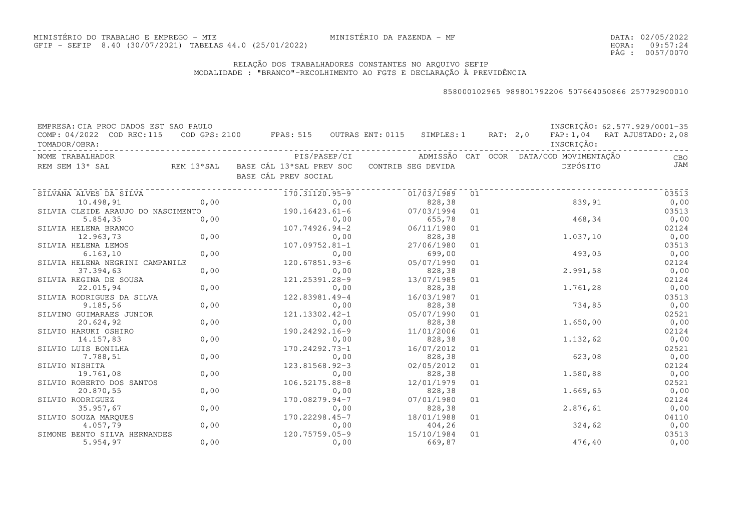DATA:02/05/2022HORA: PÁG : 09:57:24 0057/0070

### RELAÇÃO DOS TRABALHADORES CONSTANTES NO ARQUIVO SEFIPMODALIDADE : "BRANCO"-RECOLHIMENTO AO FGTS E DECLARAÇÃO À PREVIDÊNCIA

| EMPRESA: CIA PROC DADOS EST SAO PAULO      |      |                                                                |      |                    |    |          |                                         | INSCRIÇÃO: 62.577.929/0001-35 |
|--------------------------------------------|------|----------------------------------------------------------------|------|--------------------|----|----------|-----------------------------------------|-------------------------------|
| COMP: 04/2022 COD REC:115<br>TOMADOR/OBRA: |      | $\texttt{COD}$ GPS: 2100 FPAS: 515 OUTRAS ENT: 0115 SIMPLES: 1 |      |                    |    | RAT: 2,0 | INSCRIÇÃO:                              | FAP: 1,04 RAT AJUSTADO: 2,08  |
| NOME TRABALHADOR                           |      | PIS/PASEP/CI                                                   |      |                    |    |          | ADMISSÃO CAT OCOR DATA/COD MOVIMENTAÇÃO | CBO                           |
| REM SEM 13° SAL                            |      | REM 13°SAL - BASE CÁL 13°SAL PREV SOC<br>BASE CÁL PREV SOCIAL  |      | CONTRIB SEG DEVIDA |    |          | DEPÓSITO                                | JAM                           |
| SILVANA ALVES DA SILVA                     |      | 170.31120.95-9                                                 |      | 01/03/1989         | 01 |          |                                         | 03513                         |
| 10.498,91                                  | 0,00 |                                                                | 0,00 | 828,38             |    |          | 839,91                                  | 0,00                          |
| SILVIA CLEIDE ARAUJO DO NASCIMENTO         |      | $190.16423.61-6$                                               |      | 07/03/1994         | 01 |          |                                         | 03513                         |
| 5.854,35                                   | 0,00 |                                                                | 0,00 | 655,78             |    |          | 468,34                                  | 0,00                          |
| SILVIA HELENA BRANCO                       |      | 107.74926.94-2                                                 |      | 06/11/1980         | 01 |          |                                         | 02124                         |
| 12.963,73                                  | 0,00 |                                                                | 0,00 | 828,38             |    |          | 1.037,10                                | 0,00                          |
| SILVIA HELENA LEMOS                        |      | $107.09752.81 - 1$                                             |      | 27/06/1980         | 01 |          |                                         | 03513                         |
| 6.163, 10                                  | 0,00 |                                                                | 0,00 | 699,00             |    |          | 493,05                                  | 0,00                          |
| SILVIA HELENA NEGRINI CAMPANILE            |      | 120.67851.93-6                                                 |      | 05/07/1990         | 01 |          |                                         | 02124                         |
| 37.394,63                                  | 0,00 |                                                                | 0,00 | 828,38             |    |          | 2.991,58                                | 0,00                          |
| SILVIA REGINA DE SOUSA                     |      | 121.25391.28-9                                                 |      | 13/07/1985         | 01 |          |                                         | 02124                         |
| 22.015,94                                  | 0,00 |                                                                | 0,00 | 828,38             |    |          | 1.761,28                                | 0,00                          |
| SILVIA RODRIGUES DA SILVA                  |      | 122.83981.49-4                                                 |      | 16/03/1987         | 01 |          |                                         | 03513                         |
| 9.185,56                                   | 0,00 |                                                                | 0,00 | 828,38             |    |          | 734,85                                  | 0,00                          |
| SILVINO GUIMARAES JUNIOR                   |      | 121.13302.42-1                                                 |      | 05/07/1990         | 01 |          |                                         | 02521                         |
| 20.624,92                                  | 0,00 |                                                                | 0,00 | 828,38             |    |          | 1.650,00                                | 0,00                          |
| SILVIO HARUKI OSHIRO                       |      | 190.24292.16-9                                                 |      | 11/01/2006         | 01 |          |                                         | 02124                         |
| 14.157,83                                  | 0,00 |                                                                | 0,00 | 828,38             |    |          | 1.132,62                                | 0,00                          |
| SILVIO LUIS BONILHA                        |      | 170.24292.73-1                                                 |      | 16/07/2012         | 01 |          |                                         | 02521                         |
| 7.788,51                                   | 0,00 |                                                                | 0,00 | 828,38             |    |          | 623,08                                  | 0,00                          |
| SILVIO NISHITA                             |      | 123.81568.92-3                                                 |      | 02/05/2012         | 01 |          |                                         | 02124                         |
| 19.761,08                                  | 0,00 |                                                                | 0,00 | 828,38             |    |          | 1.580,88                                | 0,00                          |
| SILVIO ROBERTO DOS SANTOS                  |      | 106.52175.88-8                                                 |      | 12/01/1979         | 01 |          |                                         | 02521                         |
| 20.870,55                                  | 0,00 |                                                                | 0,00 | 828,38             |    |          | 1.669,65                                | 0,00                          |
| SILVIO RODRIGUEZ                           |      | 170.08279.94-7                                                 |      | 07/01/1980         | 01 |          |                                         | 02124                         |
| 35.957,67                                  | 0,00 |                                                                | 0,00 | 828,38             |    |          | 2.876,61                                | 0,00                          |
| SILVIO SOUZA MARQUES                       |      | 170.22298.45-7                                                 |      | 18/01/1988         | 01 |          |                                         | 04110                         |
| 4.057,79                                   | 0,00 |                                                                | 0,00 | 404,26             |    |          | 324,62                                  | 0,00                          |
| SIMONE BENTO SILVA HERNANDES               |      | 120.75759.05-9                                                 |      | 15/10/1984         | 01 |          |                                         | 03513                         |
| 5.954, 97                                  | 0,00 |                                                                | 0,00 | 669,87             |    |          | 476,40                                  | 0,00                          |
|                                            |      |                                                                |      |                    |    |          |                                         |                               |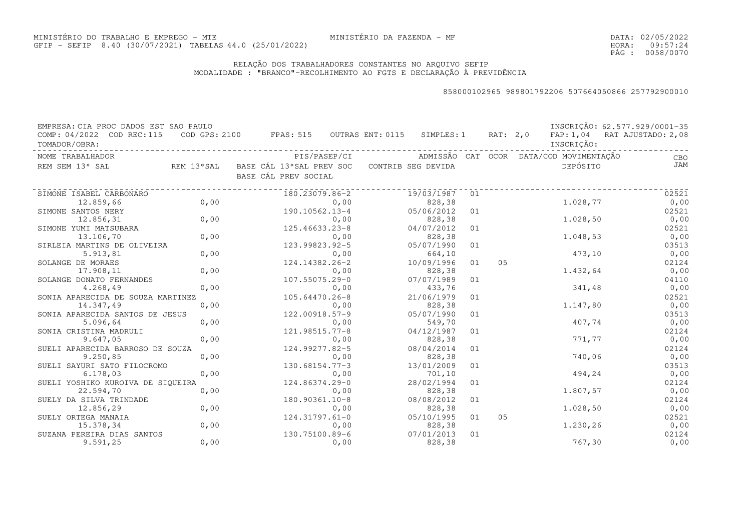DATA:02/05/2022HORA: PÁG : 09:57:24 0058/0070

### RELAÇÃO DOS TRABALHADORES CONSTANTES NO ARQUIVO SEFIPMODALIDADE : "BRANCO"-RECOLHIMENTO AO FGTS E DECLARAÇÃO À PREVIDÊNCIA

| EMPRESA: CIA PROC DADOS EST SAO PAULO |            |                                          |      |                    |    |          |                                         | INSCRIÇÃO: 62.577.929/0001-35 |
|---------------------------------------|------------|------------------------------------------|------|--------------------|----|----------|-----------------------------------------|-------------------------------|
| COMP: 04/2022 COD REC:115             |            | COD GPS: 2100 FPAS: 515 OUTRAS ENT: 0115 |      | SIMPLES: 1         |    | RAT: 2,0 |                                         | FAP: 1,04 RAT AJUSTADO: 2,08  |
| TOMADOR/OBRA:                         |            |                                          |      |                    |    |          | INSCRIÇÃO:                              |                               |
| NOME TRABALHADOR                      |            | PIS/PASEP/CI                             |      |                    |    |          | ADMISSÃO CAT OCOR DATA/COD MOVIMENTAÇÃO | CBO                           |
| REM SEM 13° SAL                       | REM 13°SAL | BASE CÁL 13°SAL PREV SOC                 |      | CONTRIB SEG DEVIDA |    |          | DEPÓSITO                                | JAM                           |
|                                       |            | BASE CÁL PREV SOCIAL                     |      |                    |    |          |                                         |                               |
|                                       |            |                                          |      |                    |    |          |                                         |                               |
| SIMONE ISABEL CARBONARO               |            | 180.23079.86-2                           |      | 19/03/1987         | 01 |          |                                         | 02521                         |
| 12.859,66                             | 0,00       |                                          | 0,00 | 828,38             |    |          | 1.028,77                                | 0,00                          |
| SIMONE SANTOS NERY                    |            | 190.10562.13-4                           |      | 05/06/2012         | 01 |          |                                         | 02521                         |
| 12.856,31                             | 0,00       |                                          | 0,00 | 828,38             |    |          | 1.028,50                                | 0,00                          |
| SIMONE YUMI MATSUBARA                 |            | 125.46633.23-8                           |      | 04/07/2012         | 01 |          |                                         | 02521                         |
| 13.106,70                             | 0,00       |                                          | 0,00 | 828,38             |    |          | 1.048,53                                | 0,00                          |
| SIRLEIA MARTINS DE OLIVEIRA           |            | 123.99823.92-5                           |      | 05/07/1990         | 01 |          |                                         | 03513                         |
| 5.913,81                              | 0,00       |                                          | 0,00 | 664,10             |    |          | 473,10                                  | 0,00                          |
| SOLANGE DE MORAES                     |            | 124.14382.26-2                           |      | 10/09/1996         | 01 | 05       |                                         | 02124                         |
| 17.908,11                             | 0,00       |                                          | 0,00 | 828,38             |    |          | 1.432,64                                | 0,00                          |
| SOLANGE DONATO FERNANDES              |            | 107.55075.29-0                           |      | 07/07/1989         | 01 |          |                                         | 04110                         |
| 4.268,49                              | 0,00       |                                          | 0,00 | 433,76             |    |          | 341,48                                  | 0,00                          |
| SONIA APARECIDA DE SOUZA MARTINEZ     |            | 105.64470.26-8                           |      | 21/06/1979         | 01 |          |                                         | 02521                         |
| 14.347,49                             | 0,00       |                                          | 0,00 | 828,38             |    |          | 1.147,80                                | 0,00                          |
| SONIA APARECIDA SANTOS DE JESUS       |            | 122.00918.57-9                           |      | 05/07/1990         | 01 |          |                                         | 03513                         |
| 5.096,64                              | 0,00       |                                          | 0,00 | 549,70             |    |          | 407,74                                  | 0,00                          |
| SONIA CRISTINA MADRULI                |            | 121.98515.77-8                           |      | 04/12/1987         | 01 |          |                                         | 02124                         |
| 9.647,05                              | 0,00       |                                          | 0,00 | 828,38             |    |          | 771,77                                  | 0,00                          |
| SUELI APARECIDA BARROSO DE SOUZA      |            | 124.99277.82-5                           |      | 08/04/2014         | 01 |          |                                         | 02124                         |
| 9.250,85                              | 0,00       |                                          | 0,00 | 828,38             |    |          | 740,06                                  | 0,00                          |
| SUELI SAYURI SATO FILOCROMO           |            | 130.68154.77-3                           |      | 13/01/2009         | 01 |          |                                         | 03513                         |
| 6.178,03                              | 0,00       |                                          | 0,00 | 701,10             |    |          | 494,24                                  | 0,00                          |
| SUELI YOSHIKO KUROIVA DE SIQUEIRA     |            | 124.86374.29-0                           |      | 28/02/1994         | 01 |          |                                         | 02124                         |
| 22.594,70                             | 0,00       |                                          | 0,00 | 828,38             |    |          | 1.807,57                                | 0,00                          |
| SUELY DA SILVA TRINDADE               |            | 180.90361.10-8                           |      | 08/08/2012         | 01 |          |                                         | 02124                         |
| 12.856,29                             | 0,00       |                                          | 0,00 | 828,38             |    |          | 1.028,50                                | 0,00                          |
| SUELY ORTEGA MANAIA                   |            | 124.31797.61-0                           |      | 05/10/1995         | 01 | 05       |                                         | 02521                         |
| 15.378,34                             | 0,00       |                                          | 0,00 | 828,38             |    |          | 1.230,26                                | 0,00                          |
| SUZANA PEREIRA DIAS SANTOS            |            | 130.75100.89-6                           |      | 07/01/2013         | 01 |          |                                         | 02124                         |
| 9.591,25                              | 0,00       |                                          | 0,00 | 828,38             |    |          | 767,30                                  | 0,00                          |
|                                       |            |                                          |      |                    |    |          |                                         |                               |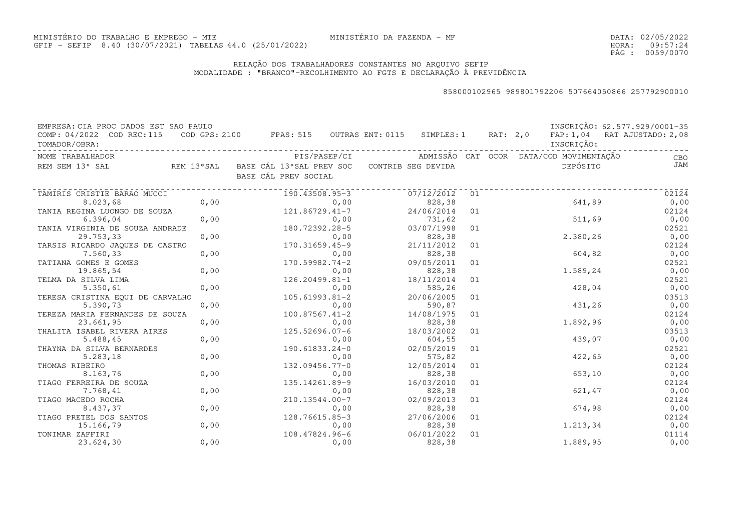DATA:02/05/2022HORA: PÁG : 09:57:24 0059/0070

### RELAÇÃO DOS TRABALHADORES CONSTANTES NO ARQUIVO SEFIPMODALIDADE : "BRANCO"-RECOLHIMENTO AO FGTS E DECLARAÇÃO À PREVIDÊNCIA

| EMPRESA: CIA PROC DADOS EST SAO PAULO |      |                                                     |                      |    |          |                                         | INSCRIÇÃO: 62.577.929/0001-35 |
|---------------------------------------|------|-----------------------------------------------------|----------------------|----|----------|-----------------------------------------|-------------------------------|
| COMP: 04/2022 COD REC:115             |      | COD GPS: 2100 FPAS: 515 OUTRAS ENT: 0115 SIMPLES: 1 |                      |    | RAT: 2,0 |                                         | FAP: 1,04 RAT AJUSTADO: 2,08  |
| TOMADOR/OBRA:                         |      |                                                     |                      |    |          | INSCRIÇÃO:                              |                               |
| NOME TRABALHADOR                      |      | PIS/PASEP/CI                                        |                      |    |          | ADMISSÃO CAT OCOR DATA/COD MOVIMENTAÇÃO | CBO                           |
| REM SEM 13° SAL<br>REM 13°SAL         |      | BASE CÁL 13°SAL PREV SOC CONTRIB SEG DEVIDA         |                      |    |          | DEPÓSITO                                | JAM                           |
|                                       |      | BASE CÁL PREV SOCIAL                                |                      |    |          |                                         |                               |
| TAMIRIS CRISTIE BARAO MUCCI           |      | 190.43508.95-3                                      | 07/12/2012           | 01 |          |                                         | 02124                         |
| 8.023,68                              | 0,00 | 0,00                                                | 828,38               |    |          | 641,89                                  | 0,00                          |
| TANIA REGINA LUONGO DE SOUZA          |      | 121.86729.41-7                                      | 24/06/2014           | 01 |          |                                         | 02124                         |
| 6.396,04                              | 0,00 | 0,00                                                | 731,62               |    |          | 511,69                                  | 0,00                          |
| TANIA VIRGINIA DE SOUZA ANDRADE       |      | 180.72392.28-5                                      | 03/07/1998           | 01 |          |                                         | 02521                         |
| 29.753,33                             | 0,00 | 0,00                                                | 828,38               |    |          | 2.380,26                                | 0,00                          |
| TARSIS RICARDO JAQUES DE CASTRO       |      | 170.31659.45-9                                      | 21/11/2012           | 01 |          |                                         | 02124                         |
| 7.560,33                              | 0,00 | 0,00                                                | 828,38               |    |          | 604,82                                  | 0,00                          |
| TATIANA GOMES E GOMES                 |      | 170.59982.74-2                                      | 09/05/2011           | 01 |          |                                         | 02521                         |
| 19.865,54                             | 0,00 | 0,00                                                | 828,38               |    |          | 1.589,24                                | 0,00                          |
| TELMA DA SILVA LIMA                   |      | 126.20499.81-1                                      | 18/11/2014           | 01 |          |                                         | 02521                         |
| 5.350,61                              | 0,00 | 0,00                                                | 585,26               |    |          | 428,04                                  | 0,00                          |
| TERESA CRISTINA EQUI DE CARVALHO      |      | $105.61993.81 - 2$                                  | 20/06/2005           | 01 |          |                                         | 03513                         |
| 5.390,73                              | 0,00 | 0,00                                                | 590,87               |    |          | 431,26                                  | 0,00                          |
| TEREZA MARIA FERNANDES DE SOUZA       |      | $100.87567.41 - 2$                                  | 14/08/1975           | 01 |          |                                         | 02124                         |
| 23.661,95                             | 0,00 | 0,00                                                | 828,38               |    |          | 1.892,96                                | 0,00                          |
| THALITA ISABEL RIVERA AIRES           |      | 125.52696.07-6                                      | 18/03/2002           | 01 |          |                                         | 03513                         |
| 5.488,45                              | 0,00 | 0,00                                                | 604,55               |    |          | 439,07                                  | 0,00                          |
| THAYNA DA SILVA BERNARDES             |      | 190.61833.24-0                                      | 02/05/2019           | 01 |          |                                         | 02521                         |
| 5.283,18                              | 0,00 | 0,00                                                | 575,82               |    |          | 422,65                                  | 0,00                          |
| THOMAS RIBEIRO                        |      | 132.09456.77-0                                      | 12/05/2014           | 01 |          |                                         | 02124                         |
| 8.163,76                              | 0,00 | 0,00                                                | 828,38               |    |          | 653,10                                  | 0,00                          |
| TIAGO FERREIRA DE SOUZA               |      | 135.14261.89-9                                      | 16/03/2010           | 01 |          |                                         | 02124                         |
| 7.768,41                              | 0,00 | 0,00                                                | 828,38               |    |          | 621,47                                  | 0,00                          |
| TIAGO MACEDO ROCHA                    |      | 210.13544.00-7                                      | 02/09/2013           | 01 |          |                                         | 02124                         |
| 8.437,37                              | 0,00 | 0,00                                                | 828,38               |    |          | 674,98                                  | 0,00                          |
| TIAGO PRETEL DOS SANTOS               |      | 128.76615.85-3                                      | 27/06/2006           | 01 |          |                                         | 02124                         |
| 15.166,79                             | 0,00 | 0,00                                                | 828,38               |    |          | 1.213,34                                | 0,00                          |
| TONIMAR ZAFFIRI<br>23.624,30          | 0,00 | 108.47824.96-6<br>0,00                              | 06/01/2022<br>828,38 | 01 |          | 1.889,95                                | 01114<br>0,00                 |
|                                       |      |                                                     |                      |    |          |                                         |                               |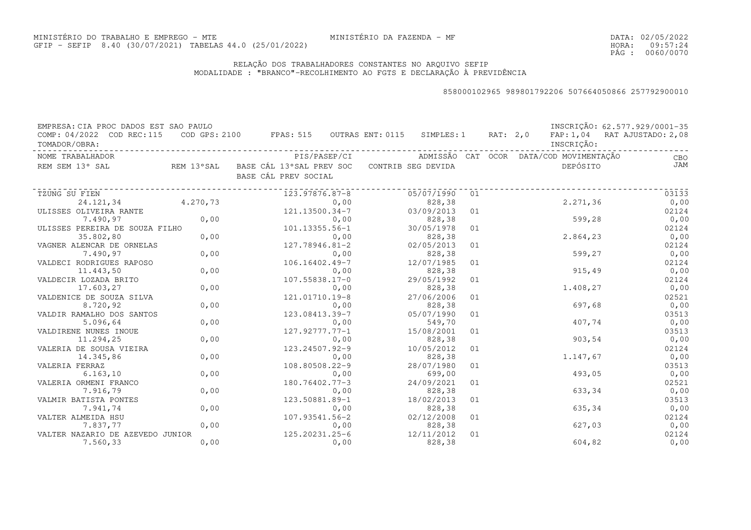DATA:02/05/2022HORA: PÁG : 09:57:24 0060/0070

### RELAÇÃO DOS TRABALHADORES CONSTANTES NO ARQUIVO SEFIPMODALIDADE : "BRANCO"-RECOLHIMENTO AO FGTS E DECLARAÇÃO À PREVIDÊNCIA

| EMPRESA: CIA PROC DADOS EST SAO PAULO |          |                                                     |      |                    |    |          |                                         | INSCRIÇÃO: 62.577.929/0001-35 |
|---------------------------------------|----------|-----------------------------------------------------|------|--------------------|----|----------|-----------------------------------------|-------------------------------|
| COMP: 04/2022 COD REC: 115            |          | COD GPS: 2100 FPAS: 515 OUTRAS ENT: 0115 SIMPLES: 1 |      |                    |    | RAT: 2,0 |                                         | FAP: 1,04 RAT AJUSTADO: 2,08  |
| TOMADOR/OBRA:                         |          |                                                     |      |                    |    |          | INSCRIÇÃO:                              |                               |
| NOME TRABALHADOR                      |          | PIS/PASEP/CI                                        |      |                    |    |          | ADMISSÃO CAT OCOR DATA/COD MOVIMENTAÇÃO | CBO                           |
| REM 13°SAL<br>REM SEM 13° SAL         |          | BASE CÁL 13°SAL PREV SOC                            |      | CONTRIB SEG DEVIDA |    |          | DEPÓSITO                                | JAM                           |
|                                       |          | BASE CÁL PREV SOCIAL                                |      |                    |    |          |                                         |                               |
| TZUNG SU FIEN                         |          | 123.97876.87-8                                      |      | 05/07/1990         | 01 |          |                                         | 03133                         |
| 24.121,34                             | 4,270,73 |                                                     | 0,00 | 828,38             |    |          | 2.271,36                                | 0,00                          |
| ULISSES OLIVEIRA RANTE                |          | 121.13500.34-7                                      |      | 03/09/2013         | 01 |          |                                         | 02124                         |
| 7.490,97                              | 0,00     |                                                     | 0,00 | 828,38             |    |          | 599,28                                  | 0,00                          |
| ULISSES PEREIRA DE SOUZA FILHO        |          | 101.13355.56-1                                      |      | 30/05/1978         | 01 |          |                                         | 02124                         |
| 35.802,80                             | 0,00     |                                                     | 0,00 | 828,38             |    |          | 2.864,23                                | 0,00                          |
| VAGNER ALENCAR DE ORNELAS             |          | 127.78946.81-2                                      |      | 02/05/2013         | 01 |          |                                         | 02124                         |
| 7.490,97                              | 0,00     |                                                     | 0,00 | 828,38             |    |          | 599,27                                  | 0,00                          |
| VALDECI RODRIGUES RAPOSO              |          | 106.16402.49-7                                      |      | 12/07/1985         | 01 |          |                                         | 02124                         |
| 11.443,50                             | 0,00     |                                                     | 0,00 | 828,38             |    |          | 915, 49                                 | 0,00                          |
| VALDECIR LOZADA BRITO                 |          | 107.55838.17-0                                      |      | 29/05/1992         | 01 |          |                                         | 02124                         |
| 17.603,27                             | 0,00     |                                                     | 0,00 | 828,38             |    |          | 1.408,27                                | 0,00                          |
| VALDENICE DE SOUZA SILVA              |          | 121.01710.19-8                                      |      | 27/06/2006         | 01 |          |                                         | 02521                         |
| 8.720,92                              | 0,00     |                                                     | 0,00 | 828,38             |    |          | 697,68                                  | 0,00                          |
| VALDIR RAMALHO DOS SANTOS             |          | 123.08413.39-7                                      |      | 05/07/1990         | 01 |          |                                         | 03513                         |
| 5.096,64                              | 0,00     |                                                     | 0,00 | 549,70             |    |          | 407,74                                  | 0,00                          |
| VALDIRENE NUNES INOUE                 |          | 127.92777.77-1                                      |      | 15/08/2001         | 01 |          |                                         | 03513                         |
| 11.294,25                             | 0,00     |                                                     | 0,00 | 828,38             |    |          | 903,54                                  | 0,00                          |
| VALERIA DE SOUSA VIEIRA               |          | 123.24507.92-9                                      |      | 10/05/2012         | 01 |          |                                         | 02124                         |
| 14.345,86                             | 0,00     |                                                     | 0,00 | 828,38             |    |          | 1.147,67                                | 0,00                          |
| VALERIA FERRAZ                        |          | 108.80508.22-9                                      |      | 28/07/1980         | 01 |          |                                         | 03513                         |
| 6.163, 10                             | 0,00     |                                                     | 0,00 | 699,00             |    |          | 493,05                                  | 0,00                          |
| VALERIA ORMENI FRANCO                 |          | 180.76402.77-3                                      |      | 24/09/2021         | 01 |          |                                         | 02521                         |
| 7.916,79                              | 0,00     |                                                     | 0,00 | 828,38             |    |          | 633,34                                  | 0,00                          |
| VALMIR BATISTA PONTES                 |          | 123.50881.89-1                                      |      | 18/02/2013         | 01 |          |                                         | 03513                         |
| 7.941,74                              | 0,00     |                                                     | 0,00 | 828,38             |    |          | 635,34                                  | 0,00                          |
| VALTER ALMEIDA HSU                    |          | 107.93541.56-2                                      |      | 02/12/2008         | 01 |          |                                         | 02124                         |
| 7.837,77                              | 0,00     |                                                     | 0,00 | 828,38             |    |          | 627,03                                  | 0,00                          |
| VALTER NAZARIO DE AZEVEDO JUNIOR      |          | 125.20231.25-6                                      |      | 12/11/2012         | 01 |          |                                         | 02124                         |
| 7.560,33                              | 0,00     |                                                     | 0,00 | 828,38             |    |          | 604,82                                  | 0,00                          |
|                                       |          |                                                     |      |                    |    |          |                                         |                               |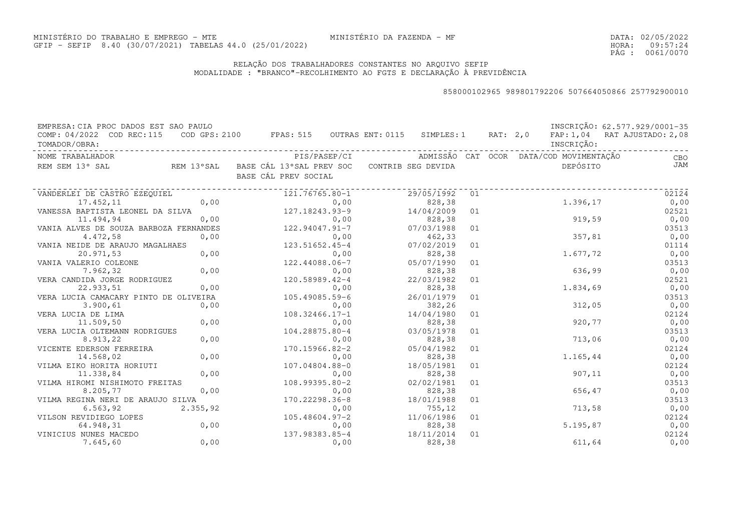DATA:02/05/2022HORA: PÁG : 09:57:24 0061/0070

### RELAÇÃO DOS TRABALHADORES CONSTANTES NO ARQUIVO SEFIPMODALIDADE : "BRANCO"-RECOLHIMENTO AO FGTS E DECLARAÇÃO À PREVIDÊNCIA

| EMPRESA: CIA PROC DADOS EST SAO PAULO                                                                          |             |                                                                                |      |            |    |  |            | INSCRIÇÃO: 62.577.929/0001-35                                    |
|----------------------------------------------------------------------------------------------------------------|-------------|--------------------------------------------------------------------------------|------|------------|----|--|------------|------------------------------------------------------------------|
| COMP: 04/2022 COD REC:115<br>TOMADOR/OBRA:                                                                     |             | COD GPS: 2100 FPAS: 515 OUTRAS ENT: 0115 SIMPLES: 1 RAT: 2,0                   |      |            |    |  | INSCRIÇÃO: | FAP: 1,04 RAT AJUSTADO: 2,08                                     |
| NOME TRABALHADOR                                                                                               |             |                                                                                |      |            |    |  |            | PIS/PASEP/CI     ADMISSÃO CAT OCOR DATA/COD MOVIMENTAÇÃO     CBO |
| REM SEM 13° SAL                                                                                                |             | REM 13°SAL BASE CÁL 13°SAL PREV SOC CONTRIB SEG DEVIDA<br>BASE CÁL PREV SOCIAL |      |            |    |  | DEPÓSITO   | <b>JAM</b>                                                       |
| VANDERLEI DE CASTRO EZEQUIEL                                                                                   |             | 121.76765.80-1                                                                 |      |            |    |  |            | 02124                                                            |
| 17.452,11                                                                                                      | $\sim 0,00$ |                                                                                | 0,00 | 828, 38    |    |  | 1.396,17   | 0,00                                                             |
| VANESSA BAPTISTA LEONEL DA SILVA<br>11.494,94 0,00<br>VANIA ALVES DE SOUZA BARBOZA FERNANDES<br>122.94047.91-7 |             |                                                                                |      | 14/04/2009 | 01 |  |            | 02521                                                            |
|                                                                                                                |             |                                                                                |      | 828,38     |    |  |            | 919,59<br>0,00                                                   |
|                                                                                                                |             |                                                                                |      | 07/03/1988 | 01 |  |            | 03513                                                            |
| 4.472,58                                                                                                       | 0,00        |                                                                                |      | 462,33     |    |  | 357,81     | 0,00                                                             |
| VANIA NEIDE DE ARAUJO MAGALHAES                                                                                |             | $0,00$<br>123.51652.45-4<br>$0,00$<br>0,00<br>122.440                          |      | 07/02/2019 | 01 |  |            | 01114                                                            |
| 20.971,53                                                                                                      |             |                                                                                | 0,00 | 828, 38    |    |  | 1.677,72   | 0,00                                                             |
| VANIA VALERIO COLEONE                                                                                          |             | 122.44088.06-7                                                                 |      | 05/07/1990 | 01 |  |            | 03513                                                            |
| 7.962,32                                                                                                       | 0,00        |                                                                                | 0,00 | 828,38     |    |  | 636,99     | 0,00                                                             |
| VERA CANDIDA JORGE RODRIGUEZ                                                                                   |             | 120.58989.42-4                                                                 |      | 22/03/1982 | 01 |  |            | 02521                                                            |
| 22.933,51                                                                                                      | 0,00        |                                                                                | 0,00 | 828,38     |    |  | 1.834,69   | 0,00                                                             |
| VERA LUCIA CAMACARY PINTO DE OLIVEIRA                                                                          |             | 105.49085.59-6                                                                 |      | 26/01/1979 | 01 |  |            | 03513                                                            |
| 3.900, 61                                                                                                      | 0,00        |                                                                                | 0,00 | 382,26     |    |  | 312,05     | 0,00                                                             |
| VERA LUCIA DE LIMA                                                                                             |             | $108.32466.17 - 1$                                                             |      | 14/04/1980 | 01 |  |            | 02124                                                            |
| 11.509,50                                                                                                      | 0,00        |                                                                                | 0,00 | 828,38     |    |  | 920,77     | 0,00                                                             |
| VERA LUCIA OLTEMANN RODRIGUES                                                                                  |             | 104.28875.80-4                                                                 |      | 03/05/1978 | 01 |  |            | 03513                                                            |
| 8.913,22                                                                                                       | 0,00        |                                                                                | 0,00 | 828,38     |    |  | 713,06     | 0,00                                                             |
| VICENTE EDERSON FERREIRA                                                                                       |             | 170.15966.82-2                                                                 |      | 05/04/1982 | 01 |  |            | 02124                                                            |
| 14.568,02                                                                                                      | 0,00        |                                                                                | 0,00 | 828,38     |    |  | 1.165,44   | 0,00                                                             |
| VILMA EIKO HORITA HORIUTI                                                                                      |             | 107.04804.88-0                                                                 |      | 18/05/1981 | 01 |  |            | 02124                                                            |
| 11.338,84                                                                                                      | 0,00        |                                                                                | 0,00 | 828,38     |    |  | 907,11     | 0,00                                                             |
| VILMA HIROMI NISHIMOTO FREITAS                                                                                 |             | 108.99395.80-2                                                                 |      | 02/02/1981 | 01 |  |            | 03513                                                            |
| 8.205,77                                                                                                       | 0,00        |                                                                                | 0,00 | 828,38     |    |  | 656,47     | 0,00                                                             |
| VILMA REGINA NERI DE ARAUJO SILVA                                                                              |             | 170.22298.36-8                                                                 |      | 18/01/1988 | 01 |  |            | 03513                                                            |
| 6.563,92                                                                                                       | 2.355,92    |                                                                                | 0,00 | 755, 12    |    |  | 713,58     | 0,00                                                             |
| VILSON REVIDIEGO LOPES                                                                                         |             | $105.48604.97 - 2$                                                             |      | 11/06/1986 | 01 |  |            | 02124                                                            |
| 64.948,31                                                                                                      | 0,00        | 0,00<br>137.98383.85-4                                                         | 0,00 | 828, 38    |    |  | 5.195,87   | 0,00                                                             |
| VINICIUS NUNES MACEDO                                                                                          |             |                                                                                |      | 18/11/2014 | 01 |  |            | 02124                                                            |
| 7.645,60                                                                                                       | 0,00        |                                                                                | 0,00 | 828, 38    |    |  | 611,64     | 0,00                                                             |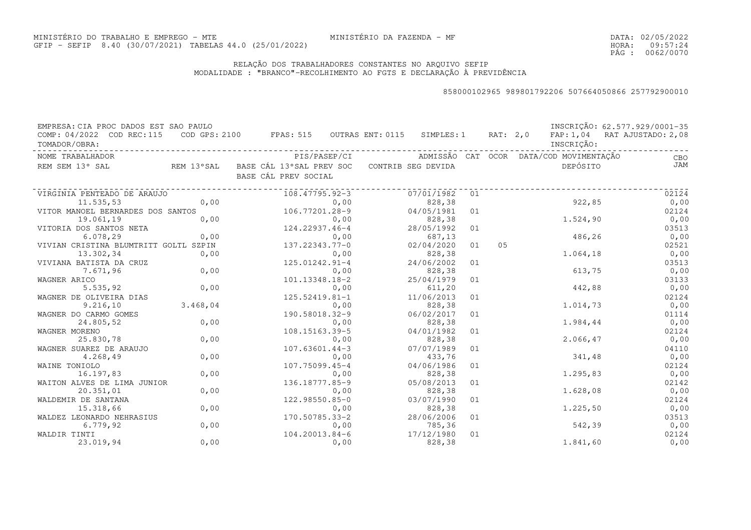DATA:02/05/2022HORA: PÁG : 09:57:24 0062/0070

### RELAÇÃO DOS TRABALHADORES CONSTANTES NO ARQUIVO SEFIPMODALIDADE : "BRANCO"-RECOLHIMENTO AO FGTS E DECLARAÇÃO À PREVIDÊNCIA

| EMPRESA: CIA PROC DADOS EST SAO PAULO<br>COMP: 04/2022 COD REC:115 |          | COD GPS: 2100 FPAS: 515 OUTRAS ENT: 0115 SIMPLES: 1 RAT: 2,0                   |      |            |    |    |                                                      | INSCRIÇÃO: 62.577.929/0001-35<br>FAP: 1,04 RAT AJUSTADO: 2,08 |
|--------------------------------------------------------------------|----------|--------------------------------------------------------------------------------|------|------------|----|----|------------------------------------------------------|---------------------------------------------------------------|
| TOMADOR/OBRA:                                                      |          |                                                                                |      |            |    |    | INSCRIÇÃO:                                           |                                                               |
| NOME TRABALHADOR                                                   |          |                                                                                |      |            |    |    | PIS/PASEP/CI ADMISSÃO CAT OCOR DATA/COD MOVIMENTAÇÃO | CBO                                                           |
| REM SEM 13° SAL                                                    |          | REM 13°SAL BASE CÁL 13°SAL PREV SOC CONTRIB SEG DEVIDA<br>BASE CÁL PREV SOCIAL |      |            |    |    | DEPÓSITO                                             | <b>JAM</b>                                                    |
| VIRGINIA PENTEADO DE ARAUJO                                        |          | 108.47795.92-3                                                                 |      | 07/01/1982 | 01 |    |                                                      | 02124                                                         |
| 11.535,53                                                          | 0,00     |                                                                                | 0,00 | 828,38     |    |    | 922,85                                               | 0,00                                                          |
| VITOR MANOEL BERNARDES DOS SANTOS                                  |          | 106.77201.28-9                                                                 |      | 04/05/1981 | 01 |    |                                                      | 02124                                                         |
| 19.061,19                                                          | 0,00     |                                                                                | 0,00 | 828,38     |    |    | 1.524,90                                             | 0,00                                                          |
| VITORIA DOS SANTOS NETA                                            |          | 0,00<br>124.22937.46-4                                                         |      | 28/05/1992 | 01 |    |                                                      | 03513                                                         |
| 6.078, 29                                                          | 0,00     |                                                                                | 0,00 | 687,13     |    |    | 486,26                                               | 0,00                                                          |
| VIVIAN CRISTINA BLUMTRITT GOLTL SZPIN                              |          | 0,00<br>137.22343.77-0                                                         |      | 02/04/2020 | 01 | 05 |                                                      | 02521                                                         |
| 13.302,34                                                          | 0,00     |                                                                                | 0,00 | 828,38     |    |    | 1.064,18                                             | 0,00                                                          |
| VIVIANA BATISTA DA CRUZ                                            |          | 125.01242.91-4                                                                 |      | 24/06/2002 | 01 |    |                                                      | 03513                                                         |
| 7.671,96                                                           | 0,00     |                                                                                | 0,00 | 828,38     |    |    | 613,75                                               | 0,00                                                          |
| WAGNER ARICO                                                       |          | 101.13348.18-2                                                                 |      | 25/04/1979 | 01 |    |                                                      | 03133                                                         |
| 5.535, 92                                                          | 0,00     |                                                                                | 0,00 | 611,20     |    |    | 442,88                                               | 0,00                                                          |
| WAGNER DE OLIVEIRA DIAS                                            |          | $125.52419.81 - 1$                                                             |      | 11/06/2013 | 01 |    |                                                      | 02124                                                         |
| 9.216, 10                                                          | 3.468,04 |                                                                                | 0,00 | 828,38     |    |    | 1.014,73                                             | 0,00                                                          |
| WAGNER DO CARMO GOMES                                              |          | 190.58018.32-9                                                                 |      | 06/02/2017 | 01 |    |                                                      | 01114                                                         |
| 24.805,52                                                          | 0,00     |                                                                                | 0,00 | 828,38     |    |    | 1.984,44                                             | 0,00                                                          |
| WAGNER MORENO                                                      |          | 108.15163.39-5                                                                 |      | 04/01/1982 | 01 |    |                                                      | 02124                                                         |
| 25.830,78                                                          | 0,00     |                                                                                | 0,00 | 828,38     |    |    | 2.066, 47                                            | 0,00                                                          |
| WAGNER SUAREZ DE ARAUJO                                            |          | $107.63601.44-3$                                                               |      | 07/07/1989 | 01 |    |                                                      | 04110                                                         |
| 4.268,49                                                           | 0,00     |                                                                                | 0,00 | 433,76     |    |    | 341,48                                               | 0,00                                                          |
| WAINE TONIOLO                                                      |          | 107.75099.45-4                                                                 |      | 04/06/1986 | 01 |    |                                                      | 02124                                                         |
| 16.197,83                                                          | 0,00     |                                                                                | 0,00 | 828,38     |    |    | 1.295,83                                             | 0,00                                                          |
| WAITON ALVES DE LIMA JUNIOR                                        |          | 136.18777.85-9                                                                 |      | 05/08/2013 | 01 |    |                                                      | 02142                                                         |
| 20.351,01                                                          | 0,00     |                                                                                | 0,00 | 828,38     |    |    | 1.628,08                                             | 0,00                                                          |
| WALDEMIR DE SANTANA                                                |          | 122.98550.85-0                                                                 |      | 03/07/1990 | 01 |    |                                                      | 02124                                                         |
| 15.318,66                                                          | 0,00     |                                                                                | 0,00 | 828,38     |    |    | 1.225,50                                             | 0,00                                                          |
| WALDEZ LEONARDO NEHRASIUS                                          |          | 170.50785.33-2                                                                 |      | 28/06/2006 | 01 |    |                                                      | 03513                                                         |
| 6.779, 92                                                          | 0,00     |                                                                                | 0,00 | 785,36     |    |    | 542,39                                               | 0,00                                                          |
| WALDIR TINTI                                                       |          | 104.20013.84-6                                                                 |      | 17/12/1980 | 01 |    |                                                      | 02124                                                         |
| 23.019,94                                                          | 0,00     |                                                                                | 0,00 | 828,38     |    |    | 1.841,60                                             | 0,00                                                          |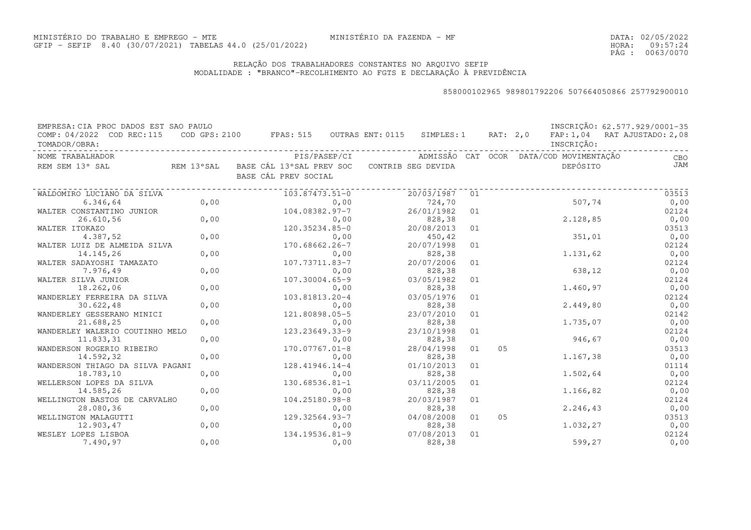DATA:02/05/2022HORA: PÁG : 09:57:24 0063/0070

### RELAÇÃO DOS TRABALHADORES CONSTANTES NO ARQUIVO SEFIPMODALIDADE : "BRANCO"-RECOLHIMENTO AO FGTS E DECLARAÇÃO À PREVIDÊNCIA

| EMPRESA: CIA PROC DADOS EST SAO PAULO<br>COMP: 04/2022 COD REC:115 |      | COD GPS: 2100 FPAS: 515 OUTRAS ENT: 0115 SIMPLES: 1 RAT: 2,0                   |      |                                         |    |    |            | INSCRIÇÃO: 62.577.929/0001-35<br>FAP: 1,04 RAT AJUSTADO: 2,08 |
|--------------------------------------------------------------------|------|--------------------------------------------------------------------------------|------|-----------------------------------------|----|----|------------|---------------------------------------------------------------|
| TOMADOR/OBRA:                                                      |      |                                                                                |      |                                         |    |    | INSCRIÇÃO: |                                                               |
| NOME TRABALHADOR                                                   |      | PIS/PASEP/CI                                                                   |      | ADMISSÃO CAT OCOR DATA/COD MOVIMENTAÇÃO |    |    |            | CBO                                                           |
| REM SEM 13° SAL                                                    |      | REM 13°SAL BASE CÁL 13°SAL PREV SOC CONTRIB SEG DEVIDA<br>BASE CÁL PREV SOCIAL |      |                                         |    |    | DEPÓSITO   | JAM                                                           |
| WALDOMIRO LUCIANO DA SILVA                                         |      | 103.87473.51-0                                                                 |      | 20/03/1987                              | 01 |    |            | 03513                                                         |
| 6.346,64                                                           | 0,00 |                                                                                | 0,00 | 724,70                                  |    |    | 507,74     | 0,00                                                          |
| WALTER CONSTANTINO JUNIOR                                          |      | 104.08382.97-7                                                                 |      | 26/01/1982                              | 01 |    |            | 02124                                                         |
| 26.610,56                                                          | 0,00 |                                                                                | 0,00 | 828,38                                  |    |    | 2.128,85   | 0,00                                                          |
| WALTER ITOKAZO                                                     |      | 120.35234.85-0                                                                 |      | 20/08/2013                              | 01 |    |            | 03513                                                         |
| 4.387,52                                                           | 0,00 |                                                                                | 0,00 | 450,42                                  |    |    | 351,01     | 0,00                                                          |
| WALTER LUIZ DE ALMEIDA SILVA                                       |      | 170.68662.26-7                                                                 |      | 20/07/1998                              | 01 |    |            | 02124                                                         |
| 14.145,26                                                          | 0,00 |                                                                                | 0,00 | 828,38                                  |    |    | 1.131,62   | 0,00                                                          |
| WALTER SADAYOSHI TAMAZATO                                          |      | 107.73711.83-7                                                                 |      | 20/07/2006                              | 01 |    |            | 02124                                                         |
| 7.976,49                                                           | 0,00 |                                                                                | 0,00 | 828,38                                  |    |    | 638,12     | 0,00                                                          |
| WALTER SILVA JUNIOR                                                |      | 107.30004.65-9                                                                 |      | 03/05/1982                              | 01 |    |            | 02124                                                         |
| 18.262,06                                                          | 0,00 |                                                                                | 0,00 | 828,38                                  |    |    | 1.460,97   | 0,00                                                          |
| WANDERLEY FERREIRA DA SILVA                                        |      | 103.81813.20-4                                                                 |      | 03/05/1976                              | 01 |    |            | 02124                                                         |
| 30.622,48                                                          | 0,00 |                                                                                | 0,00 | 828,38                                  |    |    | 2.449,80   | 0,00                                                          |
| WANDERLEY GESSERANO MINICI                                         |      | 121.80898.05-5                                                                 |      | 23/07/2010                              | 01 |    |            | 02142                                                         |
| 21.688,25                                                          | 0,00 |                                                                                | 0,00 | 828,38                                  |    |    | 1.735,07   | 0,00                                                          |
| WANDERLEY WALERIO COUTINHO MELO                                    |      | 123.23649.33-9                                                                 |      | 23/10/1998                              | 01 |    |            | 02124                                                         |
| 11.833,31                                                          | 0,00 |                                                                                | 0,00 | 828,38                                  |    |    | 946,67     | 0,00                                                          |
| WANDERSON ROGERIO RIBEIRO                                          |      | 170.07767.01-8                                                                 |      | 28/04/1998                              | 01 | 05 |            | 03513                                                         |
| 14.592,32                                                          | 0,00 |                                                                                | 0,00 | 828,38                                  |    |    | 1.167,38   | 0,00                                                          |
| WANDERSON THIAGO DA SILVA PAGANI                                   |      | 128.41946.14-4                                                                 |      | 01/10/2013                              | 01 |    |            | 01114                                                         |
| 18.783,10                                                          | 0,00 |                                                                                | 0,00 | 828,38                                  |    |    | 1.502,64   | 0,00                                                          |
| WELLERSON LOPES DA SILVA                                           |      | $130.68536.81 - 1$                                                             |      | 03/11/2005                              | 01 |    |            | 02124                                                         |
| 14.585,26                                                          | 0,00 |                                                                                | 0,00 | 828,38                                  |    |    | 1.166,82   | 0,00                                                          |
| WELLINGTON BASTOS DE CARVALHO                                      |      | 104.25180.98-8                                                                 |      | 20/03/1987                              | 01 |    |            | 02124                                                         |
| 28.080,36                                                          | 0,00 |                                                                                | 0,00 | 828,38                                  |    |    | 2.246, 43  | 0,00                                                          |
| WELLINGTON MALAGUTTI                                               |      | 129.32564.93-7                                                                 |      | 04/08/2008                              | 01 | 05 |            | 03513                                                         |
| 12.903,47                                                          | 0,00 |                                                                                | 0,00 | 828,38                                  |    |    | 1.032,27   | 0,00                                                          |
| WESLEY LOPES LISBOA                                                |      | 134.19536.81-9                                                                 |      | 07/08/2013                              | 01 |    |            | 02124                                                         |
| 7.490,97                                                           | 0,00 |                                                                                | 0,00 | 828,38                                  |    |    | 599,27     | 0,00                                                          |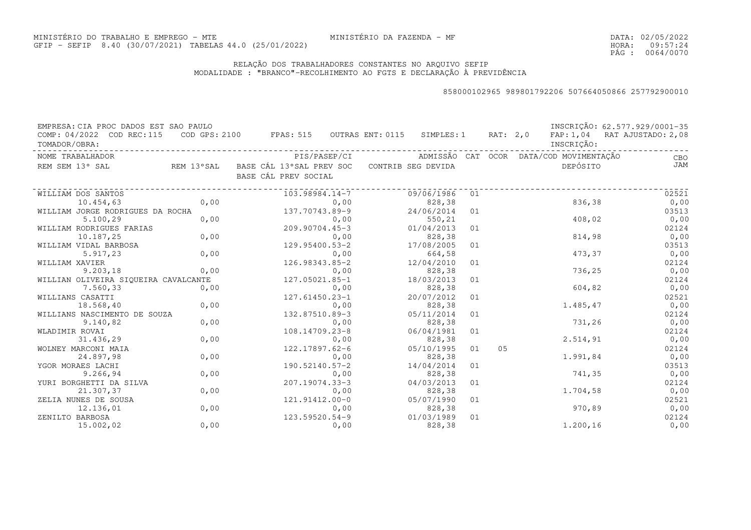DATA:02/05/2022HORA: PÁG : 09:57:24 0064/0070

### RELAÇÃO DOS TRABALHADORES CONSTANTES NO ARQUIVO SEFIPMODALIDADE : "BRANCO"-RECOLHIMENTO AO FGTS E DECLARAÇÃO À PREVIDÊNCIA

| EMPRESA: CIA PROC DADOS EST SAO PAULO<br>COMP: 04/2022 COD REC:115       |      | COD GPS: 2100 FPAS: 515 OUTRAS ENT: 0115 SIMPLES: 1 RAT: 2,0 |            |    |    |                                         | INSCRIÇÃO: 62.577.929/0001-35<br>FAP: 1,04 RAT AJUSTADO: 2,08 |
|--------------------------------------------------------------------------|------|--------------------------------------------------------------|------------|----|----|-----------------------------------------|---------------------------------------------------------------|
| TOMADOR/OBRA:                                                            |      |                                                              |            |    |    | INSCRIÇÃO:                              |                                                               |
| NOME TRABALHADOR                                                         |      | PIS/PASEP/CI                                                 |            |    |    | ADMISSÃO CAT OCOR DATA/COD MOVIMENTAÇÃO | <b>EXECUTE:</b> CBO                                           |
| REM SEM 13° SAL REM 13° SAL BASE CÁL 13° SAL PREV SOC CONTRIB SEG DEVIDA |      |                                                              |            |    |    | DEPÓSITO                                | <b>JAM</b>                                                    |
|                                                                          |      | BASE CÁL PREV SOCIAL                                         |            |    |    |                                         |                                                               |
| WILLIAM DOS SANTOS                                                       |      | 103.98984.14-7                                               | 09/06/1986 | 01 |    |                                         | 02521                                                         |
| 10.454,63                                                                | 0,00 | 0,00                                                         | 828,38     |    |    | 836,38                                  | 0,00                                                          |
| WILLIAM JORGE RODRIGUES DA ROCHA                                         |      | 137.70743.89-9                                               | 24/06/2014 | 01 |    |                                         | 03513                                                         |
| 5.100, 29                                                                | 0,00 | 0,00                                                         | 550,21     |    |    | 408,02                                  | 0,00                                                          |
| WILLIAM RODRIGUES FARIAS                                                 |      | 209.90704.45-3                                               | 01/04/2013 | 01 |    |                                         | 02124                                                         |
| 10.187,25                                                                | 0,00 | 0,00                                                         | 828,38     |    |    | 814,98                                  | 0,00                                                          |
| WILLIAM VIDAL BARBOSA                                                    |      | 129.95400.53-2                                               | 17/08/2005 | 01 |    |                                         | 03513                                                         |
| 5.917,23                                                                 | 0,00 | 0,00                                                         | 664,58     |    |    | 473,37                                  | 0,00                                                          |
| WILLIAM XAVIER                                                           |      | 126.98343.85-2                                               | 12/04/2010 | 01 |    |                                         | 02124                                                         |
| 9.203, 18                                                                | 0,00 | 0,00                                                         | 828,38     |    |    | 736,25                                  | 0,00                                                          |
| WILLIAN OLIVEIRA SIQUEIRA CAVALCANTE                                     |      | 127.05021.85-1                                               | 18/03/2013 | 01 |    |                                         | 02124                                                         |
| 7.560,33                                                                 | 0,00 | 0,00                                                         | 828,38     |    |    | 604,82                                  | 0,00                                                          |
| WILLIANS CASATTI                                                         |      | 127.61450.23-1                                               | 20/07/2012 | 01 |    |                                         | 02521                                                         |
| 18.568,40                                                                | 0,00 | 0,00                                                         | 828,38     |    |    | 1.485,47                                | 0,00                                                          |
| WILLIANS NASCIMENTO DE SOUZA                                             |      | 132.87510.89-3                                               | 05/11/2014 | 01 |    |                                         | 02124                                                         |
| 9.140,82                                                                 | 0,00 | 0,00                                                         | 828,38     |    |    | 731,26                                  | 0,00                                                          |
| WLADIMIR ROVAI                                                           |      | 108.14709.23-8                                               | 06/04/1981 | 01 |    |                                         | 02124                                                         |
| 31.436,29                                                                | 0,00 | 0,00                                                         | 828,38     |    |    | 2.514,91                                | 0,00                                                          |
| WOLNEY MARCONI MAIA                                                      |      | 122.17897.62-6                                               | 05/10/1995 | 01 | 05 |                                         | 02124                                                         |
| 24.897,98                                                                | 0,00 | 0,00                                                         | 828,38     |    |    | 1.991,84                                | 0,00                                                          |
| YGOR MORAES LACHI                                                        |      | 190.52140.57-2                                               | 14/04/2014 | 01 |    |                                         | 03513                                                         |
| 9.266,94                                                                 | 0,00 | 0,00                                                         | 828,38     |    |    | 741,35                                  | 0,00                                                          |
| YURI BORGHETTI DA SILVA                                                  |      | 207.19074.33-3                                               | 04/03/2013 | 01 |    |                                         | 02124                                                         |
| 21.307,37                                                                | 0,00 | 0,00                                                         | 828,38     |    |    | 1.704,58                                | 0,00                                                          |
| ZELIA NUNES DE SOUSA                                                     |      | 121.91412.00-0                                               | 05/07/1990 | 01 |    |                                         | 02521                                                         |
| 12.136,01                                                                | 0,00 | 0,00                                                         | 828,38     |    |    | 970,89                                  | 0,00                                                          |
| ZENILTO BARBOSA                                                          |      | 123.59520.54-9                                               | 01/03/1989 | 01 |    |                                         | 02124                                                         |
| 15.002,02                                                                | 0,00 | 0,00                                                         | 828,38     |    |    | 1.200,16                                | 0,00                                                          |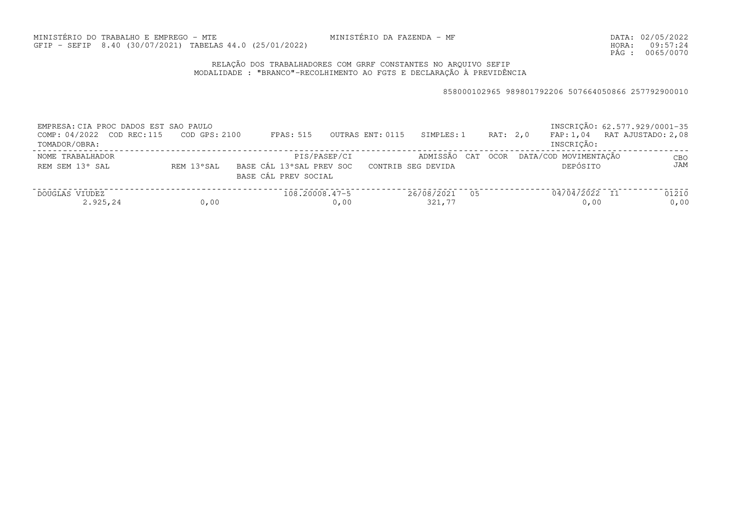DATA:02/05/2022HORA: PÁG : 09:57:24 0065/0070

### RELAÇÃO DOS TRABALHADORES COM GRRF CONSTANTES NO ARQUIVO SEFIPMODALIDADE : "BRANCO"-RECOLHIMENTO AO FGTS E DECLARAÇÃO À PREVIDÊNCIA

| EMPRESA: CIA PROC DADOS EST SAO PAULO<br>COMP: 04/2022 COD REC:115<br>TOMADOR/OBRA: | COD GPS: 2100 | FPAS: 515                                                        | OUTRAS ENT: 0115<br>SIMPLES: 1     |    | RAT: 2.0 | INSCRIÇÃO: 62.577.929/0001-35<br>FAP: 1,04 RAT AJUSTADO: 2,08<br>INSCRICÃO: |               |
|-------------------------------------------------------------------------------------|---------------|------------------------------------------------------------------|------------------------------------|----|----------|-----------------------------------------------------------------------------|---------------|
| NOME TRABALHADOR<br>REM SEM 13° SAL                                                 | REM 13°SAL    | PIS/PASEP/CI<br>BASE CÁL 13°SAL PREV SOC<br>BASE CÁL PREV SOCIAL | ADMISSÃO CAT<br>CONTRIB SEG DEVIDA |    | OCOR     | DATA/COD MOVIMENTAÇÃO<br>DEPÓSITO                                           | CBO<br>JAM    |
| DOUGLAS VIUDEZ<br>2.925,24                                                          | 0,00          | $108.20008.47 - 5$<br>0,00                                       | 26/08/2021<br>321,77               | 05 |          | 04/04/2022 I1<br>0,00                                                       | 01210<br>0,00 |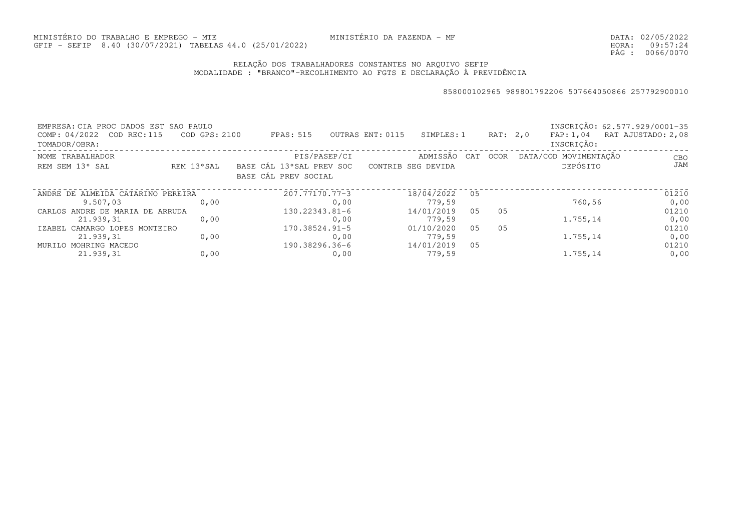DATA:02/05/2022HORA: PÁG : 09:57:24 0066/0070

### RELAÇÃO DOS TRABALHADORES CONSTANTES NO ARQUIVO SEFIPMODALIDADE : "BRANCO"-RECOLHIMENTO AO FGTS E DECLARAÇÃO À PREVIDÊNCIA

| EMPRESA: CIA PROC DADOS EST<br>COMP: 04/2022 COD REC: 115<br>TOMADOR/OBRA: | SAO PAULO<br>COD GPS: 2100 | FPAS: 515                                        | OUTRAS ENT: 0115 | SIMPLES: 1         |                | RAT: 2,0    | FAP: 1,04<br>INSCRIÇÃO: |        | INSCRIÇÃO: 62.577.929/0001-35<br>RAT AJUSTADO: 2,08 |
|----------------------------------------------------------------------------|----------------------------|--------------------------------------------------|------------------|--------------------|----------------|-------------|-------------------------|--------|-----------------------------------------------------|
| NOME TRABALHADOR                                                           |                            | PIS/PASEP/CI                                     |                  | ADMISSÃO           | CAT            | <b>OCOR</b> | DATA/COD MOVIMENTAÇÃO   |        | CBO                                                 |
| REM SEM 13° SAL                                                            | REM 13°SAL                 | BASE CÁL 13°SAL PREV SOC<br>BASE CÁL PREV SOCIAL |                  | CONTRIB SEG DEVIDA |                |             | DEPÓSITO                |        | JAM                                                 |
| ANDRE DE ALMEIDA CATARINO PEREIRA                                          |                            | 207.77170.77-3                                   |                  | 18/04/2022         | 05             |             |                         |        | 01210                                               |
| 9.507,03                                                                   | 0.00                       |                                                  | 0,00             | 779,59             |                |             |                         | 760,56 | 0,00                                                |
| CARLOS ANDRE DE MARIA DE ARRUDA                                            |                            | $130.22343.81 - 6$                               |                  | 14/01/2019         | 0 <sub>5</sub> | 0.5         |                         |        | 01210                                               |
| 21.939,31                                                                  | 0.00                       |                                                  | 0,00             | 779,59             |                |             | 1.755,14                |        | 0,00                                                |
| IZABEL CAMARGO LOPES MONTEIRO                                              |                            | $170.38524.91 - 5$                               |                  | 01/10/2020         | 05             | 05          |                         |        | 01210                                               |
| 21.939,31                                                                  | 0,00                       |                                                  | 0,00             | 779,59             |                |             | 1.755,14                |        | 0,00                                                |
| MURILO MOHRING MACEDO                                                      |                            | 190.38296.36-6                                   |                  | 14/01/2019         | 0.5            |             |                         |        | 01210                                               |
| 21.939,31                                                                  | 0,00                       |                                                  | 0,00             | 779,59             |                |             | 1.755,14                |        | 0,00                                                |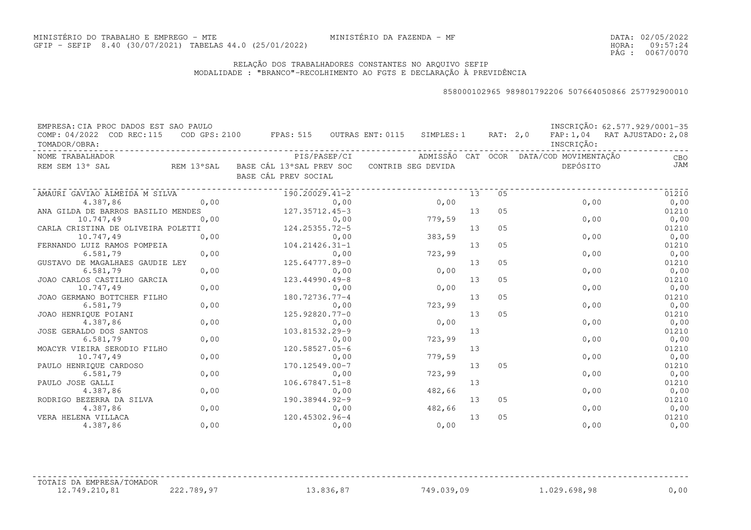DATA:02/05/2022HORA: PÁG : 09:57:24 0067/0070

### RELAÇÃO DOS TRABALHADORES CONSTANTES NO ARQUIVO SEFIPMODALIDADE : "BRANCO"-RECOLHIMENTO AO FGTS E DECLARAÇÃO À PREVIDÊNCIA

#### 858000102965 989801792206 507664050866 257792900010

| EMPRESA: CIA PROC DADOS EST SAO PAULO<br>COMP: 04/2022 COD REC:115                         |      | COD GPS: 2100 FPAS: 515 OUTRAS ENT: 0115 SIMPLES: 1 RAT: 2,0 |        |    |                |                                         | INSCRIÇÃO: 62.577.929/0001-35<br>FAP: 1,04 RAT AJUSTADO: 2,08 |
|--------------------------------------------------------------------------------------------|------|--------------------------------------------------------------|--------|----|----------------|-----------------------------------------|---------------------------------------------------------------|
| TOMADOR/OBRA:                                                                              |      |                                                              |        |    |                | INSCRIÇÃO:                              |                                                               |
| NOME TRABALHADOR                                                                           |      | PIS/PASEP/CI                                                 |        |    |                | ADMISSÃO CAT OCOR DATA/COD MOVIMENTAÇÃO | <b>CBO</b>                                                    |
| REM SEM 13° SAL                 REM 13°SAL   BASE CÁL 13°SAL PREV SOC   CONTRIB SEG DEVIDA |      |                                                              |        |    |                | DEPÓSITO                                | JAM                                                           |
|                                                                                            |      | BASE CÁL PREV SOCIAL                                         |        |    |                |                                         |                                                               |
| AMAURI GAVIAO ALMEIDA M SILVA                                                              |      | 190.20029.41-2                                               |        | 13 | 05             |                                         | 01210                                                         |
| 4.387,86                                                                                   | 0,00 | 0,00                                                         | 0,00   |    |                | 0,00                                    | 0,00                                                          |
| ANA GILDA DE BARROS BASILIO MENDES                                                         |      | 127.35712.45-3                                               |        | 13 | 05             |                                         | 01210                                                         |
| 10.747,49                                                                                  | 0,00 | 0,00                                                         | 779,59 |    |                | 0,00                                    | 0,00                                                          |
| CARLA CRISTINA DE OLIVEIRA POLETTI                                                         |      | 124.25355.72-5                                               |        | 13 | 05             |                                         | 01210                                                         |
| 10.747,49                                                                                  | 0,00 | 0,00                                                         | 383,59 |    |                | 0,00                                    | 0,00                                                          |
| FERNANDO LUIZ RAMOS POMPEIA                                                                |      | $104.21426.31 - 1$                                           |        | 13 | 05             |                                         | 01210                                                         |
| 6.581,79                                                                                   | 0,00 | 0,00                                                         | 723,99 |    |                | 0,00                                    | 0,00                                                          |
| GUSTAVO DE MAGALHAES GAUDIE LEY                                                            |      | 125.64777.89-0                                               |        | 13 | 05             |                                         | 01210                                                         |
| 6.581,79                                                                                   | 0,00 | 0,00                                                         | 0,00   |    |                | 0,00                                    | 0,00                                                          |
| JOAO CARLOS CASTILHO GARCIA                                                                |      | 123.44990.49-8                                               |        | 13 | 05             |                                         | 01210                                                         |
| 10.747,49                                                                                  | 0,00 | 0,00                                                         | 0,00   |    |                | 0,00                                    | 0,00                                                          |
| JOAO GERMANO BOTTCHER FILHO                                                                |      | 180.72736.77-4                                               |        | 13 | 05             |                                         | 01210                                                         |
| 6.581,79                                                                                   | 0,00 | 0,00                                                         | 723,99 |    |                | 0,00                                    | 0,00                                                          |
| JOAO HENRIOUE POIANI                                                                       |      | 125.92820.77-0                                               |        | 13 | 05             |                                         | 01210                                                         |
| 4.387,86                                                                                   | 0,00 | 0,00                                                         | 0,00   |    |                | 0,00                                    | 0,00                                                          |
| JOSE GERALDO DOS SANTOS                                                                    |      | 103.81532.29-9                                               |        | 13 |                |                                         | 01210                                                         |
| 6.581,79                                                                                   | 0,00 | 0,00                                                         | 723,99 |    |                | 0,00                                    | 0,00                                                          |
| MOACYR VIEIRA SERODIO FILHO                                                                |      | 120.58527.05-6                                               |        | 13 |                |                                         | 01210                                                         |
| 10.747,49                                                                                  | 0,00 | 0,00                                                         | 779,59 |    |                | 0,00                                    | 0,00                                                          |
| PAULO HENRIQUE CARDOSO                                                                     |      | 170.12549.00-7                                               |        | 13 | 0 <sub>5</sub> |                                         | 01210                                                         |
| 6.581,79                                                                                   | 0,00 | 0,00                                                         | 723,99 |    |                | 0,00                                    | 0,00                                                          |
| PAULO JOSE GALLI                                                                           |      | $106.67847.51 - 8$                                           |        | 13 |                |                                         | 01210                                                         |
| 4.387,86                                                                                   | 0,00 | 0,00                                                         | 482,66 |    |                | 0,00                                    | 0,00                                                          |
| RODRIGO BEZERRA DA SILVA                                                                   |      | 190.38944.92-9                                               |        | 13 | 05             |                                         | 01210                                                         |
| 4.387,86                                                                                   | 0,00 | 0,00                                                         | 482,66 |    |                | 0,00                                    | 0,00                                                          |
| VERA HELENA VILLACA                                                                        |      | 120.45302.96-4                                               |        | 13 | 0 <sub>5</sub> |                                         | 01210                                                         |
| 4.387,86                                                                                   | 0,00 | 0,00                                                         | 0,00   |    |                | 0,00                                    | 0,00                                                          |

TOTAIS DA EMPRESA/TOMADOR

12.749.210,81 222.789,97 13.836,87 749.039,09 1.029.698,98 0,00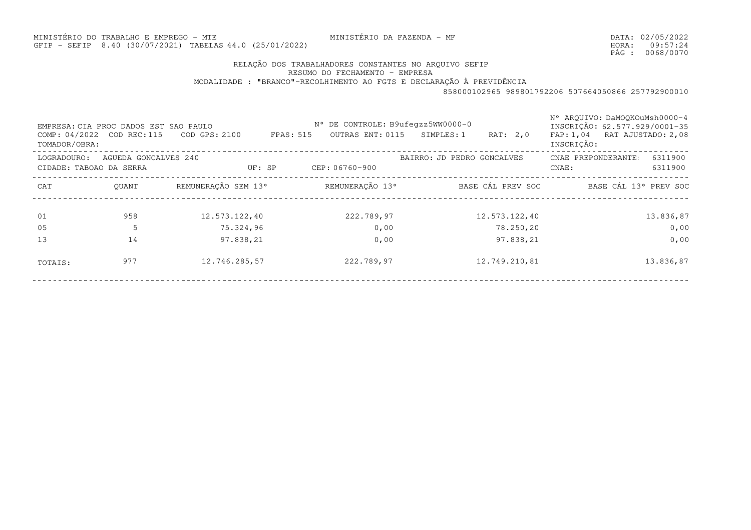MINISTÉRIO DA FAZENDA - MF

DATA:02/05/2022HORA: PÁG : 09:57:24 0068/0070

## RELAÇÃO DOS TRABALHADORES CONSTANTES NO ARQUIVO SEFIP

RESUMO DO FECHAMENTO - EMPRESA

#### MODALIDADE : "BRANCO"-RECOLHIMENTO AO FGTS E DECLARAÇÃO À PREVIDÊNCIA

| TOMADOR/OBRA:           | EMPRESA: CIA PROC DADOS EST SAO PAULO<br>$COMP: 04/2022$ COD REC:115 | COD GPS: 2100       | N° DE CONTROLE: B9ufeqzz5WW0000-0<br>OUTRAS ENT: 0115<br>FPAS: 515 | SIMPLES: 1<br>RAT: 2,0     | N° ARQUIVO: DaMOQKOuMsh0000-4<br>INSCRICÃO: 62.577.929/0001-35<br>FAP: 1,04 RAT AJUSTADO: 2,08<br>INSCRIÇÃO: |
|-------------------------|----------------------------------------------------------------------|---------------------|--------------------------------------------------------------------|----------------------------|--------------------------------------------------------------------------------------------------------------|
| LOGRADOURO:             | AGUEDA GONCALVES 240                                                 |                     |                                                                    | BAIRRO: JD PEDRO GONCALVES | CNAE PREPONDERANTE<br>6311900                                                                                |
| CIDADE: TABOAO DA SERRA |                                                                      | UF: SP              | CEP: 06760-900                                                     |                            | 6311900<br>CNAE:                                                                                             |
| CAT                     | OUANT                                                                | REMUNERAÇÃO SEM 13° | REMUNERAÇÃO 13°                                                    | BASE CÁL PREV SOC          | BASE CÁL 13° PREV SOC                                                                                        |
| 01                      | 958                                                                  | 12.573.122,40       | 222.789,97                                                         | 12.573.122,40              | 13.836,87                                                                                                    |
| 05                      |                                                                      | 75.324,96           | 0,00                                                               | 78.250,20                  | 0,00                                                                                                         |
| 13                      | 14                                                                   | 97.838,21           | 0,00                                                               | 97.838,21                  | 0,00                                                                                                         |
| TOTAIS:                 | 977                                                                  | 12.746.285,57       | 222.789,97                                                         | 12.749.210,81              | 13.836,87                                                                                                    |
|                         |                                                                      |                     |                                                                    |                            |                                                                                                              |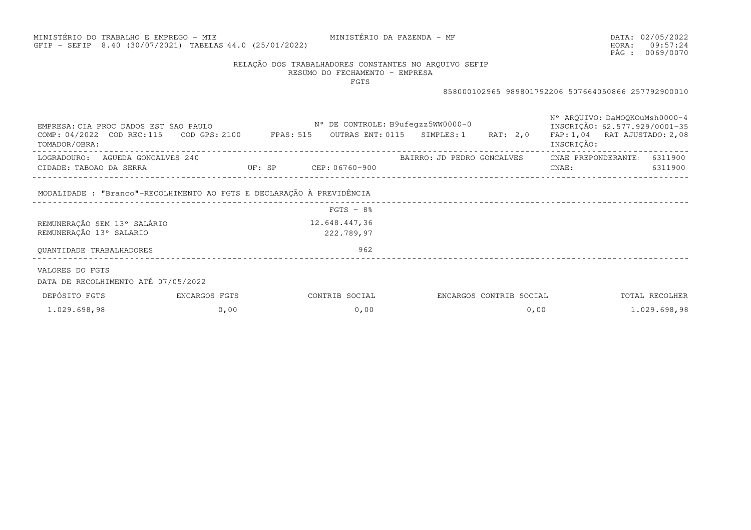# MINISTÉRIO DO TRABALHO E EMPREGO - MTEGFIP - SEFIP 8.40 (30/07/2021) TABELAS44.0 (25/01/2022)

MINISTÉRIO DA FAZENDA - MF

DATA:02/05/2022HORA: PÁG : 09:57:24 0069/0070

# RELAÇÃO DOS TRABALHADORES CONSTANTES NO ARQUIVO SEFIP

RESUMO DO FECHAMENTO - EMPRESA

FGTS

| EMPRESA: CIA PROC DADOS EST SAO PAULO<br>COMP: 04/2022 COD REC:115 COD GPS: 2100 FPAS: 515<br>TOMADOR/OBRA: |               |                              | N° DE CONTROLE: B9ufegzz5WW0000-0 | OUTRAS ENT: 0115 SIMPLES: 1 | RAT: 2,0                | N° AROUIVO: DaMOOKOuMsh0000-4<br>INSCRICÃO: 62.577.929/0001-35<br>FAP: 1,04 RAT AJUSTADO: 2,08<br>INSCRIÇÃO: |                |
|-------------------------------------------------------------------------------------------------------------|---------------|------------------------------|-----------------------------------|-----------------------------|-------------------------|--------------------------------------------------------------------------------------------------------------|----------------|
| LOGRADOURO: AGUEDA GONCALVES 240                                                                            |               |                              |                                   | BAIRRO: JD PEDRO GONCALVES  |                         | CNAE PREPONDERANTE                                                                                           | 6311900        |
| CIDADE: TABOAO DA SERRA                                                                                     |               | <b>DE: SP CEP: 06760-900</b> |                                   |                             |                         | CNAE:                                                                                                        | 6311900        |
| MODALIDADE : "Branco"-RECOLHIMENTO AO FGTS E DECLARAÇÃO À PREVIDÊNCIA                                       |               |                              |                                   |                             |                         |                                                                                                              |                |
|                                                                                                             |               |                              | $FGTS - 8%$                       |                             |                         |                                                                                                              |                |
| REMUNERAÇÃO SEM 13° SALÁRIO                                                                                 |               |                              | 12.648.447,36                     |                             |                         |                                                                                                              |                |
| REMUNERAÇÃO 13° SALARIO                                                                                     |               |                              | 222.789,97                        |                             |                         |                                                                                                              |                |
| OUANTIDADE TRABALHADORES                                                                                    |               |                              | 962                               |                             |                         |                                                                                                              |                |
| VALORES DO FGTS<br>DATA DE RECOLHIMENTO ATÉ 07/05/2022                                                      |               |                              |                                   |                             |                         |                                                                                                              |                |
| DEPÓSITO FGTS                                                                                               | ENCARGOS FGTS |                              | CONTRIB SOCIAL                    |                             | ENCARGOS CONTRIB SOCIAL |                                                                                                              | TOTAL RECOLHER |
| 1.029.698,98                                                                                                | 0,00          |                              | 0,00                              |                             | 0,00                    |                                                                                                              | 1.029.698,98   |
|                                                                                                             |               |                              |                                   |                             |                         |                                                                                                              |                |